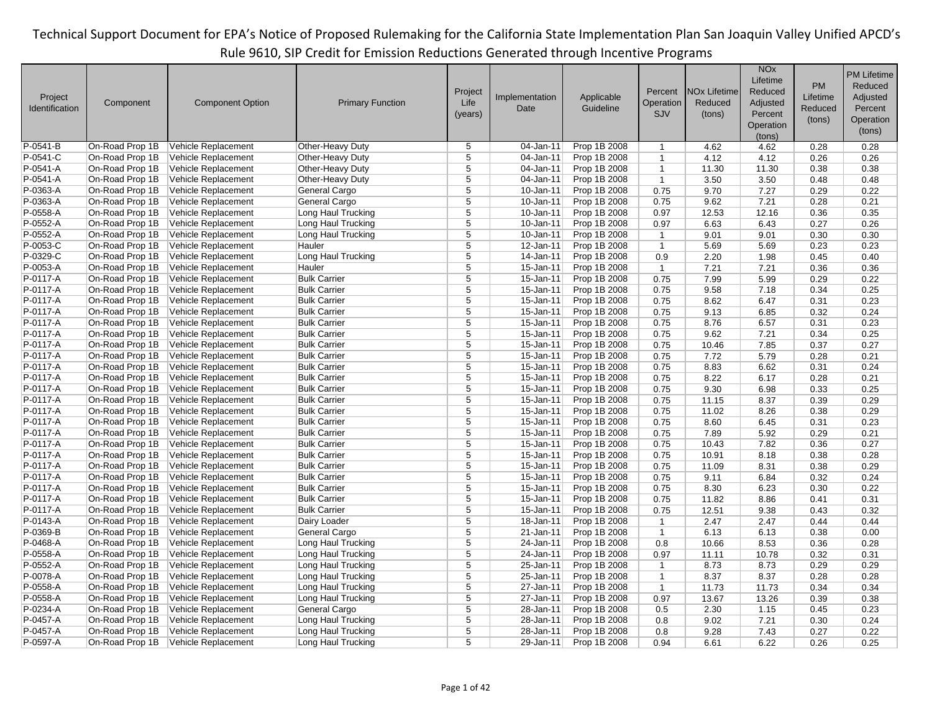|                |                 |                         |                         |                |                |              |              |                                | <b>NO<sub>x</sub></b> |          | <b>PM Lifetime</b> |
|----------------|-----------------|-------------------------|-------------------------|----------------|----------------|--------------|--------------|--------------------------------|-----------------------|----------|--------------------|
|                |                 |                         |                         |                |                |              |              |                                | Lifetime              |          |                    |
|                |                 |                         |                         | Project        |                |              | Percent      | <b>NO<sub>x</sub></b> Lifetime | Reduced               | PM       | Reduced            |
| Project        | Component       | <b>Component Option</b> | <b>Primary Function</b> | Life           | Implementation | Applicable   | Operation    | Reduced                        | Adjusted              | Lifetime | Adjusted           |
| Identification |                 |                         |                         | (years)        | Date           | Guideline    | <b>SJV</b>   | (tons)                         | Percent               | Reduced  | Percent            |
|                |                 |                         |                         |                |                |              |              |                                | Operation             | (tons)   | Operation          |
|                |                 |                         |                         |                |                |              |              |                                | (tons)                |          | (tons)             |
| P-0541-B       | On-Road Prop 1B | Vehicle Replacement     | Other-Heavy Duty        | 5              | 04-Jan-11      | Prop 1B 2008 | $\mathbf{1}$ | 4.62                           | 4.62                  | 0.28     | 0.28               |
| P-0541-C       | On-Road Prop 1B | Vehicle Replacement     | Other-Heavy Duty        | 5              | 04-Jan-11      | Prop 1B 2008 | $\mathbf{1}$ | 4.12                           | 4.12                  | 0.26     | 0.26               |
| P-0541-A       | On-Road Prop 1B | Vehicle Replacement     | Other-Heavy Duty        | $\overline{5}$ | 04-Jan-11      | Prop 1B 2008 | $\mathbf{1}$ | 11.30                          | 11.30                 | 0.38     | 0.38               |
| P-0541-A       | On-Road Prop 1B | Vehicle Replacement     | Other-Heavy Duty        | $\overline{5}$ | 04-Jan-11      | Prop 1B 2008 | $\mathbf{1}$ | 3.50                           | 3.50                  | 0.48     | 0.48               |
| P-0363-A       | On-Road Prop 1B | Vehicle Replacement     | General Cargo           | $\overline{5}$ | 10-Jan-11      | Prop 1B 2008 | 0.75         | 9.70                           | 7.27                  | 0.29     | 0.22               |
| P-0363-A       | On-Road Prop 1B | Vehicle Replacement     | General Cargo           | 5              | 10-Jan-11      |              | 0.75         | 9.62                           | 7.21                  | 0.28     | 0.21               |
|                |                 |                         |                         |                | $10 - Jan-11$  | Prop 1B 2008 |              |                                |                       |          |                    |
| P-0558-A       | On-Road Prop 1B | Vehicle Replacement     | Long Haul Trucking      | $\overline{5}$ |                | Prop 1B 2008 | 0.97         | 12.53                          | 12.16                 | 0.36     | 0.35               |
| P-0552-A       | On-Road Prop 1B | Vehicle Replacement     | Long Haul Trucking      | 5              | 10-Jan-11      | Prop 1B 2008 | 0.97         | 6.63                           | 6.43                  | 0.27     | 0.26               |
| P-0552-A       | On-Road Prop 1B | Vehicle Replacement     | Long Haul Trucking      | $\overline{5}$ | 10-Jan-11      | Prop 1B 2008 | $\mathbf{1}$ | 9.01                           | 9.01                  | 0.30     | 0.30               |
| $P-0053-C$     | On-Road Prop 1B | Vehicle Replacement     | Hauler                  | $\overline{5}$ | 12-Jan-11      | Prop 1B 2008 | $\mathbf{1}$ | 5.69                           | 5.69                  | 0.23     | 0.23               |
| P-0329-C       | On-Road Prop 1B | Vehicle Replacement     | Long Haul Trucking      | $\overline{5}$ | 14-Jan-11      | Prop 1B 2008 | 0.9          | 2.20                           | 1.98                  | 0.45     | 0.40               |
| P-0053-A       | On-Road Prop 1B | Vehicle Replacement     | Hauler                  | $\overline{5}$ | 15-Jan-11      | Prop 1B 2008 | $\mathbf{1}$ | 7.21                           | 7.21                  | 0.36     | 0.36               |
| P-0117-A       | On-Road Prop 1B | Vehicle Replacement     | <b>Bulk Carrier</b>     | 5              | 15-Jan-11      | Prop 1B 2008 | 0.75         | 7.99                           | 5.99                  | 0.29     | 0.22               |
| P-0117-A       | On-Road Prop 1B | Vehicle Replacement     | <b>Bulk Carrier</b>     | $\overline{5}$ | 15-Jan-11      | Prop 1B 2008 | 0.75         | 9.58                           | 7.18                  | 0.34     | 0.25               |
| P-0117-A       | On-Road Prop 1B | Vehicle Replacement     | <b>Bulk Carrier</b>     | $\overline{5}$ | 15-Jan-11      | Prop 1B 2008 | 0.75         | 8.62                           | 6.47                  | 0.31     | 0.23               |
| P-0117-A       | On-Road Prop 1B | Vehicle Replacement     | <b>Bulk Carrier</b>     | 5              | 15-Jan-11      | Prop 1B 2008 | 0.75         | 9.13                           | 6.85                  | 0.32     | 0.24               |
| P-0117-A       | On-Road Prop 1B | Vehicle Replacement     | <b>Bulk Carrier</b>     | $\overline{5}$ | 15-Jan-11      | Prop 1B 2008 | 0.75         | 8.76                           | 6.57                  | 0.31     | 0.23               |
| P-0117-A       | On-Road Prop 1B | Vehicle Replacement     | <b>Bulk Carrier</b>     | 5              | 15-Jan-11      | Prop 1B 2008 | 0.75         | 9.62                           | 7.21                  | 0.34     | 0.25               |
| P-0117-A       | On-Road Prop 1B | Vehicle Replacement     | <b>Bulk Carrier</b>     | 5              | 15-Jan-11      | Prop 1B 2008 | 0.75         | 10.46                          | 7.85                  | 0.37     | 0.27               |
| P-0117-A       | On-Road Prop 1B | Vehicle Replacement     | <b>Bulk Carrier</b>     | $\overline{5}$ | 15-Jan-11      | Prop 1B 2008 | 0.75         | 7.72                           | 5.79                  | 0.28     | 0.21               |
| P-0117-A       | On-Road Prop 1B | Vehicle Replacement     | <b>Bulk Carrier</b>     | 5              | 15-Jan-11      | Prop 1B 2008 | 0.75         | 8.83                           | 6.62                  | 0.31     | 0.24               |
| P-0117-A       | On-Road Prop 1B | Vehicle Replacement     | <b>Bulk Carrier</b>     | 5              | 15-Jan-11      | Prop 1B 2008 | 0.75         | 8.22                           | 6.17                  | 0.28     | 0.21               |
| P-0117-A       | On-Road Prop 1B | Vehicle Replacement     | <b>Bulk Carrier</b>     | $\overline{5}$ | 15-Jan-11      | Prop 1B 2008 | 0.75         | 9.30                           | 6.98                  | 0.33     | 0.25               |
| P-0117-A       | On-Road Prop 1B | Vehicle Replacement     | <b>Bulk Carrier</b>     | 5              | 15-Jan-11      | Prop 1B 2008 | 0.75         | 11.15                          | 8.37                  | 0.39     | 0.29               |
| P-0117-A       | On-Road Prop 1B | Vehicle Replacement     | <b>Bulk Carrier</b>     | $\overline{5}$ | 15-Jan-11      | Prop 1B 2008 | 0.75         | 11.02                          | 8.26                  | 0.38     | 0.29               |
| P-0117-A       | On-Road Prop 1B | Vehicle Replacement     | <b>Bulk Carrier</b>     | 5              | 15-Jan-11      | Prop 1B 2008 | 0.75         | 8.60                           | 6.45                  | 0.31     | 0.23               |
| P-0117-A       | On-Road Prop 1B | Vehicle Replacement     | <b>Bulk Carrier</b>     | $\overline{5}$ | 15-Jan-11      | Prop 1B 2008 | 0.75         | 7.89                           | 5.92                  | 0.29     | 0.21               |
| P-0117-A       | On-Road Prop 1B | Vehicle Replacement     | <b>Bulk Carrier</b>     | 5              | 15-Jan-11      | Prop 1B 2008 | 0.75         | 10.43                          | 7.82                  | 0.36     | 0.27               |
| P-0117-A       | On-Road Prop 1B | Vehicle Replacement     | <b>Bulk Carrier</b>     | $\overline{5}$ | 15-Jan-11      | Prop 1B 2008 | 0.75         | 10.91                          | 8.18                  | 0.38     | 0.28               |
| P-0117-A       | On-Road Prop 1B | Vehicle Replacement     | <b>Bulk Carrier</b>     | 5              | 15-Jan-11      | Prop 1B 2008 | 0.75         | 11.09                          | 8.31                  | 0.38     | 0.29               |
| P-0117-A       | On-Road Prop 1B | Vehicle Replacement     | <b>Bulk Carrier</b>     | 5              | 15-Jan-11      | Prop 1B 2008 | 0.75         | 9.11                           | 6.84                  | 0.32     | 0.24               |
| P-0117-A       |                 |                         |                         | $\overline{5}$ | 15-Jan-11      |              |              |                                |                       |          | 0.22               |
|                | On-Road Prop 1B | Vehicle Replacement     | <b>Bulk Carrier</b>     | 5              |                | Prop 1B 2008 | 0.75         | 8.30                           | 6.23                  | 0.30     |                    |
| P-0117-A       | On-Road Prop 1B | Vehicle Replacement     | <b>Bulk Carrier</b>     |                | 15-Jan-11      | Prop 1B 2008 | 0.75         | 11.82                          | 8.86                  | 0.41     | 0.31               |
| P-0117-A       | On-Road Prop 1B | Vehicle Replacement     | <b>Bulk Carrier</b>     | $\overline{5}$ | 15-Jan-11      | Prop 1B 2008 | 0.75         | 12.51                          | 9.38                  | 0.43     | 0.32               |
| P-0143-A       | On-Road Prop 1B | Vehicle Replacement     | Dairy Loader            | 5              | 18-Jan-11      | Prop 1B 2008 | $\mathbf{1}$ | 2.47                           | 2.47                  | 0.44     | 0.44               |
| P-0369-B       | On-Road Prop 1B | Vehicle Replacement     | General Cargo           | $\overline{5}$ | 21-Jan-11      | Prop 1B 2008 | $\mathbf{1}$ | 6.13                           | 6.13                  | 0.38     | 0.00               |
| P-0468-A       | On-Road Prop 1B | Vehicle Replacement     | Long Haul Trucking      | $\overline{5}$ | 24-Jan-11      | Prop 1B 2008 | 0.8          | 10.66                          | 8.53                  | 0.36     | 0.28               |
| P-0558-A       | On-Road Prop 1B | Vehicle Replacement     | Long Haul Trucking      | $\overline{5}$ | 24-Jan-11      | Prop 1B 2008 | 0.97         | 11.11                          | 10.78                 | 0.32     | 0.31               |
| P-0552-A       | On-Road Prop 1B | Vehicle Replacement     | Long Haul Trucking      | 5              | 25-Jan-11      | Prop 1B 2008 | $\mathbf{1}$ | 8.73                           | 8.73                  | 0.29     | 0.29               |
| P-0078-A       | On-Road Prop 1B | Vehicle Replacement     | Long Haul Trucking      | 5              | 25-Jan-11      | Prop 1B 2008 | $\mathbf{1}$ | 8.37                           | 8.37                  | 0.28     | 0.28               |
| P-0558-A       | On-Road Prop 1B | Vehicle Replacement     | Long Haul Trucking      | 5              | 27-Jan-11      | Prop 1B 2008 | $\mathbf{1}$ | 11.73                          | 11.73                 | 0.34     | 0.34               |
| P-0558-A       | On-Road Prop 1B | Vehicle Replacement     | Long Haul Trucking      | $\overline{5}$ | 27-Jan-11      | Prop 1B 2008 | 0.97         | 13.67                          | 13.26                 | 0.39     | 0.38               |
| P-0234-A       | On-Road Prop 1B | Vehicle Replacement     | General Cargo           | 5              | 28-Jan-11      | Prop 1B 2008 | 0.5          | 2.30                           | 1.15                  | 0.45     | 0.23               |
| P-0457-A       | On-Road Prop 1B | Vehicle Replacement     | Long Haul Trucking      | 5              | 28-Jan-11      | Prop 1B 2008 | 0.8          | 9.02                           | 7.21                  | 0.30     | 0.24               |
| P-0457-A       | On-Road Prop 1B | Vehicle Replacement     | Long Haul Trucking      | $\overline{5}$ | 28-Jan-11      | Prop 1B 2008 | 0.8          | 9.28                           | 7.43                  | 0.27     | 0.22               |
| P-0597-A       | On-Road Prop 1B | Vehicle Replacement     | Long Haul Trucking      | 5              | 29-Jan-11      | Prop 1B 2008 | 0.94         | 6.61                           | 6.22                  | 0.26     | 0.25               |
|                |                 |                         |                         |                |                |              |              |                                |                       |          |                    |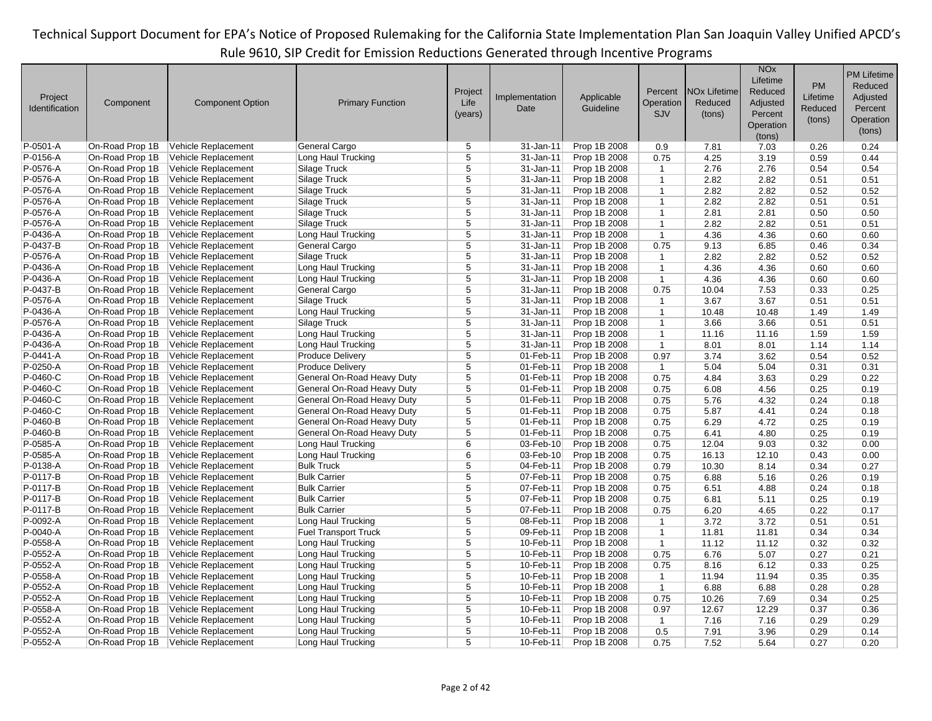|                |                 |                         |                             |                |                |              |                |                                | <b>NO<sub>x</sub></b> |          | <b>PM Lifetime</b> |
|----------------|-----------------|-------------------------|-----------------------------|----------------|----------------|--------------|----------------|--------------------------------|-----------------------|----------|--------------------|
|                |                 |                         |                             |                |                |              |                |                                | Lifetime              | PM       | Reduced            |
| Project        |                 |                         |                             | Project        | Implementation | Applicable   | Percent        | <b>NO<sub>x</sub></b> Lifetime | Reduced               | Lifetime | Adjusted           |
| Identification | Component       | <b>Component Option</b> | <b>Primary Function</b>     | Life           | Date           | Guideline    | Operation      | Reduced                        | Adjusted              | Reduced  | Percent            |
|                |                 |                         |                             | (years)        |                |              | <b>SJV</b>     | (tons)                         | Percent               |          |                    |
|                |                 |                         |                             |                |                |              |                |                                | Operation             | (tons)   | Operation          |
|                |                 |                         |                             |                |                |              |                |                                | (tons)                |          | (tons)             |
| P-0501-A       | On-Road Prop 1B | Vehicle Replacement     | General Cargo               | 5              | 31-Jan-11      | Prop 1B 2008 | 0.9            | 7.81                           | 7.03                  | 0.26     | 0.24               |
| P-0156-A       | On-Road Prop 1B | Vehicle Replacement     | Long Haul Trucking          | 5              | 31-Jan-11      | Prop 1B 2008 | 0.75           | 4.25                           | 3.19                  | 0.59     | 0.44               |
| P-0576-A       | On-Road Prop 1B | Vehicle Replacement     | Silage Truck                | 5              | 31-Jan-11      | Prop 1B 2008 | $\mathbf{1}$   | 2.76                           | 2.76                  | 0.54     | 0.54               |
| P-0576-A       | On-Road Prop 1B | Vehicle Replacement     | Silage Truck                | $\overline{5}$ | 31-Jan-11      | Prop 1B 2008 | $\mathbf{1}$   | 2.82                           | 2.82                  | 0.51     | 0.51               |
| P-0576-A       | On-Road Prop 1B | Vehicle Replacement     | Silage Truck                | $\overline{5}$ | 31-Jan-11      | Prop 1B 2008 | $\mathbf{1}$   | 2.82                           | 2.82                  | 0.52     | 0.52               |
| P-0576-A       | On-Road Prop 1B | Vehicle Replacement     | Silage Truck                | 5              | 31-Jan-11      | Prop 1B 2008 | $\mathbf{1}$   | 2.82                           | 2.82                  | 0.51     | 0.51               |
| P-0576-A       | On-Road Prop 1B | Vehicle Replacement     | Silage Truck                | $\overline{5}$ | 31-Jan-11      | Prop 1B 2008 | $\mathbf{1}$   | 2.81                           | 2.81                  | 0.50     | 0.50               |
| P-0576-A       | On-Road Prop 1B | Vehicle Replacement     | Silage Truck                | 5              | 31-Jan-11      | Prop 1B 2008 | $\mathbf{1}$   | 2.82                           | 2.82                  | 0.51     | 0.51               |
| P-0436-A       | On-Road Prop 1B | Vehicle Replacement     | Long Haul Trucking          | 5              | 31-Jan-11      | Prop 1B 2008 | $\mathbf{1}$   | 4.36                           | 4.36                  | 0.60     | 0.60               |
| P-0437-B       | On-Road Prop 1B | Vehicle Replacement     | General Cargo               | $\overline{5}$ | 31-Jan-11      | Prop 1B 2008 | 0.75           | 9.13                           | 6.85                  | 0.46     | 0.34               |
| P-0576-A       | On-Road Prop 1B | Vehicle Replacement     | Silage Truck                | $\overline{5}$ | 31-Jan-11      | Prop 1B 2008 | $\mathbf{1}$   | 2.82                           | 2.82                  | 0.52     | 0.52               |
| P-0436-A       | On-Road Prop 1B | Vehicle Replacement     | Long Haul Trucking          | $\overline{5}$ | 31-Jan-11      | Prop 1B 2008 | $\mathbf{1}$   | 4.36                           | 4.36                  | 0.60     | 0.60               |
| P-0436-A       | On-Road Prop 1B | Vehicle Replacement     | Long Haul Trucking          | 5              | 31-Jan-11      | Prop 1B 2008 | $\mathbf{1}$   | 4.36                           | 4.36                  | 0.60     | 0.60               |
| P-0437-B       | On-Road Prop 1B | Vehicle Replacement     | General Cargo               | 5              | 31-Jan-11      | Prop 1B 2008 | 0.75           | 10.04                          | 7.53                  | 0.33     | 0.25               |
| P-0576-A       | On-Road Prop 1B | Vehicle Replacement     | Silage Truck                | $\overline{5}$ | 31-Jan-11      | Prop 1B 2008 | $\mathbf{1}$   | 3.67                           | 3.67                  | 0.51     | 0.51               |
| P-0436-A       | On-Road Prop 1B | Vehicle Replacement     | Long Haul Trucking          | $\overline{5}$ | 31-Jan-11      | Prop 1B 2008 | $\mathbf{1}$   | 10.48                          | 10.48                 | 1.49     | 1.49               |
| P-0576-A       | On-Road Prop 1B | Vehicle Replacement     | Silage Truck                | 5              | 31-Jan-11      | Prop 1B 2008 | $\mathbf{1}$   | 3.66                           | 3.66                  | 0.51     | 0.51               |
| P-0436-A       | On-Road Prop 1B | Vehicle Replacement     | Long Haul Trucking          | $\overline{5}$ | 31-Jan-11      | Prop 1B 2008 | $\mathbf{1}$   | 11.16                          | 11.16                 | 1.59     | 1.59               |
| P-0436-A       | On-Road Prop 1B | Vehicle Replacement     | Long Haul Trucking          | $\overline{5}$ | 31-Jan-11      | Prop 1B 2008 | $\mathbf{1}$   | 8.01                           | 8.01                  | 1.14     | 1.14               |
| P-0441-A       | On-Road Prop 1B | Vehicle Replacement     | <b>Produce Delivery</b>     | $\overline{5}$ | 01-Feb-11      | Prop 1B 2008 | 0.97           | 3.74                           | 3.62                  | 0.54     | 0.52               |
| P-0250-A       | On-Road Prop 1B | Vehicle Replacement     | <b>Produce Delivery</b>     | $\overline{5}$ | 01-Feb-11      | Prop 1B 2008 | $\mathbf{1}$   | 5.04                           | 5.04                  | 0.31     | 0.31               |
| P-0460-C       | On-Road Prop 1B | Vehicle Replacement     | General On-Road Heavy Duty  | 5              | 01-Feb-11      | Prop 1B 2008 | 0.75           | 4.84                           | 3.63                  | 0.29     | 0.22               |
| P-0460-C       | On-Road Prop 1B | Vehicle Replacement     | General On-Road Heavy Duty  | 5              | 01-Feb-11      | Prop 1B 2008 | 0.75           | 6.08                           | 4.56                  | 0.25     | 0.19               |
| P-0460-C       | On-Road Prop 1B | Vehicle Replacement     | General On-Road Heavy Duty  | 5              | 01-Feb-11      | Prop 1B 2008 | 0.75           | 5.76                           | 4.32                  | 0.24     | 0.18               |
| P-0460-C       | On-Road Prop 1B | Vehicle Replacement     | General On-Road Heavy Duty  | 5              | 01-Feb-11      | Prop 1B 2008 | 0.75           | 5.87                           | 4.41                  | 0.24     | 0.18               |
| P-0460-B       | On-Road Prop 1B | Vehicle Replacement     | General On-Road Heavy Duty  | $\overline{5}$ | 01-Feb-11      | Prop 1B 2008 | 0.75           | 6.29                           | 4.72                  | 0.25     | 0.19               |
| P-0460-B       | On-Road Prop 1B | Vehicle Replacement     | General On-Road Heavy Duty  | 5              | 01-Feb-11      | Prop 1B 2008 | 0.75           | 6.41                           | 4.80                  | 0.25     | 0.19               |
| P-0585-A       | On-Road Prop 1B | Vehicle Replacement     | Long Haul Trucking          | 6              | 03-Feb-10      | Prop 1B 2008 | 0.75           | 12.04                          | 9.03                  | 0.32     | 0.00               |
| $P-0585-A$     | On-Road Prop 1B | Vehicle Replacement     | Long Haul Trucking          | $\overline{6}$ | 03-Feb-10      | Prop 1B 2008 | 0.75           | 16.13                          | 12.10                 | 0.43     | 0.00               |
| P-0138-A       | On-Road Prop 1B | Vehicle Replacement     | <b>Bulk Truck</b>           | 5              | 04-Feb-11      | Prop 1B 2008 | 0.79           | 10.30                          | 8.14                  | 0.34     | 0.27               |
| P-0117-B       | On-Road Prop 1B | Vehicle Replacement     | <b>Bulk Carrier</b>         | 5              | 07-Feb-11      | Prop 1B 2008 | 0.75           | 6.88                           | 5.16                  | 0.26     | 0.19               |
| P-0117-B       | On-Road Prop 1B | Vehicle Replacement     | <b>Bulk Carrier</b>         | $\overline{5}$ | 07-Feb-11      | Prop 1B 2008 | 0.75           | 6.51                           | 4.88                  | 0.24     | 0.18               |
| P-0117-B       | On-Road Prop 1B | Vehicle Replacement     | <b>Bulk Carrier</b>         | 5              | 07-Feb-11      | Prop 1B 2008 | 0.75           | 6.81                           | 5.11                  | 0.25     | 0.19               |
| P-0117-B       | On-Road Prop 1B | Vehicle Replacement     | <b>Bulk Carrier</b>         | 5              | 07-Feb-11      | Prop 1B 2008 | 0.75           | 6.20                           | 4.65                  | 0.22     | 0.17               |
| P-0092-A       | On-Road Prop 1B | Vehicle Replacement     | Long Haul Trucking          | $\overline{5}$ | 08-Feb-11      | Prop 1B 2008 | $\mathbf{1}$   | 3.72                           | 3.72                  | 0.51     | 0.51               |
| P-0040-A       | On-Road Prop 1B | Vehicle Replacement     | <b>Fuel Transport Truck</b> | 5              | 09-Feb-11      | Prop 1B 2008 | $\mathbf{1}$   | 11.81                          | 11.81                 | 0.34     | 0.34               |
| P-0558-A       | On-Road Prop 1B | Vehicle Replacement     | Long Haul Trucking          | $\overline{5}$ | 10-Feb-11      | Prop 1B 2008 | $\mathbf{1}$   | 11.12                          | 11.12                 | 0.32     | 0.32               |
| P-0552-A       | On-Road Prop 1B | Vehicle Replacement     | Long Haul Trucking          | 5              | 10-Feb-11      | Prop 1B 2008 | 0.75           | 6.76                           | 5.07                  | 0.27     | 0.21               |
| P-0552-A       | On-Road Prop 1B | Vehicle Replacement     | Long Haul Trucking          | 5              | 10-Feb-11      | Prop 1B 2008 | 0.75           | 8.16                           | 6.12                  | 0.33     | 0.25               |
| P-0558-A       | On-Road Prop 1B | Vehicle Replacement     | Long Haul Trucking          | 5              | 10-Feb-11      | Prop 1B 2008 | $\mathbf{1}$   | 11.94                          | 11.94                 | 0.35     | 0.35               |
| P-0552-A       | On-Road Prop 1B | Vehicle Replacement     | Long Haul Trucking          | 5              | 10-Feb-11      | Prop 1B 2008 | $\mathbf{1}$   | 6.88                           | 6.88                  | 0.28     | 0.28               |
| P-0552-A       | On-Road Prop 1B | Vehicle Replacement     | Long Haul Trucking          | $\overline{5}$ | 10-Feb-11      | Prop 1B 2008 | 0.75           | 10.26                          | 7.69                  | 0.34     | 0.25               |
| P-0558-A       | On-Road Prop 1B | Vehicle Replacement     | Long Haul Trucking          | 5              | 10-Feb-11      | Prop 1B 2008 | 0.97           | 12.67                          | 12.29                 | 0.37     | 0.36               |
| P-0552-A       | On-Road Prop 1B | Vehicle Replacement     | Long Haul Trucking          | 5              | 10-Feb-11      | Prop 1B 2008 | $\overline{1}$ | 7.16                           | 7.16                  | 0.29     | 0.29               |
| P-0552-A       | On-Road Prop 1B | Vehicle Replacement     | Long Haul Trucking          | 5              | 10-Feb-11      | Prop 1B 2008 | 0.5            | 7.91                           | 3.96                  | 0.29     | 0.14               |
| P-0552-A       | On-Road Prop 1B | Vehicle Replacement     | Long Haul Trucking          | 5              | 10-Feb-11      | Prop 1B 2008 | 0.75           | 7.52                           | 5.64                  | 0.27     | 0.20               |
|                |                 |                         |                             |                |                |              |                |                                |                       |          |                    |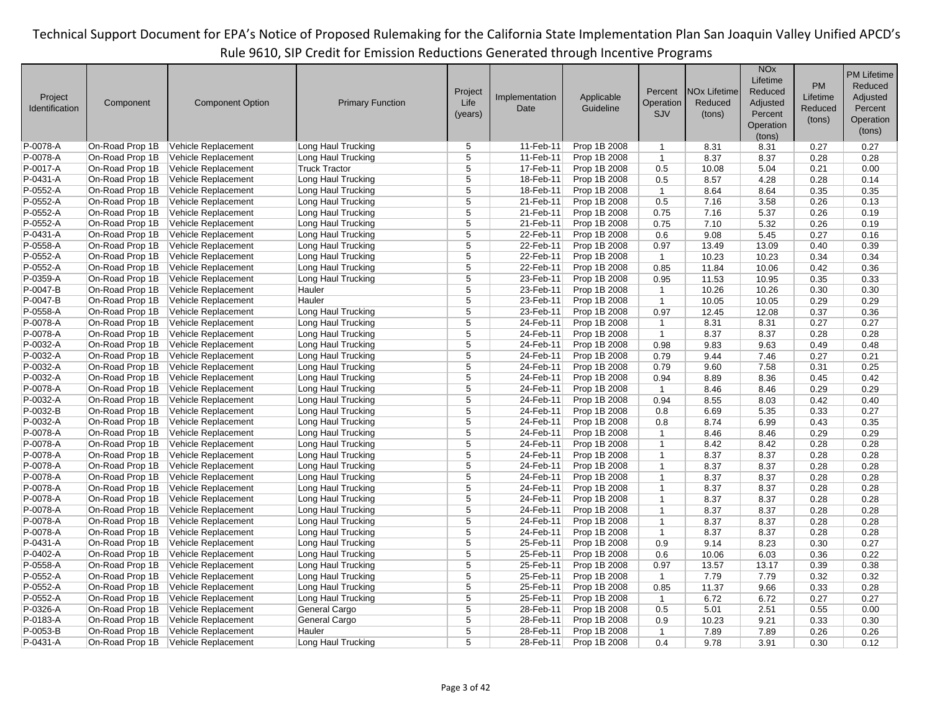|                      |                 |                         |                         |                |                        |                         |                              |                     | <b>NO<sub>x</sub></b> |           | <b>PM Lifetime</b> |
|----------------------|-----------------|-------------------------|-------------------------|----------------|------------------------|-------------------------|------------------------------|---------------------|-----------------------|-----------|--------------------|
|                      |                 |                         |                         |                |                        |                         |                              |                     | Lifetime              | <b>PM</b> | Reduced            |
|                      |                 |                         |                         | Project        |                        |                         | Percent                      | <b>NOx Lifetime</b> | Reduced               |           |                    |
| Project              | Component       | <b>Component Option</b> | <b>Primary Function</b> | Life           | Implementation         | Applicable<br>Guideline | Operation                    | Reduced             | Adjusted              | Lifetime  | Adjusted           |
| Identification       |                 |                         |                         | (years)        | Date                   |                         | SJV                          | (tons)              | Percent               | Reduced   | Percent            |
|                      |                 |                         |                         |                |                        |                         |                              |                     | Operation             | (tons)    | Operation          |
|                      |                 |                         |                         |                |                        |                         |                              |                     | (tons)                |           | (tons)             |
| P-0078-A             | On-Road Prop 1B | Vehicle Replacement     | Long Haul Trucking      | 5              | 11-Feb-11              | Prop 1B 2008            | $\mathbf{1}$                 | 8.31                | 8.31                  | 0.27      | 0.27               |
| P-0078-A             | On-Road Prop 1B | Vehicle Replacement     | Long Haul Trucking      | 5              | 11-Feb-11              | Prop 1B 2008            | $\mathbf{1}$                 | 8.37                | 8.37                  | 0.28      | 0.28               |
| P-0017-A             | On-Road Prop 1B | Vehicle Replacement     | <b>Truck Tractor</b>    | 5              | 17-Feb-11              | Prop 1B 2008            | 0.5                          | 10.08               | 5.04                  | 0.21      | 0.00               |
| P-0431-A             | On-Road Prop 1B | Vehicle Replacement     | Long Haul Trucking      | $\overline{5}$ | 18-Feb-11              | Prop 1B 2008            | 0.5                          | 8.57                | 4.28                  | 0.28      | 0.14               |
| P-0552-A             | On-Road Prop 1B | Vehicle Replacement     | Long Haul Trucking      | 5              | 18-Feb-11              | Prop 1B 2008            | $\mathbf{1}$                 | 8.64                | 8.64                  | 0.35      | 0.35               |
| P-0552-A             | On-Road Prop 1B | Vehicle Replacement     | Long Haul Trucking      | 5              | 21-Feb-11              | Prop 1B 2008            | 0.5                          | 7.16                | 3.58                  | 0.26      | 0.13               |
| P-0552-A             | On-Road Prop 1B | Vehicle Replacement     | Long Haul Trucking      | 5              | 21-Feb-11              | Prop 1B 2008            | 0.75                         | 7.16                | 5.37                  | 0.26      | 0.19               |
| P-0552-A             | On-Road Prop 1B | Vehicle Replacement     | Long Haul Trucking      | 5              | 21-Feb-11              | Prop 1B 2008            | 0.75                         | 7.10                | 5.32                  | 0.26      | 0.19               |
| P-0431-A             | On-Road Prop 1B | Vehicle Replacement     | Long Haul Trucking      | 5              | 22-Feb-11              | Prop 1B 2008            | 0.6                          | 9.08                | 5.45                  | 0.27      | 0.16               |
| P-0558-A             | On-Road Prop 1B | Vehicle Replacement     | Long Haul Trucking      | $\overline{5}$ | 22-Feb-11              | Prop 1B 2008            | 0.97                         | 13.49               | 13.09                 | 0.40      | 0.39               |
| P-0552-A             | On-Road Prop 1B | Vehicle Replacement     | Long Haul Trucking      | $\overline{5}$ | 22-Feb-11              | Prop 1B 2008            | $\mathbf{1}$                 | 10.23               | 10.23                 | 0.34      | 0.34               |
| P-0552-A             | On-Road Prop 1B | Vehicle Replacement     | Long Haul Trucking      | $\overline{5}$ | 22-Feb-11              | Prop 1B 2008            | 0.85                         | 11.84               | 10.06                 | 0.42      | 0.36               |
| P-0359-A             | On-Road Prop 1B | Vehicle Replacement     | Long Haul Trucking      | 5              | 23-Feb-11              | Prop 1B 2008            | 0.95                         | 11.53               | 10.95                 | 0.35      | 0.33               |
| P-0047-B             | On-Road Prop 1B | Vehicle Replacement     | Hauler                  | 5              | 23-Feb-11              | Prop 1B 2008            | $\mathbf{1}$                 | 10.26               | 10.26                 | 0.30      | 0.30               |
| P-0047-B             | On-Road Prop 1B | Vehicle Replacement     | Hauler                  | $\overline{5}$ | 23-Feb-11              | Prop 1B 2008            | $\mathbf{1}$                 | 10.05               | 10.05                 | 0.29      | 0.29               |
| P-0558-A             | On-Road Prop 1B | Vehicle Replacement     | Long Haul Trucking      | 5              | 23-Feb-11              | Prop 1B 2008            | 0.97                         | 12.45               | 12.08                 | 0.37      | 0.36               |
| P-0078-A             | On-Road Prop 1B | Vehicle Replacement     | Long Haul Trucking      | 5              | 24-Feb-11              | Prop 1B 2008            | $\overline{1}$               | 8.31                | 8.31                  | 0.27      | 0.27               |
| P-0078-A             | On-Road Prop 1B | Vehicle Replacement     | Long Haul Trucking      | 5              | 24-Feb-11              | Prop 1B 2008            | $\mathbf{1}$                 | 8.37                | 8.37                  | 0.28      | 0.28               |
| P-0032-A             | On-Road Prop 1B | Vehicle Replacement     | Long Haul Trucking      | 5              | 24-Feb-11              | Prop 1B 2008            | 0.98                         | 9.83                | 9.63                  | 0.49      | 0.48               |
| P-0032-A             | On-Road Prop 1B | Vehicle Replacement     | Long Haul Trucking      | 5              | 24-Feb-11              | Prop 1B 2008            | 0.79                         | 9.44                | 7.46                  | 0.27      | 0.21               |
| P-0032-A             | On-Road Prop 1B | Vehicle Replacement     | Long Haul Trucking      | $\overline{5}$ | 24-Feb-11              | Prop 1B 2008            | 0.79                         | 9.60                | 7.58                  | 0.31      | 0.25               |
| $P-0032-A$           | On-Road Prop 1B | Vehicle Replacement     | Long Haul Trucking      | 5              | 24-Feb-11              | Prop 1B 2008            | 0.94                         | 8.89                | 8.36                  | 0.45      | 0.42               |
| P-0078-A             | On-Road Prop 1B | Vehicle Replacement     | Long Haul Trucking      | 5              | 24-Feb-11              | Prop 1B 2008            | $\overline{1}$               | 8.46                | 8.46                  | 0.29      | 0.29               |
| P-0032-A             | On-Road Prop 1B | Vehicle Replacement     | Long Haul Trucking      | 5              | 24-Feb-11              | Prop 1B 2008            | 0.94                         | 8.55                | 8.03                  | 0.42      | 0.40               |
| P-0032-B             | On-Road Prop 1B | Vehicle Replacement     | Long Haul Trucking      | 5              | 24-Feb-11              | Prop 1B 2008            | 0.8                          | 6.69                | 5.35                  | 0.33      | 0.27               |
| P-0032-A             | On-Road Prop 1B | Vehicle Replacement     | Long Haul Trucking      | 5              | 24-Feb-11              | Prop 1B 2008            | 0.8                          | 8.74                | 6.99                  | 0.43      | 0.35               |
| P-0078-A             | On-Road Prop 1B | Vehicle Replacement     | Long Haul Trucking      | $\overline{5}$ | 24-Feb-11              | Prop 1B 2008            | $\mathbf{1}$                 | 8.46                | 8.46                  | 0.29      | 0.29               |
| P-0078-A             | On-Road Prop 1B | Vehicle Replacement     | Long Haul Trucking      | 5              | 24-Feb-11              | Prop 1B 2008            | $\mathbf{1}$                 | 8.42                | 8.42                  | 0.28      | 0.28               |
|                      |                 |                         |                         | 5              |                        |                         | $\mathbf{1}$                 |                     |                       |           |                    |
| P-0078-A<br>P-0078-A | On-Road Prop 1B | Vehicle Replacement     | Long Haul Trucking      | 5              | 24-Feb-11<br>24-Feb-11 | Prop 1B 2008            | $\mathbf{1}$                 | 8.37                | 8.37                  | 0.28      | 0.28               |
|                      | On-Road Prop 1B | Vehicle Replacement     | Long Haul Trucking      | 5              | 24-Feb-11              | Prop 1B 2008            |                              | 8.37                | 8.37                  | 0.28      | 0.28               |
| P-0078-A             | On-Road Prop 1B | Vehicle Replacement     | Long Haul Trucking      | $\overline{5}$ |                        | Prop 1B 2008            | $\mathbf{1}$<br>$\mathbf{1}$ | 8.37                | 8.37                  | 0.28      | 0.28               |
| P-0078-A             | On-Road Prop 1B | Vehicle Replacement     | Long Haul Trucking      | $\overline{5}$ | 24-Feb-11              | Prop 1B 2008            |                              | 8.37                | 8.37                  | 0.28      | 0.28               |
| P-0078-A             | On-Road Prop 1B | Vehicle Replacement     | Long Haul Trucking      |                | 24-Feb-11              | Prop 1B 2008            | $\mathbf{1}$                 | 8.37                | 8.37                  | 0.28      | 0.28               |
| P-0078-A             | On-Road Prop 1B | Vehicle Replacement     | Long Haul Trucking      | 5              | 24-Feb-11              | Prop 1B 2008            | $\mathbf{1}$                 | 8.37                | 8.37                  | 0.28      | 0.28               |
| P-0078-A             | On-Road Prop 1B | Vehicle Replacement     | Long Haul Trucking      | 5              | 24-Feb-11              | Prop 1B 2008            | $\mathbf{1}$                 | 8.37                | 8.37                  | 0.28      | 0.28               |
| P-0078-A             | On-Road Prop 1B | Vehicle Replacement     | Long Haul Trucking      | 5              | 24-Feb-11              | Prop 1B 2008            | $\mathbf{1}$                 | 8.37                | 8.37                  | 0.28      | 0.28               |
| P-0431-A             | On-Road Prop 1B | Vehicle Replacement     | Long Haul Trucking      | 5              | 25-Feb-11              | Prop 1B 2008            | 0.9                          | 9.14                | 8.23                  | 0.30      | 0.27               |
| P-0402-A             | On-Road Prop 1B | Vehicle Replacement     | Long Haul Trucking      | $\overline{5}$ | 25-Feb-11              | Prop 1B 2008            | 0.6                          | 10.06               | 6.03                  | 0.36      | 0.22               |
| P-0558-A             | On-Road Prop 1B | Vehicle Replacement     | Long Haul Trucking      | $\overline{5}$ | 25-Feb-11              | Prop 1B 2008            | 0.97                         | 13.57               | 13.17                 | 0.39      | 0.38               |
| P-0552-A             | On-Road Prop 1B | Vehicle Replacement     | Long Haul Trucking      | 5              | 25-Feb-11              | Prop 1B 2008            | $\mathbf{1}$                 | 7.79                | 7.79                  | 0.32      | 0.32               |
| P-0552-A             | On-Road Prop 1B | Vehicle Replacement     | Long Haul Trucking      | 5              | 25-Feb-11              | Prop 1B 2008            | 0.85                         | 11.37               | 9.66                  | 0.33      | 0.28               |
| P-0552-A             | On-Road Prop 1B | Vehicle Replacement     | Long Haul Trucking      | 5              | 25-Feb-11              | Prop 1B 2008            | $\mathbf{1}$                 | 6.72                | 6.72                  | 0.27      | 0.27               |
| P-0326-A             | On-Road Prop 1B | Vehicle Replacement     | General Cargo           | $\overline{5}$ | 28-Feb-11              | Prop 1B 2008            | 0.5                          | 5.01                | 2.51                  | 0.55      | 0.00               |
| P-0183-A             | On-Road Prop 1B | Vehicle Replacement     | General Cargo           | $\overline{5}$ | 28-Feb-11              | Prop 1B 2008            | 0.9                          | 10.23               | 9.21                  | 0.33      | 0.30               |
| P-0053-B             | On-Road Prop 1B | Vehicle Replacement     | Hauler                  | 5              | 28-Feb-11              | Prop 1B 2008            | $\mathbf{1}$                 | 7.89                | 7.89                  | 0.26      | 0.26               |
| P-0431-A             | On-Road Prop 1B | Vehicle Replacement     | Long Haul Trucking      | 5              | 28-Feb-11              | Prop 1B 2008            | 0.4                          | 9.78                | 3.91                  | 0.30      | 0.12               |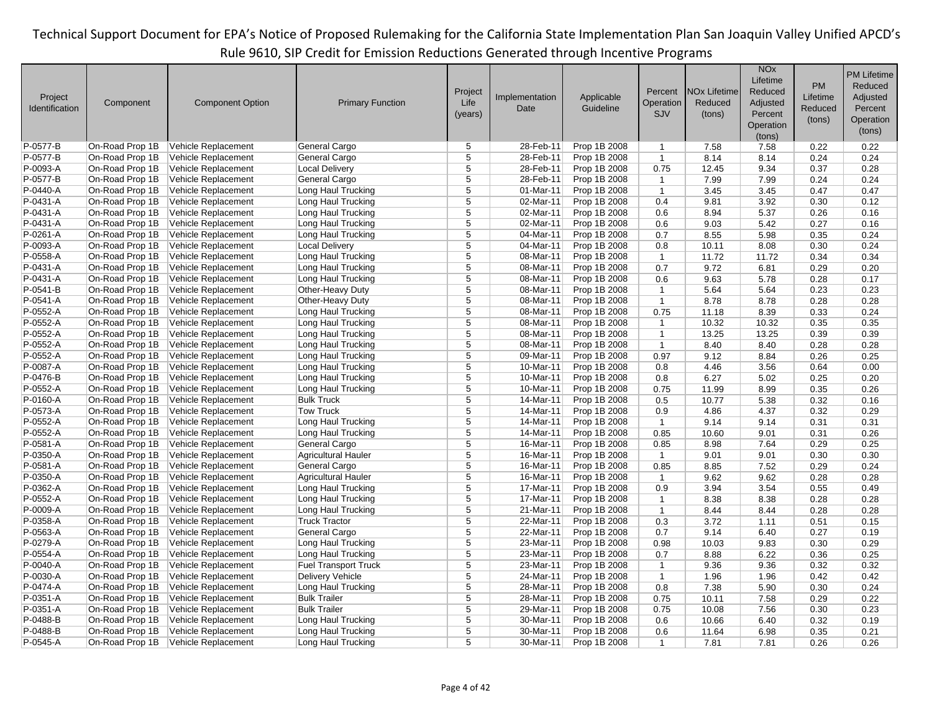|                |                 |                         |                             |                |                |              |                |                                | <b>NO<sub>x</sub></b> |          | <b>PM Lifetime</b> |
|----------------|-----------------|-------------------------|-----------------------------|----------------|----------------|--------------|----------------|--------------------------------|-----------------------|----------|--------------------|
|                |                 |                         |                             |                |                |              |                |                                | Lifetime              | PM       | Reduced            |
| Project        |                 |                         |                             | Project        | Implementation | Applicable   | Percent        | <b>NO<sub>x</sub></b> Lifetime | Reduced               | Lifetime | Adjusted           |
| Identification | Component       | <b>Component Option</b> | <b>Primary Function</b>     | Life           | Date           | Guideline    | Operation      | Reduced                        | Adjusted              | Reduced  | Percent            |
|                |                 |                         |                             | (years)        |                |              | <b>SJV</b>     | (tons)                         | Percent               | (tons)   | Operation          |
|                |                 |                         |                             |                |                |              |                |                                | Operation             |          |                    |
|                |                 |                         |                             |                |                |              |                |                                | (tons)                |          | (tons)             |
| P-0577-B       | On-Road Prop 1B | Vehicle Replacement     | General Cargo               | 5              | 28-Feb-11      | Prop 1B 2008 | $\mathbf{1}$   | 7.58                           | 7.58                  | 0.22     | 0.22               |
| P-0577-B       | On-Road Prop 1B | Vehicle Replacement     | General Cargo               | 5              | 28-Feb-11      | Prop 1B 2008 | $\mathbf{1}$   | 8.14                           | 8.14                  | 0.24     | 0.24               |
| P-0093-A       | On-Road Prop 1B | Vehicle Replacement     | <b>Local Delivery</b>       | 5              | 28-Feb-11      | Prop 1B 2008 | 0.75           | 12.45                          | 9.34                  | 0.37     | 0.28               |
| P-0577-B       | On-Road Prop 1B | Vehicle Replacement     | General Cargo               | $\overline{5}$ | 28-Feb-11      | Prop 1B 2008 | $\mathbf{1}$   | 7.99                           | 7.99                  | 0.24     | 0.24               |
| P-0440-A       | On-Road Prop 1B | Vehicle Replacement     | Long Haul Trucking          | $\overline{5}$ | 01-Mar-11      | Prop 1B 2008 | $\mathbf{1}$   | 3.45                           | 3.45                  | 0.47     | 0.47               |
| P-0431-A       | On-Road Prop 1B | Vehicle Replacement     | Long Haul Trucking          | 5              | 02-Mar-11      | Prop 1B 2008 | 0.4            | 9.81                           | 3.92                  | 0.30     | 0.12               |
| P-0431-A       | On-Road Prop 1B | Vehicle Replacement     | Long Haul Trucking          | 5              | 02-Mar-11      | Prop 1B 2008 | 0.6            | 8.94                           | 5.37                  | 0.26     | 0.16               |
| P-0431-A       | On-Road Prop 1B | Vehicle Replacement     | Long Haul Trucking          | 5              | 02-Mar-11      | Prop 1B 2008 | 0.6            | 9.03                           | 5.42                  | 0.27     | 0.16               |
| P-0261-A       | On-Road Prop 1B | Vehicle Replacement     | Long Haul Trucking          | $\overline{5}$ | 04-Mar-11      | Prop 1B 2008 | 0.7            | 8.55                           | 5.98                  | 0.35     | 0.24               |
| P-0093-A       | On-Road Prop 1B | Vehicle Replacement     | <b>Local Delivery</b>       | 5              | 04-Mar-11      | Prop 1B 2008 | 0.8            | 10.11                          | 8.08                  | 0.30     | 0.24               |
| P-0558-A       | On-Road Prop 1B | Vehicle Replacement     | Long Haul Trucking          | 5              | 08-Mar-11      | Prop 1B 2008 | $\mathbf{1}$   | 11.72                          | 11.72                 | 0.34     | 0.34               |
| P-0431-A       | On-Road Prop 1B | Vehicle Replacement     | Long Haul Trucking          | $\overline{5}$ | 08-Mar-11      | Prop 1B 2008 | 0.7            | 9.72                           | 6.81                  | 0.29     | 0.20               |
| P-0431-A       | On-Road Prop 1B | Vehicle Replacement     | Long Haul Trucking          | 5              | 08-Mar-11      | Prop 1B 2008 | 0.6            | 9.63                           | 5.78                  | 0.28     | 0.17               |
| P-0541-B       | On-Road Prop 1B | Vehicle Replacement     | Other-Heavy Duty            | $\overline{5}$ | 08-Mar-11      | Prop 1B 2008 | $\mathbf{1}$   | 5.64                           | 5.64                  | 0.23     | 0.23               |
| P-0541-A       | On-Road Prop 1B | Vehicle Replacement     | Other-Heavy Duty            | $\overline{5}$ | 08-Mar-11      | Prop 1B 2008 | $\mathbf{1}$   | 8.78                           | 8.78                  | 0.28     | 0.28               |
| P-0552-A       | On-Road Prop 1B | Vehicle Replacement     | Long Haul Trucking          | 5              | 08-Mar-11      | Prop 1B 2008 | 0.75           | 11.18                          | 8.39                  | 0.33     | 0.24               |
| P-0552-A       | On-Road Prop 1B | Vehicle Replacement     | Long Haul Trucking          | $\overline{5}$ | 08-Mar-11      | Prop 1B 2008 | $\overline{1}$ | 10.32                          | 10.32                 | 0.35     | 0.35               |
| P-0552-A       | On-Road Prop 1B | Vehicle Replacement     | Long Haul Trucking          | 5              | 08-Mar-11      | Prop 1B 2008 | $\mathbf{1}$   | 13.25                          | 13.25                 | 0.39     | 0.39               |
| P-0552-A       | On-Road Prop 1B | Vehicle Replacement     | Long Haul Trucking          | 5              | 08-Mar-11      | Prop 1B 2008 | $\mathbf{1}$   | 8.40                           | 8.40                  | 0.28     | 0.28               |
| P-0552-A       | On-Road Prop 1B | Vehicle Replacement     | Long Haul Trucking          | $\overline{5}$ | 09-Mar-11      | Prop 1B 2008 | 0.97           | 9.12                           | 8.84                  | 0.26     | 0.25               |
| P-0087-A       | On-Road Prop 1B | Vehicle Replacement     | Long Haul Trucking          | 5              | 10-Mar-11      | Prop 1B 2008 | 0.8            | 4.46                           | 3.56                  | 0.64     | 0.00               |
| P-0476-B       | On-Road Prop 1B | Vehicle Replacement     | Long Haul Trucking          | 5              | 10-Mar-11      | Prop 1B 2008 | 0.8            | 6.27                           | 5.02                  | 0.25     | 0.20               |
| P-0552-A       | On-Road Prop 1B | Vehicle Replacement     | Long Haul Trucking          | $\overline{5}$ | 10-Mar-11      | Prop 1B 2008 | 0.75           | 11.99                          | 8.99                  | 0.35     | 0.26               |
| P-0160-A       | On-Road Prop 1B | Vehicle Replacement     | <b>Bulk Truck</b>           | 5              | 14-Mar-11      | Prop 1B 2008 | 0.5            | 10.77                          | 5.38                  | 0.32     | 0.16               |
| P-0573-A       | On-Road Prop 1B | Vehicle Replacement     | <b>Tow Truck</b>            | 5              | 14-Mar-11      | Prop 1B 2008 | 0.9            | 4.86                           | 4.37                  | 0.32     | 0.29               |
| P-0552-A       | On-Road Prop 1B | Vehicle Replacement     | Long Haul Trucking          | 5              | 14-Mar-11      | Prop 1B 2008 | $\mathbf{1}$   | 9.14                           | 9.14                  | 0.31     | 0.31               |
| P-0552-A       | On-Road Prop 1B | Vehicle Replacement     | Long Haul Trucking          | $\overline{5}$ | 14-Mar-11      | Prop 1B 2008 | 0.85           | 10.60                          | 9.01                  | 0.31     | 0.26               |
| P-0581-A       | On-Road Prop 1B | Vehicle Replacement     | General Cargo               | 5              | 16-Mar-11      | Prop 1B 2008 | 0.85           | 8.98                           | 7.64                  | 0.29     | 0.25               |
| P-0350-A       | On-Road Prop 1B | Vehicle Replacement     | <b>Agricultural Hauler</b>  | $\overline{5}$ | 16-Mar-11      | Prop 1B 2008 | $\overline{1}$ | 9.01                           | 9.01                  | 0.30     | 0.30               |
| P-0581-A       | On-Road Prop 1B | Vehicle Replacement     | General Cargo               | 5              | 16-Mar-11      | Prop 1B 2008 | 0.85           | 8.85                           | 7.52                  | 0.29     | 0.24               |
| P-0350-A       | On-Road Prop 1B | Vehicle Replacement     | <b>Agricultural Hauler</b>  | 5              | 16-Mar-11      | Prop 1B 2008 | $\mathbf{1}$   | 9.62                           | 9.62                  | 0.28     | 0.28               |
| P-0362-A       | On-Road Prop 1B | Vehicle Replacement     | Long Haul Trucking          | $\overline{5}$ | 17-Mar-11      | Prop 1B 2008 | 0.9            | 3.94                           | 3.54                  | 0.55     | 0.49               |
| P-0552-A       | On-Road Prop 1B | Vehicle Replacement     | Long Haul Trucking          | 5              | 17-Mar-11      | Prop 1B 2008 | $\mathbf{1}$   | 8.38                           | 8.38                  | 0.28     | 0.28               |
| P-0009-A       | On-Road Prop 1B | Vehicle Replacement     | Long Haul Trucking          | $\overline{5}$ | 21-Mar-11      | Prop 1B 2008 | $\overline{1}$ | 8.44                           | 8.44                  | 0.28     | 0.28               |
| P-0358-A       | On-Road Prop 1B | Vehicle Replacement     | <b>Truck Tractor</b>        | 5              | 22-Mar-11      | Prop 1B 2008 | 0.3            | 3.72                           | 1.11                  | 0.51     | 0.15               |
| P-0563-A       | On-Road Prop 1B | Vehicle Replacement     | General Cargo               | $\overline{5}$ | 22-Mar-11      | Prop 1B 2008 | 0.7            | 9.14                           | 6.40                  | 0.27     | 0.19               |
| P-0279-A       | On-Road Prop 1B | Vehicle Replacement     | Long Haul Trucking          | $\overline{5}$ | 23-Mar-11      | Prop 1B 2008 | 0.98           | 10.03                          | 9.83                  | 0.30     | 0.29               |
| P-0554-A       | On-Road Prop 1B | Vehicle Replacement     | Long Haul Trucking          | 5              | 23-Mar-11      | Prop 1B 2008 | 0.7            | 8.88                           | 6.22                  | 0.36     | 0.25               |
| P-0040-A       | On-Road Prop 1B | Vehicle Replacement     | <b>Fuel Transport Truck</b> | 5              | 23-Mar-11      | Prop 1B 2008 | $\mathbf{1}$   | 9.36                           | 9.36                  | 0.32     | 0.32               |
| P-0030-A       | On-Road Prop 1B | Vehicle Replacement     | Delivery Vehicle            | 5              | 24-Mar-11      | Prop 1B 2008 | $\mathbf{1}$   | 1.96                           | 1.96                  | 0.42     | 0.42               |
| P-0474-A       | On-Road Prop 1B | Vehicle Replacement     | Long Haul Trucking          | 5              | 28-Mar-11      | Prop 1B 2008 | 0.8            | 7.38                           | 5.90                  | 0.30     | 0.24               |
| P-0351-A       | On-Road Prop 1B | Vehicle Replacement     | <b>Bulk Trailer</b>         | $\overline{5}$ | 28-Mar-11      | Prop 1B 2008 | 0.75           | 10.11                          | 7.58                  | 0.29     | 0.22               |
| P-0351-A       | On-Road Prop 1B | Vehicle Replacement     | <b>Bulk Trailer</b>         | 5              | 29-Mar-11      | Prop 1B 2008 | 0.75           | 10.08                          | 7.56                  | 0.30     | 0.23               |
| P-0488-B       | On-Road Prop 1B | Vehicle Replacement     | Long Haul Trucking          | 5              | 30-Mar-11      | Prop 1B 2008 | 0.6            | 10.66                          | 6.40                  | 0.32     | 0.19               |
| P-0488-B       | On-Road Prop 1B |                         |                             | $\overline{5}$ | 30-Mar-11      |              |                |                                | 6.98                  |          |                    |
|                |                 | Vehicle Replacement     | Long Haul Trucking          | 5              |                | Prop 1B 2008 | 0.6            | 11.64                          |                       | 0.35     | 0.21               |
| P-0545-A       | On-Road Prop 1B | Vehicle Replacement     | Long Haul Trucking          |                | 30-Mar-11      | Prop 1B 2008 | $\mathbf{1}$   | 7.81                           | 7.81                  | 0.26     | 0.26               |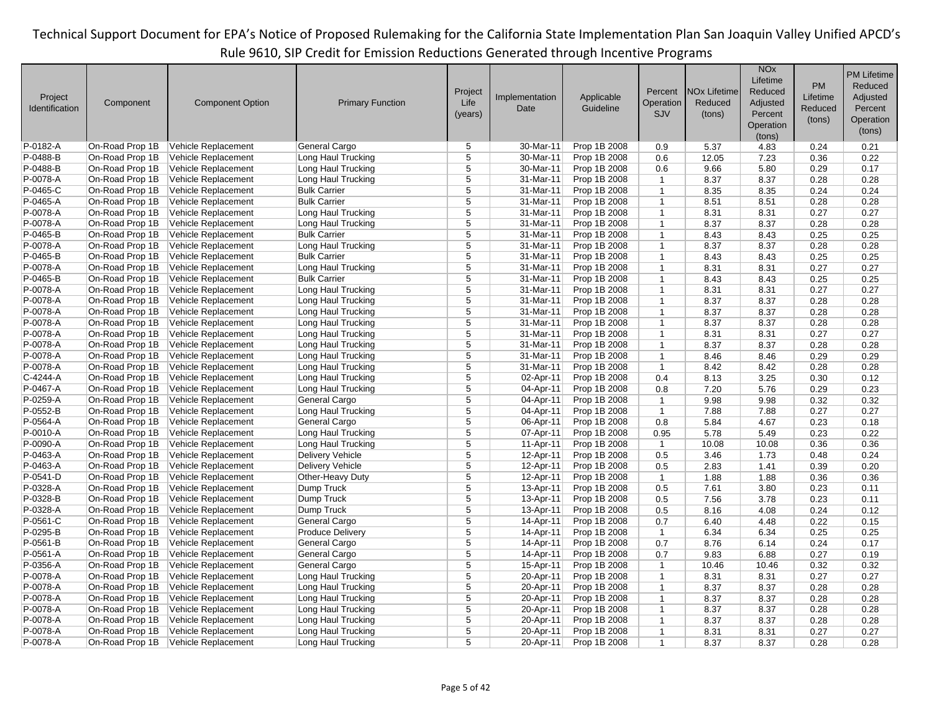|                |                 |                                            |                         |                |                |                              |                             |                     | <b>NO<sub>x</sub></b> |              | <b>PM Lifetime</b> |
|----------------|-----------------|--------------------------------------------|-------------------------|----------------|----------------|------------------------------|-----------------------------|---------------------|-----------------------|--------------|--------------------|
|                |                 |                                            |                         |                |                |                              |                             |                     | Lifetime              | <b>PM</b>    | Reduced            |
|                |                 |                                            |                         | Project        |                |                              | Percent                     | <b>NOx Lifetime</b> | Reduced               |              |                    |
| Project        | Component       | <b>Component Option</b>                    | <b>Primary Function</b> | Life           | Implementation | Applicable                   | Operation                   | Reduced             | Adjusted              | Lifetime     | Adjusted           |
| Identification |                 |                                            |                         | (years)        | Date           | Guideline                    | SJV                         | (tons)              | Percent               | Reduced      | Percent            |
|                |                 |                                            |                         |                |                |                              |                             |                     | Operation             | (tons)       | Operation          |
|                |                 |                                            |                         |                |                |                              |                             |                     | (tons)                |              | (tons)             |
| P-0182-A       | On-Road Prop 1B | Vehicle Replacement                        | General Cargo           | 5              | 30-Mar-11      | Prop 1B 2008                 | 0.9                         | 5.37                | 4.83                  | 0.24         | 0.21               |
| P-0488-B       | On-Road Prop 1B | Vehicle Replacement                        | Long Haul Trucking      | 5              | 30-Mar-11      | Prop 1B 2008                 | 0.6                         | 12.05               | 7.23                  | 0.36         | 0.22               |
| P-0488-B       | On-Road Prop 1B | Vehicle Replacement                        | Long Haul Trucking      | 5              | 30-Mar-11      | Prop 1B 2008                 | 0.6                         | 9.66                | 5.80                  | 0.29         | 0.17               |
| P-0078-A       | On-Road Prop 1B | Vehicle Replacement                        | Long Haul Trucking      | $\overline{5}$ | 31-Mar-11      | Prop 1B 2008                 | $\mathbf{1}$                | 8.37                | 8.37                  | 0.28         | 0.28               |
| P-0465-C       | On-Road Prop 1B | Vehicle Replacement                        | <b>Bulk Carrier</b>     | 5              | 31-Mar-11      | Prop 1B 2008                 | $\mathbf{1}$                | 8.35                | 8.35                  | 0.24         | 0.24               |
| P-0465-A       | On-Road Prop 1B | Vehicle Replacement                        | <b>Bulk Carrier</b>     | 5              | 31-Mar-11      | Prop 1B 2008                 | $\mathbf{1}$                | 8.51                | 8.51                  | 0.28         | 0.28               |
| P-0078-A       | On-Road Prop 1B | Vehicle Replacement                        | Long Haul Trucking      | 5              | 31-Mar-11      | Prop 1B 2008                 | $\mathbf 1$                 | 8.31                | 8.31                  | 0.27         | 0.27               |
| P-0078-A       | On-Road Prop 1B | Vehicle Replacement                        | Long Haul Trucking      | 5              | 31-Mar-11      | Prop 1B 2008                 | $\overline{1}$              | 8.37                | 8.37                  | 0.28         | 0.28               |
| P-0465-B       | On-Road Prop 1B | Vehicle Replacement                        | <b>Bulk Carrier</b>     | $\overline{5}$ | 31-Mar-11      | Prop 1B 2008                 | $\mathbf{1}$                | 8.43                | 8.43                  | 0.25         | 0.25               |
| P-0078-A       | On-Road Prop 1B | Vehicle Replacement                        | Long Haul Trucking      | $\overline{5}$ | 31-Mar-11      | Prop 1B 2008                 | $\mathbf{1}$                | 8.37                | 8.37                  | 0.28         | 0.28               |
| P-0465-B       | On-Road Prop 1B | Vehicle Replacement                        | <b>Bulk Carrier</b>     | $\overline{5}$ | 31-Mar-11      | Prop 1B 2008                 | $\mathbf{1}$                | 8.43                | 8.43                  | 0.25         | 0.25               |
| P-0078-A       | On-Road Prop 1B | Vehicle Replacement                        | Long Haul Trucking      | $\overline{5}$ | 31-Mar-11      | Prop 1B 2008                 | $\mathbf{1}$                | 8.31                | 8.31                  | 0.27         | 0.27               |
| P-0465-B       | On-Road Prop 1B | Vehicle Replacement                        | <b>Bulk Carrier</b>     | 5              | $31-Mar-11$    | Prop 1B 2008                 | $\mathbf{1}$                | 8.43                | 8.43                  | 0.25         | 0.25               |
| P-0078-A       | On-Road Prop 1B | Vehicle Replacement                        | Long Haul Trucking      | 5              | 31-Mar-11      | Prop 1B 2008                 | $\mathbf{1}$                | 8.31                | 8.31                  | 0.27         | 0.27               |
| P-0078-A       | On-Road Prop 1B | Vehicle Replacement                        | Long Haul Trucking      | $\overline{5}$ | 31-Mar-11      | Prop 1B 2008                 | $\mathbf{1}$                | 8.37                | 8.37                  | 0.28         | 0.28               |
| P-0078-A       | On-Road Prop 1B | Vehicle Replacement                        | Long Haul Trucking      | 5              | 31-Mar-11      | Prop 1B 2008                 | $\mathbf{1}$                | 8.37                | 8.37                  | 0.28         | 0.28               |
| P-0078-A       | On-Road Prop 1B | Vehicle Replacement                        | Long Haul Trucking      | 5              | 31-Mar-11      | Prop 1B 2008                 | $\mathbf{1}$                | 8.37                | 8.37                  | 0.28         | 0.28               |
| P-0078-A       | On-Road Prop 1B | Vehicle Replacement                        | Long Haul Trucking      | 5              | 31-Mar-11      | Prop 1B 2008                 | $\mathbf{1}$                | 8.31                | 8.31                  | 0.27         | 0.27               |
| P-0078-A       | On-Road Prop 1B | Vehicle Replacement                        | Long Haul Trucking      | 5              | 31-Mar-11      | Prop 1B 2008                 | $\mathbf{1}$                | 8.37                | 8.37                  | 0.28         | 0.28               |
| P-0078-A       | On-Road Prop 1B | Vehicle Replacement                        | Long Haul Trucking      | 5              | 31-Mar-11      | Prop 1B 2008                 | $\mathbf{1}$                | 8.46                | 8.46                  | 0.29         | 0.29               |
| P-0078-A       | On-Road Prop 1B | Vehicle Replacement                        | Long Haul Trucking      | $\overline{5}$ | 31-Mar-11      | Prop 1B 2008                 | $\mathbf{1}$                | 8.42                | 8.42                  | 0.28         | 0.28               |
| C-4244-A       | On-Road Prop 1B | Vehicle Replacement                        | Long Haul Trucking      | $\overline{5}$ | 02-Apr-11      | Prop 1B 2008                 | 0.4                         | 8.13                | 3.25                  | 0.30         | 0.12               |
| P-0467-A       | On-Road Prop 1B | Vehicle Replacement                        | Long Haul Trucking      | 5              | 04-Apr-11      | Prop 1B 2008                 | 0.8                         | 7.20                | 5.76                  | 0.29         | 0.23               |
| P-0259-A       | On-Road Prop 1B | Vehicle Replacement                        | General Cargo           | 5              | 04-Apr-11      | Prop 1B 2008                 | $\mathbf{1}$                | 9.98                | 9.98                  | 0.32         | 0.32               |
| P-0552-B       | On-Road Prop 1B | Vehicle Replacement                        | Long Haul Trucking      | 5              | 04-Apr-11      | Prop 1B 2008                 | $\mathbf{1}$                | 7.88                | 7.88                  | 0.27         | 0.27               |
| P-0564-A       | On-Road Prop 1B | Vehicle Replacement                        | General Cargo           | 5              | 06-Apr-11      | Prop 1B 2008                 | 0.8                         | 5.84                | 4.67                  | 0.23         | 0.18               |
| P-0010-A       | On-Road Prop 1B | Vehicle Replacement                        | Long Haul Trucking      | $\overline{5}$ | 07-Apr-11      | Prop 1B 2008                 | 0.95                        | 5.78                | 5.49                  | 0.23         | 0.22               |
| P-0090-A       | On-Road Prop 1B | Vehicle Replacement                        | Long Haul Trucking      | 5              | 11-Apr-11      | Prop 1B 2008                 | $\overline{1}$              | 10.08               | 10.08                 | 0.36         | 0.36               |
| P-0463-A       | On-Road Prop 1B | Vehicle Replacement                        | Delivery Vehicle        | 5              | 12-Apr-11      | Prop 1B 2008                 | 0.5                         | 3.46                | 1.73                  | 0.48         | 0.24               |
| P-0463-A       | On-Road Prop 1B | Vehicle Replacement                        | Delivery Vehicle        | 5              | 12-Apr-11      | Prop 1B 2008                 | 0.5                         | 2.83                | 1.41                  | 0.39         | 0.20               |
| P-0541-D       | On-Road Prop 1B | Vehicle Replacement                        | Other-Heavy Duty        | $\overline{5}$ | 12-Apr-11      | Prop 1B 2008                 | $\mathbf{1}$                | 1.88                | 1.88                  | 0.36         | 0.36               |
| P-0328-A       | On-Road Prop 1B | Vehicle Replacement                        | Dump Truck              | $\overline{5}$ | 13-Apr-11      | Prop 1B 2008                 | 0.5                         | 7.61                | 3.80                  | 0.23         | 0.11               |
| P-0328-B       | On-Road Prop 1B | Vehicle Replacement                        | Dump Truck              | $\overline{5}$ | 13-Apr-11      | Prop 1B 2008                 | 0.5                         | 7.56                | 3.78                  | 0.23         | 0.11               |
| P-0328-A       | On-Road Prop 1B | Vehicle Replacement                        | Dump Truck              | 5              | 13-Apr-11      | Prop 1B 2008                 | 0.5                         | 8.16                | 4.08                  | 0.24         | 0.12               |
| P-0561-C       | On-Road Prop 1B | Vehicle Replacement                        | General Cargo           | $\overline{5}$ | 14-Apr-11      | Prop 1B 2008                 | 0.7                         | 6.40                | 4.48                  | 0.22         | 0.15               |
| P-0295-B       | On-Road Prop 1B | Vehicle Replacement                        | <b>Produce Delivery</b> | 5              | 14-Apr-11      | Prop 1B 2008                 | $\overline{1}$              | 6.34                | 6.34                  | 0.25         | 0.25               |
| P-0561-B       | On-Road Prop 1B | Vehicle Replacement                        | General Cargo           | 5              | 14-Apr-11      | Prop 1B 2008                 | 0.7                         | 8.76                | 6.14                  | 0.24         | 0.17               |
| P-0561-A       | On-Road Prop 1B | Vehicle Replacement                        | General Cargo           | $\overline{5}$ | 14-Apr-11      | Prop 1B 2008                 | 0.7                         | 9.83                | 6.88                  | 0.27         | 0.19               |
| P-0356-A       | On-Road Prop 1B |                                            | General Cargo           | $\overline{5}$ | 15-Apr-11      |                              |                             |                     |                       |              | 0.32               |
| P-0078-A       | On-Road Prop 1B | Vehicle Replacement                        | Long Haul Trucking      | 5              | 20-Apr-11      | Prop 1B 2008<br>Prop 1B 2008 | $\mathbf{1}$                | 10.46               | 10.46                 | 0.32         | 0.27               |
| P-0078-A       | On-Road Prop 1B | Vehicle Replacement<br>Vehicle Replacement | Long Haul Trucking      | 5              | 20-Apr-11      | Prop 1B 2008                 | $\mathbf{1}$                | 8.31<br>8.37        | 8.31<br>8.37          | 0.27<br>0.28 | 0.28               |
| P-0078-A       | On-Road Prop 1B |                                            | Long Haul Trucking      | 5              |                |                              | $\mathbf 1$<br>$\mathbf{1}$ |                     |                       |              |                    |
|                |                 | Vehicle Replacement                        |                         | $\overline{5}$ | 20-Apr-11      | Prop 1B 2008                 | $\mathbf{1}$                | 8.37                | 8.37                  | 0.28         | 0.28               |
| P-0078-A       | On-Road Prop 1B | Vehicle Replacement                        | Long Haul Trucking      | $\overline{5}$ | 20-Apr-11      | Prop 1B 2008                 |                             | 8.37                | 8.37                  | 0.28         | 0.28               |
| P-0078-A       | On-Road Prop 1B | Vehicle Replacement                        | Long Haul Trucking      |                | 20-Apr-11      | Prop 1B 2008                 | $\mathbf{1}$                | 8.37                | 8.37                  | 0.28         | 0.28               |
| P-0078-A       | On-Road Prop 1B | Vehicle Replacement                        | Long Haul Trucking      | 5              | 20-Apr-11      | Prop 1B 2008                 | $\mathbf{1}$                | 8.31                | 8.31                  | 0.27         | 0.27               |
| P-0078-A       | On-Road Prop 1B | Vehicle Replacement                        | Long Haul Trucking      | 5              | 20-Apr-11      | Prop 1B 2008                 | $\mathbf{1}$                | 8.37                | 8.37                  | 0.28         | 0.28               |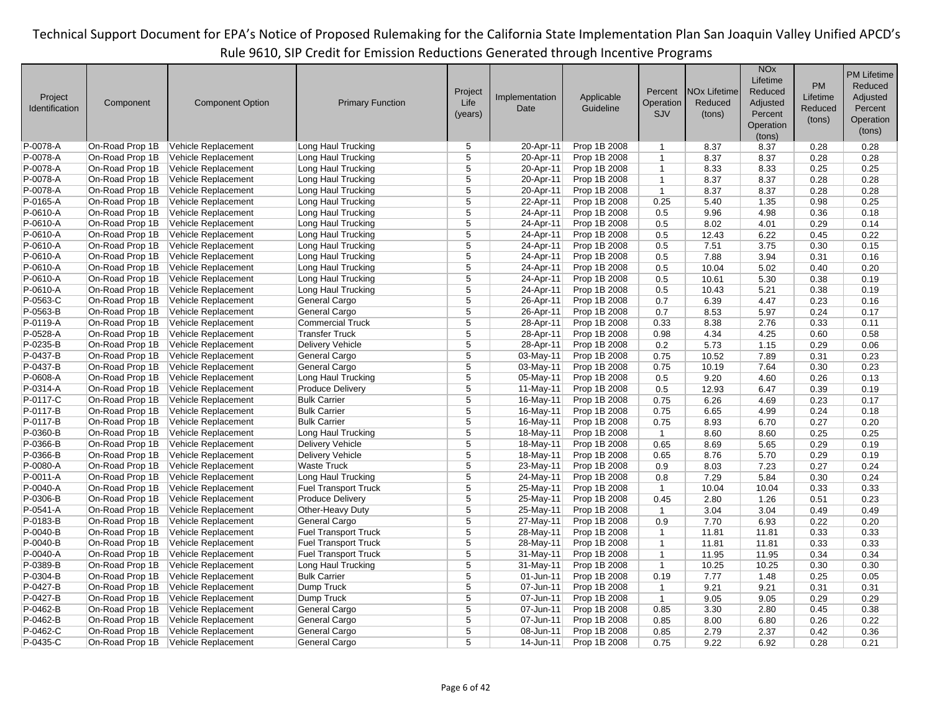|                |                 |                                            |                             |                |                |                              |                |                                | <b>NO<sub>x</sub></b> |              | <b>PM Lifetime</b> |
|----------------|-----------------|--------------------------------------------|-----------------------------|----------------|----------------|------------------------------|----------------|--------------------------------|-----------------------|--------------|--------------------|
|                |                 |                                            |                             |                |                |                              |                |                                | Lifetime              | PM           | Reduced            |
| Project        |                 |                                            |                             | Project        | Implementation | Applicable                   | Percent        | <b>NO<sub>x</sub></b> Lifetime | Reduced               | Lifetime     | Adjusted           |
| Identification | Component       | <b>Component Option</b>                    | <b>Primary Function</b>     | Life           | Date           | Guideline                    | Operation      | Reduced                        | Adjusted              | Reduced      | Percent            |
|                |                 |                                            |                             | (years)        |                |                              | <b>SJV</b>     | (tons)                         | Percent               |              |                    |
|                |                 |                                            |                             |                |                |                              |                |                                | Operation             | (tons)       | Operation          |
|                |                 |                                            |                             |                |                |                              |                |                                | (tons)                |              | (tons)             |
| P-0078-A       | On-Road Prop 1B | Vehicle Replacement                        | Long Haul Trucking          | 5              | 20-Apr-11      | Prop 1B 2008                 | $\mathbf{1}$   | 8.37                           | 8.37                  | 0.28         | 0.28               |
| P-0078-A       | On-Road Prop 1B | Vehicle Replacement                        | Long Haul Trucking          | 5              | 20-Apr-11      | Prop 1B 2008                 | $\mathbf{1}$   | 8.37                           | 8.37                  | 0.28         | 0.28               |
| P-0078-A       | On-Road Prop 1B | Vehicle Replacement                        | Long Haul Trucking          | $\overline{5}$ | 20-Apr-11      | Prop 1B 2008                 | $\overline{1}$ | 8.33                           | 8.33                  | 0.25         | 0.25               |
| P-0078-A       | On-Road Prop 1B | Vehicle Replacement                        | Long Haul Trucking          | $\overline{5}$ | 20-Apr-11      | Prop 1B 2008                 | $\mathbf{1}$   | 8.37                           | 8.37                  | 0.28         | 0.28               |
| P-0078-A       | On-Road Prop 1B | Vehicle Replacement                        | Long Haul Trucking          | $\overline{5}$ | 20-Apr-11      | Prop 1B 2008                 | $\mathbf{1}$   | 8.37                           | 8.37                  | 0.28         | 0.28               |
| P-0165-A       | On-Road Prop 1B | Vehicle Replacement                        | Long Haul Trucking          | 5              | 22-Apr-11      | Prop 1B 2008                 | 0.25           | 5.40                           | 1.35                  | 0.98         | 0.25               |
| P-0610-A       | On-Road Prop 1B | Vehicle Replacement                        | Long Haul Trucking          | 5              | 24-Apr-11      | Prop 1B 2008                 | 0.5            | 9.96                           | 4.98                  | 0.36         | 0.18               |
| P-0610-A       | On-Road Prop 1B | Vehicle Replacement                        | Long Haul Trucking          | 5              | 24-Apr-11      | Prop 1B 2008                 | 0.5            | 8.02                           | 4.01                  | 0.29         | 0.14               |
| P-0610-A       | On-Road Prop 1B | Vehicle Replacement                        | Long Haul Trucking          | 5              | 24-Apr-11      | Prop 1B 2008                 | 0.5            | 12.43                          | 6.22                  | 0.45         | 0.22               |
| P-0610-A       | On-Road Prop 1B | Vehicle Replacement                        | Long Haul Trucking          | $\overline{5}$ | 24-Apr-11      | Prop 1B 2008                 | 0.5            | 7.51                           | 3.75                  | 0.30         | 0.15               |
| P-0610-A       | On-Road Prop 1B | Vehicle Replacement                        | Long Haul Trucking          | $\overline{5}$ | 24-Apr-11      | Prop 1B 2008                 | 0.5            | 7.88                           | 3.94                  | 0.31         | 0.16               |
| P-0610-A       | On-Road Prop 1B | Vehicle Replacement                        | Long Haul Trucking          | $\overline{5}$ | 24-Apr-11      | Prop 1B 2008                 | 0.5            | 10.04                          | 5.02                  | 0.40         | 0.20               |
| P-0610-A       | On-Road Prop 1B | Vehicle Replacement                        | Long Haul Trucking          | 5              | 24-Apr-11      | Prop 1B 2008                 | 0.5            | 10.61                          | 5.30                  | 0.38         | 0.19               |
| P-0610-A       | On-Road Prop 1B | Vehicle Replacement                        | Long Haul Trucking          | 5              | 24-Apr-11      | Prop 1B 2008                 | 0.5            | 10.43                          | 5.21                  | 0.38         | 0.19               |
| P-0563-C       | On-Road Prop 1B | Vehicle Replacement                        | General Cargo               | $\overline{5}$ | 26-Apr-11      | Prop 1B 2008                 | 0.7            | 6.39                           | 4.47                  | 0.23         | 0.16               |
| P-0563-B       | On-Road Prop 1B | Vehicle Replacement                        | General Cargo               | $\overline{5}$ | 26-Apr-11      | Prop 1B 2008                 | 0.7            | 8.53                           | 5.97                  | 0.24         | 0.17               |
| P-0119-A       | On-Road Prop 1B | Vehicle Replacement                        | <b>Commercial Truck</b>     | 5              | 28-Apr-11      | Prop 1B 2008                 | 0.33           | 8.38                           | 2.76                  | 0.33         | 0.11               |
| P-0528-A       | On-Road Prop 1B | Vehicle Replacement                        | <b>Transfer Truck</b>       | $\overline{5}$ | 28-Apr-11      | Prop 1B 2008                 | 0.98           | 4.34                           | 4.25                  | 0.60         | 0.58               |
| P-0235-B       | On-Road Prop 1B | Vehicle Replacement                        | <b>Delivery Vehicle</b>     | $\overline{5}$ | 28-Apr-11      | Prop 1B 2008                 | 0.2            | 5.73                           | 1.15                  | 0.29         | 0.06               |
| P-0437-B       | On-Road Prop 1B | Vehicle Replacement                        | General Cargo               | $\overline{5}$ | 03-May-11      | Prop 1B 2008                 | 0.75           | 10.52                          | 7.89                  | 0.31         | 0.23               |
| P-0437-B       | On-Road Prop 1B | Vehicle Replacement                        | General Cargo               | $\overline{5}$ | 03-May-11      | Prop 1B 2008                 | 0.75           | 10.19                          | 7.64                  | 0.30         | 0.23               |
| P-0608-A       | On-Road Prop 1B | Vehicle Replacement                        | Long Haul Trucking          | 5              | 05-May-11      | Prop 1B 2008                 | 0.5            | 9.20                           | 4.60                  | 0.26         | 0.13               |
| P-0314-A       | On-Road Prop 1B | Vehicle Replacement                        | <b>Produce Delivery</b>     | $\overline{5}$ | 11-May-11      | Prop 1B 2008                 | 0.5            | 12.93                          | 6.47                  | 0.39         | 0.19               |
| P-0117-C       | On-Road Prop 1B | Vehicle Replacement                        | <b>Bulk Carrier</b>         | 5              | 16-May-11      | Prop 1B 2008                 | 0.75           | 6.26                           | 4.69                  | 0.23         | 0.17               |
| P-0117-B       | On-Road Prop 1B | Vehicle Replacement                        | <b>Bulk Carrier</b>         | 5              | 16-May-11      | Prop 1B 2008                 | 0.75           | 6.65                           | 4.99                  | 0.24         | 0.18               |
| P-0117-B       | On-Road Prop 1B | Vehicle Replacement                        | <b>Bulk Carrier</b>         | $\overline{5}$ | 16-May-11      | Prop 1B 2008                 | 0.75           | 8.93                           | 6.70                  | 0.27         | 0.20               |
| P-0360-B       | On-Road Prop 1B | Vehicle Replacement                        | Long Haul Trucking          | 5              | 18-May-11      | Prop 1B 2008                 | $\overline{1}$ | 8.60                           | 8.60                  | 0.25         | 0.25               |
| P-0366-B       | On-Road Prop 1B | Vehicle Replacement                        | Delivery Vehicle            | 5              | 18-May-11      | Prop 1B 2008                 | 0.65           | 8.69                           | 5.65                  | 0.29         | 0.19               |
| P-0366-B       | On-Road Prop 1B | Vehicle Replacement                        | Delivery Vehicle            | $\overline{5}$ | 18-May-11      | Prop 1B 2008                 | 0.65           | 8.76                           | 5.70                  | 0.29         | 0.19               |
| P-0080-A       | On-Road Prop 1B | Vehicle Replacement                        | <b>Waste Truck</b>          | 5              | 23-May-11      | Prop 1B 2008                 | 0.9            | 8.03                           | 7.23                  | 0.27         | 0.24               |
| P-0011-A       | On-Road Prop 1B | Vehicle Replacement                        | Long Haul Trucking          | 5              | 24-May-11      | Prop 1B 2008                 | 0.8            | 7.29                           | 5.84                  | 0.30         | 0.24               |
| P-0040-A       | On-Road Prop 1B | Vehicle Replacement                        | <b>Fuel Transport Truck</b> | $\overline{5}$ | 25-May-11      | Prop 1B 2008                 | $\mathbf{1}$   | 10.04                          | 10.04                 | 0.33         | 0.33               |
| P-0306-B       | On-Road Prop 1B | Vehicle Replacement                        | <b>Produce Delivery</b>     | 5              | 25-May-11      | Prop 1B 2008                 | 0.45           | 2.80                           | 1.26                  | 0.51         | 0.23               |
| P-0541-A       | On-Road Prop 1B | Vehicle Replacement                        | Other-Heavy Duty            | 5              | 25-May-11      | Prop 1B 2008                 | $\overline{1}$ | 3.04                           | 3.04                  | 0.49         | 0.49               |
| P-0183-B       | On-Road Prop 1B | Vehicle Replacement                        | General Cargo               | 5              | 27-May-11      | Prop 1B 2008                 | 0.9            | 7.70                           | 6.93                  | 0.22         | 0.20               |
| P-0040-B       | On-Road Prop 1B | Vehicle Replacement                        | <b>Fuel Transport Truck</b> | 5              | 28-May-11      | Prop 1B 2008                 | $\mathbf{1}$   | 11.81                          | 11.81                 | 0.33         | 0.33               |
| $P-0040 - B$   | On-Road Prop 1B | Vehicle Replacement                        | <b>Fuel Transport Truck</b> | $\overline{5}$ | 28-May-11      | Prop 1B 2008                 | $\mathbf{1}$   | 11.81                          | 11.81                 | 0.33         | 0.33               |
| P-0040-A       | On-Road Prop 1B | Vehicle Replacement                        | <b>Fuel Transport Truck</b> | 5              | 31-May-11      | Prop 1B 2008                 | $\mathbf{1}$   | 11.95                          | 11.95                 | 0.34         | 0.34               |
| P-0389-B       | On-Road Prop 1B | Vehicle Replacement                        | Long Haul Trucking          | 5              | 31-May-11      | Prop 1B 2008                 | $\mathbf{1}$   | 10.25                          | 10.25                 | 0.30         | 0.30               |
| P-0304-B       | On-Road Prop 1B | Vehicle Replacement                        | <b>Bulk Carrier</b>         | 5              | 01-Jun-11      | Prop 1B 2008                 | 0.19           | 7.77                           | 1.48                  | 0.25         | 0.05               |
| P-0427-B       | On-Road Prop 1B | Vehicle Replacement                        | Dump Truck                  | 5              | 07-Jun-11      | Prop 1B 2008                 | $\overline{1}$ | 9.21                           | 9.21                  | 0.31         | 0.31               |
| P-0427-B       | On-Road Prop 1B | Vehicle Replacement                        | Dump Truck                  | $\overline{5}$ | 07-Jun-11      | Prop 1B 2008                 | $\mathbf{1}$   | 9.05                           | 9.05                  | 0.29         | 0.29               |
| P-0462-B       | On-Road Prop 1B |                                            | General Cargo               | 5              | 07-Jun-11      |                              |                |                                |                       |              |                    |
| P-0462-B       | On-Road Prop 1B | Vehicle Replacement<br>Vehicle Replacement | General Cargo               | $\overline{5}$ | 07-Jun-11      | Prop 1B 2008<br>Prop 1B 2008 | 0.85<br>0.85   | 3.30<br>8.00                   | 2.80<br>6.80          | 0.45<br>0.26 | 0.38               |
| P-0462-C       | On-Road Prop 1B |                                            | General Cargo               | 5              | 08-Jun-11      |                              |                |                                | 2.37                  |              | 0.22               |
|                |                 | Vehicle Replacement                        |                             |                |                | Prop 1B 2008                 | 0.85           | 2.79                           |                       | 0.42         | 0.36               |
| P-0435-C       | On-Road Prop 1B | Vehicle Replacement                        | General Cargo               | 5              | 14-Jun-11      | Prop 1B 2008                 | 0.75           | 9.22                           | 6.92                  | 0.28         | 0.21               |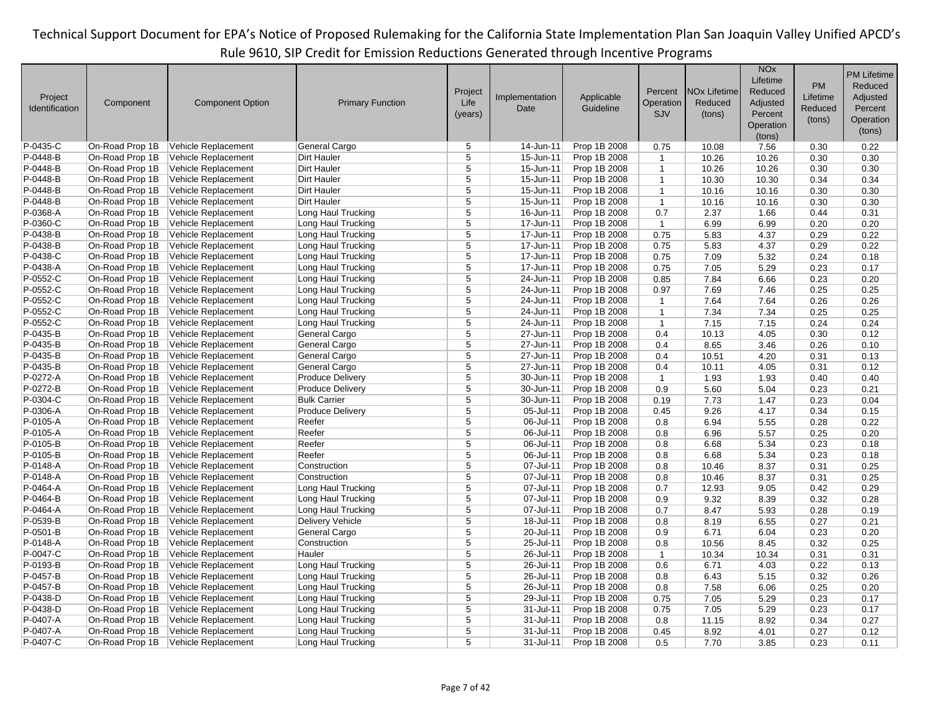|                |                 |                         |                         |                |                |              |                |                                | <b>NO<sub>x</sub></b> |          | <b>PM Lifetime</b> |
|----------------|-----------------|-------------------------|-------------------------|----------------|----------------|--------------|----------------|--------------------------------|-----------------------|----------|--------------------|
|                |                 |                         |                         |                |                |              |                |                                | Lifetime              | PM       | Reduced            |
| Project        |                 |                         |                         | Project        | Implementation | Applicable   | Percent        | <b>NO<sub>x</sub></b> Lifetime | Reduced               | Lifetime | Adjusted           |
| Identification | Component       | <b>Component Option</b> | <b>Primary Function</b> | Life           | Date           | Guideline    | Operation      | Reduced                        | Adjusted              | Reduced  | Percent            |
|                |                 |                         |                         | (years)        |                |              | <b>SJV</b>     | (tons)                         | Percent               |          | Operation          |
|                |                 |                         |                         |                |                |              |                |                                | Operation             | (tons)   |                    |
|                |                 |                         |                         |                |                |              |                |                                | (tons)                |          | (tons)             |
| P-0435-C       | On-Road Prop 1B | Vehicle Replacement     | General Cargo           | 5              | 14-Jun-11      | Prop 1B 2008 | 0.75           | 10.08                          | 7.56                  | 0.30     | 0.22               |
| P-0448-B       | On-Road Prop 1B | Vehicle Replacement     | Dirt Hauler             | 5              | 15-Jun-11      | Prop 1B 2008 | $\overline{1}$ | 10.26                          | 10.26                 | 0.30     | 0.30               |
| P-0448-B       | On-Road Prop 1B | Vehicle Replacement     | <b>Dirt Hauler</b>      | 5              | 15-Jun-11      | Prop 1B 2008 | $\mathbf{1}$   | 10.26                          | 10.26                 | 0.30     | 0.30               |
| P-0448-B       | On-Road Prop 1B | Vehicle Replacement     | Dirt Hauler             | $\overline{5}$ | 15-Jun-11      | Prop 1B 2008 | $\mathbf{1}$   | 10.30                          | 10.30                 | 0.34     | 0.34               |
| P-0448-B       | On-Road Prop 1B | Vehicle Replacement     | <b>Dirt Hauler</b>      | $\overline{5}$ | 15-Jun-11      | Prop 1B 2008 | $\mathbf{1}$   | 10.16                          | 10.16                 | 0.30     | 0.30               |
| P-0448-B       | On-Road Prop 1B | Vehicle Replacement     | <b>Dirt Hauler</b>      | 5              | 15-Jun-11      | Prop 1B 2008 | $\mathbf{1}$   | 10.16                          | 10.16                 | 0.30     | 0.30               |
| P-0368-A       | On-Road Prop 1B | Vehicle Replacement     | Long Haul Trucking      | 5              | 16-Jun-11      | Prop 1B 2008 | 0.7            | 2.37                           | 1.66                  | 0.44     | 0.31               |
| P-0360-C       | On-Road Prop 1B | Vehicle Replacement     | Long Haul Trucking      | 5              | 17-Jun-11      | Prop 1B 2008 | $\mathbf{1}$   | 6.99                           | 6.99                  | 0.20     | 0.20               |
| P-0438-B       | On-Road Prop 1B | Vehicle Replacement     | Long Haul Trucking      | $\overline{5}$ | 17-Jun-11      | Prop 1B 2008 | 0.75           | 5.83                           | 4.37                  | 0.29     | 0.22               |
| P-0438-B       | On-Road Prop 1B | Vehicle Replacement     | Long Haul Trucking      | $\overline{5}$ | 17-Jun-11      | Prop 1B 2008 | 0.75           | 5.83                           | 4.37                  | 0.29     | 0.22               |
| P-0438-C       | On-Road Prop 1B | Vehicle Replacement     | Long Haul Trucking      | 5              | 17-Jun-11      | Prop 1B 2008 | 0.75           | 7.09                           | 5.32                  | 0.24     | 0.18               |
| P-0438-A       | On-Road Prop 1B | Vehicle Replacement     | Long Haul Trucking      | $\overline{5}$ | 17-Jun-11      | Prop 1B 2008 | 0.75           | 7.05                           | 5.29                  | 0.23     | 0.17               |
| P-0552-C       | On-Road Prop 1B | Vehicle Replacement     | Long Haul Trucking      | 5              | 24-Jun-11      | Prop 1B 2008 | 0.85           | 7.84                           | 6.66                  | 0.23     | 0.20               |
| P-0552-C       | On-Road Prop 1B | Vehicle Replacement     | Long Haul Trucking      | $\overline{5}$ | 24-Jun-11      | Prop 1B 2008 | 0.97           | 7.69                           | 7.46                  | 0.25     | 0.25               |
| P-0552-C       | On-Road Prop 1B | Vehicle Replacement     | Long Haul Trucking      | $\overline{5}$ | 24-Jun-11      | Prop 1B 2008 | $\mathbf{1}$   | 7.64                           | 7.64                  | 0.26     | 0.26               |
| P-0552-C       | On-Road Prop 1B | Vehicle Replacement     | Long Haul Trucking      | 5              | 24-Jun-11      | Prop 1B 2008 | $\mathbf{1}$   | 7.34                           | 7.34                  | 0.25     | 0.25               |
| $P-0552-C$     | On-Road Prop 1B | Vehicle Replacement     | Long Haul Trucking      | $\overline{5}$ | 24-Jun-11      | Prop 1B 2008 | $\mathbf{1}$   | 7.15                           | 7.15                  | 0.24     | 0.24               |
| P-0435-B       | On-Road Prop 1B | Vehicle Replacement     | General Cargo           | 5              | 27-Jun-11      | Prop 1B 2008 | 0.4            | 10.13                          | 4.05                  | 0.30     | 0.12               |
| P-0435-B       | On-Road Prop 1B | Vehicle Replacement     | General Cargo           | 5              | 27-Jun-11      | Prop 1B 2008 | 0.4            | 8.65                           | 3.46                  | 0.26     | 0.10               |
| P-0435-B       | On-Road Prop 1B | Vehicle Replacement     | General Cargo           | $\overline{5}$ | 27-Jun-11      | Prop 1B 2008 | 0.4            | 10.51                          | 4.20                  | 0.31     | 0.13               |
| P-0435-B       | On-Road Prop 1B | Vehicle Replacement     | General Cargo           | 5              | 27-Jun-11      | Prop 1B 2008 | 0.4            | 10.11                          | 4.05                  | 0.31     | 0.12               |
| P-0272-A       | On-Road Prop 1B | Vehicle Replacement     | <b>Produce Delivery</b> | 5              | 30-Jun-11      | Prop 1B 2008 | $\mathbf{1}$   | 1.93                           | 1.93                  | 0.40     | 0.40               |
| P-0272-B       | On-Road Prop 1B | Vehicle Replacement     | <b>Produce Delivery</b> | 5              | 30-Jun-11      | Prop 1B 2008 | 0.9            | 5.60                           | 5.04                  | 0.23     | 0.21               |
| P-0304-C       | On-Road Prop 1B | Vehicle Replacement     | <b>Bulk Carrier</b>     | 5              | 30-Jun-11      | Prop 1B 2008 | 0.19           | 7.73                           | 1.47                  | 0.23     | 0.04               |
| P-0306-A       | On-Road Prop 1B | Vehicle Replacement     | <b>Produce Delivery</b> | 5              | 05-Jul-11      | Prop 1B 2008 | 0.45           | 9.26                           | 4.17                  | 0.34     | 0.15               |
| P-0105-A       | On-Road Prop 1B | Vehicle Replacement     | Reefer                  | 5              | 06-Jul-11      | Prop 1B 2008 | 0.8            | 6.94                           | 5.55                  | 0.28     | 0.22               |
| $P-0105 - A$   | On-Road Prop 1B | Vehicle Replacement     | Reefer                  | 5              | 06-Jul-11      | Prop 1B 2008 | 0.8            | 6.96                           | 5.57                  | 0.25     | 0.20               |
| P-0105-B       | On-Road Prop 1B | Vehicle Replacement     | Reefer                  | 5              | 06-Jul-11      | Prop 1B 2008 | 0.8            | 6.68                           | 5.34                  | 0.23     | 0.18               |
| $P-0105-B$     | On-Road Prop 1B | Vehicle Replacement     | Reefer                  | 5              | 06-Jul-11      | Prop 1B 2008 | 0.8            | 6.68                           | 5.34                  | 0.23     | 0.18               |
| P-0148-A       | On-Road Prop 1B | Vehicle Replacement     | Construction            | 5              | 07-Jul-11      | Prop 1B 2008 | 0.8            | 10.46                          | 8.37                  | 0.31     | 0.25               |
| P-0148-A       | On-Road Prop 1B | Vehicle Replacement     | Construction            | 5              | 07-Jul-11      | Prop 1B 2008 | 0.8            | 10.46                          | 8.37                  | 0.31     | 0.25               |
| P-0464-A       | On-Road Prop 1B | Vehicle Replacement     | Long Haul Trucking      | 5              | 07-Jul-11      | Prop 1B 2008 | 0.7            | 12.93                          | 9.05                  | 0.42     | 0.29               |
| P-0464-B       | On-Road Prop 1B | Vehicle Replacement     | Long Haul Trucking      | 5              | 07-Jul-11      | Prop 1B 2008 | 0.9            | 9.32                           | 8.39                  | 0.32     | 0.28               |
| P-0464-A       | On-Road Prop 1B | Vehicle Replacement     | Long Haul Trucking      | 5              | 07-Jul-11      | Prop 1B 2008 | 0.7            | 8.47                           | 5.93                  | 0.28     | 0.19               |
| P-0539-B       | On-Road Prop 1B | Vehicle Replacement     | <b>Delivery Vehicle</b> | 5              | 18-Jul-11      | Prop 1B 2008 | 0.8            | 8.19                           | 6.55                  | 0.27     | 0.21               |
| P-0501-B       | On-Road Prop 1B | Vehicle Replacement     | General Cargo           | $\overline{5}$ | 20-Jul-11      | Prop 1B 2008 | 0.9            | 6.71                           | 6.04                  | 0.23     | 0.20               |
| P-0148-A       | On-Road Prop 1B | Vehicle Replacement     | Construction            | $\overline{5}$ | 25-Jul-11      | Prop 1B 2008 | 0.8            | 10.56                          | 8.45                  | 0.32     | 0.25               |
| P-0047-C       | On-Road Prop 1B | Vehicle Replacement     | Hauler                  | $\overline{5}$ | 26-Jul-11      | Prop 1B 2008 | $\mathbf{1}$   | 10.34                          | 10.34                 | 0.31     | 0.31               |
| P-0193-B       | On-Road Prop 1B | Vehicle Replacement     | Long Haul Trucking      | 5              | 26-Jul-11      | Prop 1B 2008 | 0.6            | 6.71                           | 4.03                  | 0.22     | 0.13               |
| P-0457-B       | On-Road Prop 1B | Vehicle Replacement     | Long Haul Trucking      | 5              | 26-Jul-11      | Prop 1B 2008 | 0.8            | 6.43                           | 5.15                  | 0.32     | 0.26               |
| P-0457-B       | On-Road Prop 1B | Vehicle Replacement     | Long Haul Trucking      | 5              | 26-Jul-11      | Prop 1B 2008 | 0.8            | 7.58                           | 6.06                  | 0.25     | 0.20               |
| P-0438-D       | On-Road Prop 1B | Vehicle Replacement     | Long Haul Trucking      | $\overline{5}$ | 29-Jul-11      | Prop 1B 2008 | 0.75           | 7.05                           | 5.29                  | 0.23     | 0.17               |
| P-0438-D       | On-Road Prop 1B | Vehicle Replacement     | Long Haul Trucking      | 5              | 31-Jul-11      | Prop 1B 2008 | 0.75           | 7.05                           | 5.29                  | 0.23     | 0.17               |
| P-0407-A       | On-Road Prop 1B | Vehicle Replacement     | Long Haul Trucking      | 5              | 31-Jul-11      | Prop 1B 2008 | 0.8            | 11.15                          | 8.92                  | 0.34     | 0.27               |
| P-0407-A       | On-Road Prop 1B | Vehicle Replacement     | Long Haul Trucking      | $\overline{5}$ | 31-Jul-11      | Prop 1B 2008 | 0.45           | 8.92                           | 4.01                  | 0.27     | 0.12               |
| P-0407-C       |                 |                         |                         | 5              |                |              |                |                                |                       |          |                    |
|                | On-Road Prop 1B | Vehicle Replacement     | Long Haul Trucking      |                | 31-Jul-11      | Prop 1B 2008 | 0.5            | 7.70                           | 3.85                  | 0.23     | 0.11               |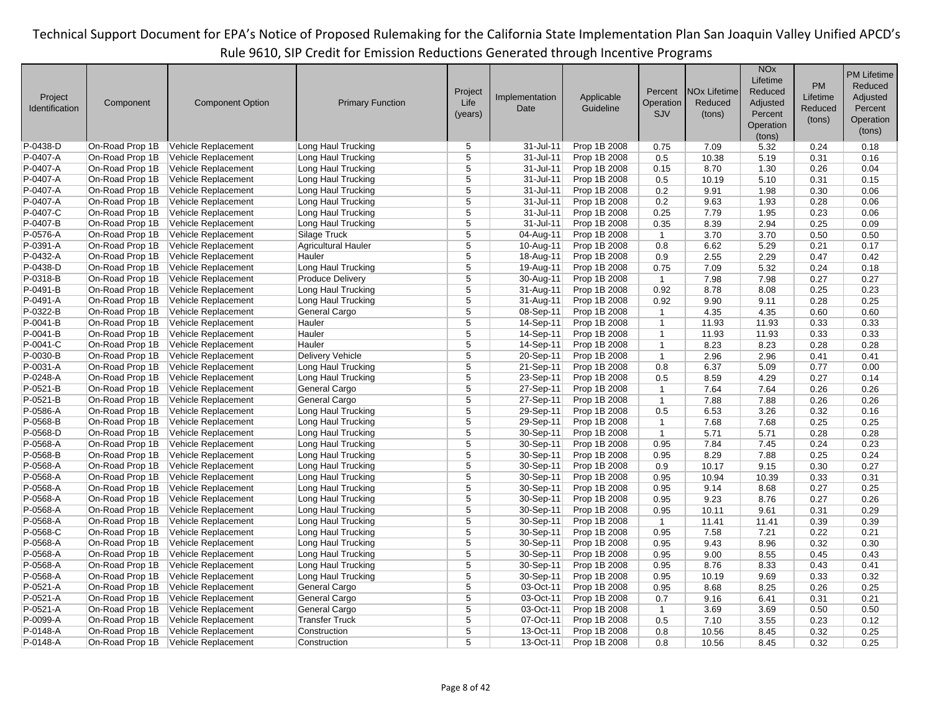|                |                 |                         |                            |                |                |              |                |                     | <b>NO<sub>x</sub></b> |           | <b>PM Lifetime</b> |
|----------------|-----------------|-------------------------|----------------------------|----------------|----------------|--------------|----------------|---------------------|-----------------------|-----------|--------------------|
|                |                 |                         |                            |                |                |              |                |                     | Lifetime              | <b>PM</b> | Reduced            |
|                |                 |                         |                            | Project        |                |              | Percent        | <b>NOx Lifetime</b> | Reduced               |           |                    |
| Project        | Component       | <b>Component Option</b> | <b>Primary Function</b>    | Life           | Implementation | Applicable   | Operation      | Reduced             | Adjusted              | Lifetime  | Adjusted           |
| Identification |                 |                         |                            | (years)        | Date           | Guideline    | SJV            | (tons)              | Percent               | Reduced   | Percent            |
|                |                 |                         |                            |                |                |              |                |                     | Operation             | (tons)    | Operation          |
|                |                 |                         |                            |                |                |              |                |                     | (tons)                |           | (tons)             |
| P-0438-D       | On-Road Prop 1B | Vehicle Replacement     | Long Haul Trucking         | 5              | 31-Jul-11      | Prop 1B 2008 | 0.75           | 7.09                | 5.32                  | 0.24      | 0.18               |
| P-0407-A       | On-Road Prop 1B | Vehicle Replacement     | Long Haul Trucking         | 5              | 31-Jul-11      | Prop 1B 2008 | 0.5            | 10.38               | 5.19                  | 0.31      | 0.16               |
| P-0407-A       | On-Road Prop 1B | Vehicle Replacement     | Long Haul Trucking         | 5              | 31-Jul-11      | Prop 1B 2008 | 0.15           | 8.70                | 1.30                  | 0.26      | 0.04               |
| P-0407-A       | On-Road Prop 1B | Vehicle Replacement     | Long Haul Trucking         | $\overline{5}$ | $31 -$ Jul-11  | Prop 1B 2008 | 0.5            | 10.19               | 5.10                  | 0.31      | 0.15               |
| P-0407-A       | On-Road Prop 1B | Vehicle Replacement     | Long Haul Trucking         | 5              | 31-Jul-11      | Prop 1B 2008 | 0.2            | 9.91                | 1.98                  | 0.30      | 0.06               |
| P-0407-A       | On-Road Prop 1B |                         |                            | 5              | 31-Jul-11      |              |                | 9.63                |                       |           | 0.06               |
|                |                 | Vehicle Replacement     | Long Haul Trucking         |                |                | Prop 1B 2008 | 0.2            |                     | 1.93                  | 0.28      |                    |
| P-0407-C       | On-Road Prop 1B | Vehicle Replacement     | Long Haul Trucking         | 5              | 31-Jul-11      | Prop 1B 2008 | 0.25           | 7.79                | 1.95                  | 0.23      | 0.06               |
| P-0407-B       | On-Road Prop 1B | Vehicle Replacement     | Long Haul Trucking         | 5              | 31-Jul-11      | Prop 1B 2008 | 0.35           | 8.39                | 2.94                  | 0.25      | 0.09               |
| P-0576-A       | On-Road Prop 1B | Vehicle Replacement     | Silage Truck               | 5              | 04-Aug-11      | Prop 1B 2008 | $\overline{1}$ | 3.70                | 3.70                  | 0.50      | 0.50               |
| P-0391-A       | On-Road Prop 1B | Vehicle Replacement     | <b>Agricultural Hauler</b> | 5              | 10-Aug-11      | Prop 1B 2008 | 0.8            | 6.62                | 5.29                  | 0.21      | 0.17               |
| P-0432-A       | On-Road Prop 1B | Vehicle Replacement     | Hauler                     | $\overline{5}$ | 18-Aug-11      | Prop 1B 2008 | 0.9            | 2.55                | 2.29                  | 0.47      | 0.42               |
| P-0438-D       | On-Road Prop 1B | Vehicle Replacement     | Long Haul Trucking         | $\overline{5}$ | 19-Aug-11      | Prop 1B 2008 | 0.75           | 7.09                | 5.32                  | 0.24      | 0.18               |
| P-0318-B       | On-Road Prop 1B | Vehicle Replacement     | <b>Produce Delivery</b>    | 5              | 30-Aug-11      | Prop 1B 2008 | $\mathbf{1}$   | 7.98                | 7.98                  | 0.27      | 0.27               |
| P-0491-B       | On-Road Prop 1B | Vehicle Replacement     | Long Haul Trucking         | 5              | 31-Aug-11      | Prop 1B 2008 | 0.92           | 8.78                | 8.08                  | 0.25      | 0.23               |
| P-0491-A       | On-Road Prop 1B | Vehicle Replacement     | Long Haul Trucking         | $\overline{5}$ | 31-Aug-11      | Prop 1B 2008 | 0.92           | 9.90                | 9.11                  | 0.28      | 0.25               |
| P-0322-B       | On-Road Prop 1B | Vehicle Replacement     | General Cargo              | 5              | 08-Sep-11      | Prop 1B 2008 | $\mathbf{1}$   | 4.35                | 4.35                  | 0.60      | 0.60               |
| P-0041-B       | On-Road Prop 1B | Vehicle Replacement     | Hauler                     | 5              | 14-Sep-11      | Prop 1B 2008 | $\mathbf{1}$   | 11.93               | 11.93                 | 0.33      | 0.33               |
| P-0041-B       | On-Road Prop 1B | Vehicle Replacement     | Hauler                     | 5              | 14-Sep-11      | Prop 1B 2008 | $\mathbf{1}$   | 11.93               | 11.93                 | 0.33      | 0.33               |
| P-0041-C       | On-Road Prop 1B | Vehicle Replacement     | Hauler                     | 5              | 14-Sep-11      | Prop 1B 2008 | $\mathbf{1}$   | 8.23                | 8.23                  | 0.28      | 0.28               |
| P-0030-B       | On-Road Prop 1B | Vehicle Replacement     | <b>Delivery Vehicle</b>    | 5              | 20-Sep-11      | Prop 1B 2008 | $\mathbf{1}$   | 2.96                | 2.96                  | 0.41      | 0.41               |
| P-0031-A       | On-Road Prop 1B | Vehicle Replacement     | Long Haul Trucking         | $\overline{5}$ | 21-Sep-11      | Prop 1B 2008 | 0.8            | 6.37                | 5.09                  | 0.77      | 0.00               |
| P-0248-A       | On-Road Prop 1B | Vehicle Replacement     | Long Haul Trucking         | $\overline{5}$ | 23-Sep-11      | Prop 1B 2008 | 0.5            | 8.59                | 4.29                  | 0.27      | 0.14               |
| P-0521-B       | On-Road Prop 1B | Vehicle Replacement     | General Cargo              | 5              | 27-Sep-11      | Prop 1B 2008 | $\mathbf{1}$   | 7.64                | 7.64                  | 0.26      | 0.26               |
| $P-0521-B$     | On-Road Prop 1B | Vehicle Replacement     | General Cargo              | 5              | 27-Sep-11      | Prop 1B 2008 | $\mathbf{1}$   | 7.88                | 7.88                  | 0.26      | 0.26               |
| P-0586-A       | On-Road Prop 1B | Vehicle Replacement     | Long Haul Trucking         | 5              | 29-Sep-11      | Prop 1B 2008 | 0.5            | 6.53                | 3.26                  | 0.32      | 0.16               |
| P-0568-B       | On-Road Prop 1B | Vehicle Replacement     | Long Haul Trucking         | 5              | 29-Sep-11      | Prop 1B 2008 | $\mathbf{1}$   | 7.68                | 7.68                  | 0.25      | 0.25               |
| P-0568-D       | On-Road Prop 1B | Vehicle Replacement     | Long Haul Trucking         | $\overline{5}$ | 30-Sep-11      | Prop 1B 2008 | $\mathbf{1}$   | 5.71                | 5.71                  | 0.28      | 0.28               |
| P-0568-A       | On-Road Prop 1B |                         |                            | 5              | 30-Sep-11      |              |                | 7.84                | 7.45                  |           | 0.23               |
|                |                 | Vehicle Replacement     | Long Haul Trucking         | 5              |                | Prop 1B 2008 | 0.95           |                     |                       | 0.24      |                    |
| P-0568-B       | On-Road Prop 1B | Vehicle Replacement     | Long Haul Trucking         |                | 30-Sep-11      | Prop 1B 2008 | 0.95           | 8.29                | 7.88                  | 0.25      | 0.24               |
| P-0568-A       | On-Road Prop 1B | Vehicle Replacement     | Long Haul Trucking         | 5              | 30-Sep-11      | Prop 1B 2008 | 0.9            | 10.17               | 9.15                  | 0.30      | 0.27               |
| P-0568-A       | On-Road Prop 1B | Vehicle Replacement     | Long Haul Trucking         | 5              | 30-Sep-11      | Prop 1B 2008 | 0.95           | 10.94               | 10.39                 | 0.33      | 0.31               |
| P-0568-A       | On-Road Prop 1B | Vehicle Replacement     | Long Haul Trucking         | $\overline{5}$ | 30-Sep-11      | Prop 1B 2008 | 0.95           | 9.14                | 8.68                  | 0.27      | 0.25               |
| P-0568-A       | On-Road Prop 1B | Vehicle Replacement     | Long Haul Trucking         | $\overline{5}$ | 30-Sep-11      | Prop 1B 2008 | 0.95           | 9.23                | 8.76                  | 0.27      | 0.26               |
| P-0568-A       | On-Road Prop 1B | Vehicle Replacement     | Long Haul Trucking         | 5              | 30-Sep-11      | Prop 1B 2008 | 0.95           | 10.11               | 9.61                  | 0.31      | 0.29               |
| P-0568-A       | On-Road Prop 1B | Vehicle Replacement     | Long Haul Trucking         | 5              | 30-Sep-11      | Prop 1B 2008 | $\overline{1}$ | 11.41               | 11.41                 | 0.39      | 0.39               |
| P-0568-C       | On-Road Prop 1B | Vehicle Replacement     | Long Haul Trucking         | 5              | 30-Sep-11      | Prop 1B 2008 | 0.95           | 7.58                | 7.21                  | 0.22      | 0.21               |
| P-0568-A       | On-Road Prop 1B | Vehicle Replacement     | Long Haul Trucking         | 5              | 30-Sep-11      | Prop 1B 2008 | 0.95           | 9.43                | 8.96                  | 0.32      | 0.30               |
| P-0568-A       | On-Road Prop 1B | Vehicle Replacement     | Long Haul Trucking         | $\overline{5}$ | 30-Sep-11      | Prop 1B 2008 | 0.95           | 9.00                | 8.55                  | 0.45      | 0.43               |
| P-0568-A       | On-Road Prop 1B | Vehicle Replacement     | Long Haul Trucking         | $\overline{5}$ | 30-Sep-11      | Prop 1B 2008 | 0.95           | 8.76                | 8.33                  | 0.43      | 0.41               |
| P-0568-A       | On-Road Prop 1B | Vehicle Replacement     | Long Haul Trucking         | 5              | 30-Sep-11      | Prop 1B 2008 | 0.95           | 10.19               | 9.69                  | 0.33      | 0.32               |
| P-0521-A       | On-Road Prop 1B | Vehicle Replacement     | General Cargo              | 5              | 03-Oct-11      | Prop 1B 2008 | 0.95           | 8.68                | 8.25                  | 0.26      | 0.25               |
| P-0521-A       | On-Road Prop 1B | Vehicle Replacement     | General Cargo              | 5              | 03-Oct-11      | Prop 1B 2008 | 0.7            | 9.16                | 6.41                  | 0.31      | 0.21               |
| P-0521-A       | On-Road Prop 1B | Vehicle Replacement     | General Cargo              | $\overline{5}$ | 03-Oct-11      | Prop 1B 2008 | $\mathbf{1}$   | 3.69                | 3.69                  | 0.50      | 0.50               |
| P-0099-A       | On-Road Prop 1B | Vehicle Replacement     | <b>Transfer Truck</b>      | $\overline{5}$ | 07-Oct-11      | Prop 1B 2008 | 0.5            | 7.10                | 3.55                  | 0.23      | 0.12               |
| P-0148-A       | On-Road Prop 1B | Vehicle Replacement     | Construction               | 5              | $13-Oct-11$    | Prop 1B 2008 | 0.8            | 10.56               | 8.45                  | 0.32      | 0.25               |
| P-0148-A       | On-Road Prop 1B | Vehicle Replacement     | Construction               | 5              | 13-Oct-11      | Prop 1B 2008 | 0.8            | 10.56               | 8.45                  | 0.32      | 0.25               |
|                |                 |                         |                            |                |                |              |                |                     |                       |           |                    |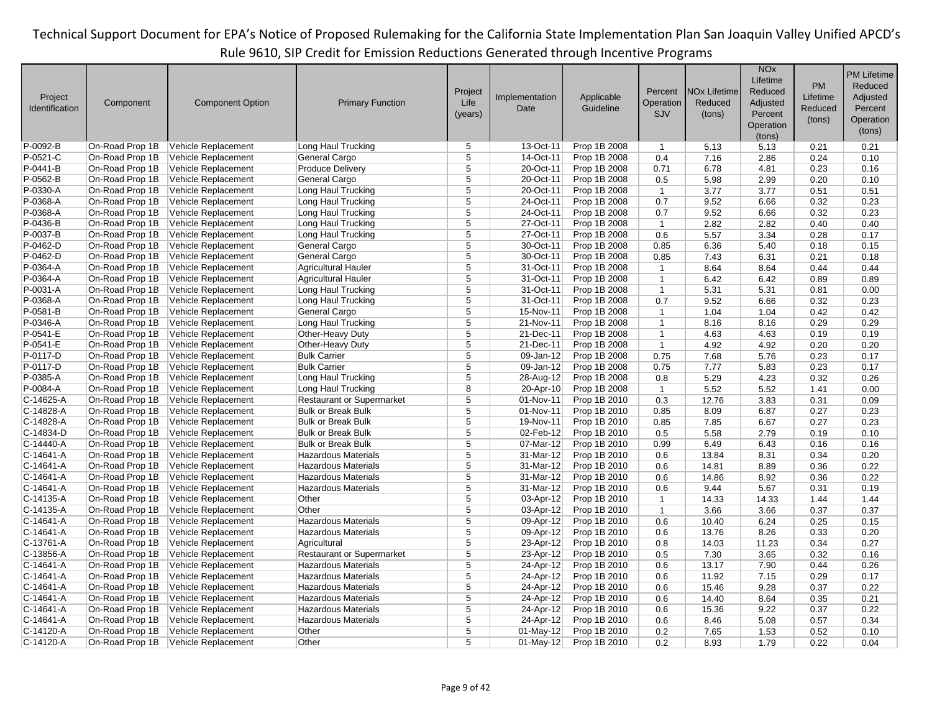|                |                 |                         |                                  |                |                |              |                |                                | <b>NO<sub>x</sub></b><br>Lifetime |          | <b>PM Lifetime</b> |
|----------------|-----------------|-------------------------|----------------------------------|----------------|----------------|--------------|----------------|--------------------------------|-----------------------------------|----------|--------------------|
|                |                 |                         |                                  | Project        |                |              | Percent        | <b>NO<sub>x</sub></b> Lifetime | Reduced                           | PM       | Reduced            |
| Project        | Component       | <b>Component Option</b> | <b>Primary Function</b>          | Life           | Implementation | Applicable   | Operation      | Reduced                        | Adjusted                          | Lifetime | Adjusted           |
| Identification |                 |                         |                                  | (years)        | Date           | Guideline    | <b>SJV</b>     | (tons)                         | Percent                           | Reduced  | Percent            |
|                |                 |                         |                                  |                |                |              |                |                                | Operation                         | (tons)   | Operation          |
|                |                 |                         |                                  |                |                |              |                |                                | (tons)                            |          | (tons)             |
| P-0092-B       | On-Road Prop 1B | Vehicle Replacement     | Long Haul Trucking               | 5              | 13-Oct-11      | Prop 1B 2008 | $\mathbf{1}$   | 5.13                           | 5.13                              | 0.21     | 0.21               |
| P-0521-C       | On-Road Prop 1B | Vehicle Replacement     | General Cargo                    | 5              | 14-Oct-11      | Prop 1B 2008 | 0.4            | 7.16                           | 2.86                              | 0.24     | 0.10               |
| P-0441-B       | On-Road Prop 1B | Vehicle Replacement     | <b>Produce Delivery</b>          | 5              | 20-Oct-11      | Prop 1B 2008 | 0.71           | 6.78                           | 4.81                              | 0.23     | 0.16               |
| P-0562-B       | On-Road Prop 1B | Vehicle Replacement     | General Cargo                    | $\overline{5}$ | 20-Oct-11      | Prop 1B 2008 | 0.5            | 5.98                           | 2.99                              | 0.20     | 0.10               |
| P-0330-A       | On-Road Prop 1B | Vehicle Replacement     | Long Haul Trucking               | $\overline{5}$ | 20-Oct-11      | Prop 1B 2008 | $\mathbf{1}$   | 3.77                           | 3.77                              | 0.51     | 0.51               |
| P-0368-A       | On-Road Prop 1B | Vehicle Replacement     | Long Haul Trucking               | 5              | 24-Oct-11      | Prop 1B 2008 | 0.7            | 9.52                           | 6.66                              | 0.32     | 0.23               |
| $P-0368-A$     | On-Road Prop 1B | Vehicle Replacement     | Long Haul Trucking               | 5              | 24-Oct-11      | Prop 1B 2008 | 0.7            | 9.52                           | 6.66                              | 0.32     | 0.23               |
| P-0436-B       | On-Road Prop 1B | Vehicle Replacement     | Long Haul Trucking               | 5              | 27-Oct-11      | Prop 1B 2008 | $\mathbf{1}$   | 2.82                           | 2.82                              | 0.40     | 0.40               |
| P-0037-B       | On-Road Prop 1B | Vehicle Replacement     | Long Haul Trucking               | $\overline{5}$ | 27-Oct-11      | Prop 1B 2008 | 0.6            | 5.57                           | 3.34                              | 0.28     | 0.17               |
| P-0462-D       | On-Road Prop 1B | Vehicle Replacement     | General Cargo                    | $\overline{5}$ | 30-Oct-11      | Prop 1B 2008 | 0.85           | 6.36                           | 5.40                              | 0.18     | 0.15               |
| P-0462-D       | On-Road Prop 1B | Vehicle Replacement     | General Cargo                    | 5              | 30-Oct-11      | Prop 1B 2008 | 0.85           | 7.43                           | 6.31                              | 0.21     | 0.18               |
| P-0364-A       | On-Road Prop 1B | Vehicle Replacement     | <b>Agricultural Hauler</b>       | $\overline{5}$ | 31-Oct-11      | Prop 1B 2008 | $\mathbf{1}$   | 8.64                           | 8.64                              | 0.44     | 0.44               |
| P-0364-A       | On-Road Prop 1B | Vehicle Replacement     | <b>Agricultural Hauler</b>       | 5              | 31-Oct-11      | Prop 1B 2008 | $\mathbf{1}$   | 6.42                           | 6.42                              | 0.89     | 0.89               |
| P-0031-A       | On-Road Prop 1B | Vehicle Replacement     | Long Haul Trucking               | $\overline{5}$ | 31-Oct-11      | Prop 1B 2008 | $\mathbf{1}$   | 5.31                           | 5.31                              | 0.81     | 0.00               |
| P-0368-A       | On-Road Prop 1B | Vehicle Replacement     | Long Haul Trucking               | $\overline{5}$ | 31-Oct-11      | Prop 1B 2008 | 0.7            | 9.52                           | 6.66                              | 0.32     | 0.23               |
| P-0581-B       | On-Road Prop 1B | Vehicle Replacement     | General Cargo                    | 5              | 15-Nov-11      | Prop 1B 2008 | $\mathbf{1}$   | 1.04                           | 1.04                              | 0.42     | 0.42               |
| P-0346-A       | On-Road Prop 1B | Vehicle Replacement     | Long Haul Trucking               | $\overline{5}$ | 21-Nov-11      | Prop 1B 2008 | $\mathbf{1}$   | 8.16                           | 8.16                              | 0.29     | 0.29               |
| P-0541-E       | On-Road Prop 1B | Vehicle Replacement     | Other-Heavy Duty                 | 5              | 21-Dec-11      | Prop 1B 2008 | $\mathbf{1}$   | 4.63                           | 4.63                              | 0.19     | 0.19               |
| P-0541-E       | On-Road Prop 1B | Vehicle Replacement     | Other-Heavy Duty                 | 5              | 21-Dec-11      | Prop 1B 2008 | $\overline{1}$ | 4.92                           | 4.92                              | 0.20     | 0.20               |
| P-0117-D       | On-Road Prop 1B | Vehicle Replacement     | <b>Bulk Carrier</b>              | $\overline{5}$ | 09-Jan-12      | Prop 1B 2008 | 0.75           | 7.68                           | 5.76                              | 0.23     | 0.17               |
| P-0117-D       | On-Road Prop 1B | Vehicle Replacement     | <b>Bulk Carrier</b>              | 5              | 09-Jan-12      | Prop 1B 2008 | 0.75           | 7.77                           | 5.83                              | 0.23     | 0.17               |
| P-0385-A       | On-Road Prop 1B | Vehicle Replacement     | Long Haul Trucking               | 5              | 28-Aug-12      | Prop 1B 2008 | 0.8            | 5.29                           | 4.23                              | 0.32     | 0.26               |
| P-0084-A       | On-Road Prop 1B | Vehicle Replacement     | Long Haul Trucking               | $\overline{8}$ | 20-Apr-10      | Prop 1B 2008 | $\mathbf{1}$   | 5.52                           | 5.52                              | 1.41     | 0.00               |
| C-14625-A      | On-Road Prop 1B | Vehicle Replacement     | <b>Restaurant or Supermarket</b> | 5              | 01-Nov-11      | Prop 1B 2010 | 0.3            | 12.76                          | 3.83                              | 0.31     | 0.09               |
| C-14828-A      | On-Road Prop 1B | Vehicle Replacement     | <b>Bulk or Break Bulk</b>        | 5              | 01-Nov-11      | Prop 1B 2010 | 0.85           | 8.09                           | 6.87                              | 0.27     | 0.23               |
| C-14828-A      | On-Road Prop 1B | Vehicle Replacement     | <b>Bulk or Break Bulk</b>        | 5              | 19-Nov-11      | Prop 1B 2010 | 0.85           | 7.85                           | 6.67                              | 0.27     | 0.23               |
| C-14834-D      | On-Road Prop 1B | Vehicle Replacement     | <b>Bulk or Break Bulk</b>        | 5              | 02-Feb-12      | Prop 1B 2010 | 0.5            | 5.58                           | 2.79                              | 0.19     | 0.10               |
| C-14440-A      | On-Road Prop 1B | Vehicle Replacement     | <b>Bulk or Break Bulk</b>        | 5              | 07-Mar-12      | Prop 1B 2010 | 0.99           | 6.49                           | 6.43                              | 0.16     | 0.16               |
| C-14641-A      | On-Road Prop 1B | Vehicle Replacement     | <b>Hazardous Materials</b>       | 5              | 31-Mar-12      | Prop 1B 2010 | 0.6            | 13.84                          | 8.31                              | 0.34     | 0.20               |
| C-14641-A      | On-Road Prop 1B | Vehicle Replacement     | <b>Hazardous Materials</b>       | 5              | 31-Mar-12      | Prop 1B 2010 | 0.6            | 14.81                          | 8.89                              | 0.36     | 0.22               |
| C-14641-A      | On-Road Prop 1B | Vehicle Replacement     | <b>Hazardous Materials</b>       | 5              | 31-Mar-12      | Prop 1B 2010 | 0.6            | 14.86                          | 8.92                              | 0.36     | 0.22               |
| C-14641-A      | On-Road Prop 1B | Vehicle Replacement     | <b>Hazardous Materials</b>       | $\overline{5}$ | 31-Mar-12      | Prop 1B 2010 | 0.6            | 9.44                           | 5.67                              | 0.31     | 0.19               |
| C-14135-A      | On-Road Prop 1B | Vehicle Replacement     | Other                            | 5              | 03-Apr-12      | Prop 1B 2010 | $\mathbf{1}$   | 14.33                          | 14.33                             | 1.44     | 1.44               |
| C-14135-A      | On-Road Prop 1B | Vehicle Replacement     | Other                            | $\overline{5}$ | 03-Apr-12      | Prop 1B 2010 | $\overline{1}$ | 3.66                           | 3.66                              | 0.37     | 0.37               |
| C-14641-A      | On-Road Prop 1B | Vehicle Replacement     | <b>Hazardous Materials</b>       | 5              | 09-Apr-12      | Prop 1B 2010 | 0.6            | 10.40                          | 6.24                              | 0.25     | 0.15               |
| C-14641-A      | On-Road Prop 1B | Vehicle Replacement     | <b>Hazardous Materials</b>       | 5              | 09-Apr-12      | Prop 1B 2010 | 0.6            | 13.76                          | 8.26                              | 0.33     | 0.20               |
| C-13761-A      | On-Road Prop 1B | Vehicle Replacement     | Agricultural                     | $\overline{5}$ | 23-Apr-12      | Prop 1B 2010 | 0.8            | 14.03                          | 11.23                             | 0.34     | 0.27               |
| C-13856-A      | On-Road Prop 1B | Vehicle Replacement     | <b>Restaurant or Supermarket</b> | $\overline{5}$ | 23-Apr-12      | Prop 1B 2010 | 0.5            | 7.30                           | 3.65                              | 0.32     | 0.16               |
| C-14641-A      | On-Road Prop 1B | Vehicle Replacement     | <b>Hazardous Materials</b>       | 5              | 24-Apr-12      | Prop 1B 2010 | 0.6            | 13.17                          | 7.90                              | 0.44     | 0.26               |
| C-14641-A      | On-Road Prop 1B | Vehicle Replacement     | <b>Hazardous Materials</b>       | 5              | 24-Apr-12      | Prop 1B 2010 | 0.6            | 11.92                          | 7.15                              | 0.29     | 0.17               |
| C-14641-A      | On-Road Prop 1B | Vehicle Replacement     | <b>Hazardous Materials</b>       | 5              | 24-Apr-12      | Prop 1B 2010 | 0.6            | 15.46                          | 9.28                              | 0.37     | 0.22               |
| C-14641-A      | On-Road Prop 1B | Vehicle Replacement     | <b>Hazardous Materials</b>       | $\overline{5}$ | 24-Apr-12      | Prop 1B 2010 | 0.6            | 14.40                          | 8.64                              | 0.35     | 0.21               |
| C-14641-A      | On-Road Prop 1B | Vehicle Replacement     | <b>Hazardous Materials</b>       | 5              | 24-Apr-12      | Prop 1B 2010 | 0.6            | 15.36                          | 9.22                              | 0.37     | 0.22               |
| $C-14641 - A$  | On-Road Prop 1B | Vehicle Replacement     | <b>Hazardous Materials</b>       | 5              | 24-Apr-12      | Prop 1B 2010 | 0.6            | 8.46                           | 5.08                              | 0.57     | 0.34               |
| C-14120-A      | On-Road Prop 1B | Vehicle Replacement     | Other                            | $\overline{5}$ | $01-May-12$    | Prop 1B 2010 | 0.2            | 7.65                           | 1.53                              | 0.52     | 0.10               |
| C-14120-A      | On-Road Prop 1B | Vehicle Replacement     | Other                            | 5              | $01$ -May-12   | Prop 1B 2010 | 0.2            | 8.93                           | 1.79                              | 0.22     | 0.04               |
|                |                 |                         |                                  |                |                |              |                |                                |                                   |          |                    |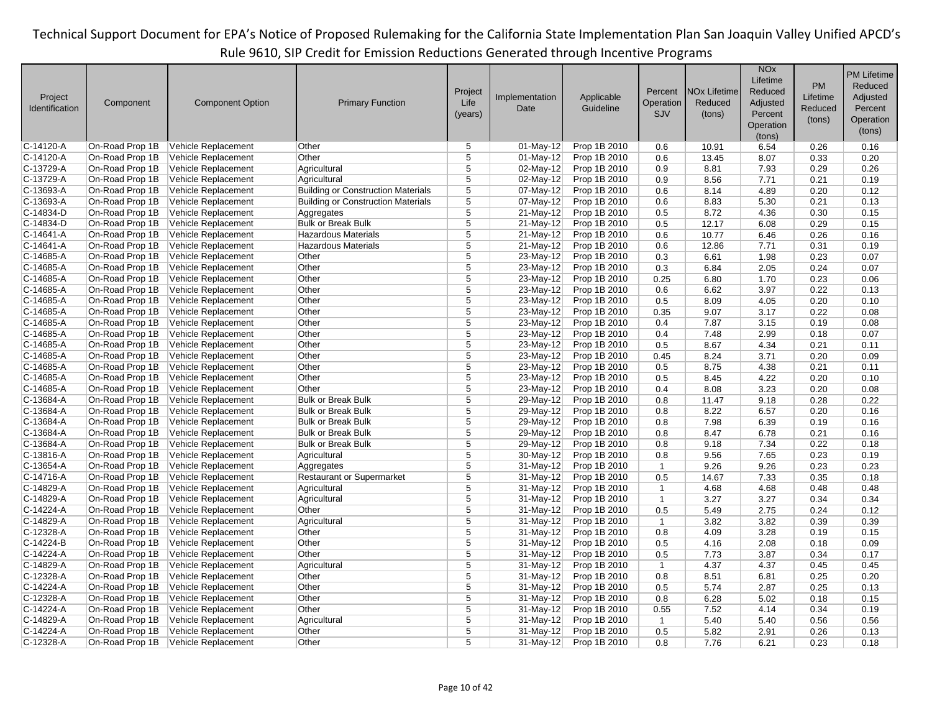|                |                 |                         |                                           |                |                |              |              |                                | <b>NO<sub>x</sub></b> |              | <b>PM Lifetime</b> |
|----------------|-----------------|-------------------------|-------------------------------------------|----------------|----------------|--------------|--------------|--------------------------------|-----------------------|--------------|--------------------|
|                |                 |                         |                                           |                |                |              |              |                                | Lifetime              | PM           | Reduced            |
| Project        |                 |                         |                                           | Project        | Implementation | Applicable   | Percent      | <b>NO<sub>x</sub></b> Lifetime | Reduced               | Lifetime     | Adjusted           |
| Identification | Component       | <b>Component Option</b> | <b>Primary Function</b>                   | Life           | Date           | Guideline    | Operation    | Reduced                        | Adjusted              | Reduced      | Percent            |
|                |                 |                         |                                           | (years)        |                |              | <b>SJV</b>   | (tons)                         | Percent               | (tons)       |                    |
|                |                 |                         |                                           |                |                |              |              |                                | Operation             |              | Operation          |
|                |                 |                         |                                           |                |                |              |              |                                | (tons)                |              | (tons)             |
| $C-14120-A$    | On-Road Prop 1B | Vehicle Replacement     | Other                                     | 5              | 01-May-12      | Prop 1B 2010 | 0.6          | 10.91                          | 6.54                  | 0.26         | 0.16               |
| $C-14120-A$    | On-Road Prop 1B | Vehicle Replacement     | Other                                     | 5              | 01-May-12      | Prop 1B 2010 | 0.6          | 13.45                          | 8.07                  | 0.33         | 0.20               |
| C-13729-A      | On-Road Prop 1B | Vehicle Replacement     | Agricultural                              | $\overline{5}$ | 02-May-12      | Prop 1B 2010 | 0.9          | 8.81                           | 7.93                  | 0.29         | 0.26               |
| $C-13729-A$    | On-Road Prop 1B | Vehicle Replacement     | Agricultural                              | $\overline{5}$ | 02-May-12      | Prop 1B 2010 | 0.9          | 8.56                           | 7.71                  | 0.21         | 0.19               |
| $C-13693-A$    | On-Road Prop 1B | Vehicle Replacement     | <b>Building or Construction Materials</b> | $\overline{5}$ | 07-May-12      | Prop 1B 2010 | 0.6          | 8.14                           | 4.89                  | 0.20         | 0.12               |
| $C-13693-A$    | On-Road Prop 1B | Vehicle Replacement     | <b>Building or Construction Materials</b> | 5              | 07-May-12      | Prop 1B 2010 | 0.6          | 8.83                           | 5.30                  | 0.21         | 0.13               |
| $C-14834-D$    | On-Road Prop 1B | Vehicle Replacement     | Aggregates                                | $\overline{5}$ | 21-May-12      | Prop 1B 2010 | 0.5          | 8.72                           | 4.36                  | 0.30         | 0.15               |
| $C-14834-D$    | On-Road Prop 1B | Vehicle Replacement     | <b>Bulk or Break Bulk</b>                 | 5              | 21-May-12      | Prop 1B 2010 | 0.5          | 12.17                          | 6.08                  | 0.29         | 0.15               |
| $C-14641-A$    | On-Road Prop 1B | Vehicle Replacement     | <b>Hazardous Materials</b>                | $\overline{5}$ | 21-May-12      | Prop 1B 2010 | 0.6          | 10.77                          | 6.46                  | 0.26         | 0.16               |
| $C-14641-A$    | On-Road Prop 1B | Vehicle Replacement     | <b>Hazardous Materials</b>                | $\overline{5}$ | 21-May-12      | Prop 1B 2010 | 0.6          | 12.86                          | 7.71                  | 0.31         | 0.19               |
| $C-14685-A$    | On-Road Prop 1B | Vehicle Replacement     | Other                                     | 5              | 23-May-12      | Prop 1B 2010 | 0.3          | 6.61                           | 1.98                  | 0.23         | 0.07               |
| $C-14685-A$    | On-Road Prop 1B | Vehicle Replacement     | Other                                     | $\overline{5}$ | 23-May-12      | Prop 1B 2010 | 0.3          | 6.84                           | 2.05                  | 0.24         | 0.07               |
| C-14685-A      | On-Road Prop 1B | Vehicle Replacement     | Other                                     | 5              | $23-May-12$    | Prop 1B 2010 | 0.25         | 6.80                           | 1.70                  | 0.23         | 0.06               |
| $C-14685-A$    | On-Road Prop 1B | Vehicle Replacement     | Other                                     | $\overline{5}$ | 23-May-12      | Prop 1B 2010 | 0.6          | 6.62                           | 3.97                  | 0.22         | 0.13               |
| $C-14685-A$    | On-Road Prop 1B | Vehicle Replacement     | Other                                     | $\overline{5}$ | 23-May-12      | Prop 1B 2010 | 0.5          | 8.09                           | 4.05                  | 0.20         | 0.10               |
| $C-14685-A$    | On-Road Prop 1B | Vehicle Replacement     | Other                                     | 5              | 23-May-12      | Prop 1B 2010 | 0.35         | 9.07                           | 3.17                  | 0.22         | 0.08               |
| $C-14685-A$    | On-Road Prop 1B | Vehicle Replacement     | Other                                     | $\overline{5}$ | 23-May-12      | Prop 1B 2010 | 0.4          | 7.87                           | 3.15                  | 0.19         | 0.08               |
| $C-14685-A$    | On-Road Prop 1B | Vehicle Replacement     | Other                                     | 5              | 23-May-12      | Prop 1B 2010 | 0.4          | 7.48                           | 2.99                  | 0.18         | 0.07               |
| $C-14685-A$    | On-Road Prop 1B | Vehicle Replacement     | Other                                     | 5              | 23-May-12      | Prop 1B 2010 | 0.5          | 8.67                           | 4.34                  | 0.21         | 0.11               |
| C-14685-A      | On-Road Prop 1B | Vehicle Replacement     | Other                                     | $\overline{5}$ | 23-May-12      | Prop 1B 2010 | 0.45         | 8.24                           | 3.71                  | 0.20         | 0.09               |
| $C-14685-A$    | On-Road Prop 1B | Vehicle Replacement     | Other                                     | 5              | 23-May-12      | Prop 1B 2010 | 0.5          | 8.75                           | 4.38                  | 0.21         | 0.11               |
| $C-14685-A$    | On-Road Prop 1B | Vehicle Replacement     | Other                                     | 5              | 23-May-12      | Prop 1B 2010 | 0.5          | 8.45                           | 4.22                  | 0.20         | 0.10               |
| $C-14685-A$    | On-Road Prop 1B | Vehicle Replacement     | Other                                     | $\overline{5}$ | 23-May-12      | Prop 1B 2010 | 0.4          | 8.08                           | 3.23                  | 0.20         | 0.08               |
| $C-13684-A$    | On-Road Prop 1B | Vehicle Replacement     | <b>Bulk or Break Bulk</b>                 | 5              | 29-May-12      | Prop 1B 2010 | 0.8          | 11.47                          | 9.18                  | 0.28         | 0.22               |
| $C-13684-A$    | On-Road Prop 1B | Vehicle Replacement     | <b>Bulk or Break Bulk</b>                 | 5              | 29-May-12      | Prop 1B 2010 | 0.8          | 8.22                           | 6.57                  | 0.20         | 0.16               |
| C-13684-A      | On-Road Prop 1B | Vehicle Replacement     | <b>Bulk or Break Bulk</b>                 | $\overline{5}$ | 29-May-12      | Prop 1B 2010 | 0.8          | 7.98                           | 6.39                  | 0.19         | 0.16               |
| C-13684-A      | On-Road Prop 1B | Vehicle Replacement     | <b>Bulk or Break Bulk</b>                 | 5              | 29-May-12      | Prop 1B 2010 | 0.8          | 8.47                           | 6.78                  | 0.21         | 0.16               |
| $C-13684-A$    | On-Road Prop 1B | Vehicle Replacement     | <b>Bulk or Break Bulk</b>                 | 5              | 29-May-12      | Prop 1B 2010 | 0.8          | 9.18                           | 7.34                  | 0.22         | 0.18               |
| $C-13816-A$    | On-Road Prop 1B | Vehicle Replacement     | Agricultural                              | 5              | 30-May-12      | Prop 1B 2010 | 0.8          | 9.56                           | 7.65                  | 0.23         | 0.19               |
| $C-13654-A$    | On-Road Prop 1B | Vehicle Replacement     | Aggregates                                | 5              | 31-May-12      | Prop 1B 2010 | $\mathbf{1}$ | 9.26                           | 9.26                  | 0.23         | 0.23               |
| $C-14716-A$    | On-Road Prop 1B | Vehicle Replacement     | Restaurant or Supermarket                 | 5              | 31-May-12      | Prop 1B 2010 | 0.5          | 14.67                          | 7.33                  | 0.35         | 0.18               |
| $C-14829-A$    | On-Road Prop 1B | Vehicle Replacement     | Agricultural                              | $\overline{5}$ | 31-May-12      | Prop 1B 2010 | $\mathbf{1}$ | 4.68                           | 4.68                  | 0.48         | 0.48               |
| $C-14829-A$    | On-Road Prop 1B | Vehicle Replacement     | Agricultural                              | 5              | 31-May-12      | Prop 1B 2010 | $\mathbf{1}$ | 3.27                           | 3.27                  | 0.34         | 0.34               |
| $C-14224-A$    | On-Road Prop 1B | Vehicle Replacement     | Other                                     | 5              | 31-May-12      | Prop 1B 2010 | 0.5          | 5.49                           | 2.75                  | 0.24         | 0.12               |
| $C-14829-A$    | On-Road Prop 1B | Vehicle Replacement     | Agricultural                              | 5              | 31-May-12      | Prop 1B 2010 | $\mathbf{1}$ | 3.82                           | 3.82                  | 0.39         | 0.39               |
| $C-12328-A$    | On-Road Prop 1B | Vehicle Replacement     | Other                                     | 5              | 31-May-12      | Prop 1B 2010 | 0.8          | 4.09                           | 3.28                  | 0.19         | 0.15               |
| C-14224-B      | On-Road Prop 1B | Vehicle Replacement     | Other                                     | $\overline{5}$ | 31-May-12      | Prop 1B 2010 | 0.5          | 4.16                           | 2.08                  | 0.18         | 0.09               |
| C-14224-A      | On-Road Prop 1B | Vehicle Replacement     | Other                                     | $\overline{5}$ | 31-May-12      | Prop 1B 2010 | 0.5          | 7.73                           | 3.87                  | 0.34         | 0.17               |
| $C-14829-A$    | On-Road Prop 1B | Vehicle Replacement     | Agricultural                              | 5              | 31-May-12      | Prop 1B 2010 | $\mathbf{1}$ | 4.37                           | 4.37                  |              | 0.45               |
| $C-12328-A$    | On-Road Prop 1B | Vehicle Replacement     | Other                                     | 5              | 31-May-12      | Prop 1B 2010 | 0.8          | 8.51                           | 6.81                  | 0.45<br>0.25 | 0.20               |
| C-14224-A      | On-Road Prop 1B | Vehicle Replacement     | Other                                     | 5              | 31-May-12      | Prop 1B 2010 | 0.5          | 5.74                           | 2.87                  | 0.25         | 0.13               |
| C-12328-A      | On-Road Prop 1B | Vehicle Replacement     | Other                                     | $\overline{5}$ | 31-May-12      | Prop 1B 2010 | 0.8          | 6.28                           | 5.02                  |              | 0.15               |
| C-14224-A      | On-Road Prop 1B |                         | Other                                     | 5              |                |              |              |                                | 4.14                  | 0.18<br>0.34 | 0.19               |
| $C-14829-A$    |                 | Vehicle Replacement     |                                           | 5              | 31-May-12      | Prop 1B 2010 | 0.55         | 7.52                           |                       |              |                    |
| C-14224-A      | On-Road Prop 1B | Vehicle Replacement     | Agricultural                              | $\overline{5}$ | 31-May-12      | Prop 1B 2010 | $\mathbf{1}$ | 5.40                           | 5.40<br>2.91          | 0.56         | 0.56               |
|                | On-Road Prop 1B | Vehicle Replacement     | Other                                     | 5              | 31-May-12      | Prop 1B 2010 | 0.5          | 5.82                           |                       | 0.26         | 0.13               |
| $C-12328-A$    | On-Road Prop 1B | Vehicle Replacement     | Other                                     |                | $31$ -May-12   | Prop 1B 2010 | 0.8          | 7.76                           | 6.21                  | 0.23         | 0.18               |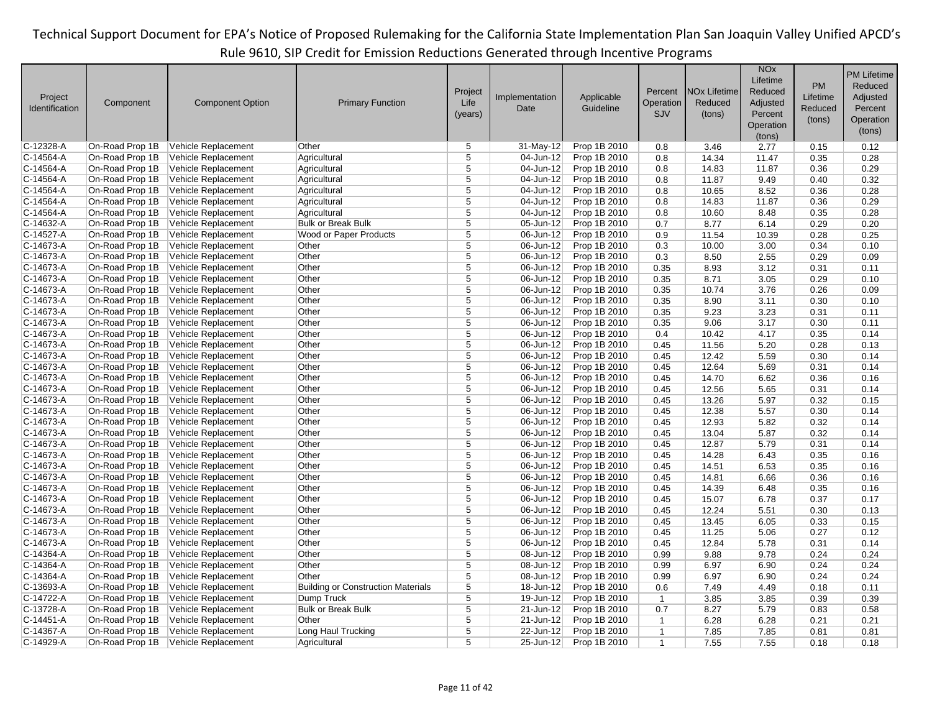|                           |                 |                         |                                           |                |                |              |              |                                | <b>NO<sub>x</sub></b> |          | <b>PM Lifetime</b> |
|---------------------------|-----------------|-------------------------|-------------------------------------------|----------------|----------------|--------------|--------------|--------------------------------|-----------------------|----------|--------------------|
|                           |                 |                         |                                           |                |                |              |              |                                | Lifetime              | PM       | Reduced            |
|                           |                 |                         |                                           | Project        | Implementation | Applicable   | Percent      | <b>NO<sub>x</sub></b> Lifetime | Reduced               | Lifetime | Adjusted           |
| Project<br>Identification | Component       | <b>Component Option</b> | <b>Primary Function</b>                   | Life           | Date           | Guideline    | Operation    | Reduced                        | Adjusted              | Reduced  | Percent            |
|                           |                 |                         |                                           | (years)        |                |              | <b>SJV</b>   | (tons)                         | Percent               |          |                    |
|                           |                 |                         |                                           |                |                |              |              |                                | Operation             | (tons)   | Operation          |
|                           |                 |                         |                                           |                |                |              |              |                                | (tons)                |          | (tons)             |
| C-12328-A                 | On-Road Prop 1B | Vehicle Replacement     | Other                                     | 5              | $31-May-12$    | Prop 1B 2010 | 0.8          | 3.46                           | 2.77                  | 0.15     | 0.12               |
| C-14564-A                 | On-Road Prop 1B | Vehicle Replacement     | Agricultural                              | 5              | 04-Jun-12      | Prop 1B 2010 | 0.8          | 14.34                          | 11.47                 | 0.35     | 0.28               |
| C-14564-A                 | On-Road Prop 1B | Vehicle Replacement     | Agricultural                              | $\overline{5}$ | 04-Jun-12      | Prop 1B 2010 | 0.8          | 14.83                          | 11.87                 | 0.36     | 0.29               |
| C-14564-A                 | On-Road Prop 1B | Vehicle Replacement     | Agricultural                              | $\overline{5}$ | 04-Jun-12      | Prop 1B 2010 | 0.8          | 11.87                          | 9.49                  | 0.40     | 0.32               |
| C-14564-A                 | On-Road Prop 1B | Vehicle Replacement     | Agricultural                              | $\overline{5}$ | 04-Jun-12      | Prop 1B 2010 | 0.8          | 10.65                          | 8.52                  | 0.36     | 0.28               |
| C-14564-A                 | On-Road Prop 1B | Vehicle Replacement     | Agricultural                              | 5              | 04-Jun-12      | Prop 1B 2010 | 0.8          | 14.83                          | 11.87                 | 0.36     | 0.29               |
| C-14564-A                 | On-Road Prop 1B | Vehicle Replacement     | Agricultural                              | $\overline{5}$ | 04-Jun-12      | Prop 1B 2010 | 0.8          | 10.60                          | 8.48                  | 0.35     | 0.28               |
| C-14632-A                 | On-Road Prop 1B | Vehicle Replacement     | <b>Bulk or Break Bulk</b>                 | 5              | 05-Jun-12      | Prop 1B 2010 | 0.7          | 8.77                           | 6.14                  | 0.29     | 0.20               |
| C-14527-A                 | On-Road Prop 1B | Vehicle Replacement     | Wood or Paper Products                    | $\overline{5}$ | 06-Jun-12      | Prop 1B 2010 | 0.9          | 11.54                          | 10.39                 | 0.28     | 0.25               |
| C-14673-A                 | On-Road Prop 1B | Vehicle Replacement     | Other                                     | $\overline{5}$ | $06$ -Jun-12   | Prop 1B 2010 | 0.3          | 10.00                          | 3.00                  | 0.34     | 0.10               |
| C-14673-A                 | On-Road Prop 1B | Vehicle Replacement     | Other                                     | $\overline{5}$ | 06-Jun-12      | Prop 1B 2010 | 0.3          | 8.50                           | 2.55                  | 0.29     | 0.09               |
| C-14673-A                 | On-Road Prop 1B | Vehicle Replacement     | Other                                     | $\overline{5}$ | $06$ -Jun-12   | Prop 1B 2010 | 0.35         | 8.93                           | 3.12                  | 0.31     | 0.11               |
| C-14673-A                 | On-Road Prop 1B | Vehicle Replacement     | Other                                     | 5              | 06-Jun-12      | Prop 1B 2010 | 0.35         | 8.71                           | 3.05                  | 0.29     | 0.10               |
| C-14673-A                 | On-Road Prop 1B | Vehicle Replacement     | Other                                     | $\overline{5}$ | 06-Jun-12      | Prop 1B 2010 | 0.35         | 10.74                          | 3.76                  | 0.26     | 0.09               |
| C-14673-A                 | On-Road Prop 1B | Vehicle Replacement     | Other                                     | $\overline{5}$ | $06$ -Jun-12   | Prop 1B 2010 | 0.35         | 8.90                           | 3.11                  | 0.30     | 0.10               |
| C-14673-A                 | On-Road Prop 1B | Vehicle Replacement     | Other                                     | 5              | 06-Jun-12      | Prop 1B 2010 | 0.35         | 9.23                           | 3.23                  | 0.31     | 0.11               |
| C-14673-A                 | On-Road Prop 1B | Vehicle Replacement     | Other                                     | $\overline{5}$ | 06-Jun-12      | Prop 1B 2010 | 0.35         | 9.06                           | 3.17                  | 0.30     | 0.11               |
| C-14673-A                 | On-Road Prop 1B | Vehicle Replacement     | Other                                     | 5              | 06-Jun-12      | Prop 1B 2010 | 0.4          | 10.42                          | 4.17                  | 0.35     | 0.14               |
| C-14673-A                 | On-Road Prop 1B | Vehicle Replacement     | Other                                     | 5              | 06-Jun-12      | Prop 1B 2010 | 0.45         | 11.56                          | 5.20                  | 0.28     | 0.13               |
| C-14673-A                 | On-Road Prop 1B | Vehicle Replacement     | Other                                     | $\overline{5}$ | 06-Jun-12      | Prop 1B 2010 | 0.45         | 12.42                          | 5.59                  | 0.30     | 0.14               |
| C-14673-A                 | On-Road Prop 1B | Vehicle Replacement     | Other                                     | 5              | 06-Jun-12      | Prop 1B 2010 | 0.45         | 12.64                          | 5.69                  | 0.31     | 0.14               |
| C-14673-A                 | On-Road Prop 1B | Vehicle Replacement     | Other                                     | 5              | 06-Jun-12      | Prop 1B 2010 | 0.45         | 14.70                          | 6.62                  | 0.36     | 0.16               |
| C-14673-A                 | On-Road Prop 1B | Vehicle Replacement     | Other                                     | $\overline{5}$ | 06-Jun-12      | Prop 1B 2010 | 0.45         | 12.56                          | 5.65                  | 0.31     | 0.14               |
| C-14673-A                 | On-Road Prop 1B | Vehicle Replacement     | Other                                     | 5              | 06-Jun-12      | Prop 1B 2010 | 0.45         | 13.26                          | 5.97                  | 0.32     | 0.15               |
| C-14673-A                 | On-Road Prop 1B | Vehicle Replacement     | Other                                     | $\overline{5}$ | 06-Jun-12      | Prop 1B 2010 | 0.45         | 12.38                          | 5.57                  | 0.30     | 0.14               |
| C-14673-A                 | On-Road Prop 1B | Vehicle Replacement     | Other                                     | $\overline{5}$ | 06-Jun-12      | Prop 1B 2010 | 0.45         | 12.93                          | 5.82                  | 0.32     | 0.14               |
| C-14673-A                 | On-Road Prop 1B | Vehicle Replacement     | Other                                     | $\overline{5}$ | 06-Jun-12      | Prop 1B 2010 | 0.45         | 13.04                          | 5.87                  | 0.32     | 0.14               |
| C-14673-A                 | On-Road Prop 1B | Vehicle Replacement     | Other                                     | 5              | 06-Jun-12      | Prop 1B 2010 | 0.45         | 12.87                          | 5.79                  | 0.31     | 0.14               |
| C-14673-A                 | On-Road Prop 1B | Vehicle Replacement     | Other                                     | $\overline{5}$ | $06$ -Jun-12   | Prop 1B 2010 | 0.45         | 14.28                          | 6.43                  | 0.35     | 0.16               |
| C-14673-A                 | On-Road Prop 1B | Vehicle Replacement     | Other                                     | 5              | 06-Jun-12      | Prop 1B 2010 | 0.45         | 14.51                          | 6.53                  | 0.35     | 0.16               |
| C-14673-A                 | On-Road Prop 1B | Vehicle Replacement     | Other                                     | 5              | 06-Jun-12      | Prop 1B 2010 | 0.45         | 14.81                          | 6.66                  | 0.36     | 0.16               |
| C-14673-A                 | On-Road Prop 1B | Vehicle Replacement     | Other                                     | $\overline{5}$ | $06$ -Jun-12   | Prop 1B 2010 | 0.45         | 14.39                          | 6.48                  | 0.35     | 0.16               |
| C-14673-A                 | On-Road Prop 1B | Vehicle Replacement     | Other                                     | 5              | 06-Jun-12      | Prop 1B 2010 | 0.45         | 15.07                          | 6.78                  | 0.37     | 0.17               |
| C-14673-A                 | On-Road Prop 1B | Vehicle Replacement     | Other                                     | $\overline{5}$ | 06-Jun-12      | Prop 1B 2010 | 0.45         | 12.24                          | 5.51                  | 0.30     | 0.13               |
| C-14673-A                 | On-Road Prop 1B | Vehicle Replacement     | Other                                     | 5              | 06-Jun-12      | Prop 1B 2010 | 0.45         | 13.45                          | 6.05                  | 0.33     | 0.15               |
| C-14673-A                 | On-Road Prop 1B | Vehicle Replacement     | Other                                     | $\overline{5}$ | 06-Jun-12      | Prop 1B 2010 | 0.45         | 11.25                          | 5.06                  | 0.27     | 0.12               |
| C-14673-A                 | On-Road Prop 1B | Vehicle Replacement     | Other                                     | $\overline{5}$ | 06-Jun-12      | Prop 1B 2010 | 0.45         | 12.84                          | 5.78                  | 0.31     | 0.14               |
| C-14364-A                 | On-Road Prop 1B | Vehicle Replacement     | Other                                     | $\overline{5}$ | 08-Jun-12      | Prop 1B 2010 | 0.99         | 9.88                           | 9.78                  | 0.24     | 0.24               |
| C-14364-A                 | On-Road Prop 1B | Vehicle Replacement     | Other                                     | 5              | 08-Jun-12      | Prop 1B 2010 | 0.99         | 6.97                           | 6.90                  | 0.24     | 0.24               |
| C-14364-A                 | On-Road Prop 1B | Vehicle Replacement     | Other                                     | 5              | 08-Jun-12      | Prop 1B 2010 | 0.99         | 6.97                           | 6.90                  | 0.24     | 0.24               |
| C-13693-A                 | On-Road Prop 1B | Vehicle Replacement     | <b>Building or Construction Materials</b> | 5              | 18-Jun-12      | Prop 1B 2010 | 0.6          | 7.49                           | 4.49                  | 0.18     | 0.11               |
| C-14722-A                 | On-Road Prop 1B | Vehicle Replacement     | Dump Truck                                | $\overline{5}$ | 19-Jun-12      | Prop 1B 2010 | $\mathbf{1}$ | 3.85                           | 3.85                  | 0.39     | 0.39               |
| C-13728-A                 | On-Road Prop 1B | Vehicle Replacement     | <b>Bulk or Break Bulk</b>                 | 5              | 21-Jun-12      | Prop 1B 2010 | 0.7          | 8.27                           | 5.79                  | 0.83     | 0.58               |
| C-14451-A                 | On-Road Prop 1B | Vehicle Replacement     | Other                                     | 5              | 21-Jun-12      | Prop 1B 2010 | $\mathbf{1}$ | 6.28                           | 6.28                  | 0.21     | 0.21               |
| C-14367-A                 | On-Road Prop 1B | Vehicle Replacement     | Long Haul Trucking                        | $\overline{5}$ | 22-Jun-12      | Prop 1B 2010 | $\mathbf{1}$ | 7.85                           | 7.85                  | 0.81     | 0.81               |
| C-14929-A                 | On-Road Prop 1B | Vehicle Replacement     | Agricultural                              | 5              | 25-Jun-12      | Prop 1B 2010 | $\mathbf{1}$ | 7.55                           | 7.55                  | 0.18     | 0.18               |
|                           |                 |                         |                                           |                |                |              |              |                                |                       |          |                    |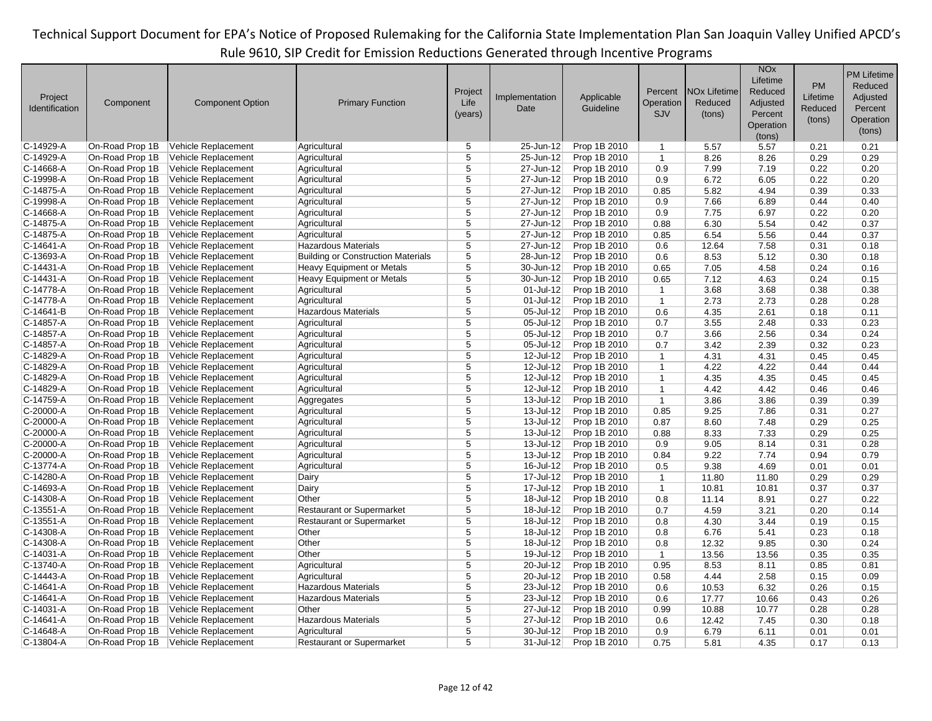|                           |                 |                         |                                           |                |                |                         |              |                                | <b>NO<sub>x</sub></b> |           | <b>PM Lifetime</b> |
|---------------------------|-----------------|-------------------------|-------------------------------------------|----------------|----------------|-------------------------|--------------|--------------------------------|-----------------------|-----------|--------------------|
|                           |                 |                         |                                           |                |                |                         |              |                                | Lifetime              | <b>PM</b> | Reduced            |
|                           |                 |                         |                                           | Project        | Implementation |                         | Percent      | <b>NO<sub>x</sub></b> Lifetime | Reduced               | Lifetime  | Adjusted           |
| Project<br>Identification | Component       | <b>Component Option</b> | <b>Primary Function</b>                   | Life           | Date           | Applicable<br>Guideline | Operation    | Reduced                        | Adjusted              | Reduced   | Percent            |
|                           |                 |                         |                                           | (years)        |                |                         | SJV          | (tons)                         | Percent               |           |                    |
|                           |                 |                         |                                           |                |                |                         |              |                                | Operation             | (tons)    | Operation          |
|                           |                 |                         |                                           |                |                |                         |              |                                | (tons)                |           | (tons)             |
| C-14929-A                 | On-Road Prop 1B | Vehicle Replacement     | Agricultural                              | 5              | 25-Jun-12      | Prop 1B 2010            | $\mathbf{1}$ | 5.57                           | 5.57                  | 0.21      | 0.21               |
| C-14929-A                 | On-Road Prop 1B | Vehicle Replacement     | Agricultural                              | 5              | 25-Jun-12      | Prop 1B 2010            | $\mathbf{1}$ | 8.26                           | 8.26                  | 0.29      | 0.29               |
| C-14668-A                 | On-Road Prop 1B | Vehicle Replacement     | Agricultural                              | 5              | 27-Jun-12      | Prop 1B 2010            | 0.9          | 7.99                           | 7.19                  | 0.22      | 0.20               |
| C-19998-A                 | On-Road Prop 1B | Vehicle Replacement     | Agricultural                              | $\overline{5}$ | 27-Jun-12      | Prop 1B 2010            | 0.9          | 6.72                           | 6.05                  | 0.22      | 0.20               |
| C-14875-A                 | On-Road Prop 1B | Vehicle Replacement     | Agricultural                              | 5              | $27$ -Jun-12   | Prop 1B 2010            | 0.85         | 5.82                           | 4.94                  | 0.39      | 0.33               |
| C-19998-A                 | On-Road Prop 1B | Vehicle Replacement     | Agricultural                              | 5              | 27-Jun-12      | Prop 1B 2010            | 0.9          | 7.66                           | 6.89                  | 0.44      | 0.40               |
| C-14668-A                 | On-Road Prop 1B | Vehicle Replacement     | Agricultural                              | $\overline{5}$ | 27-Jun-12      | Prop 1B 2010            | 0.9          | 7.75                           | 6.97                  | 0.22      | 0.20               |
| C-14875-A                 | On-Road Prop 1B | Vehicle Replacement     | Agricultural                              | 5              | 27-Jun-12      | Prop 1B 2010            | 0.88         | 6.30                           | 5.54                  | 0.42      | 0.37               |
| C-14875-A                 | On-Road Prop 1B | Vehicle Replacement     | Agricultural                              | 5              | 27-Jun-12      | Prop 1B 2010            | 0.85         | 6.54                           | 5.56                  | 0.44      | 0.37               |
| C-14641-A                 | On-Road Prop 1B | Vehicle Replacement     | <b>Hazardous Materials</b>                | $\overline{5}$ | 27-Jun-12      | Prop 1B 2010            | 0.6          | 12.64                          | 7.58                  | 0.31      | 0.18               |
| C-13693-A                 | On-Road Prop 1B | Vehicle Replacement     | <b>Building or Construction Materials</b> | $\overline{5}$ | 28-Jun-12      | Prop 1B 2010            | 0.6          | 8.53                           | 5.12                  | 0.30      | 0.18               |
| C-14431-A                 | On-Road Prop 1B | Vehicle Replacement     | Heavy Equipment or Metals                 | $\overline{5}$ | 30-Jun-12      | Prop 1B 2010            | 0.65         | 7.05                           | 4.58                  | 0.24      | 0.16               |
| C-14431-A                 | On-Road Prop 1B | Vehicle Replacement     | <b>Heavy Equipment or Metals</b>          | 5              | $30 - Jun-12$  | Prop 1B 2010            | 0.65         | 7.12                           | 4.63                  | 0.24      | 0.15               |
| C-14778-A                 | On-Road Prop 1B | Vehicle Replacement     | Agricultural                              | 5              | 01-Jul-12      | Prop 1B 2010            | $\mathbf{1}$ | 3.68                           | 3.68                  | 0.38      | 0.38               |
| C-14778-A                 | On-Road Prop 1B | Vehicle Replacement     | Agricultural                              | $\overline{5}$ | 01-Jul-12      | Prop 1B 2010            | $\mathbf{1}$ | 2.73                           | 2.73                  | 0.28      | 0.28               |
| C-14641-B                 | On-Road Prop 1B | Vehicle Replacement     | <b>Hazardous Materials</b>                | 5              | $05 -$ Jul-12  | Prop 1B 2010            | 0.6          | 4.35                           | 2.61                  | 0.18      | 0.11               |
| C-14857-A                 | On-Road Prop 1B | Vehicle Replacement     | Agricultural                              | 5              | 05-Jul-12      | Prop 1B 2010            | 0.7          | 3.55                           | 2.48                  | 0.33      | 0.23               |
| C-14857-A                 | On-Road Prop 1B | Vehicle Replacement     | Agricultural                              | 5              | 05-Jul-12      | Prop 1B 2010            | 0.7          | 3.66                           | 2.56                  | 0.34      | 0.24               |
| C-14857-A                 | On-Road Prop 1B | Vehicle Replacement     | Agricultural                              | 5              | 05-Jul-12      | Prop 1B 2010            | 0.7          | 3.42                           | 2.39                  | 0.32      | 0.23               |
| C-14829-A                 | On-Road Prop 1B | Vehicle Replacement     | Agricultural                              | 5              | 12-Jul-12      | Prop 1B 2010            | $\mathbf{1}$ | 4.31                           | 4.31                  | 0.45      | 0.45               |
| C-14829-A                 | On-Road Prop 1B | Vehicle Replacement     | Agricultural                              | $\overline{5}$ | 12-Jul-12      | Prop 1B 2010            | $\mathbf{1}$ | 4.22                           | 4.22                  | 0.44      | 0.44               |
| C-14829-A                 | On-Road Prop 1B | Vehicle Replacement     | Agricultural                              | 5              | 12-Jul-12      | Prop 1B 2010            | $\mathbf{1}$ | 4.35                           | 4.35                  | 0.45      | 0.45               |
| C-14829-A                 | On-Road Prop 1B | Vehicle Replacement     | Agricultural                              | 5              | 12-Jul-12      | Prop 1B 2010            | $\mathbf{1}$ | 4.42                           | 4.42                  | 0.46      | 0.46               |
| C-14759-A                 | On-Road Prop 1B | Vehicle Replacement     | Aggregates                                | $\overline{5}$ | $13$ -Jul-12   | Prop 1B 2010            | $\mathbf{1}$ | 3.86                           | 3.86                  | 0.39      | 0.39               |
| C-20000-A                 | On-Road Prop 1B | Vehicle Replacement     | Agricultural                              | 5              | 13-Jul-12      | Prop 1B 2010            | 0.85         | 9.25                           | 7.86                  | 0.31      | 0.27               |
| C-20000-A                 | On-Road Prop 1B | Vehicle Replacement     | Agricultural                              | 5              | 13-Jul-12      | Prop 1B 2010            | 0.87         | 8.60                           | 7.48                  | 0.29      | 0.25               |
| C-20000-A                 | On-Road Prop 1B | Vehicle Replacement     | Agricultural                              | 5              | 13-Jul-12      | Prop 1B 2010            | 0.88         | 8.33                           | 7.33                  | 0.29      | 0.25               |
| C-20000-A                 | On-Road Prop 1B | Vehicle Replacement     | Agricultural                              | 5              | 13-Jul-12      | Prop 1B 2010            | 0.9          | 9.05                           | 8.14                  | 0.31      | 0.28               |
| C-20000-A                 | On-Road Prop 1B | Vehicle Replacement     | Agricultural                              | 5              | $13 -$ Jul-12  | Prop 1B 2010            | 0.84         | 9.22                           | 7.74                  | 0.94      | 0.79               |
| C-13774-A                 | On-Road Prop 1B | Vehicle Replacement     | Agricultural                              | 5              | $16$ -Jul-12   | Prop 1B 2010            | 0.5          | 9.38                           | 4.69                  | 0.01      | 0.01               |
| C-14280-A                 | On-Road Prop 1B | Vehicle Replacement     | Dairy                                     | 5              | 17-Jul-12      | Prop 1B 2010            | $\mathbf{1}$ | 11.80                          | 11.80                 | 0.29      | 0.29               |
| C-14693-A                 | On-Road Prop 1B | Vehicle Replacement     | Dairy                                     | 5              | 17-Jul-12      | Prop 1B 2010            | $\mathbf{1}$ | 10.81                          | 10.81                 | 0.37      | 0.37               |
| C-14308-A                 | On-Road Prop 1B | Vehicle Replacement     | Other                                     | 5              | 18-Jul-12      | Prop 1B 2010            | 0.8          | 11.14                          | 8.91                  | 0.27      | 0.22               |
| C-13551-A                 | On-Road Prop 1B | Vehicle Replacement     | <b>Restaurant or Supermarket</b>          | 5              | 18-Jul-12      | Prop 1B 2010            | 0.7          | 4.59                           | 3.21                  | 0.20      | 0.14               |
| C-13551-A                 | On-Road Prop 1B | Vehicle Replacement     | <b>Restaurant or Supermarket</b>          | 5              | 18-Jul-12      | Prop 1B 2010            | 0.8          | 4.30                           | 3.44                  | 0.19      | 0.15               |
| C-14308-A                 | On-Road Prop 1B | Vehicle Replacement     | Other                                     | 5              | 18-Jul-12      | Prop 1B 2010            | 0.8          | 6.76                           | 5.41                  | 0.23      | 0.18               |
| C-14308-A                 | On-Road Prop 1B | Vehicle Replacement     | Other                                     | 5              | 18-Jul-12      | Prop 1B 2010            | 0.8          | 12.32                          | 9.85                  | 0.30      | 0.24               |
| C-14031-A                 | On-Road Prop 1B | Vehicle Replacement     | Other                                     | $\overline{5}$ | $19 -$ Jul-12  | Prop 1B 2010            | $\mathbf{1}$ | 13.56                          | 13.56                 | 0.35      | 0.35               |
| C-13740-A                 | On-Road Prop 1B | Vehicle Replacement     | Agricultural                              | 5              | 20-Jul-12      | Prop 1B 2010            | 0.95         | 8.53                           | 8.11                  | 0.85      | 0.81               |
| C-14443-A                 | On-Road Prop 1B | Vehicle Replacement     | Agricultural                              | 5              | 20-Jul-12      | Prop 1B 2010            | 0.58         | 4.44                           | 2.58                  | 0.15      | 0.09               |
| C-14641-A                 | On-Road Prop 1B | Vehicle Replacement     | <b>Hazardous Materials</b>                | 5              | 23-Jul-12      | Prop 1B 2010            | 0.6          | 10.53                          | 6.32                  | 0.26      | 0.15               |
| C-14641-A                 | On-Road Prop 1B | Vehicle Replacement     | <b>Hazardous Materials</b>                | 5              | 23-Jul-12      | Prop 1B 2010            | 0.6          | 17.77                          | 10.66                 | 0.43      | 0.26               |
| C-14031-A                 | On-Road Prop 1B | Vehicle Replacement     | Other                                     | 5              | 27-Jul-12      | Prop 1B 2010            | 0.99         | 10.88                          | 10.77                 | 0.28      | 0.28               |
| C-14641-A                 | On-Road Prop 1B | Vehicle Replacement     | <b>Hazardous Materials</b>                | 5              | 27-Jul-12      | Prop 1B 2010            | 0.6          | 12.42                          | 7.45                  | 0.30      | 0.18               |
| C-14648-A                 | On-Road Prop 1B | Vehicle Replacement     | Agricultural                              | 5              | 30-Jul-12      | Prop 1B 2010            | 0.9          | 6.79                           | 6.11                  | 0.01      | 0.01               |
| C-13804-A                 | On-Road Prop 1B | Vehicle Replacement     | <b>Restaurant or Supermarket</b>          | 5              | 31-Jul-12      | Prop 1B 2010            | 0.75         | 5.81                           | 4.35                  | 0.17      | 0.13               |
|                           |                 |                         |                                           |                |                |                         |              |                                |                       |           |                    |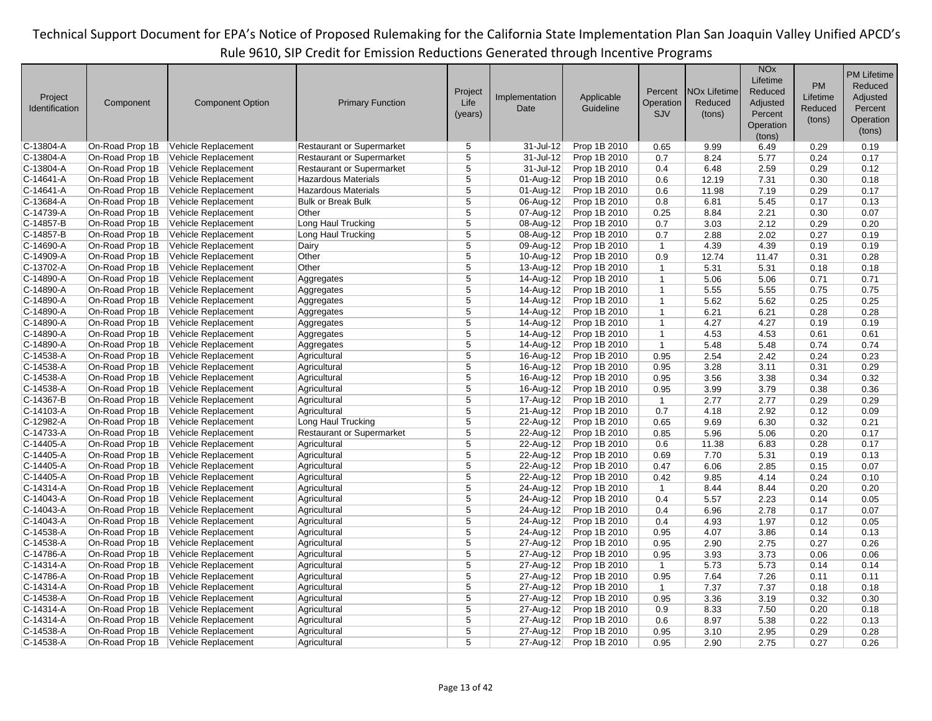|                |                 |                         |                                  |                |                |              |                |                     | <b>NO<sub>x</sub></b> |          | <b>PM Lifetime</b> |
|----------------|-----------------|-------------------------|----------------------------------|----------------|----------------|--------------|----------------|---------------------|-----------------------|----------|--------------------|
|                |                 |                         |                                  |                |                |              |                |                     | Lifetime              | PM       | Reduced            |
| Project        |                 |                         |                                  | Project        | Implementation | Applicable   | Percent        | <b>NOx Lifetime</b> | Reduced               | Lifetime | Adjusted           |
| Identification | Component       | <b>Component Option</b> | <b>Primary Function</b>          | Life           | Date           | Guideline    | Operation      | Reduced             | Adjusted              | Reduced  | Percent            |
|                |                 |                         |                                  | (years)        |                |              | <b>SJV</b>     | (tons)              | Percent               |          | Operation          |
|                |                 |                         |                                  |                |                |              |                |                     | Operation             | (tons)   |                    |
|                |                 |                         |                                  |                |                |              |                |                     | (tons)                |          | (tons)             |
| $C-13804-A$    | On-Road Prop 1B | Vehicle Replacement     | <b>Restaurant or Supermarket</b> | 5              | 31-Jul-12      | Prop 1B 2010 | 0.65           | 9.99                | 6.49                  | 0.29     | 0.19               |
| $C-13804-A$    | On-Road Prop 1B | Vehicle Replacement     | <b>Restaurant or Supermarket</b> | 5              | 31-Jul-12      | Prop 1B 2010 | 0.7            | 8.24                | 5.77                  | 0.24     | 0.17               |
| $C-13804-A$    | On-Road Prop 1B | Vehicle Replacement     | <b>Restaurant or Supermarket</b> | 5              | 31-Jul-12      | Prop 1B 2010 | 0.4            | 6.48                | 2.59                  | 0.29     | 0.12               |
| $C-14641-A$    | On-Road Prop 1B | Vehicle Replacement     | <b>Hazardous Materials</b>       | $\overline{5}$ | 01-Aug-12      | Prop 1B 2010 | 0.6            | 12.19               | 7.31                  | 0.30     | 0.18               |
| $C-14641-A$    | On-Road Prop 1B | Vehicle Replacement     | <b>Hazardous Materials</b>       | 5              | 01-Aug-12      | Prop 1B 2010 | 0.6            | 11.98               | 7.19                  | 0.29     | 0.17               |
| C-13684-A      | On-Road Prop 1B | Vehicle Replacement     | <b>Bulk or Break Bulk</b>        | 5              | 06-Aug-12      | Prop 1B 2010 | 0.8            | 6.81                | 5.45                  | 0.17     | 0.13               |
| $C-14739-A$    | On-Road Prop 1B | Vehicle Replacement     | Other                            | 5              | 07-Aug-12      | Prop 1B 2010 | 0.25           | 8.84                | 2.21                  | 0.30     | 0.07               |
| $C-14857-B$    | On-Road Prop 1B | Vehicle Replacement     | Long Haul Trucking               | 5              | 08-Aug-12      | Prop 1B 2010 | 0.7            | 3.03                | 2.12                  | 0.29     | 0.20               |
| $C-14857-B$    | On-Road Prop 1B | Vehicle Replacement     | Long Haul Trucking               | 5              | 08-Aug-12      | Prop 1B 2010 | 0.7            | 2.88                | 2.02                  | 0.27     | 0.19               |
| $C-14690-A$    | On-Road Prop 1B | Vehicle Replacement     | Dairy                            | $\overline{5}$ | 09-Aug-12      | Prop 1B 2010 | $\mathbf{1}$   | 4.39                | 4.39                  | 0.19     | 0.19               |
| C-14909-A      | On-Road Prop 1B | Vehicle Replacement     | Other                            | $\overline{5}$ | $10-Aug-12$    | Prop 1B 2010 | 0.9            | 12.74               | 11.47                 | 0.31     | 0.28               |
| C-13702-A      | On-Road Prop 1B | Vehicle Replacement     | Other                            | $\overline{5}$ | $13-Aug-12$    | Prop 1B 2010 | $\mathbf{1}$   | 5.31                | 5.31                  | 0.18     | 0.18               |
| C-14890-A      | On-Road Prop 1B | Vehicle Replacement     | Aggregates                       | 5              | 14-Aug-12      | Prop 1B 2010 | $\mathbf{1}$   | 5.06                | 5.06                  | 0.71     | 0.71               |
| $C-14890-A$    | On-Road Prop 1B | Vehicle Replacement     | Aggregates                       | $\overline{5}$ | 14-Aug-12      | Prop 1B 2010 | $\mathbf{1}$   | 5.55                | 5.55                  | 0.75     | 0.75               |
| C-14890-A      | On-Road Prop 1B | Vehicle Replacement     | Aggregates                       | $\overline{5}$ | $14-Aug-12$    | Prop 1B 2010 | $\mathbf{1}$   | 5.62                | 5.62                  | 0.25     | 0.25               |
| $C-14890-A$    | On-Road Prop 1B | Vehicle Replacement     | Aggregates                       | $\overline{5}$ | 14-Aug-12      | Prop 1B 2010 | $\mathbf{1}$   | 6.21                | 6.21                  | 0.28     | 0.28               |
| $C-14890-A$    | On-Road Prop 1B | Vehicle Replacement     | Aggregates                       | 5              | 14-Aug-12      | Prop 1B 2010 | $\mathbf{1}$   | 4.27                | 4.27                  | 0.19     | 0.19               |
| C-14890-A      | On-Road Prop 1B | Vehicle Replacement     | Aggregates                       | $\overline{5}$ | 14-Aug-12      | Prop 1B 2010 | $\mathbf{1}$   | 4.53                | 4.53                  | 0.61     | 0.61               |
| $C-14890-A$    | On-Road Prop 1B | Vehicle Replacement     | Aggregates                       | $\overline{5}$ | 14-Aug-12      | Prop 1B 2010 | $\mathbf{1}$   | 5.48                | 5.48                  | 0.74     | 0.74               |
| $C-14538-A$    | On-Road Prop 1B | Vehicle Replacement     | Agricultural                     | $\overline{5}$ | 16-Aug-12      | Prop 1B 2010 | 0.95           | 2.54                | 2.42                  | 0.24     | 0.23               |
| $C-14538-A$    | On-Road Prop 1B | Vehicle Replacement     | Agricultural                     | $\overline{5}$ | 16-Aug-12      | Prop 1B 2010 | 0.95           | 3.28                | 3.11                  | 0.31     | 0.29               |
| $C-14538-A$    | On-Road Prop 1B | Vehicle Replacement     | Agricultural                     | 5              | 16-Aug-12      | Prop 1B 2010 | 0.95           | 3.56                | 3.38                  | 0.34     | 0.32               |
| C-14538-A      | On-Road Prop 1B | Vehicle Replacement     | Agricultural                     | $\overline{5}$ | 16-Aug-12      | Prop 1B 2010 | 0.95           | 3.99                | 3.79                  | 0.38     | 0.36               |
| $C-14367-B$    | On-Road Prop 1B | Vehicle Replacement     | Agricultural                     | $\overline{5}$ | 17-Aug-12      | Prop 1B 2010 | $\mathbf{1}$   | 2.77                | 2.77                  | 0.29     | 0.29               |
| $C-14103-A$    | On-Road Prop 1B | Vehicle Replacement     | Agricultural                     | 5              | 21-Aug-12      | Prop 1B 2010 | 0.7            | 4.18                | 2.92                  | 0.12     | 0.09               |
| C-12982-A      | On-Road Prop 1B | Vehicle Replacement     | Long Haul Trucking               | $\overline{5}$ | 22-Aug-12      | Prop 1B 2010 | 0.65           | 9.69                | 6.30                  | 0.32     | 0.21               |
| $C-14733-A$    | On-Road Prop 1B | Vehicle Replacement     | <b>Restaurant or Supermarket</b> | 5              | 22-Aug-12      | Prop 1B 2010 | 0.85           | 5.96                | 5.06                  | 0.20     | 0.17               |
| $C-14405 - A$  | On-Road Prop 1B | Vehicle Replacement     | Agricultural                     | 5              | 22-Aug-12      | Prop 1B 2010 | 0.6            | 11.38               | 6.83                  | 0.28     | 0.17               |
| $C-14405-A$    | On-Road Prop 1B | Vehicle Replacement     | Agricultural                     | $\overline{5}$ | 22-Aug-12      | Prop 1B 2010 | 0.69           | 7.70                | 5.31                  | 0.19     | 0.13               |
| $C-14405 - A$  | On-Road Prop 1B | Vehicle Replacement     | Agricultural                     | 5              | 22-Aug-12      | Prop 1B 2010 | 0.47           | 6.06                | 2.85                  | 0.15     | 0.07               |
| $C-14405-A$    | On-Road Prop 1B | Vehicle Replacement     | Agricultural                     | $\overline{5}$ | 22-Aug-12      | Prop 1B 2010 | 0.42           | 9.85                | 4.14                  | 0.24     | 0.10               |
| $C-14314-A$    | On-Road Prop 1B | Vehicle Replacement     | Agricultural                     | $\overline{5}$ | 24-Aug-12      | Prop 1B 2010 | $\overline{1}$ | 8.44                | 8.44                  | 0.20     | 0.20               |
| C-14043-A      | On-Road Prop 1B | Vehicle Replacement     | Agricultural                     | 5              | 24-Aug-12      | Prop 1B 2010 | 0.4            | 5.57                | 2.23                  | 0.14     | 0.05               |
| $C-14043-A$    | On-Road Prop 1B | Vehicle Replacement     | Agricultural                     | 5              | 24-Aug-12      | Prop 1B 2010 | 0.4            | 6.96                | 2.78                  | 0.17     | 0.07               |
| $C-14043-A$    | On-Road Prop 1B | Vehicle Replacement     | Agricultural                     | $\overline{5}$ | 24-Aug-12      | Prop 1B 2010 | 0.4            | 4.93                | 1.97                  | 0.12     | 0.05               |
| $C-14538-A$    | On-Road Prop 1B | Vehicle Replacement     | Agricultural                     | 5              | 24-Aug-12      | Prop 1B 2010 | 0.95           | 4.07                | 3.86                  | 0.14     | 0.13               |
| C-14538-A      | On-Road Prop 1B | Vehicle Replacement     | Agricultural                     | $\overline{5}$ | 27-Aug-12      | Prop 1B 2010 | 0.95           | 2.90                | 2.75                  | 0.27     | 0.26               |
| C-14786-A      | On-Road Prop 1B | Vehicle Replacement     | Agricultural                     | 5              | 27-Aug-12      | Prop 1B 2010 | 0.95           | 3.93                | 3.73                  | 0.06     | 0.06               |
| $C-14314-A$    | On-Road Prop 1B | Vehicle Replacement     | Agricultural                     | 5              | 27-Aug-12      | Prop 1B 2010 | $\mathbf{1}$   | 5.73                | 5.73                  | 0.14     | 0.14               |
| C-14786-A      | On-Road Prop 1B | Vehicle Replacement     | Agricultural                     | 5              | 27-Aug-12      | Prop 1B 2010 | 0.95           | 7.64                | 7.26                  | 0.11     | 0.11               |
| $C-14314-A$    | On-Road Prop 1B | Vehicle Replacement     | Agricultural                     | 5              | 27-Aug-12      | Prop 1B 2010 | $\mathbf{1}$   | 7.37                | 7.37                  | 0.18     | 0.18               |
| $C-14538-A$    | On-Road Prop 1B | Vehicle Replacement     | Agricultural                     | $\overline{5}$ | 27-Aug-12      | Prop 1B 2010 | 0.95           | 3.36                | 3.19                  | 0.32     | 0.30               |
| $C-14314-A$    | On-Road Prop 1B | Vehicle Replacement     | Agricultural                     | $\overline{5}$ | 27-Aug-12      | Prop 1B 2010 | 0.9            | 8.33                | 7.50                  | 0.20     | 0.18               |
| $C-14314-A$    | On-Road Prop 1B | Vehicle Replacement     | Agricultural                     | $\overline{5}$ | 27-Aug-12      | Prop 1B 2010 | 0.6            | 8.97                | 5.38                  | 0.22     | 0.13               |
| $C-14538-A$    | On-Road Prop 1B | Vehicle Replacement     | Agricultural                     | 5              | 27-Aug-12      | Prop 1B 2010 | 0.95           | 3.10                | 2.95                  | 0.29     | 0.28               |
| $C-14538-A$    | On-Road Prop 1B | Vehicle Replacement     | Agricultural                     | 5              | 27-Aug-12      | Prop 1B 2010 | 0.95           | 2.90                | 2.75                  | 0.27     | 0.26               |
|                |                 |                         |                                  |                |                |              |                |                     |                       |          |                    |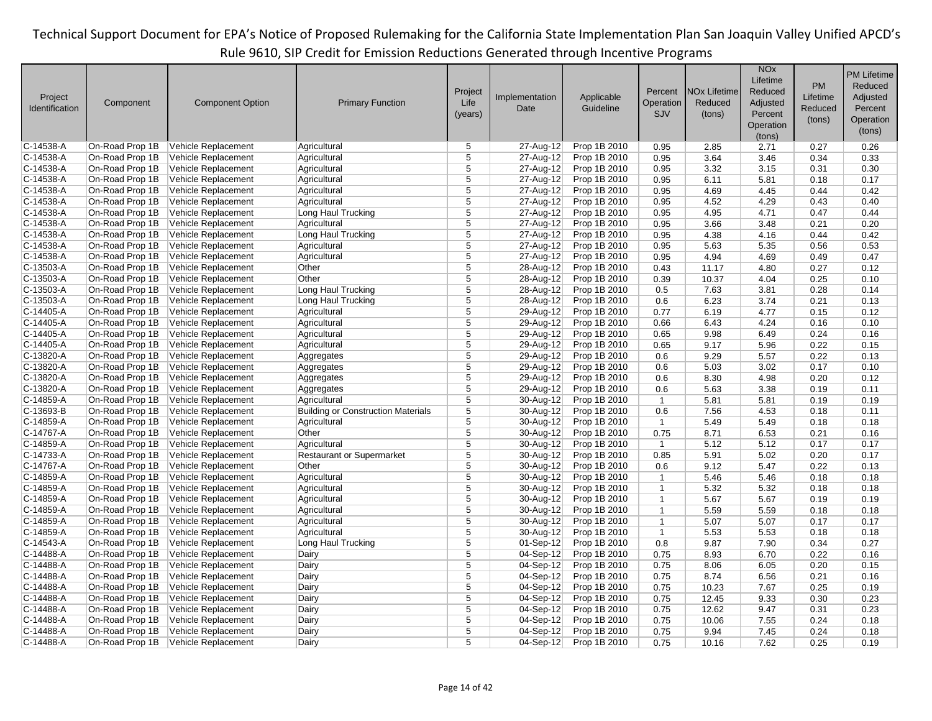|                        |                                    |                         |                                           |                |                |              |                |                                | <b>NO<sub>x</sub></b> |          | <b>PM Lifetime</b> |
|------------------------|------------------------------------|-------------------------|-------------------------------------------|----------------|----------------|--------------|----------------|--------------------------------|-----------------------|----------|--------------------|
|                        |                                    |                         |                                           |                |                |              |                |                                | Lifetime              | PM       | Reduced            |
| Project                |                                    |                         |                                           | Project        | Implementation | Applicable   | Percent        | <b>NO<sub>x</sub></b> Lifetime | Reduced               | Lifetime | Adjusted           |
| Identification         | Component                          | <b>Component Option</b> | <b>Primary Function</b>                   | Life           | Date           | Guideline    | Operation      | Reduced                        | Adjusted              | Reduced  | Percent            |
|                        |                                    |                         |                                           | (years)        |                |              | <b>SJV</b>     | (tons)                         | Percent               | (tons)   | Operation          |
|                        |                                    |                         |                                           |                |                |              |                |                                | Operation             |          | (tons)             |
| C-14538-A              | On-Road Prop 1B                    | Vehicle Replacement     | Agricultural                              | 5              | 27-Aug-12      | Prop 1B 2010 | 0.95           | 2.85                           | (tons)<br>2.71        | 0.27     | 0.26               |
| C-14538-A              | On-Road Prop 1B                    | Vehicle Replacement     | Agricultural                              | 5              | 27-Aug-12      | Prop 1B 2010 | 0.95           | 3.64                           | 3.46                  | 0.34     | 0.33               |
| C-14538-A              | On-Road Prop 1B                    | Vehicle Replacement     | Agricultural                              | 5              | 27-Aug-12      | Prop 1B 2010 |                |                                |                       | 0.31     |                    |
|                        |                                    |                         |                                           | $\overline{5}$ | 27-Aug-12      |              | 0.95           | 3.32                           | 3.15                  |          | 0.30               |
| C-14538-A              | On-Road Prop 1B                    | Vehicle Replacement     | Agricultural                              |                |                | Prop 1B 2010 | 0.95           | 6.11                           | 5.81                  | 0.18     | 0.17               |
| C-14538-A              | On-Road Prop 1B                    | Vehicle Replacement     | Agricultural                              | $\overline{5}$ | 27-Aug-12      | Prop 1B 2010 | 0.95           | 4.69                           | 4.45                  | 0.44     | 0.42               |
| C-14538-A              | On-Road Prop 1B                    | Vehicle Replacement     | Agricultural                              | 5              | 27-Aug-12      | Prop 1B 2010 | 0.95           | 4.52                           | 4.29                  | 0.43     | 0.40               |
| C-14538-A              | On-Road Prop 1B                    | Vehicle Replacement     | Long Haul Trucking                        | 5              | 27-Aug-12      | Prop 1B 2010 | 0.95           | 4.95                           | 4.71                  | 0.47     | 0.44               |
| C-14538-A              | On-Road Prop 1B                    | Vehicle Replacement     | Agricultural                              | 5              | 27-Aug-12      | Prop 1B 2010 | 0.95           | 3.66                           | 3.48                  | 0.21     | 0.20               |
| C-14538-A              | On-Road Prop 1B                    | Vehicle Replacement     | Long Haul Trucking                        | $\overline{5}$ | 27-Aug-12      | Prop 1B 2010 | 0.95           | 4.38                           | 4.16                  | 0.44     | 0.42               |
| C-14538-A              | On-Road Prop 1B                    | Vehicle Replacement     | Agricultural                              | $\overline{5}$ | 27-Aug-12      | Prop 1B 2010 | 0.95           | 5.63                           | 5.35                  | 0.56     | 0.53               |
| C-14538-A              | On-Road Prop 1B                    | Vehicle Replacement     | Agricultural                              | 5              | 27-Aug-12      | Prop 1B 2010 | 0.95           | 4.94                           | 4.69                  | 0.49     | 0.47               |
| C-13503-A              | On-Road Prop 1B                    | Vehicle Replacement     | Other                                     | $\overline{5}$ | 28-Aug-12      | Prop 1B 2010 | 0.43           | 11.17                          | 4.80                  | 0.27     | 0.12               |
| C-13503-A              | On-Road Prop 1B                    | Vehicle Replacement     | Other                                     | 5              | 28-Aug-12      | Prop 1B 2010 | 0.39           | 10.37                          | 4.04                  | 0.25     | 0.10               |
| C-13503-A              | On-Road Prop 1B                    | Vehicle Replacement     | Long Haul Trucking                        | $\overline{5}$ | 28-Aug-12      | Prop 1B 2010 | 0.5            | 7.63                           | 3.81                  | 0.28     | 0.14               |
| C-13503-A              | On-Road Prop 1B                    | Vehicle Replacement     | Long Haul Trucking                        | $\overline{5}$ | 28-Aug-12      | Prop 1B 2010 | 0.6            | 6.23                           | 3.74                  | 0.21     | 0.13               |
| C-14405-A              | On-Road Prop 1B                    | Vehicle Replacement     | Agricultural                              | 5              | 29-Aug-12      | Prop 1B 2010 | 0.77           | 6.19                           | 4.77                  | 0.15     | 0.12               |
| C-14405-A              | On-Road Prop 1B                    | Vehicle Replacement     | Agricultural                              | $\overline{5}$ | 29-Aug-12      | Prop 1B 2010 | 0.66           | 6.43                           | 4.24                  | 0.16     | 0.10               |
| C-14405-A              | On-Road Prop 1B                    | Vehicle Replacement     | Agricultural                              | 5              | 29-Aug-12      | Prop 1B 2010 | 0.65           | 9.98                           | 6.49                  | 0.24     | 0.16               |
| C-14405-A              | On-Road Prop 1B                    | Vehicle Replacement     | Agricultural                              | 5              | 29-Aug-12      | Prop 1B 2010 | 0.65           | 9.17                           | 5.96                  | 0.22     | 0.15               |
| C-13820-A              | On-Road Prop 1B                    | Vehicle Replacement     | Aggregates                                | $\overline{5}$ | 29-Aug-12      | Prop 1B 2010 | 0.6            | 9.29                           | 5.57                  | 0.22     | 0.13               |
| C-13820-A              | On-Road Prop 1B                    | Vehicle Replacement     | Aggregates                                | 5              | 29-Aug-12      | Prop 1B 2010 | 0.6            | 5.03                           | 3.02                  | 0.17     | 0.10               |
| C-13820-A              | On-Road Prop 1B                    | Vehicle Replacement     | Aggregates                                | 5              | 29-Aug-12      | Prop 1B 2010 | 0.6            | 8.30                           | 4.98                  | 0.20     | 0.12               |
| C-13820-A              | On-Road Prop 1B                    | Vehicle Replacement     | Aggregates                                | $\overline{5}$ | 29-Aug-12      | Prop 1B 2010 | 0.6            | 5.63                           | 3.38                  | 0.19     | 0.11               |
| C-14859-A              | On-Road Prop 1B                    | Vehicle Replacement     | Agricultural                              | 5              | 30-Aug-12      | Prop 1B 2010 | $\mathbf{1}$   | 5.81                           | 5.81                  | 0.19     | 0.19               |
| C-13693-B              | On-Road Prop 1B                    | Vehicle Replacement     | <b>Building or Construction Materials</b> | 5              | 30-Aug-12      | Prop 1B 2010 | 0.6            | 7.56                           | 4.53                  | 0.18     | 0.11               |
| C-14859-A              | On-Road Prop 1B                    | Vehicle Replacement     | Agricultural                              | $\overline{5}$ | 30-Aug-12      | Prop 1B 2010 | $\mathbf{1}$   | 5.49                           | 5.49                  | 0.18     | 0.18               |
| C-14767-A              | On-Road Prop 1B                    | Vehicle Replacement     | Other                                     | $\overline{5}$ | 30-Aug-12      | Prop 1B 2010 | 0.75           | 8.71                           | 6.53                  | 0.21     | 0.16               |
| C-14859-A              | On-Road Prop 1B                    | Vehicle Replacement     | Agricultural                              | 5              | 30-Aug-12      | Prop 1B 2010 | $\overline{1}$ | 5.12                           | 5.12                  | 0.17     | 0.17               |
| C-14733-A              | On-Road Prop 1B                    | Vehicle Replacement     | <b>Restaurant or Supermarket</b>          | $\overline{5}$ | 30-Aug-12      | Prop 1B 2010 | 0.85           | 5.91                           | 5.02                  | 0.20     | 0.17               |
| C-14767-A              | On-Road Prop 1B                    | Vehicle Replacement     | Other                                     | 5              | 30-Aug-12      | Prop 1B 2010 | 0.6            | 9.12                           | 5.47                  | 0.22     | 0.13               |
| C-14859-A              | On-Road Prop 1B                    | Vehicle Replacement     | Agricultural                              | 5              | 30-Aug-12      | Prop 1B 2010 | $\mathbf{1}$   | 5.46                           | 5.46                  | 0.18     | 0.18               |
| C-14859-A              | On-Road Prop 1B                    | Vehicle Replacement     | Agricultural                              | $\overline{5}$ | 30-Aug-12      | Prop 1B 2010 | $\mathbf{1}$   | 5.32                           | 5.32                  | 0.18     | 0.18               |
| C-14859-A              | On-Road Prop 1B                    | Vehicle Replacement     | Agricultural                              | 5              | 30-Aug-12      | Prop 1B 2010 | $\mathbf{1}$   | 5.67                           | 5.67                  | 0.19     | 0.19               |
| C-14859-A              | On-Road Prop 1B                    | Vehicle Replacement     | Agricultural                              | $\overline{5}$ | 30-Aug-12      | Prop 1B 2010 | $\mathbf{1}$   | 5.59                           | 5.59                  | 0.18     | 0.18               |
| C-14859-A              | On-Road Prop 1B                    | Vehicle Replacement     | Agricultural                              | 5              | 30-Aug-12      | Prop 1B 2010 | $\mathbf{1}$   | 5.07                           | 5.07                  | 0.17     | 0.17               |
| C-14859-A              | On-Road Prop 1B                    | Vehicle Replacement     | Agricultural                              | $\overline{5}$ | 30-Aug-12      | Prop 1B 2010 | $\mathbf{1}$   | 5.53                           | 5.53                  | 0.18     | 0.18               |
| C-14543-A              | On-Road Prop 1B                    | Vehicle Replacement     | Long Haul Trucking                        | $\overline{5}$ | 01-Sep-12      | Prop 1B 2010 | 0.8            | 9.87                           | 7.90                  | 0.34     | 0.27               |
| C-14488-A              | On-Road Prop 1B                    | Vehicle Replacement     | Dairy                                     | 5              | 04-Sep-12      | Prop 1B 2010 | 0.75           | 8.93                           | 6.70                  | 0.22     | 0.16               |
|                        |                                    |                         |                                           | 5              |                |              |                |                                |                       |          |                    |
| C-14488-A<br>C-14488-A | On-Road Prop 1B<br>On-Road Prop 1B | Vehicle Replacement     | Dairy                                     | 5              | 04-Sep-12      | Prop 1B 2010 | 0.75           | 8.06                           | 6.05                  | 0.20     | 0.15               |
|                        |                                    | Vehicle Replacement     | Dairy                                     | 5              | 04-Sep-12      | Prop 1B 2010 | 0.75           | 8.74                           | 6.56                  | 0.21     | 0.16               |
| C-14488-A              | On-Road Prop 1B                    | Vehicle Replacement     | Dairy                                     | $\overline{5}$ | 04-Sep-12      | Prop 1B 2010 | 0.75           | 10.23                          | 7.67                  | 0.25     | 0.19               |
| C-14488-A              | On-Road Prop 1B                    | Vehicle Replacement     | Dairy                                     |                | 04-Sep-12      | Prop 1B 2010 | 0.75           | 12.45                          | 9.33                  | 0.30     | 0.23               |
| C-14488-A              | On-Road Prop 1B                    | Vehicle Replacement     | Dairy                                     | 5              | 04-Sep-12      | Prop 1B 2010 | 0.75           | 12.62                          | 9.47                  | 0.31     | 0.23               |
| C-14488-A              | On-Road Prop 1B                    | Vehicle Replacement     | Dairy                                     | 5              | $04-Sep-12$    | Prop 1B 2010 | 0.75           | 10.06                          | 7.55                  | 0.24     | 0.18               |
| C-14488-A              | On-Road Prop 1B                    | Vehicle Replacement     | Dairy                                     | $\overline{5}$ | 04-Sep-12      | Prop 1B 2010 | 0.75           | 9.94                           | 7.45                  | 0.24     | 0.18               |
| C-14488-A              | On-Road Prop 1B                    | Vehicle Replacement     | Dairy                                     | 5              | $04-Sep-12$    | Prop 1B 2010 | 0.75           | 10.16                          | 7.62                  | 0.25     | 0.19               |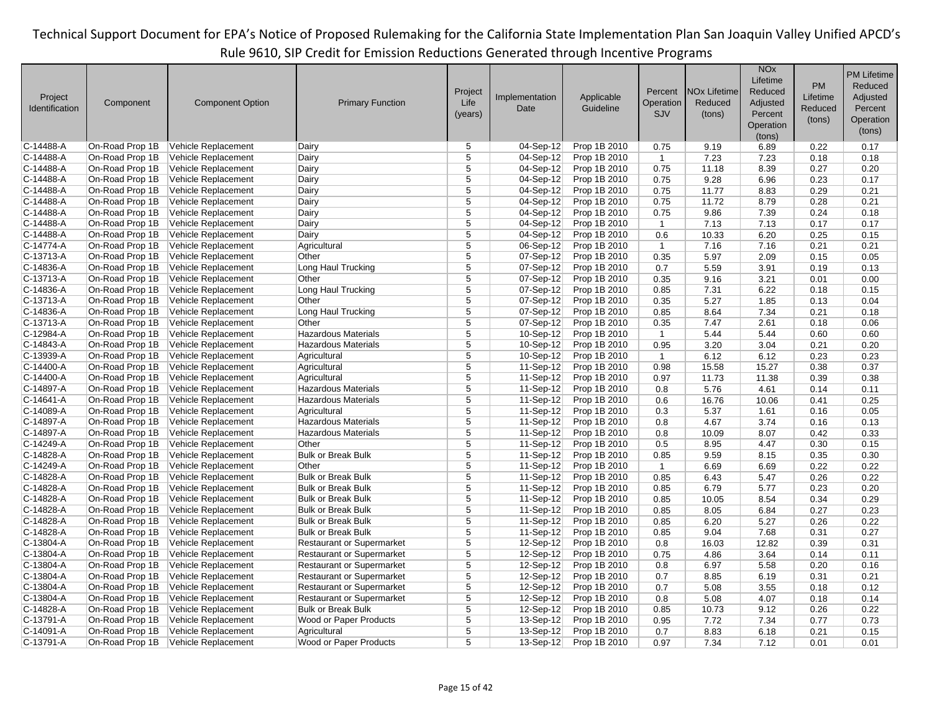|                |                 |                         |                                  |                |                         |                         |                |                                | <b>NO<sub>x</sub></b> |           | <b>PM Lifetime</b> |
|----------------|-----------------|-------------------------|----------------------------------|----------------|-------------------------|-------------------------|----------------|--------------------------------|-----------------------|-----------|--------------------|
|                |                 |                         |                                  |                |                         |                         |                |                                | Lifetime              | <b>PM</b> | Reduced            |
| Project        |                 |                         |                                  | Project        | Implementation          |                         | Percent        | <b>NO<sub>x</sub></b> Lifetime | Reduced               | Lifetime  | Adjusted           |
| Identification | Component       | <b>Component Option</b> | <b>Primary Function</b>          | Life           | Date                    | Applicable<br>Guideline | Operation      | Reduced                        | Adjusted              | Reduced   | Percent            |
|                |                 |                         |                                  | (years)        |                         |                         | SJV            | (tons)                         | Percent               |           |                    |
|                |                 |                         |                                  |                |                         |                         |                |                                | Operation             | (tons)    | Operation          |
|                |                 |                         |                                  |                |                         |                         |                |                                | (tons)                |           | (tons)             |
| C-14488-A      | On-Road Prop 1B | Vehicle Replacement     | Dairy                            | 5              | 04-Sep-12               | Prop 1B 2010            | 0.75           | 9.19                           | 6.89                  | 0.22      | 0.17               |
| C-14488-A      | On-Road Prop 1B | Vehicle Replacement     | Dairy                            | 5              | $\overline{04}$ -Sep-12 | Prop 1B 2010            | $\mathbf{1}$   | 7.23                           | 7.23                  | 0.18      | 0.18               |
| C-14488-A      | On-Road Prop 1B | Vehicle Replacement     | Dairy                            | $\overline{5}$ | 04-Sep-12               | Prop 1B 2010            | 0.75           | 11.18                          | 8.39                  | 0.27      | 0.20               |
| C-14488-A      | On-Road Prop 1B | Vehicle Replacement     | Dairy                            | $\overline{5}$ | $04-Sep-12$             | Prop 1B 2010            | 0.75           | 9.28                           | 6.96                  | 0.23      | 0.17               |
| C-14488-A      | On-Road Prop 1B | Vehicle Replacement     | Dairy                            | $\overline{5}$ | 04-Sep-12               | Prop 1B 2010            | 0.75           | 11.77                          | 8.83                  | 0.29      | 0.21               |
| C-14488-A      | On-Road Prop 1B | Vehicle Replacement     | Dairy                            | 5              | 04-Sep-12               | Prop 1B 2010            | 0.75           | 11.72                          | 8.79                  | 0.28      | 0.21               |
| C-14488-A      | On-Road Prop 1B | Vehicle Replacement     | Dairy                            | $\overline{5}$ | 04-Sep-12               | Prop 1B 2010            | 0.75           | 9.86                           | 7.39                  | 0.24      | 0.18               |
| C-14488-A      | On-Road Prop 1B | Vehicle Replacement     | Dairy                            | 5              | $04-Sep-12$             | Prop 1B 2010            | $\overline{1}$ | 7.13                           | 7.13                  | 0.17      | 0.17               |
| C-14488-A      | On-Road Prop 1B | Vehicle Replacement     | Dairy                            | $\overline{5}$ | 04-Sep-12               | Prop 1B 2010            | 0.6            | 10.33                          | 6.20                  | 0.25      | 0.15               |
| C-14774-A      | On-Road Prop 1B | Vehicle Replacement     | Agricultural                     | 5              | 06-Sep-12               | Prop 1B 2010            | $\overline{1}$ | 7.16                           | 7.16                  | 0.21      | 0.21               |
| C-13713-A      | On-Road Prop 1B | Vehicle Replacement     | Other                            | $\overline{5}$ | $07-Sep-12$             | Prop 1B 2010            | 0.35           | 5.97                           | 2.09                  | 0.15      | 0.05               |
| C-14836-A      | On-Road Prop 1B | Vehicle Replacement     | Long Haul Trucking               | $\overline{5}$ | 07-Sep-12               | Prop 1B 2010            | 0.7            | 5.59                           | 3.91                  | 0.19      | 0.13               |
| C-13713-A      | On-Road Prop 1B | Vehicle Replacement     | Other                            | 5              | 07-Sep-12               | Prop 1B 2010            | 0.35           | 9.16                           | 3.21                  | 0.01      | 0.00               |
| C-14836-A      | On-Road Prop 1B | Vehicle Replacement     | Long Haul Trucking               | 5              | 07-Sep-12               | Prop 1B 2010            | 0.85           | 7.31                           | 6.22                  | 0.18      | 0.15               |
| C-13713-A      | On-Road Prop 1B | Vehicle Replacement     | Other                            | $\overline{5}$ | 07-Sep-12               | Prop 1B 2010            | 0.35           | 5.27                           | 1.85                  | 0.13      | 0.04               |
| C-14836-A      | On-Road Prop 1B | Vehicle Replacement     | Long Haul Trucking               | 5              | 07-Sep-12               | Prop 1B 2010            | 0.85           | 8.64                           | 7.34                  | 0.21      | 0.18               |
| C-13713-A      | On-Road Prop 1B | Vehicle Replacement     | Other                            | 5              | 07-Sep-12               | Prop 1B 2010            | 0.35           | 7.47                           | 2.61                  | 0.18      | 0.06               |
| C-12984-A      | On-Road Prop 1B | Vehicle Replacement     | <b>Hazardous Materials</b>       | $\overline{5}$ | 10-Sep-12               | Prop 1B 2010            | $\mathbf{1}$   | 5.44                           | 5.44                  | 0.60      | 0.60               |
| C-14843-A      | On-Road Prop 1B | Vehicle Replacement     | <b>Hazardous Materials</b>       | 5              | $10-Sep-12$             | Prop 1B 2010            | 0.95           | 3.20                           | 3.04                  | 0.21      | 0.20               |
| C-13939-A      | On-Road Prop 1B | Vehicle Replacement     | Agricultural                     | 5              | 10-Sep-12               | Prop 1B 2010            | $\overline{1}$ | 6.12                           | 6.12                  | 0.23      | 0.23               |
| C-14400-A      | On-Road Prop 1B | Vehicle Replacement     | Agricultural                     | 5              | 11-Sep-12               | Prop 1B 2010            | 0.98           | 15.58                          | 15.27                 | 0.38      | 0.37               |
| C-14400-A      | On-Road Prop 1B | Vehicle Replacement     | Agricultural                     | 5              | 11-Sep-12               | Prop 1B 2010            | 0.97           | 11.73                          | 11.38                 | 0.39      | 0.38               |
| C-14897-A      | On-Road Prop 1B | Vehicle Replacement     | <b>Hazardous Materials</b>       | 5              | 11-Sep-12               | Prop 1B 2010            | 0.8            | 5.76                           | 4.61                  | 0.14      | 0.11               |
| C-14641-A      | On-Road Prop 1B | Vehicle Replacement     | <b>Hazardous Materials</b>       | 5              | 11-Sep-12               | Prop 1B 2010            | 0.6            | 16.76                          | 10.06                 | 0.41      | 0.25               |
| C-14089-A      | On-Road Prop 1B | Vehicle Replacement     | Agricultural                     | 5              | $11-Sep-12$             | Prop 1B 2010            | 0.3            | 5.37                           | 1.61                  | 0.16      | 0.05               |
| C-14897-A      | On-Road Prop 1B | Vehicle Replacement     | <b>Hazardous Materials</b>       | 5              | 11-Sep-12               | Prop 1B 2010            | 0.8            | 4.67                           | 3.74                  | 0.16      | 0.13               |
| C-14897-A      | On-Road Prop 1B | Vehicle Replacement     | <b>Hazardous Materials</b>       | $\overline{5}$ | 11-Sep-12               | Prop 1B 2010            | 0.8            | 10.09                          | 8.07                  | 0.42      | 0.33               |
| C-14249-A      | On-Road Prop 1B | Vehicle Replacement     | Other                            | 5              | 11-Sep-12               | Prop 1B 2010            | 0.5            | 8.95                           | 4.47                  | 0.30      | 0.15               |
| C-14828-A      | On-Road Prop 1B | Vehicle Replacement     | <b>Bulk or Break Bulk</b>        | 5              | 11-Sep-12               | Prop 1B 2010            | 0.85           | 9.59                           | 8.15                  | 0.35      | 0.30               |
| C-14249-A      | On-Road Prop 1B | Vehicle Replacement     | Other                            | 5              | 11-Sep-12               | Prop 1B 2010            | $\mathbf{1}$   | 6.69                           | 6.69                  | 0.22      | 0.22               |
| C-14828-A      | On-Road Prop 1B | Vehicle Replacement     | <b>Bulk or Break Bulk</b>        | $\overline{5}$ | 11-Sep-12               | Prop 1B 2010            | 0.85           | 6.43                           | 5.47                  | 0.26      | 0.22               |
| C-14828-A      | On-Road Prop 1B | Vehicle Replacement     | <b>Bulk or Break Bulk</b>        | $\overline{5}$ | 11-Sep-12               | Prop 1B 2010            | 0.85           | 6.79                           | 5.77                  | 0.23      | 0.20               |
| C-14828-A      | On-Road Prop 1B | Vehicle Replacement     | <b>Bulk or Break Bulk</b>        | $\overline{5}$ | 11-Sep-12               | Prop 1B 2010            | 0.85           | 10.05                          | 8.54                  | 0.34      | 0.29               |
| C-14828-A      | On-Road Prop 1B | Vehicle Replacement     | <b>Bulk or Break Bulk</b>        | 5              | $11-Sep-12$             | Prop 1B 2010            | 0.85           | 8.05                           | 6.84                  | 0.27      | 0.23               |
| C-14828-A      | On-Road Prop 1B | Vehicle Replacement     | <b>Bulk or Break Bulk</b>        | $\overline{5}$ | 11-Sep-12               | Prop 1B 2010            | 0.85           | 6.20                           | 5.27                  | 0.26      | 0.22               |
| C-14828-A      | On-Road Prop 1B | Vehicle Replacement     | <b>Bulk or Break Bulk</b>        | 5              | $11-Sep-12$             | Prop 1B 2010            | 0.85           | 9.04                           | 7.68                  | 0.31      | 0.27               |
| C-13804-A      | On-Road Prop 1B | Vehicle Replacement     | <b>Restaurant or Supermarket</b> | 5              | 12-Sep-12               | Prop 1B 2010            | 0.8            | 16.03                          | 12.82                 | 0.39      | 0.31               |
| C-13804-A      | On-Road Prop 1B | Vehicle Replacement     | <b>Restaurant or Supermarket</b> | $\overline{5}$ | 12-Sep-12               | Prop 1B 2010            | 0.75           | 4.86                           | 3.64                  | 0.14      | 0.11               |
| C-13804-A      | On-Road Prop 1B | Vehicle Replacement     | <b>Restaurant or Supermarket</b> | $\overline{5}$ | 12-Sep-12               | Prop 1B 2010            | 0.8            | 6.97                           | 5.58                  | 0.20      | 0.16               |
| C-13804-A      | On-Road Prop 1B | Vehicle Replacement     | <b>Restaurant or Supermarket</b> | 5              | 12-Sep-12               | Prop 1B 2010            | 0.7            | 8.85                           | 6.19                  | 0.31      | 0.21               |
| C-13804-A      | On-Road Prop 1B | Vehicle Replacement     | <b>Restaurant or Supermarket</b> | 5              | 12-Sep-12               | Prop 1B 2010            | 0.7            | 5.08                           | 3.55                  | 0.18      | 0.12               |
| C-13804-A      | On-Road Prop 1B | Vehicle Replacement     | <b>Restaurant or Supermarket</b> | 5              | 12-Sep-12               | Prop 1B 2010            | 0.8            | 5.08                           | 4.07                  | 0.18      | 0.14               |
| C-14828-A      | On-Road Prop 1B | Vehicle Replacement     | <b>Bulk or Break Bulk</b>        | $\overline{5}$ | 12-Sep-12               | Prop 1B 2010            | 0.85           | 10.73                          | 9.12                  | 0.26      | 0.22               |
| C-13791-A      | On-Road Prop 1B | Vehicle Replacement     | Wood or Paper Products           | $\overline{5}$ | 13-Sep-12               | Prop 1B 2010            | 0.95           | 7.72                           | 7.34                  | 0.77      | 0.73               |
| C-14091-A      | On-Road Prop 1B | Vehicle Replacement     | Agricultural                     | 5              | 13-Sep-12               | Prop 1B 2010            | 0.7            | 8.83                           | 6.18                  | 0.21      | 0.15               |
| C-13791-A      | On-Road Prop 1B | Vehicle Replacement     | Wood or Paper Products           | 5              | $13-Sep-12$             | Prop 1B 2010            | 0.97           | 7.34                           | 7.12                  | 0.01      | 0.01               |
|                |                 |                         |                                  |                |                         |                         |                |                                |                       |           |                    |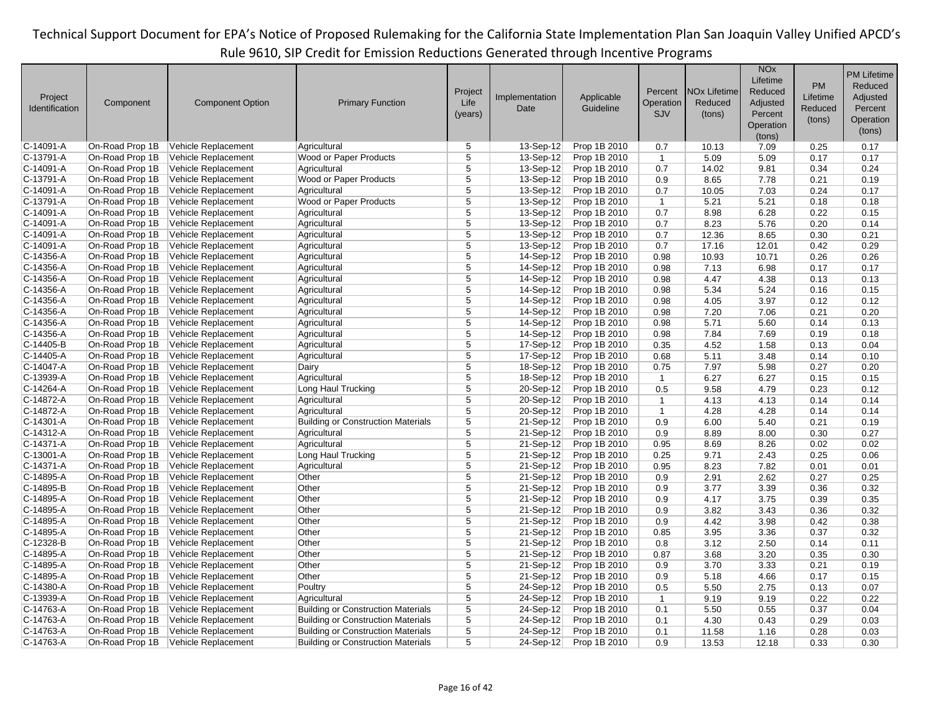| Project<br>Identification | Component       | <b>Component Option</b> | <b>Primary Function</b>                   | Project<br>Life<br>(years) | Implementation<br>Date | Applicable<br>Guideline | Percent<br>Operation<br><b>SJV</b> | <b>NO<sub>x</sub></b> Lifetime<br>Reduced<br>(tons) | <b>NO<sub>x</sub></b><br>Lifetime<br>Reduced<br>Adjusted<br>Percent<br>Operation<br>(tons) | <b>PM</b><br>Lifetime<br>Reduced<br>(tons) | <b>PM Lifetime</b><br>Reduced<br>Adjusted<br>Percent<br>Operation<br>(tons) |
|---------------------------|-----------------|-------------------------|-------------------------------------------|----------------------------|------------------------|-------------------------|------------------------------------|-----------------------------------------------------|--------------------------------------------------------------------------------------------|--------------------------------------------|-----------------------------------------------------------------------------|
| $C-14091-A$               | On-Road Prop 1B | Vehicle Replacement     | Agricultural                              | 5                          | 13-Sep-12              | Prop 1B 2010            | 0.7                                | 10.13                                               | 7.09                                                                                       | 0.25                                       | 0.17                                                                        |
| $C-13791-A$               | On-Road Prop 1B | Vehicle Replacement     | Wood or Paper Products                    | 5                          | 13-Sep-12              | Prop 1B 2010            | $\mathbf{1}$                       | 5.09                                                | 5.09                                                                                       | 0.17                                       | 0.17                                                                        |
| $C-14091-A$               | On-Road Prop 1B | Vehicle Replacement     | Agricultural                              | 5                          | 13-Sep-12              | Prop 1B 2010            | 0.7                                | 14.02                                               | 9.81                                                                                       | 0.34                                       | 0.24                                                                        |
| $C-13791-A$               | On-Road Prop 1B | Vehicle Replacement     | Wood or Paper Products                    | $\overline{5}$             | 13-Sep-12              | Prop 1B 2010            | 0.9                                | 8.65                                                | 7.78                                                                                       | 0.21                                       | 0.19                                                                        |
| $C-14091-A$               | On-Road Prop 1B | Vehicle Replacement     | Agricultural                              | $\overline{5}$             | 13-Sep-12              | Prop 1B 2010            | 0.7                                | 10.05                                               | 7.03                                                                                       | 0.24                                       | 0.17                                                                        |
| $C-13791-A$               | On-Road Prop 1B | Vehicle Replacement     | Wood or Paper Products                    | 5                          | 13-Sep-12              | Prop 1B 2010            | $\mathbf{1}$                       | 5.21                                                | 5.21                                                                                       | 0.18                                       | 0.18                                                                        |
| C-14091-A                 | On-Road Prop 1B | Vehicle Replacement     | Agricultural                              | $\overline{5}$             | 13-Sep-12              | Prop 1B 2010            | 0.7                                | 8.98                                                | 6.28                                                                                       | 0.22                                       | 0.15                                                                        |
| $C-14091-A$               | On-Road Prop 1B | Vehicle Replacement     | Agricultural                              | 5                          | 13-Sep-12              | Prop 1B 2010            | 0.7                                | 8.23                                                | 5.76                                                                                       | 0.20                                       | 0.14                                                                        |
| $C-14091-A$               | On-Road Prop 1B | Vehicle Replacement     | Agricultural                              | $\overline{5}$             | 13-Sep-12              | Prop 1B 2010            | 0.7                                | 12.36                                               | 8.65                                                                                       | 0.30                                       | 0.21                                                                        |
| $C-14091-A$               | On-Road Prop 1B | Vehicle Replacement     | Agricultural                              | $\overline{5}$             | 13-Sep-12              | Prop 1B 2010            | 0.7                                | 17.16                                               | 12.01                                                                                      | 0.42                                       | 0.29                                                                        |
| $C-14356-A$               | On-Road Prop 1B | Vehicle Replacement     | Agricultural                              | $\overline{5}$             | 14-Sep-12              | Prop 1B 2010            | 0.98                               | 10.93                                               | 10.71                                                                                      | 0.26                                       | 0.26                                                                        |
| $C-14356-A$               | On-Road Prop 1B | Vehicle Replacement     | Agricultural                              | $\overline{5}$             | 14-Sep-12              | Prop 1B 2010            | 0.98                               | 7.13                                                | 6.98                                                                                       | 0.17                                       | 0.17                                                                        |
| $C-14356-A$               | On-Road Prop 1B | Vehicle Replacement     | Agricultural                              | 5                          | 14-Sep-12              | Prop 1B 2010            | 0.98                               | 4.47                                                | 4.38                                                                                       | 0.13                                       | 0.13                                                                        |
| $C-14356-A$               | On-Road Prop 1B | Vehicle Replacement     | Agricultural                              | 5                          | 14-Sep-12              | Prop 1B 2010            | 0.98                               | 5.34                                                | 5.24                                                                                       | 0.16                                       | 0.15                                                                        |
| $C-14356-A$               | On-Road Prop 1B | Vehicle Replacement     | Agricultural                              | $\overline{5}$             | 14-Sep-12              | Prop 1B 2010            | 0.98                               | 4.05                                                | 3.97                                                                                       | 0.12                                       | 0.12                                                                        |
| C-14356-A                 | On-Road Prop 1B | Vehicle Replacement     | Agricultural                              | 5                          | 14-Sep-12              | Prop 1B 2010            | 0.98                               | 7.20                                                | 7.06                                                                                       | 0.21                                       | 0.20                                                                        |
| $C-14356-A$               | On-Road Prop 1B | Vehicle Replacement     | Agricultural                              | 5                          | 14-Sep-12              | Prop 1B 2010            | 0.98                               | 5.71                                                | 5.60                                                                                       | 0.14                                       | 0.13                                                                        |
| C-14356-A                 | On-Road Prop 1B | Vehicle Replacement     | Agricultural                              | 5                          | 14-Sep-12              | Prop 1B 2010            | 0.98                               | 7.84                                                | 7.69                                                                                       | 0.19                                       | 0.18                                                                        |
| $C-14405-B$               | On-Road Prop 1B | Vehicle Replacement     | Agricultural                              | 5                          | 17-Sep-12              | Prop 1B 2010            | 0.35                               | 4.52                                                | 1.58                                                                                       | 0.13                                       | 0.04                                                                        |
| $C-14405 - A$             | On-Road Prop 1B | Vehicle Replacement     | Agricultural                              | $\overline{5}$             | 17-Sep-12              | Prop 1B 2010            | 0.68                               | 5.11                                                | 3.48                                                                                       | 0.14                                       | 0.10                                                                        |
| C-14047-A                 | On-Road Prop 1B | Vehicle Replacement     | Dairy                                     | $\overline{5}$             | 18-Sep-12              | Prop 1B 2010            | 0.75                               | 7.97                                                | 5.98                                                                                       | 0.27                                       | 0.20                                                                        |
| $C-13939-A$               | On-Road Prop 1B | Vehicle Replacement     | Agricultural                              | 5                          | 18-Sep-12              | Prop 1B 2010            | $\mathbf{1}$                       | 6.27                                                | 6.27                                                                                       | 0.15                                       | 0.15                                                                        |
| C-14264-A                 | On-Road Prop 1B | Vehicle Replacement     | Long Haul Trucking                        | $\overline{5}$             | 20-Sep-12              | Prop 1B 2010            | 0.5                                | 9.58                                                | 4.79                                                                                       | 0.23                                       | 0.12                                                                        |
| C-14872-A                 | On-Road Prop 1B | Vehicle Replacement     | Agricultural                              | $\overline{5}$             | 20-Sep-12              | Prop 1B 2010            | $\mathbf{1}$                       | 4.13                                                | 4.13                                                                                       | 0.14                                       | 0.14                                                                        |
| C-14872-A                 | On-Road Prop 1B | Vehicle Replacement     | Agricultural                              | 5                          | 20-Sep-12              | Prop 1B 2010            | $\overline{1}$                     | 4.28                                                | 4.28                                                                                       | 0.14                                       | 0.14                                                                        |
| $C-14301-A$               | On-Road Prop 1B | Vehicle Replacement     | <b>Building or Construction Materials</b> | $\overline{5}$             | 21-Sep-12              | Prop 1B 2010            | 0.9                                | 6.00                                                | 5.40                                                                                       | 0.21                                       | 0.19                                                                        |
| $C-14312-A$               | On-Road Prop 1B | Vehicle Replacement     | Agricultural                              | 5                          | 21-Sep-12              | Prop 1B 2010            | 0.9                                | 8.89                                                | 8.00                                                                                       | 0.30                                       | 0.27                                                                        |
| $C-14371-A$               | On-Road Prop 1B | Vehicle Replacement     | Agricultural                              | 5                          | 21-Sep-12              | Prop 1B 2010            | 0.95                               | 8.69                                                | 8.26                                                                                       | 0.02                                       | 0.02                                                                        |
| $C-13001-A$               | On-Road Prop 1B | Vehicle Replacement     | Long Haul Trucking                        | 5                          | 21-Sep-12              | Prop 1B 2010            | 0.25                               | 9.71                                                | 2.43                                                                                       | 0.25                                       | 0.06                                                                        |
| $C-14371-A$               | On-Road Prop 1B | Vehicle Replacement     | Agricultural                              | 5                          | 21-Sep-12              | Prop 1B 2010            | 0.95                               | 8.23                                                | 7.82                                                                                       | 0.01                                       | 0.01                                                                        |
| $C-14895-A$               | On-Road Prop 1B | Vehicle Replacement     | Other                                     | $\overline{5}$             | 21-Sep-12              | Prop 1B 2010            | 0.9                                | 2.91                                                | 2.62                                                                                       | 0.27                                       | 0.25                                                                        |
| $C-14895 - B$             | On-Road Prop 1B | Vehicle Replacement     | Other                                     | $\overline{5}$             | 21-Sep-12              | Prop 1B 2010            | 0.9                                | 3.77                                                | 3.39                                                                                       | 0.36                                       | 0.32                                                                        |
| $C-14895-A$               | On-Road Prop 1B | Vehicle Replacement     | Other                                     | 5                          | 21-Sep-12              | Prop 1B 2010            | 0.9                                | 4.17                                                | 3.75                                                                                       | 0.39                                       | 0.35                                                                        |
| $C-14895-A$               | On-Road Prop 1B | Vehicle Replacement     | Other                                     | 5                          | 21-Sep-12              | Prop 1B 2010            | 0.9                                | 3.82                                                | 3.43                                                                                       | 0.36                                       | 0.32                                                                        |
| $C-14895-A$               | On-Road Prop 1B | Vehicle Replacement     | Other                                     | $\overline{5}$             | 21-Sep-12              | Prop 1B 2010            | 0.9                                | 4.42                                                | 3.98                                                                                       | 0.42                                       | 0.38                                                                        |
| $C-14895-A$               | On-Road Prop 1B | Vehicle Replacement     | Other                                     | 5                          | 21-Sep-12              | Prop 1B 2010            | 0.85                               | 3.95                                                | 3.36                                                                                       | 0.37                                       | 0.32                                                                        |
| C-12328-B                 | On-Road Prop 1B | Vehicle Replacement     | Other                                     | $\overline{5}$             | 21-Sep-12              | Prop 1B 2010            | 0.8                                | 3.12                                                | 2.50                                                                                       | 0.14                                       | 0.11                                                                        |
| C-14895-A                 | On-Road Prop 1B | Vehicle Replacement     | Other                                     | $\overline{5}$             | $21-Sep-12$            | Prop 1B 2010            | 0.87                               | 3.68                                                | 3.20                                                                                       | 0.35                                       | 0.30                                                                        |
| $C-14895-A$               | On-Road Prop 1B | Vehicle Replacement     | Other                                     | 5                          | 21-Sep-12              | Prop 1B 2010            | 0.9                                | 3.70                                                | 3.33                                                                                       | 0.21                                       | 0.19                                                                        |
| $C-14895-A$               | On-Road Prop 1B | Vehicle Replacement     | Other                                     | $\overline{5}$             | 21-Sep-12              | Prop 1B 2010            | 0.9                                | 5.18                                                | 4.66                                                                                       | 0.17                                       | 0.15                                                                        |
| $C-14380-A$               | On-Road Prop 1B | Vehicle Replacement     | Poultry                                   | 5                          | 24-Sep-12              | Prop 1B 2010            | 0.5                                | 5.50                                                | 2.75                                                                                       | 0.13                                       | 0.07                                                                        |
| $C-13939-A$               | On-Road Prop 1B | Vehicle Replacement     | Agricultural                              | $\overline{5}$             | 24-Sep-12              | Prop 1B 2010            | $\mathbf{1}$                       | 9.19                                                | 9.19                                                                                       | 0.22                                       | 0.22                                                                        |
| C-14763-A                 | On-Road Prop 1B | Vehicle Replacement     | <b>Building or Construction Materials</b> | 5                          | 24-Sep-12              | Prop 1B 2010            | 0.1                                | 5.50                                                | 0.55                                                                                       | 0.37                                       | 0.04                                                                        |
| C-14763-A                 | On-Road Prop 1B | Vehicle Replacement     | <b>Building or Construction Materials</b> | 5                          | 24-Sep-12              | Prop 1B 2010            | 0.1                                | 4.30                                                | 0.43                                                                                       | 0.29                                       | 0.03                                                                        |
| C-14763-A                 | On-Road Prop 1B | Vehicle Replacement     | <b>Building or Construction Materials</b> | $\overline{5}$             | $24-Sep-12$            | Prop 1B 2010            | 0.1                                | 11.58                                               | 1.16                                                                                       | 0.28                                       | 0.03                                                                        |
| $C-14763-A$               | On-Road Prop 1B | Vehicle Replacement     | <b>Building or Construction Materials</b> | 5                          | 24-Sep-12              | Prop 1B 2010            | 0.9                                | 13.53                                               | 12.18                                                                                      | 0.33                                       | 0.30                                                                        |
|                           |                 |                         |                                           |                            |                        |                         |                                    |                                                     |                                                                                            |                                            |                                                                             |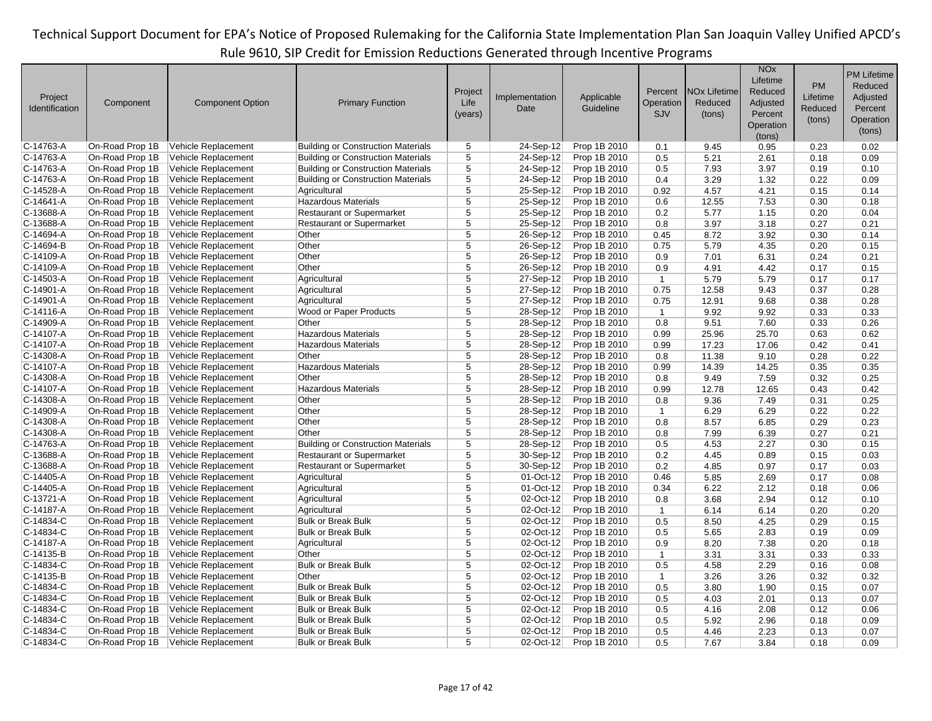|                |                 |                         |                                           |                         |                         |              |              |                                | <b>NO<sub>x</sub></b> |          | <b>PM Lifetime</b> |
|----------------|-----------------|-------------------------|-------------------------------------------|-------------------------|-------------------------|--------------|--------------|--------------------------------|-----------------------|----------|--------------------|
|                |                 |                         |                                           |                         |                         |              |              |                                | Lifetime              | PM       | Reduced            |
| Project        |                 |                         |                                           | Project                 | Implementation          | Applicable   | Percent      | <b>NO<sub>x</sub></b> Lifetime | Reduced               | Lifetime | Adjusted           |
| Identification | Component       | <b>Component Option</b> | <b>Primary Function</b>                   | Life                    | Date                    | Guideline    | Operation    | Reduced                        | Adjusted              | Reduced  | Percent            |
|                |                 |                         |                                           | (years)                 |                         |              | <b>SJV</b>   | (tons)                         | Percent               |          |                    |
|                |                 |                         |                                           |                         |                         |              |              |                                | Operation             | (tons)   | Operation          |
|                |                 |                         |                                           |                         |                         |              |              |                                | (tons)                |          | (tons)             |
| $C-14763-A$    | On-Road Prop 1B | Vehicle Replacement     | <b>Building or Construction Materials</b> | 5                       | 24-Sep-12               | Prop 1B 2010 | 0.1          | 9.45                           | 0.95                  | 0.23     | 0.02               |
| C-14763-A      | On-Road Prop 1B | Vehicle Replacement     | <b>Building or Construction Materials</b> | 5                       | 24-Sep-12               | Prop 1B 2010 | 0.5          | 5.21                           | 2.61                  | 0.18     | 0.09               |
| C-14763-A      | On-Road Prop 1B | Vehicle Replacement     | <b>Building or Construction Materials</b> | $\overline{5}$          | 24-Sep-12               | Prop 1B 2010 | 0.5          | 7.93                           | 3.97                  | 0.19     | 0.10               |
| C-14763-A      | On-Road Prop 1B | Vehicle Replacement     | <b>Building or Construction Materials</b> | $\overline{5}$          | 24-Sep-12               | Prop 1B 2010 | 0.4          | 3.29                           | 1.32                  | 0.22     | 0.09               |
| $C-14528-A$    | On-Road Prop 1B | Vehicle Replacement     | Agricultural                              | $\overline{5}$          | 25-Sep-12               | Prop 1B 2010 | 0.92         | 4.57                           | 4.21                  | 0.15     | 0.14               |
| $C-14641-A$    | On-Road Prop 1B | Vehicle Replacement     | <b>Hazardous Materials</b>                | 5                       | 25-Sep-12               | Prop 1B 2010 | 0.6          | 12.55                          | 7.53                  | 0.30     | 0.18               |
| $C-13688-A$    | On-Road Prop 1B | Vehicle Replacement     | Restaurant or Supermarket                 | $\overline{5}$          | 25-Sep-12               | Prop 1B 2010 | 0.2          | 5.77                           | 1.15                  | 0.20     | 0.04               |
| $C-13688-A$    | On-Road Prop 1B | Vehicle Replacement     | <b>Restaurant or Supermarket</b>          | 5                       | 25-Sep-12               | Prop 1B 2010 | 0.8          | 3.97                           | 3.18                  | 0.27     | 0.21               |
| C-14694-A      | On-Road Prop 1B | Vehicle Replacement     | Other                                     | 5                       | 26-Sep-12               | Prop 1B 2010 | 0.45         | 8.72                           | 3.92                  | 0.30     | 0.14               |
| $C-14694-B$    | On-Road Prop 1B | Vehicle Replacement     | Other                                     | $\overline{5}$          | 26-Sep-12               | Prop 1B 2010 | 0.75         | 5.79                           | 4.35                  | 0.20     | 0.15               |
| C-14109-A      | On-Road Prop 1B | Vehicle Replacement     | Other                                     | $\overline{5}$          | 26-Sep-12               | Prop 1B 2010 | 0.9          | 7.01                           | 6.31                  | 0.24     | 0.21               |
| $C-14109-A$    | On-Road Prop 1B | Vehicle Replacement     | Other                                     | $\overline{5}$          | 26-Sep-12               | Prop 1B 2010 | 0.9          | 4.91                           | 4.42                  | 0.17     | 0.15               |
| C-14503-A      | On-Road Prop 1B | Vehicle Replacement     | Agricultural                              | 5                       | 27-Sep-12               | Prop 1B 2010 | $\mathbf{1}$ | 5.79                           | 5.79                  | 0.17     | 0.17               |
| $C-14901-A$    | On-Road Prop 1B | Vehicle Replacement     | Agricultural                              | $\overline{5}$          | 27-Sep-12               | Prop 1B 2010 | 0.75         | 12.58                          | 9.43                  | 0.37     | 0.28               |
| $C-14901-A$    | On-Road Prop 1B | Vehicle Replacement     | Agricultural                              | $\overline{5}$          | 27-Sep-12               | Prop 1B 2010 | 0.75         | 12.91                          | 9.68                  | 0.38     | 0.28               |
| $C-14116-A$    | On-Road Prop 1B | Vehicle Replacement     | Wood or Paper Products                    | $\overline{5}$          | 28-Sep-12               | Prop 1B 2010 | $\mathbf{1}$ | 9.92                           | 9.92                  | 0.33     | 0.33               |
| $C-14909-A$    | On-Road Prop 1B | Vehicle Replacement     | Other                                     | 5                       | 28-Sep-12               | Prop 1B 2010 | 0.8          | 9.51                           | 7.60                  | 0.33     | 0.26               |
| C-14107-A      | On-Road Prop 1B | Vehicle Replacement     | <b>Hazardous Materials</b>                | $\overline{5}$          | 28-Sep-12               | Prop 1B 2010 | 0.99         | 25.96                          | 25.70                 | 0.63     | 0.62               |
| $C-14107-A$    | On-Road Prop 1B | Vehicle Replacement     | <b>Hazardous Materials</b>                | $\overline{5}$          | 28-Sep-12               | Prop 1B 2010 | 0.99         | 17.23                          | 17.06                 | 0.42     | 0.41               |
| $C-14308-A$    | On-Road Prop 1B | Vehicle Replacement     | Other                                     | $\overline{5}$          | 28-Sep-12               | Prop 1B 2010 | 0.8          | 11.38                          | 9.10                  | 0.28     | 0.22               |
| $C-14107-A$    | On-Road Prop 1B | Vehicle Replacement     | <b>Hazardous Materials</b>                | $\overline{5}$          | 28-Sep-12               | Prop 1B 2010 | 0.99         | 14.39                          | 14.25                 | 0.35     | 0.35               |
| $C-14308-A$    | On-Road Prop 1B | Vehicle Replacement     | Other                                     | 5                       | 28-Sep-12               | Prop 1B 2010 | 0.8          | 9.49                           | 7.59                  | 0.32     | 0.25               |
| C-14107-A      | On-Road Prop 1B | Vehicle Replacement     | <b>Hazardous Materials</b>                | $\overline{\mathbf{5}}$ | 28-Sep-12               | Prop 1B 2010 | 0.99         | 12.78                          | 12.65                 | 0.43     | 0.42               |
| $C-14308-A$    | On-Road Prop 1B | Vehicle Replacement     | Other                                     | $\overline{5}$          | 28-Sep-12               | Prop 1B 2010 | 0.8          | 9.36                           | 7.49                  | 0.31     | 0.25               |
| $C-14909-A$    | On-Road Prop 1B | Vehicle Replacement     | Other                                     | 5                       | 28-Sep-12               | Prop 1B 2010 | $\mathbf{1}$ | 6.29                           | 6.29                  | 0.22     | 0.22               |
| $C-14308-A$    | On-Road Prop 1B | Vehicle Replacement     | Other                                     | $\overline{5}$          | 28-Sep-12               | Prop 1B 2010 | 0.8          | 8.57                           | 6.85                  | 0.29     | 0.23               |
| $C-14308-A$    | On-Road Prop 1B | Vehicle Replacement     | Other                                     | 5                       | 28-Sep-12               | Prop 1B 2010 | 0.8          | 7.99                           | 6.39                  | 0.27     | 0.21               |
| C-14763-A      | On-Road Prop 1B | Vehicle Replacement     | <b>Building or Construction Materials</b> | 5                       | 28-Sep-12               | Prop 1B 2010 | 0.5          | 4.53                           | 2.27                  | 0.30     | 0.15               |
| $C-13688-A$    | On-Road Prop 1B | Vehicle Replacement     | <b>Restaurant or Supermarket</b>          | $\overline{5}$          | 30-Sep-12               | Prop 1B 2010 | 0.2          | 4.45                           | 0.89                  | 0.15     | 0.03               |
| $C-13688-A$    | On-Road Prop 1B | Vehicle Replacement     | <b>Restaurant or Supermarket</b>          | 5                       | 30-Sep-12               | Prop 1B 2010 | 0.2          | 4.85                           | 0.97                  | 0.17     | 0.03               |
| $C-14405-A$    | On-Road Prop 1B | Vehicle Replacement     | Agricultural                              | $\overline{5}$          | 01-Oct-12               | Prop 1B 2010 | 0.46         | 5.85                           | 2.69                  | 0.17     | 0.08               |
| $C-14405-A$    | On-Road Prop 1B | Vehicle Replacement     | Agricultural                              | $\overline{5}$          | 01-Oct-12               | Prop 1B 2010 | 0.34         | 6.22                           | 2.12                  | 0.18     | 0.06               |
| $C-13721-A$    | On-Road Prop 1B | Vehicle Replacement     | Agricultural                              | 5                       | 02-Oct-12               | Prop 1B 2010 | 0.8          | 3.68                           | 2.94                  | 0.12     | 0.10               |
| $C-14187-A$    | On-Road Prop 1B | Vehicle Replacement     | Agricultural                              | 5                       | 02-Oct-12               | Prop 1B 2010 | $\mathbf{1}$ | 6.14                           | 6.14                  | 0.20     | 0.20               |
| C-14834-C      | On-Road Prop 1B | Vehicle Replacement     | <b>Bulk or Break Bulk</b>                 | $\overline{\mathbf{5}}$ | 02-Oct-12               | Prop 1B 2010 | 0.5          | 8.50                           | 4.25                  | 0.29     | 0.15               |
| $C-14834-C$    | On-Road Prop 1B | Vehicle Replacement     | <b>Bulk or Break Bulk</b>                 | $\overline{5}$          | 02-Oct-12               | Prop 1B 2010 | 0.5          | 5.65                           | 2.83                  | 0.19     | 0.09               |
| C-14187-A      | On-Road Prop 1B | Vehicle Replacement     | Agricultural                              | $\overline{5}$          | 02-Oct-12               | Prop 1B 2010 | 0.9          | 8.20                           | 7.38                  | 0.20     | 0.18               |
| C-14135-B      | On-Road Prop 1B | Vehicle Replacement     | Other                                     | $\overline{5}$          | 02-Oct-12               | Prop 1B 2010 | $\mathbf{1}$ | 3.31                           | 3.31                  | 0.33     | 0.33               |
| $C-14834-C$    | On-Road Prop 1B | Vehicle Replacement     | <b>Bulk or Break Bulk</b>                 | 5                       | 02-Oct-12               | Prop 1B 2010 | 0.5          | 4.58                           | 2.29                  | 0.16     | 0.08               |
| $C-14135-B$    | On-Road Prop 1B | Vehicle Replacement     | Other                                     | 5                       | 02-Oct-12               | Prop 1B 2010 | $\mathbf{1}$ | 3.26                           | 3.26                  | 0.32     | 0.32               |
| $C-14834-C$    | On-Road Prop 1B | Vehicle Replacement     | <b>Bulk or Break Bulk</b>                 | 5                       | $\overline{02}$ -Oct-12 | Prop 1B 2010 | 0.5          | 3.80                           | 1.90                  | 0.15     | 0.07               |
| $C-14834-C$    | On-Road Prop 1B | Vehicle Replacement     | <b>Bulk or Break Bulk</b>                 | $\overline{5}$          | 02-Oct-12               | Prop 1B 2010 | 0.5          | 4.03                           | 2.01                  | 0.13     | 0.07               |
| C-14834-C      | On-Road Prop 1B | Vehicle Replacement     | <b>Bulk or Break Bulk</b>                 | $\overline{5}$          | 02-Oct-12               | Prop 1B 2010 | 0.5          | 4.16                           | 2.08                  | 0.12     | 0.06               |
| $C-14834-C$    | On-Road Prop 1B | Vehicle Replacement     | <b>Bulk or Break Bulk</b>                 | $\overline{5}$          | 02-Oct-12               | Prop 1B 2010 | 0.5          | 5.92                           | 2.96                  | 0.18     | 0.09               |
| $C-14834-C$    | On-Road Prop 1B | Vehicle Replacement     | <b>Bulk or Break Bulk</b>                 | 5                       | 02-Oct-12               | Prop 1B 2010 | 0.5          | 4.46                           | 2.23                  | 0.13     | 0.07               |
| C-14834-C      | On-Road Prop 1B | Vehicle Replacement     | <b>Bulk or Break Bulk</b>                 | $\overline{5}$          | 02-Oct-12               | Prop 1B 2010 | 0.5          | 7.67                           | 3.84                  | 0.18     | 0.09               |
|                |                 |                         |                                           |                         |                         |              |              |                                |                       |          |                    |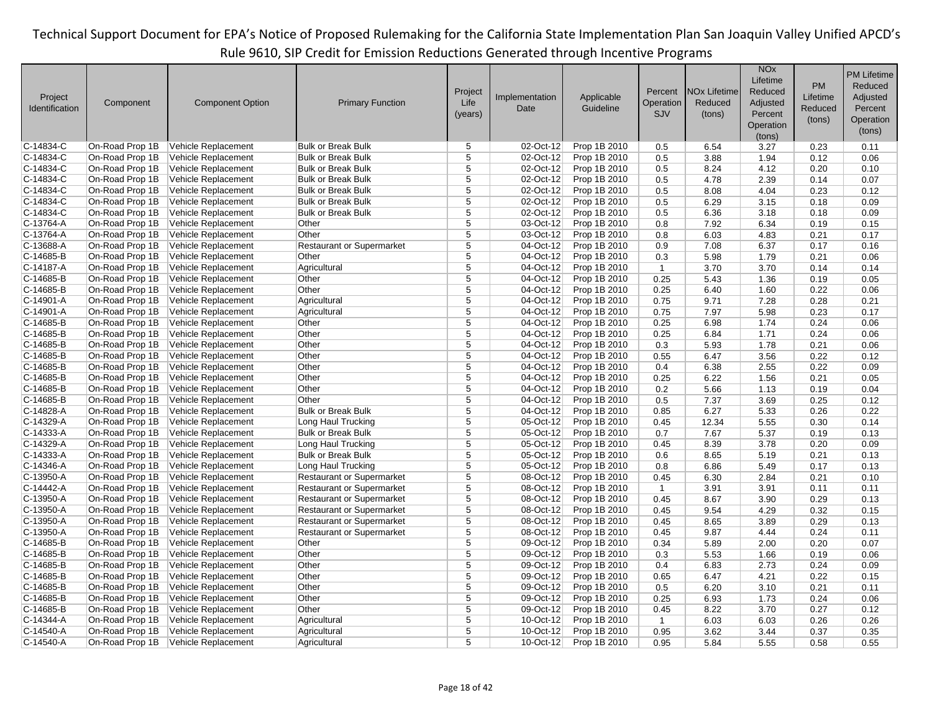|                |                 |                         |                                  |                |                |              |                |                                | <b>NO<sub>x</sub></b> |           | <b>PM Lifetime</b> |
|----------------|-----------------|-------------------------|----------------------------------|----------------|----------------|--------------|----------------|--------------------------------|-----------------------|-----------|--------------------|
|                |                 |                         |                                  |                |                |              |                |                                | Lifetime              | <b>PM</b> | Reduced            |
| Project        |                 |                         |                                  | Project        | Implementation | Applicable   | Percent        | <b>NO<sub>x</sub></b> Lifetime | Reduced               | Lifetime  | Adjusted           |
| Identification | Component       | <b>Component Option</b> | <b>Primary Function</b>          | Life           | Date           | Guideline    | Operation      | Reduced                        | Adjusted              | Reduced   | Percent            |
|                |                 |                         |                                  | (years)        |                |              | SJV            | (tons)                         | Percent               |           |                    |
|                |                 |                         |                                  |                |                |              |                |                                | Operation             | (tons)    | Operation          |
|                |                 |                         |                                  |                |                |              |                |                                | (tons)                |           | (tons)             |
| $C-14834-C$    | On-Road Prop 1B | Vehicle Replacement     | <b>Bulk or Break Bulk</b>        | 5              | 02-Oct-12      | Prop 1B 2010 | 0.5            | 6.54                           | 3.27                  | 0.23      | 0.11               |
| $C-14834-C$    | On-Road Prop 1B | Vehicle Replacement     | <b>Bulk or Break Bulk</b>        | 5              | 02-Oct-12      | Prop 1B 2010 | 0.5            | 3.88                           | 1.94                  | 0.12      | 0.06               |
| $C-14834-C$    | On-Road Prop 1B | Vehicle Replacement     | <b>Bulk or Break Bulk</b>        | 5              | 02-Oct-12      | Prop 1B 2010 | 0.5            | 8.24                           | 4.12                  | 0.20      | 0.10               |
| $C-14834-C$    | On-Road Prop 1B | Vehicle Replacement     | <b>Bulk or Break Bulk</b>        | $\overline{5}$ | 02-Oct-12      | Prop 1B 2010 | 0.5            | 4.78                           | 2.39                  | 0.14      | 0.07               |
| $C-14834-C$    | On-Road Prop 1B | Vehicle Replacement     | <b>Bulk or Break Bulk</b>        | 5              | $02-Oct-12$    | Prop 1B 2010 | 0.5            | 8.08                           | 4.04                  | 0.23      | 0.12               |
| $C-14834-C$    | On-Road Prop 1B | Vehicle Replacement     | <b>Bulk or Break Bulk</b>        | 5              | 02-Oct-12      | Prop 1B 2010 | 0.5            | 6.29                           | 3.15                  | 0.18      | 0.09               |
| $C-14834-C$    | On-Road Prop 1B | Vehicle Replacement     | <b>Bulk or Break Bulk</b>        | 5              | 02-Oct-12      | Prop 1B 2010 | 0.5            | 6.36                           | 3.18                  | 0.18      | 0.09               |
| C-13764-A      | On-Road Prop 1B | Vehicle Replacement     | Other                            | 5              | 03-Oct-12      | Prop 1B 2010 | 0.8            | 7.92                           | 6.34                  | 0.19      | 0.15               |
| C-13764-A      | On-Road Prop 1B | Vehicle Replacement     | Other                            | $\overline{5}$ | 03-Oct-12      | Prop 1B 2010 | 0.8            | 6.03                           | 4.83                  | 0.21      | 0.17               |
| $C-13688-A$    | On-Road Prop 1B | Vehicle Replacement     | <b>Restaurant or Supermarket</b> | $\overline{5}$ | 04-Oct-12      | Prop 1B 2010 | 0.9            | 7.08                           | 6.37                  | 0.17      | 0.16               |
| C-14685-B      | On-Road Prop 1B | Vehicle Replacement     | Other                            | $\overline{5}$ | 04-Oct-12      | Prop 1B 2010 | 0.3            | 5.98                           | 1.79                  | 0.21      | 0.06               |
| C-14187-A      | On-Road Prop 1B | Vehicle Replacement     | Agricultural                     | $\overline{5}$ | 04-Oct-12      | Prop 1B 2010 | $\mathbf{1}$   | 3.70                           | 3.70                  | 0.14      | 0.14               |
| $C-14685-B$    | On-Road Prop 1B | Vehicle Replacement     | Other                            | 5              | 04-Oct-12      | Prop 1B 2010 | 0.25           | 5.43                           | 1.36                  | 0.19      | 0.05               |
| $C-14685-B$    | On-Road Prop 1B | Vehicle Replacement     | Other                            | $\overline{5}$ | 04-Oct-12      | Prop 1B 2010 | 0.25           | 6.40                           | 1.60                  | 0.22      | 0.06               |
| $C-14901-A$    | On-Road Prop 1B | Vehicle Replacement     | Agricultural                     | $\overline{5}$ | 04-Oct-12      | Prop 1B 2010 | 0.75           | 9.71                           | 7.28                  | 0.28      | 0.21               |
| $C-14901 - A$  | On-Road Prop 1B | Vehicle Replacement     | Agricultural                     | 5              | 04-Oct-12      | Prop 1B 2010 | 0.75           | 7.97                           | 5.98                  | 0.23      | 0.17               |
| $C-14685-B$    | On-Road Prop 1B | Vehicle Replacement     | Other                            | 5              | 04-Oct-12      | Prop 1B 2010 | 0.25           | 6.98                           | 1.74                  | 0.24      | 0.06               |
| $C-14685-B$    | On-Road Prop 1B | Vehicle Replacement     | Other                            | $\overline{5}$ | 04-Oct-12      | Prop 1B 2010 | 0.25           | 6.84                           | 1.71                  | 0.24      | 0.06               |
| $C-14685-B$    | On-Road Prop 1B | Vehicle Replacement     | Other                            | 5              | 04-Oct-12      | Prop 1B 2010 | 0.3            | 5.93                           | 1.78                  | 0.21      | 0.06               |
| $C-14685-B$    | On-Road Prop 1B | Vehicle Replacement     | Other                            | $\overline{5}$ | 04-Oct-12      | Prop 1B 2010 | 0.55           | 6.47                           | 3.56                  | 0.22      | 0.12               |
| $C-14685-B$    | On-Road Prop 1B | Vehicle Replacement     | Other                            | $\overline{5}$ | 04-Oct-12      | Prop 1B 2010 | 0.4            | 6.38                           | 2.55                  | 0.22      | 0.09               |
| $C-14685-B$    | On-Road Prop 1B | Vehicle Replacement     | Other                            | $\overline{5}$ | 04-Oct-12      | Prop 1B 2010 | 0.25           | 6.22                           | 1.56                  | 0.21      | 0.05               |
| $C-14685-B$    | On-Road Prop 1B | Vehicle Replacement     | Other                            | 5              | 04-Oct-12      | Prop 1B 2010 | 0.2            | 5.66                           | 1.13                  | 0.19      | 0.04               |
| $C-14685-B$    | On-Road Prop 1B | Vehicle Replacement     | Other                            | $\overline{5}$ | 04-Oct-12      | Prop 1B 2010 | 0.5            | 7.37                           | 3.69                  | 0.25      | 0.12               |
| $C-14828-A$    | On-Road Prop 1B | Vehicle Replacement     | <b>Bulk or Break Bulk</b>        | 5              | 04-Oct-12      | Prop 1B 2010 | 0.85           | 6.27                           | 5.33                  | 0.26      | 0.22               |
| $C-14329-A$    | On-Road Prop 1B | Vehicle Replacement     | Long Haul Trucking               | 5              | 05-Oct-12      | Prop 1B 2010 | 0.45           | 12.34                          | 5.55                  | 0.30      | 0.14               |
| $C-14333 - A$  | On-Road Prop 1B | Vehicle Replacement     | <b>Bulk or Break Bulk</b>        | $\overline{5}$ | 05-Oct-12      | Prop 1B 2010 | 0.7            | 7.67                           | 5.37                  | 0.19      | 0.13               |
| $C-14329-A$    | On-Road Prop 1B | Vehicle Replacement     | Long Haul Trucking               | $\overline{5}$ | 05-Oct-12      | Prop 1B 2010 | 0.45           | 8.39                           | 3.78                  | 0.20      | 0.09               |
| $C-14333 - A$  | On-Road Prop 1B | Vehicle Replacement     | <b>Bulk or Break Bulk</b>        | 5              | 05-Oct-12      | Prop 1B 2010 | 0.6            | 8.65                           | 5.19                  | 0.21      | 0.13               |
| C-14346-A      | On-Road Prop 1B | Vehicle Replacement     | Long Haul Trucking               | 5              | 05-Oct-12      | Prop 1B 2010 | 0.8            | 6.86                           | 5.49                  | 0.17      | 0.13               |
| $C-13950-A$    | On-Road Prop 1B | Vehicle Replacement     | <b>Restaurant or Supermarket</b> | 5              | 08-Oct-12      | Prop 1B 2010 | 0.45           | 6.30                           | 2.84                  | 0.21      | 0.10               |
| $C-14442-A$    | On-Road Prop 1B | Vehicle Replacement     | <b>Restaurant or Supermarket</b> | $\overline{5}$ | 08-Oct-12      | Prop 1B 2010 | $\mathbf{1}$   | 3.91                           | 3.91                  | 0.11      | 0.11               |
| $C-13950-A$    | On-Road Prop 1B | Vehicle Replacement     | <b>Restaurant or Supermarket</b> | $\overline{5}$ | 08-Oct-12      | Prop 1B 2010 | 0.45           | 8.67                           | 3.90                  | 0.29      | 0.13               |
| $C-13950-A$    | On-Road Prop 1B | Vehicle Replacement     | <b>Restaurant or Supermarket</b> | 5              | 08-Oct-12      | Prop 1B 2010 | 0.45           | 9.54                           | 4.29                  | 0.32      | 0.15               |
| $C-13950 - A$  | On-Road Prop 1B | Vehicle Replacement     | <b>Restaurant or Supermarket</b> | 5              | 08-Oct-12      | Prop 1B 2010 | 0.45           | 8.65                           | 3.89                  | 0.29      | 0.13               |
| $C-13950-A$    | On-Road Prop 1B | Vehicle Replacement     | <b>Restaurant or Supermarket</b> | $\overline{5}$ | 08-Oct-12      | Prop 1B 2010 | 0.45           | 9.87                           | 4.44                  | 0.24      | 0.11               |
| $C-14685-B$    | On-Road Prop 1B | Vehicle Replacement     | Other                            | 5              | 09-Oct-12      | Prop 1B 2010 | 0.34           | 5.89                           | 2.00                  | 0.20      | 0.07               |
| C-14685-B      | On-Road Prop 1B | Vehicle Replacement     | Other                            | $\overline{5}$ | 09-Oct-12      | Prop 1B 2010 | 0.3            | 5.53                           | 1.66                  | 0.19      | 0.06               |
| $C-14685-B$    | On-Road Prop 1B | Vehicle Replacement     | Other                            | $\overline{5}$ | 09-Oct-12      | Prop 1B 2010 | 0.4            | 6.83                           | 2.73                  | 0.24      | 0.09               |
| $C-14685-B$    | On-Road Prop 1B | Vehicle Replacement     | Other                            | 5              | 09-Oct-12      | Prop 1B 2010 | 0.65           | 6.47                           | 4.21                  | 0.22      | 0.15               |
| $C-14685-B$    | On-Road Prop 1B | Vehicle Replacement     | Other                            | 5              | 09-Oct-12      | Prop 1B 2010 | 0.5            | 6.20                           | 3.10                  | 0.21      | 0.11               |
| $C-14685-B$    | On-Road Prop 1B | Vehicle Replacement     | Other                            | 5              | 09-Oct-12      | Prop 1B 2010 | 0.25           | 6.93                           | 1.73                  | 0.24      | 0.06               |
| $C-14685-B$    | On-Road Prop 1B | Vehicle Replacement     | Other                            | $\overline{5}$ | 09-Oct-12      | Prop 1B 2010 | 0.45           | 8.22                           | 3.70                  | 0.27      | 0.12               |
| C-14344-A      | On-Road Prop 1B | Vehicle Replacement     | Agricultural                     | $\overline{5}$ | 10-Oct-12      | Prop 1B 2010 | $\overline{1}$ | 6.03                           | 6.03                  | 0.26      | 0.26               |
| $C-14540 - A$  | On-Road Prop 1B |                         |                                  | 5              | 10-Oct-12      | Prop 1B 2010 | 0.95           | 3.62                           | 3.44                  |           | 0.35               |
|                |                 | Vehicle Replacement     | Agricultural                     | 5              |                |              |                |                                |                       | 0.37      |                    |
| $C-14540 - A$  | On-Road Prop 1B | Vehicle Replacement     | Agricultural                     |                | 10-Oct-12      | Prop 1B 2010 | 0.95           | 5.84                           | 5.55                  | 0.58      | 0.55               |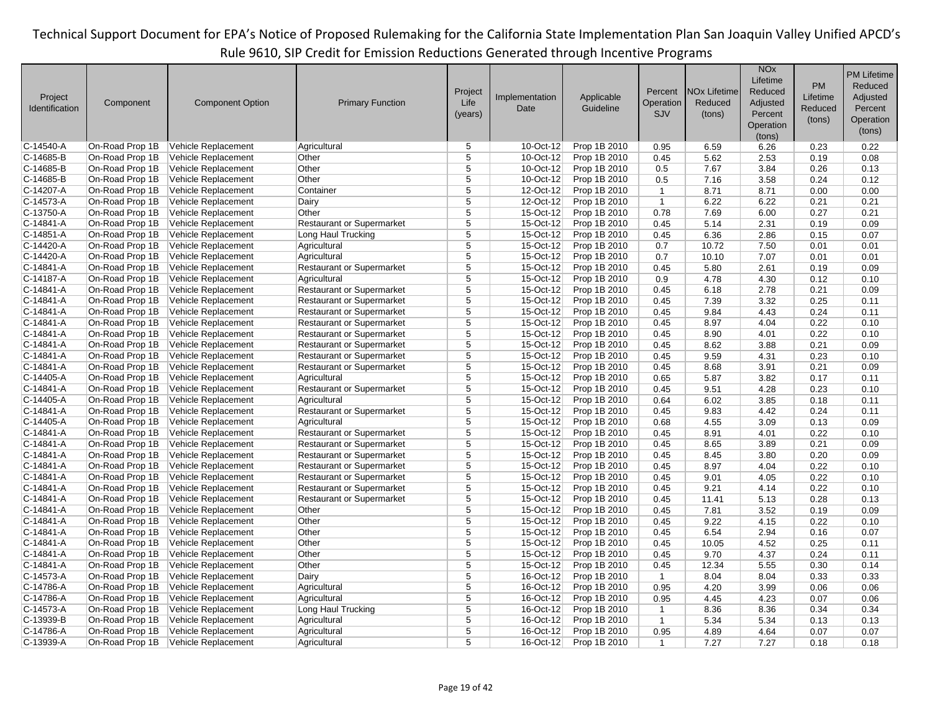|                |                 |                         |                                  |                         |                |              |                |                                | <b>NO<sub>x</sub></b><br>Lifetime |           | <b>PM Lifetime</b> |
|----------------|-----------------|-------------------------|----------------------------------|-------------------------|----------------|--------------|----------------|--------------------------------|-----------------------------------|-----------|--------------------|
|                |                 |                         |                                  | Project                 |                |              | Percent        | <b>NO<sub>x</sub></b> Lifetime | Reduced                           | <b>PM</b> | Reduced            |
| Project        | Component       | <b>Component Option</b> | <b>Primary Function</b>          | Life                    | Implementation | Applicable   | Operation      | Reduced                        | Adjusted                          | Lifetime  | Adjusted           |
| Identification |                 |                         |                                  | (years)                 | Date           | Guideline    | SJV            | (tons)                         | Percent                           | Reduced   | Percent            |
|                |                 |                         |                                  |                         |                |              |                |                                | Operation                         | (tons)    | Operation          |
|                |                 |                         |                                  |                         |                |              |                |                                | (tons)                            |           | (tons)             |
| $C-14540 - A$  | On-Road Prop 1B | Vehicle Replacement     | Agricultural                     | 5                       | 10-Oct-12      | Prop 1B 2010 | 0.95           | 6.59                           | 6.26                              | 0.23      | 0.22               |
| $C-14685-B$    | On-Road Prop 1B | Vehicle Replacement     | Other                            | 5                       | 10-Oct-12      | Prop 1B 2010 | 0.45           | 5.62                           | 2.53                              | 0.19      | 0.08               |
| $C-14685-B$    | On-Road Prop 1B | Vehicle Replacement     | Other                            | $\overline{5}$          | 10-Oct-12      | Prop 1B 2010 | 0.5            | 7.67                           | 3.84                              | 0.26      | 0.13               |
| $C-14685-B$    | On-Road Prop 1B | Vehicle Replacement     | Other                            | $\overline{5}$          | 10-Oct-12      | Prop 1B 2010 | 0.5            | 7.16                           | 3.58                              | 0.24      | 0.12               |
| $C-14207 - A$  | On-Road Prop 1B | Vehicle Replacement     | Container                        | 5                       | 12-Oct-12      | Prop 1B 2010 | $\mathbf{1}$   | 8.71                           | 8.71                              | 0.00      | 0.00               |
| $C-14573-A$    | On-Road Prop 1B | Vehicle Replacement     | Dairy                            | $\overline{5}$          | 12-Oct-12      | Prop 1B 2010 | $\mathbf{1}$   | 6.22                           | 6.22                              | 0.21      | 0.21               |
| $C-13750-A$    | On-Road Prop 1B | Vehicle Replacement     | Other                            | $\overline{5}$          | 15-Oct-12      | Prop 1B 2010 | 0.78           | 7.69                           | 6.00                              | 0.27      | 0.21               |
| $C-14841 - A$  | On-Road Prop 1B | Vehicle Replacement     | <b>Restaurant or Supermarket</b> | 5                       | 15-Oct-12      | Prop 1B 2010 | 0.45           | 5.14                           | 2.31                              | 0.19      | 0.09               |
| $C-14851-A$    | On-Road Prop 1B | Vehicle Replacement     | Long Haul Trucking               | $\overline{5}$          | 15-Oct-12      | Prop 1B 2010 | 0.45           | 6.36                           | 2.86                              | 0.15      | 0.07               |
| $C-14420 - A$  | On-Road Prop 1B | Vehicle Replacement     | Agricultural                     | 5                       | 15-Oct-12      | Prop 1B 2010 | 0.7            | 10.72                          | 7.50                              | 0.01      | 0.01               |
| $C-14420 - A$  | On-Road Prop 1B | Vehicle Replacement     | Agricultural                     | $\overline{5}$          | 15-Oct-12      | Prop 1B 2010 | 0.7            | 10.10                          | 7.07                              | 0.01      | 0.01               |
| C-14841-A      | On-Road Prop 1B | Vehicle Replacement     | <b>Restaurant or Supermarket</b> | $\overline{5}$          | 15-Oct-12      | Prop 1B 2010 | 0.45           | 5.80                           | 2.61                              | 0.19      | 0.09               |
| $C-14187-A$    | On-Road Prop 1B | Vehicle Replacement     | Agricultural                     | 5                       | 15-Oct-12      | Prop 1B 2010 | 0.9            | 4.78                           | 4.30                              | 0.12      | 0.10               |
| $C-14841 - A$  | On-Road Prop 1B | Vehicle Replacement     | <b>Restaurant or Supermarket</b> | $\overline{5}$          | 15-Oct-12      | Prop 1B 2010 | 0.45           | 6.18                           | 2.78                              | 0.21      | 0.09               |
| $C-14841-A$    | On-Road Prop 1B | Vehicle Replacement     | Restaurant or Supermarket        | $\overline{5}$          | 15-Oct-12      | Prop 1B 2010 | 0.45           | 7.39                           | 3.32                              | 0.25      | 0.11               |
| $C-14841 - A$  | On-Road Prop 1B | Vehicle Replacement     | <b>Restaurant or Supermarket</b> | 5                       | 15-Oct-12      | Prop 1B 2010 | 0.45           | 9.84                           | 4.43                              | 0.24      | 0.11               |
| $C-14841-A$    | On-Road Prop 1B | Vehicle Replacement     | <b>Restaurant or Supermarket</b> | $\overline{5}$          | 15-Oct-12      | Prop 1B 2010 | 0.45           | 8.97                           | 4.04                              | 0.22      | 0.10               |
| $C-14841-A$    | On-Road Prop 1B | Vehicle Replacement     | <b>Restaurant or Supermarket</b> | 5                       | 15-Oct-12      | Prop 1B 2010 | 0.45           | 8.90                           | 4.01                              | 0.22      | 0.10               |
| $C-14841-A$    | On-Road Prop 1B | Vehicle Replacement     | <b>Restaurant or Supermarket</b> | 5                       | 15-Oct-12      | Prop 1B 2010 | 0.45           | 8.62                           | 3.88                              | 0.21      | 0.09               |
| $C-14841 - A$  | On-Road Prop 1B | Vehicle Replacement     | Restaurant or Supermarket        | $\overline{5}$          | 15-Oct-12      | Prop 1B 2010 | 0.45           | 9.59                           | 4.31                              | 0.23      | 0.10               |
| $C-14841-A$    | On-Road Prop 1B | Vehicle Replacement     | Restaurant or Supermarket        | 5                       | 15-Oct-12      | Prop 1B 2010 | 0.45           | 8.68                           | 3.91                              | 0.21      | 0.09               |
| $C-14405-A$    | On-Road Prop 1B | Vehicle Replacement     | Agricultural                     | 5                       | 15-Oct-12      | Prop 1B 2010 | 0.65           | 5.87                           | 3.82                              | 0.17      | 0.11               |
| $C-14841 - A$  | On-Road Prop 1B | Vehicle Replacement     | <b>Restaurant or Supermarket</b> | $\overline{5}$          | 15-Oct-12      | Prop 1B 2010 | 0.45           | 9.51                           | 4.28                              | 0.23      | 0.10               |
| $C-14405-A$    | On-Road Prop 1B | Vehicle Replacement     | Agricultural                     | 5                       | $15$ -Oct-12   | Prop 1B 2010 | 0.64           | 6.02                           | 3.85                              | 0.18      | 0.11               |
| $C-14841-A$    | On-Road Prop 1B | Vehicle Replacement     | <b>Restaurant or Supermarket</b> | 5                       | 15-Oct-12      | Prop 1B 2010 | 0.45           | 9.83                           | 4.42                              | 0.24      | 0.11               |
| $C-14405-A$    | On-Road Prop 1B | Vehicle Replacement     | Agricultural                     | $\overline{5}$          | 15-Oct-12      | Prop 1B 2010 | 0.68           | 4.55                           | 3.09                              | 0.13      | 0.09               |
| $C-14841-A$    | On-Road Prop 1B | Vehicle Replacement     | Restaurant or Supermarket        | 5                       | 15-Oct-12      | Prop 1B 2010 | 0.45           | 8.91                           | 4.01                              | 0.22      | 0.10               |
| $C-14841-A$    | On-Road Prop 1B | Vehicle Replacement     | <b>Restaurant or Supermarket</b> | 5                       | 15-Oct-12      | Prop 1B 2010 | 0.45           | 8.65                           | 3.89                              | 0.21      | 0.09               |
| $C-14841-A$    | On-Road Prop 1B | Vehicle Replacement     | <b>Restaurant or Supermarket</b> | 5                       | 15-Oct-12      | Prop 1B 2010 | 0.45           | 8.45                           | 3.80                              | 0.20      | 0.09               |
| $C-14841-A$    | On-Road Prop 1B | Vehicle Replacement     | <b>Restaurant or Supermarket</b> | 5                       | 15-Oct-12      | Prop 1B 2010 | 0.45           | 8.97                           | 4.04                              | 0.22      | 0.10               |
| $C-14841-A$    | On-Road Prop 1B | Vehicle Replacement     | <b>Restaurant or Supermarket</b> | $\overline{5}$          | 15-Oct-12      | Prop 1B 2010 | 0.45           | 9.01                           | 4.05                              | 0.22      | 0.10               |
| $C-14841-A$    | On-Road Prop 1B | Vehicle Replacement     | <b>Restaurant or Supermarket</b> | $\overline{5}$          | 15-Oct-12      | Prop 1B 2010 | 0.45           | 9.21                           | 4.14                              | 0.22      | 0.10               |
| $C-14841-A$    | On-Road Prop 1B | Vehicle Replacement     | <b>Restaurant or Supermarket</b> | $\overline{\mathbf{5}}$ | 15-Oct-12      | Prop 1B 2010 | 0.45           | 11.41                          | 5.13                              | 0.28      | 0.13               |
| $C-14841-A$    | On-Road Prop 1B | Vehicle Replacement     | Other                            | 5                       | 15-Oct-12      | Prop 1B 2010 | 0.45           | 7.81                           | 3.52                              | 0.19      | 0.09               |
| $C-14841 - A$  | On-Road Prop 1B | Vehicle Replacement     | Other                            | $\overline{5}$          | 15-Oct-12      | Prop 1B 2010 | 0.45           | 9.22                           | 4.15                              | 0.22      | 0.10               |
| $C-14841-A$    | On-Road Prop 1B | Vehicle Replacement     | Other                            | $\overline{5}$          | 15-Oct-12      | Prop 1B 2010 | 0.45           | 6.54                           | 2.94                              | 0.16      | 0.07               |
| $C-14841-A$    | On-Road Prop 1B | Vehicle Replacement     | Other                            | $\overline{5}$          | 15-Oct-12      | Prop 1B 2010 | 0.45           | 10.05                          | 4.52                              | 0.25      | 0.11               |
| $C-14841-A$    | On-Road Prop 1B | Vehicle Replacement     | Other                            | $\overline{5}$          | 15-Oct-12      | Prop 1B 2010 | 0.45           | 9.70                           | 4.37                              | 0.24      | 0.11               |
| $C-14841-A$    | On-Road Prop 1B | Vehicle Replacement     | Other                            | 5                       | 15-Oct-12      | Prop 1B 2010 | 0.45           | 12.34                          | 5.55                              | 0.30      | 0.14               |
| $C-14573-A$    | On-Road Prop 1B | Vehicle Replacement     | Dairy                            | 5                       | 16-Oct-12      | Prop 1B 2010 | $\overline{1}$ | 8.04                           | 8.04                              | 0.33      | 0.33               |
| C-14786-A      | On-Road Prop 1B | Vehicle Replacement     | Agricultural                     | 5                       | 16-Oct-12      | Prop 1B 2010 | 0.95           | 4.20                           | 3.99                              | 0.06      | 0.06               |
| C-14786-A      | On-Road Prop 1B | Vehicle Replacement     | Agricultural                     | $\overline{5}$          | 16-Oct-12      | Prop 1B 2010 | 0.95           | 4.45                           | 4.23                              | 0.07      | 0.06               |
| $C-14573-A$    | On-Road Prop 1B | Vehicle Replacement     | Long Haul Trucking               | $\overline{5}$          | 16-Oct-12      | Prop 1B 2010 | $\mathbf{1}$   | 8.36                           | 8.36                              | 0.34      | 0.34               |
| $C-13939-B$    | On-Road Prop 1B | Vehicle Replacement     | Agricultural                     | $\overline{5}$          | 16-Oct-12      | Prop 1B 2010 | $\mathbf{1}$   | 5.34                           | 5.34                              | 0.13      | 0.13               |
| C-14786-A      | On-Road Prop 1B | Vehicle Replacement     | Agricultural                     | 5                       | 16-Oct-12      | Prop 1B 2010 | 0.95           | 4.89                           | 4.64                              | 0.07      | 0.07               |
| $C-13939-A$    | On-Road Prop 1B | Vehicle Replacement     | Agricultural                     | $\overline{5}$          | 16-Oct-12      | Prop 1B 2010 | $\mathbf 1$    | 7.27                           | 7.27                              | 0.18      | 0.18               |
|                |                 |                         |                                  |                         |                |              |                |                                |                                   |           |                    |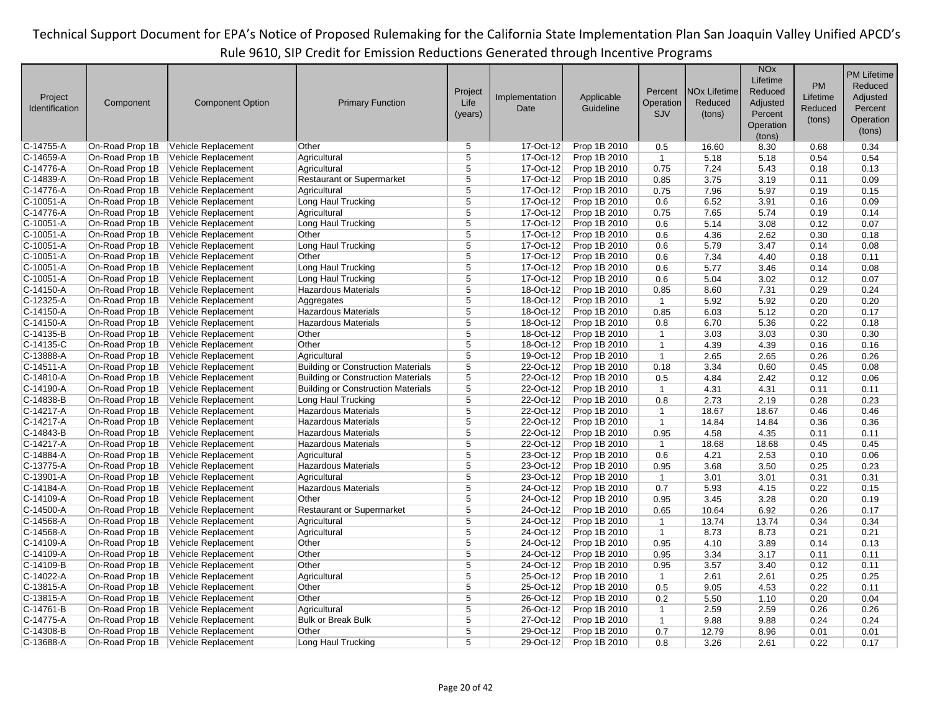| Project<br>Identification | Component       | <b>Component Option</b> | <b>Primary Function</b>                   | Project<br>Life<br>(years) | Implementation<br>Date | Applicable<br>Guideline | Percent<br>Operation<br><b>SJV</b> | <b>NO<sub>x</sub></b> Lifetime<br>Reduced<br>(tons) | <b>NO<sub>x</sub></b><br>Lifetime<br>Reduced<br>Adjusted<br>Percent<br>Operation<br>(tons) | <b>PM</b><br>Lifetime<br>Reduced<br>(tons) | <b>PM Lifetime</b><br>Reduced<br>Adjusted<br>Percent<br>Operation<br>(tons) |
|---------------------------|-----------------|-------------------------|-------------------------------------------|----------------------------|------------------------|-------------------------|------------------------------------|-----------------------------------------------------|--------------------------------------------------------------------------------------------|--------------------------------------------|-----------------------------------------------------------------------------|
| C-14755-A                 | On-Road Prop 1B | Vehicle Replacement     | Other                                     | 5                          | 17-Oct-12              | Prop 1B 2010            | 0.5                                | 16.60                                               | 8.30                                                                                       | 0.68                                       | 0.34                                                                        |
| C-14659-A                 | On-Road Prop 1B | Vehicle Replacement     | Agricultural                              | 5                          | 17-Oct-12              | Prop 1B 2010            | $\mathbf{1}$                       | 5.18                                                | 5.18                                                                                       | 0.54                                       | 0.54                                                                        |
| C-14776-A                 | On-Road Prop 1B | Vehicle Replacement     | Agricultural                              | 5                          | 17-Oct-12              | Prop 1B 2010            | 0.75                               | 7.24                                                | 5.43                                                                                       | 0.18                                       | 0.13                                                                        |
| C-14839-A                 | On-Road Prop 1B | Vehicle Replacement     | <b>Restaurant or Supermarket</b>          | 5                          | 17-Oct-12              | Prop 1B 2010            | 0.85                               | 3.75                                                | 3.19                                                                                       | 0.11                                       | 0.09                                                                        |
| C-14776-A                 | On-Road Prop 1B | Vehicle Replacement     | Agricultural                              | $\overline{5}$             | 17-Oct-12              | Prop 1B 2010            | 0.75                               | 7.96                                                | 5.97                                                                                       | 0.19                                       | 0.15                                                                        |
| C-10051-A                 | On-Road Prop 1B | Vehicle Replacement     | Long Haul Trucking                        | $\overline{5}$             | 17-Oct-12              | Prop 1B 2010            | 0.6                                | 6.52                                                | 3.91                                                                                       | 0.16                                       | 0.09                                                                        |
| C-14776-A                 | On-Road Prop 1B | Vehicle Replacement     | Agricultural                              | 5                          | 17-Oct-12              | Prop 1B 2010            | 0.75                               | 7.65                                                | 5.74                                                                                       | 0.19                                       | 0.14                                                                        |
| C-10051-A                 | On-Road Prop 1B | Vehicle Replacement     | Long Haul Trucking                        | 5                          | 17-Oct-12              | Prop 1B 2010            | 0.6                                | 5.14                                                | 3.08                                                                                       | 0.12                                       | 0.07                                                                        |
| C-10051-A                 | On-Road Prop 1B | Vehicle Replacement     | Other                                     | 5                          | $17$ -Oct-12           | Prop 1B 2010            | 0.6                                | 4.36                                                | 2.62                                                                                       | 0.30                                       | 0.18                                                                        |
| C-10051-A                 | On-Road Prop 1B | Vehicle Replacement     | Long Haul Trucking                        | $\overline{5}$             | 17-Oct-12              | Prop 1B 2010            | 0.6                                | 5.79                                                | 3.47                                                                                       | 0.14                                       | 0.08                                                                        |
| C-10051-A                 | On-Road Prop 1B | Vehicle Replacement     | Other                                     | $\overline{5}$             | 17-Oct-12              | Prop 1B 2010            | 0.6                                | 7.34                                                | 4.40                                                                                       | 0.18                                       | 0.11                                                                        |
| C-10051-A                 | On-Road Prop 1B | Vehicle Replacement     | Long Haul Trucking                        | 5                          | 17-Oct-12              | Prop 1B 2010            | 0.6                                | 5.77                                                | 3.46                                                                                       | 0.14                                       | 0.08                                                                        |
| C-10051-A                 | On-Road Prop 1B | Vehicle Replacement     | Long Haul Trucking                        | $\overline{5}$             | 17-Oct-12              | Prop 1B 2010            | 0.6                                | 5.04                                                | 3.02                                                                                       | 0.12                                       | 0.07                                                                        |
| C-14150-A                 | On-Road Prop 1B | Vehicle Replacement     | <b>Hazardous Materials</b>                | 5                          | 18-Oct-12              | Prop 1B 2010            | 0.85                               | 8.60                                                | 7.31                                                                                       | 0.29                                       | 0.24                                                                        |
| C-12325-A                 | On-Road Prop 1B | Vehicle Replacement     | Aggregates                                | $\overline{5}$             | 18-Oct-12              | Prop 1B 2010            | $\overline{1}$                     | 5.92                                                | 5.92                                                                                       | 0.20                                       | 0.20                                                                        |
| C-14150-A                 | On-Road Prop 1B | Vehicle Replacement     | <b>Hazardous Materials</b>                | $\overline{5}$             | 18-Oct-12              | Prop 1B 2010            | 0.85                               | 6.03                                                | 5.12                                                                                       | 0.20                                       | 0.17                                                                        |
| C-14150-A                 | On-Road Prop 1B | Vehicle Replacement     | <b>Hazardous Materials</b>                | 5                          | 18-Oct-12              | Prop 1B 2010            | 0.8                                | 6.70                                                | 5.36                                                                                       | 0.22                                       | 0.18                                                                        |
| C-14135-B                 | On-Road Prop 1B | Vehicle Replacement     | Other                                     | $\overline{5}$             | 18-Oct-12              | Prop 1B 2010            | $\mathbf{1}$                       | 3.03                                                | 3.03                                                                                       | 0.30                                       | 0.30                                                                        |
| C-14135-C                 | On-Road Prop 1B | Vehicle Replacement     | Other                                     | 5                          | $18$ -Oct-12           | Prop 1B 2010            | $\mathbf{1}$                       | 4.39                                                | 4.39                                                                                       | 0.16                                       | 0.16                                                                        |
| C-13888-A                 | On-Road Prop 1B | Vehicle Replacement     | Agricultural                              | 5                          | 19-Oct-12              | Prop 1B 2010            | $\mathbf{1}$                       | 2.65                                                | 2.65                                                                                       | 0.26                                       | 0.26                                                                        |
| C-14511-A                 | On-Road Prop 1B | Vehicle Replacement     | <b>Building or Construction Materials</b> | $\overline{5}$             | 22-Oct-12              | Prop 1B 2010            | 0.18                               | 3.34                                                | 0.60                                                                                       | 0.45                                       | 0.08                                                                        |
| C-14810-A                 | On-Road Prop 1B | Vehicle Replacement     | <b>Building or Construction Materials</b> | 5                          | 22-Oct-12              | Prop 1B 2010            | 0.5                                | 4.84                                                | 2.42                                                                                       | 0.12                                       | 0.06                                                                        |
| C-14190-A                 | On-Road Prop 1B | Vehicle Replacement     | <b>Building or Construction Materials</b> | 5                          | 22-Oct-12              | Prop 1B 2010            | $\mathbf{1}$                       | 4.31                                                | 4.31                                                                                       | 0.11                                       | 0.11                                                                        |
| C-14838-B                 | On-Road Prop 1B | Vehicle Replacement     | Long Haul Trucking                        | $\overline{5}$             | 22-Oct-12              | Prop 1B 2010            | 0.8                                | 2.73                                                | 2.19                                                                                       | 0.28                                       | 0.23                                                                        |
| C-14217-A                 | On-Road Prop 1B | Vehicle Replacement     | <b>Hazardous Materials</b>                | 5                          | 22-Oct-12              | Prop 1B 2010            | $\mathbf{1}$                       | 18.67                                               | 18.67                                                                                      | 0.46                                       | 0.46                                                                        |
| C-14217-A                 | On-Road Prop 1B | Vehicle Replacement     | <b>Hazardous Materials</b>                | 5                          | 22-Oct-12              | Prop 1B 2010            | $\overline{1}$                     | 14.84                                               | 14.84                                                                                      | 0.36                                       | 0.36                                                                        |
| C-14843-B                 | On-Road Prop 1B | Vehicle Replacement     | <b>Hazardous Materials</b>                | $\overline{5}$             | 22-Oct-12              | Prop 1B 2010            | 0.95                               | 4.58                                                | 4.35                                                                                       | 0.11                                       | 0.11                                                                        |
| C-14217-A                 | On-Road Prop 1B | Vehicle Replacement     | <b>Hazardous Materials</b>                | 5                          | 22-Oct-12              | Prop 1B 2010            | $\overline{1}$                     | 18.68                                               | 18.68                                                                                      | 0.45                                       | 0.45                                                                        |
| C-14884-A                 | On-Road Prop 1B | Vehicle Replacement     | Agricultural                              | 5                          | 23-Oct-12              | Prop 1B 2010            | 0.6                                | 4.21                                                | 2.53                                                                                       | 0.10                                       | 0.06                                                                        |
| C-13775-A                 | On-Road Prop 1B | Vehicle Replacement     | <b>Hazardous Materials</b>                | 5                          | 23-Oct-12              | Prop 1B 2010            | 0.95                               | 3.68                                                | 3.50                                                                                       | 0.25                                       | 0.23                                                                        |
| C-13901-A                 | On-Road Prop 1B | Vehicle Replacement     | Agricultural                              | 5                          | 23-Oct-12              | Prop 1B 2010            | $\mathbf{1}$                       | 3.01                                                | 3.01                                                                                       | 0.31                                       | 0.31                                                                        |
| C-14184-A                 | On-Road Prop 1B | Vehicle Replacement     | <b>Hazardous Materials</b>                | 5                          | 24-Oct-12              | Prop 1B 2010            | 0.7                                | 5.93                                                | 4.15                                                                                       | 0.22                                       | 0.15                                                                        |
| C-14109-A                 | On-Road Prop 1B | Vehicle Replacement     | Other                                     | $\overline{5}$             | 24-Oct-12              | Prop 1B 2010            | 0.95                               | 3.45                                                | 3.28                                                                                       | 0.20                                       | 0.19                                                                        |
| C-14500-A                 | On-Road Prop 1B | Vehicle Replacement     | <b>Restaurant or Supermarket</b>          | 5                          | 24-Oct-12              | Prop 1B 2010            | 0.65                               | 10.64                                               | 6.92                                                                                       | 0.26                                       | 0.17                                                                        |
| C-14568-A                 | On-Road Prop 1B | Vehicle Replacement     | Agricultural                              | 5                          | 24-Oct-12              | Prop 1B 2010            | $\mathbf{1}$                       | 13.74                                               | 13.74                                                                                      | 0.34                                       | 0.34                                                                        |
| C-14568-A                 | On-Road Prop 1B | Vehicle Replacement     | Agricultural                              | 5                          | 24-Oct-12              | Prop 1B 2010            | $\mathbf{1}$                       | 8.73                                                | 8.73                                                                                       | 0.21                                       | 0.21                                                                        |
| C-14109-A                 | On-Road Prop 1B | Vehicle Replacement     | Other                                     | $\overline{5}$             | 24-Oct-12              | Prop 1B 2010            | 0.95                               | 4.10                                                | 3.89                                                                                       | 0.14                                       | 0.13                                                                        |
| C-14109-A                 | On-Road Prop 1B | Vehicle Replacement     | Other                                     | $\overline{5}$             | 24-Oct-12              | Prop 1B 2010            | 0.95                               | 3.34                                                | 3.17                                                                                       | 0.11                                       | 0.11                                                                        |
| C-14109-B                 | On-Road Prop 1B | Vehicle Replacement     | Other                                     | $\overline{5}$             | 24-Oct-12              | Prop 1B 2010            | 0.95                               | 3.57                                                | 3.40                                                                                       | 0.12                                       | 0.11                                                                        |
| C-14022-A                 | On-Road Prop 1B | Vehicle Replacement     | Agricultural                              | 5                          | 25-Oct-12              | Prop 1B 2010            | $\overline{1}$                     | 2.61                                                | 2.61                                                                                       | 0.25                                       | 0.25                                                                        |
| C-13815-A                 | On-Road Prop 1B | Vehicle Replacement     | Other                                     | 5                          | 25-Oct-12              | Prop 1B 2010            | 0.5                                | 9.05                                                | 4.53                                                                                       | 0.22                                       | 0.11                                                                        |
| C-13815-A                 | On-Road Prop 1B | Vehicle Replacement     | Other                                     | 5                          | 26-Oct-12              | Prop 1B 2010            | 0.2                                | 5.50                                                | 1.10                                                                                       | 0.20                                       | 0.04                                                                        |
| C-14761-B                 | On-Road Prop 1B | Vehicle Replacement     | Agricultural                              | $\overline{5}$             | 26-Oct-12              | Prop 1B 2010            | $\mathbf{1}$                       | 2.59                                                | 2.59                                                                                       | 0.26                                       | 0.26                                                                        |
| C-14775-A                 | On-Road Prop 1B | Vehicle Replacement     | <b>Bulk or Break Bulk</b>                 | $\overline{5}$             | 27-Oct-12              | Prop 1B 2010            | $\mathbf{1}$                       | 9.88                                                | 9.88                                                                                       | 0.24                                       | 0.24                                                                        |
| C-14308-B                 | On-Road Prop 1B | Vehicle Replacement     | Other                                     | 5                          | 29-Oct-12              | Prop 1B 2010            | 0.7                                | 12.79                                               | 8.96                                                                                       | 0.01                                       | 0.01                                                                        |
| C-13688-A                 | On-Road Prop 1B | Vehicle Replacement     | Long Haul Trucking                        | 5                          | 29-Oct-12              | Prop 1B 2010            | 0.8                                | 3.26                                                | 2.61                                                                                       | 0.22                                       | 0.17                                                                        |
|                           |                 |                         |                                           |                            |                        |                         |                                    |                                                     |                                                                                            |                                            |                                                                             |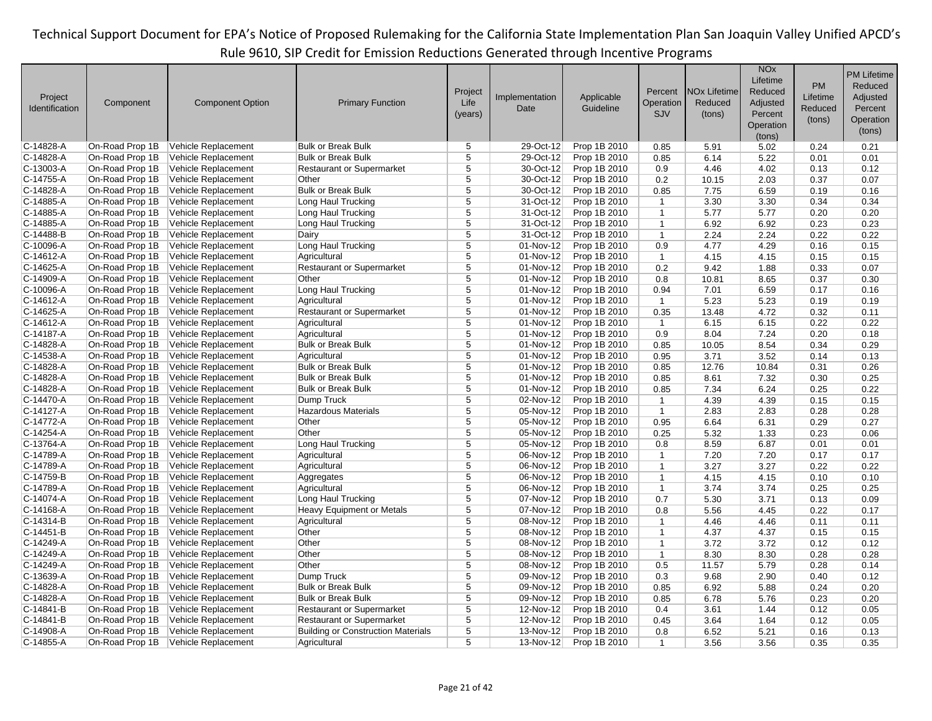| Project<br>Identification | Component       | <b>Component Option</b>    | <b>Primary Function</b>                   | Project<br>Life<br>(years) | Implementation<br>Date  | Applicable<br>Guideline | Percent<br>Operation<br>SJV | <b>NOx Lifetime</b><br>Reduced<br>(tons) | <b>NO<sub>x</sub></b><br>Lifetime<br>Reduced<br>Adjusted<br>Percent<br>Operation<br>(tons) | <b>PM</b><br>Lifetime<br>Reduced<br>(tons) | <b>PM Lifetime</b><br>Reduced<br>Adjusted<br>Percent<br>Operation<br>(tons) |
|---------------------------|-----------------|----------------------------|-------------------------------------------|----------------------------|-------------------------|-------------------------|-----------------------------|------------------------------------------|--------------------------------------------------------------------------------------------|--------------------------------------------|-----------------------------------------------------------------------------|
| $C-14828-A$               | On-Road Prop 1B | Vehicle Replacement        | <b>Bulk or Break Bulk</b>                 | 5                          | 29-Oct-12               | Prop 1B 2010            | 0.85                        | 5.91                                     | 5.02                                                                                       | 0.24                                       | 0.21                                                                        |
| C-14828-A                 | On-Road Prop 1B | <b>Vehicle Replacement</b> | <b>Bulk or Break Bulk</b>                 | $\overline{5}$             | 29-Oct-12               | Prop 1B 2010            | 0.85                        | 6.14                                     | 5.22                                                                                       | 0.01                                       | 0.01                                                                        |
| $C-13003-A$               | On-Road Prop 1B | Vehicle Replacement        | <b>Restaurant or Supermarket</b>          | 5                          | 30-Oct-12               | Prop 1B 2010            | 0.9                         | 4.46                                     | 4.02                                                                                       | 0.13                                       | 0.12                                                                        |
| C-14755-A                 | On-Road Prop 1B | Vehicle Replacement        | Other                                     | $\overline{5}$             | 30-Oct-12               | Prop 1B 2010            | 0.2                         | 10.15                                    | 2.03                                                                                       | 0.37                                       | 0.07                                                                        |
| C-14828-A                 | On-Road Prop 1B | <b>Vehicle Replacement</b> | <b>Bulk or Break Bulk</b>                 | 5                          | 30-Oct-12               | Prop 1B 2010            | 0.85                        | 7.75                                     | 6.59                                                                                       | 0.19                                       | 0.16                                                                        |
| C-14885-A                 | On-Road Prop 1B | Vehicle Replacement        | Long Haul Trucking                        | 5                          | 31-Oct-12               | Prop 1B 2010            | $\mathbf{1}$                | 3.30                                     | 3.30                                                                                       | 0.34                                       | 0.34                                                                        |
| C-14885-A                 | On-Road Prop 1B | Vehicle Replacement        | Long Haul Trucking                        | 5                          | 31-Oct-12               | Prop 1B 2010            | $\mathbf{1}$                | 5.77                                     | 5.77                                                                                       | 0.20                                       | 0.20                                                                        |
| C-14885-A                 | On-Road Prop 1B | <b>Vehicle Replacement</b> | Long Haul Trucking                        | 5                          | 31-Oct-12               | Prop 1B 2010            | $\mathbf{1}$                | 6.92                                     | 6.92                                                                                       | 0.23                                       | 0.23                                                                        |
| C-14488-B                 | On-Road Prop 1B | Vehicle Replacement        | Dairy                                     | $\overline{5}$             | 31-Oct-12               | Prop 1B 2010            | $\mathbf{1}$                | 2.24                                     | 2.24                                                                                       | 0.22                                       | 0.22                                                                        |
| C-10096-A                 | On-Road Prop 1B | Vehicle Replacement        | Long Haul Trucking                        | $\overline{5}$             | 01-Nov-12               | Prop 1B 2010            | 0.9                         | 4.77                                     | 4.29                                                                                       | 0.16                                       | 0.15                                                                        |
| C-14612-A                 | On-Road Prop 1B | Vehicle Replacement        | Agricultural                              | 5                          | 01-Nov-12               | Prop 1B 2010            | $\mathbf{1}$                | 4.15                                     | 4.15                                                                                       | 0.15                                       | 0.15                                                                        |
| C-14625-A                 | On-Road Prop 1B | Vehicle Replacement        | <b>Restaurant or Supermarket</b>          | $\overline{5}$             | $\overline{01}$ -Nov-12 | Prop 1B 2010            | 0.2                         | 9.42                                     | 1.88                                                                                       | 0.33                                       | 0.07                                                                        |
| C-14909-A                 | On-Road Prop 1B | Vehicle Replacement        | Other                                     | 5                          | 01-Nov-12               | Prop 1B 2010            | 0.8                         | 10.81                                    | 8.65                                                                                       | 0.37                                       | 0.30                                                                        |
| C-10096-A                 | On-Road Prop 1B | Vehicle Replacement        | Long Haul Trucking                        | $\overline{5}$             | 01-Nov-12               | Prop 1B 2010            | 0.94                        | 7.01                                     | 6.59                                                                                       | 0.17                                       | 0.16                                                                        |
| $C-14612-A$               | On-Road Prop 1B | Vehicle Replacement        | Agricultural                              | $\overline{5}$             | 01-Nov-12               | Prop 1B 2010            | $\mathbf{1}$                | 5.23                                     | 5.23                                                                                       | 0.19                                       | 0.19                                                                        |
| C-14625-A                 | On-Road Prop 1B | Vehicle Replacement        | <b>Restaurant or Supermarket</b>          | $\overline{5}$             | 01-Nov-12               | Prop 1B 2010            | 0.35                        | 13.48                                    | 4.72                                                                                       | 0.32                                       | 0.11                                                                        |
| C-14612-A                 | On-Road Prop 1B | Vehicle Replacement        | Agricultural                              | 5                          | 01-Nov-12               | Prop 1B 2010            | $\mathbf{1}$                | 6.15                                     | 6.15                                                                                       | 0.22                                       | 0.22                                                                        |
| C-14187-A                 | On-Road Prop 1B | Vehicle Replacement        | Agricultural                              | $\overline{5}$             | 01-Nov-12               | Prop 1B 2010            | 0.9                         | 8.04                                     | 7.24                                                                                       | 0.20                                       | 0.18                                                                        |
| C-14828-A                 | On-Road Prop 1B | <b>Vehicle Replacement</b> | <b>Bulk or Break Bulk</b>                 | $\overline{5}$             | $01-Nov-12$             | Prop 1B 2010            | 0.85                        | 10.05                                    | 8.54                                                                                       | 0.34                                       | 0.29                                                                        |
| $C-14538-A$               | On-Road Prop 1B | Vehicle Replacement        | Agricultural                              | 5                          | 01-Nov-12               | Prop 1B 2010            | 0.95                        | 3.71                                     | 3.52                                                                                       | 0.14                                       | 0.13                                                                        |
| C-14828-A                 | On-Road Prop 1B | Vehicle Replacement        | <b>Bulk or Break Bulk</b>                 | $\overline{5}$             | 01-Nov-12               | Prop 1B 2010            | 0.85                        | 12.76                                    | 10.84                                                                                      | 0.31                                       | 0.26                                                                        |
| $C-14828-A$               | On-Road Prop 1B | <b>Vehicle Replacement</b> | <b>Bulk or Break Bulk</b>                 | 5                          | 01-Nov-12               | Prop 1B 2010            | 0.85                        | 8.61                                     | 7.32                                                                                       | 0.30                                       | 0.25                                                                        |
| C-14828-A                 | On-Road Prop 1B | Vehicle Replacement        | <b>Bulk or Break Bulk</b>                 | 5                          | 01-Nov-12               | Prop 1B 2010            | 0.85                        | 7.34                                     | 6.24                                                                                       | 0.25                                       | 0.22                                                                        |
| C-14470-A                 | On-Road Prop 1B | Vehicle Replacement        | Dump Truck                                | 5                          | 02-Nov-12               | Prop 1B 2010            | $\mathbf{1}$                | 4.39                                     | 4.39                                                                                       | 0.15                                       | 0.15                                                                        |
| C-14127-A                 | On-Road Prop 1B | <b>Vehicle Replacement</b> | <b>Hazardous Materials</b>                | 5                          | 05-Nov-12               | Prop 1B 2010            | $\mathbf{1}$                | 2.83                                     | 2.83                                                                                       | 0.28                                       | 0.28                                                                        |
| C-14772-A                 | On-Road Prop 1B | Vehicle Replacement        | Other                                     | $\overline{5}$             | 05-Nov-12               | Prop 1B 2010            | 0.95                        | 6.64                                     | 6.31                                                                                       | 0.29                                       | 0.27                                                                        |
| C-14254-A                 | On-Road Prop 1B | Vehicle Replacement        | Other                                     | $\overline{5}$             | 05-Nov-12               | Prop 1B 2010            | 0.25                        | 5.32                                     | 1.33                                                                                       | 0.23                                       | 0.06                                                                        |
| C-13764-A                 | On-Road Prop 1B | Vehicle Replacement        | Long Haul Trucking                        | 5                          | 05-Nov-12               | Prop 1B 2010            | 0.8                         | 8.59                                     | 6.87                                                                                       | 0.01                                       | 0.01                                                                        |
| $C-14789-A$               | On-Road Prop 1B | Vehicle Replacement        | Agricultural                              | 5                          | 06-Nov-12               | Prop 1B 2010            | $\mathbf{1}$                | 7.20                                     | 7.20                                                                                       | 0.17                                       | 0.17                                                                        |
| C-14789-A                 | On-Road Prop 1B | Vehicle Replacement        | Agricultural                              | $\overline{5}$             | 06-Nov-12               | Prop 1B 2010            | $\mathbf{1}$                | 3.27                                     | 3.27                                                                                       | 0.22                                       | 0.22                                                                        |
| C-14759-B                 | On-Road Prop 1B | Vehicle Replacement        | Aggregates                                | 5                          | 06-Nov-12               | Prop 1B 2010            | $\mathbf{1}$                | 4.15                                     | 4.15                                                                                       | 0.10                                       | 0.10                                                                        |
| $C-14789-A$               | On-Road Prop 1B | Vehicle Replacement        | Agricultural                              | $\overline{5}$             | 06-Nov-12               | Prop 1B 2010            | $\mathbf{1}$                | 3.74                                     | 3.74                                                                                       | 0.25                                       | 0.25                                                                        |
| C-14074-A                 | On-Road Prop 1B | Vehicle Replacement        | Long Haul Trucking                        | $\overline{5}$             | 07-Nov-12               | Prop 1B 2010            | 0.7                         | 5.30                                     | 3.71                                                                                       | 0.13                                       | 0.09                                                                        |
| $C-14168-A$               | On-Road Prop 1B | Vehicle Replacement        | <b>Heavy Equipment or Metals</b>          | 5                          | 07-Nov-12               | Prop 1B 2010            | 0.8                         | 5.56                                     | 4.45                                                                                       | 0.22                                       | 0.17                                                                        |
| C-14314-B                 | On-Road Prop 1B | Vehicle Replacement        | Agricultural                              | $\overline{5}$             | 08-Nov-12               | Prop 1B 2010            | $\mathbf{1}$                | 4.46                                     | 4.46                                                                                       | 0.11                                       | 0.11                                                                        |
| C-14451-B                 | On-Road Prop 1B | Vehicle Replacement        | Other                                     | 5                          | 08-Nov-12               | Prop 1B 2010            | $\mathbf{1}$                | 4.37                                     | 4.37                                                                                       | 0.15                                       | 0.15                                                                        |
| $C-14249-A$               | On-Road Prop 1B | Vehicle Replacement        | Other                                     | $\overline{5}$             | 08-Nov-12               | Prop 1B 2010            | $\mathbf{1}$                | 3.72                                     | 3.72                                                                                       | 0.12                                       | 0.12                                                                        |
| C-14249-A                 | On-Road Prop 1B | Vehicle Replacement        | Other                                     | $\overline{5}$             | 08-Nov-12               | Prop 1B 2010            | $\mathbf{1}$                | 8.30                                     | 8.30                                                                                       | 0.28                                       | 0.28                                                                        |
| $C-14249-A$               | On-Road Prop 1B | Vehicle Replacement        | Other                                     | 5                          | 08-Nov-12               | Prop 1B 2010            | 0.5                         | 11.57                                    | 5.79                                                                                       | 0.28                                       | 0.14                                                                        |
| C-13639-A                 | On-Road Prop 1B | Vehicle Replacement        | Dump Truck                                | 5                          | 09-Nov-12               | Prop 1B 2010            | 0.3                         | 9.68                                     | 2.90                                                                                       | 0.40                                       | 0.12                                                                        |
| C-14828-A                 | On-Road Prop 1B | Vehicle Replacement        | <b>Bulk or Break Bulk</b>                 | 5                          | 09-Nov-12               | Prop 1B 2010            | 0.85                        | 6.92                                     | 5.88                                                                                       | 0.24                                       | 0.20                                                                        |
| C-14828-A                 | On-Road Prop 1B | <b>Vehicle Replacement</b> | <b>Bulk or Break Bulk</b>                 | 5                          | 09-Nov-12               | Prop 1B 2010            | 0.85                        | 6.78                                     | 5.76                                                                                       | 0.23                                       | 0.20                                                                        |
| C-14841-B                 | On-Road Prop 1B | Vehicle Replacement        | <b>Restaurant or Supermarket</b>          | $\overline{5}$             | 12-Nov-12               | Prop 1B 2010            | 0.4                         | 3.61                                     | 1.44                                                                                       | 0.12                                       | 0.05                                                                        |
| C-14841-B                 | On-Road Prop 1B | Vehicle Replacement        | <b>Restaurant or Supermarket</b>          | $\overline{5}$             | 12-Nov-12               | Prop 1B 2010            | 0.45                        | 3.64                                     | 1.64                                                                                       | 0.12                                       | 0.05                                                                        |
| C-14908-A                 | On-Road Prop 1B | <b>Vehicle Replacement</b> | <b>Building or Construction Materials</b> | 5                          | 13-Nov-12               | Prop 1B 2010            | 0.8                         | 6.52                                     | 5.21                                                                                       | 0.16                                       | 0.13                                                                        |
| $C-14855 - A$             | On-Road Prop 1B | Vehicle Replacement        | Agricultural                              | $\overline{5}$             | 13-Nov-12               | Prop 1B 2010            | $\mathbf{1}$                | 3.56                                     | 3.56                                                                                       | 0.35                                       | 0.35                                                                        |
|                           |                 |                            |                                           |                            |                         |                         |                             |                                          |                                                                                            |                                            |                                                                             |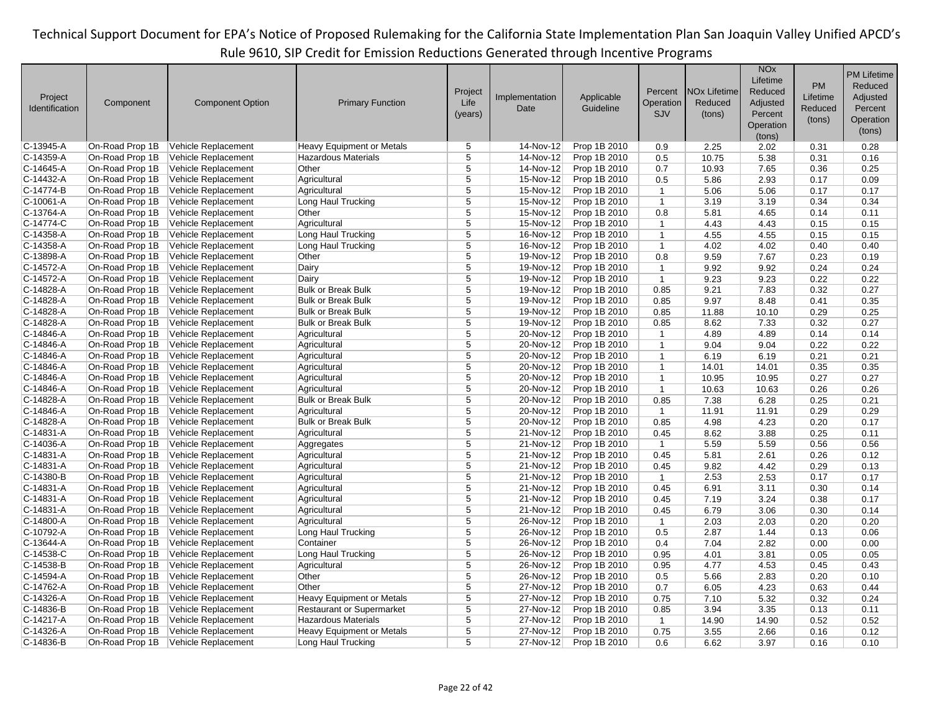| Project<br>Identification | Component       | <b>Component Option</b> | <b>Primary Function</b>          | Project<br>Life<br>(years) | Implementation<br>Date | Applicable<br>Guideline | Percent<br>Operation<br>SJV | <b>NO<sub>x</sub></b> Lifetime<br>Reduced<br>(tons) | <b>NO<sub>x</sub></b><br>Lifetime<br>Reduced<br>Adjusted<br>Percent<br>Operation<br>(tons) | <b>PM</b><br>Lifetime<br>Reduced<br>(tons) | <b>PM Lifetime</b><br>Reduced<br>Adjusted<br>Percent<br>Operation<br>(tons) |
|---------------------------|-----------------|-------------------------|----------------------------------|----------------------------|------------------------|-------------------------|-----------------------------|-----------------------------------------------------|--------------------------------------------------------------------------------------------|--------------------------------------------|-----------------------------------------------------------------------------|
| $C-13945-A$               | On-Road Prop 1B | Vehicle Replacement     | <b>Heavy Equipment or Metals</b> | 5                          | 14-Nov-12              | Prop 1B 2010            | 0.9                         | 2.25                                                | 2.02                                                                                       | 0.31                                       | 0.28                                                                        |
| $C-14359-A$               | On-Road Prop 1B | Vehicle Replacement     | <b>Hazardous Materials</b>       | 5                          | 14-Nov-12              | Prop 1B 2010            | 0.5                         | 10.75                                               | 5.38                                                                                       | 0.31                                       | 0.16                                                                        |
| $C-14645-A$               | On-Road Prop 1B | Vehicle Replacement     | Other                            | 5                          | 14-Nov-12              | Prop 1B 2010            | 0.7                         | 10.93                                               | 7.65                                                                                       | 0.36                                       | 0.25                                                                        |
| $C-14432-A$               | On-Road Prop 1B | Vehicle Replacement     | Agricultural                     | $\overline{5}$             | 15-Nov-12              | Prop 1B 2010            | 0.5                         | 5.86                                                | 2.93                                                                                       | 0.17                                       | 0.09                                                                        |
| C-14774-B                 | On-Road Prop 1B | Vehicle Replacement     | Agricultural                     | $\overline{5}$             | 15-Nov-12              | Prop 1B 2010            | $\mathbf{1}$                | 5.06                                                | 5.06                                                                                       | 0.17                                       | 0.17                                                                        |
| $C-10061-A$               | On-Road Prop 1B | Vehicle Replacement     | Long Haul Trucking               | 5                          | 15-Nov-12              | Prop 1B 2010            | $\mathbf{1}$                | 3.19                                                | 3.19                                                                                       | 0.34                                       | 0.34                                                                        |
| $C-13764-A$               | On-Road Prop 1B | Vehicle Replacement     | Other                            | $\overline{5}$             | 15-Nov-12              | Prop 1B 2010            | 0.8                         | 5.81                                                | 4.65                                                                                       | 0.14                                       | 0.11                                                                        |
| C-14774-C                 | On-Road Prop 1B | Vehicle Replacement     | Agricultural                     | 5                          | 15-Nov-12              | Prop 1B 2010            | $\mathbf{1}$                | 4.43                                                | 4.43                                                                                       | 0.15                                       | 0.15                                                                        |
| $C-14358-A$               | On-Road Prop 1B | Vehicle Replacement     | Long Haul Trucking               | 5                          | 16-Nov-12              | Prop 1B 2010            | $\mathbf{1}$                | 4.55                                                | 4.55                                                                                       | 0.15                                       | 0.15                                                                        |
| $C-14358-A$               | On-Road Prop 1B | Vehicle Replacement     | Long Haul Trucking               | $\overline{5}$             | 16-Nov-12              | Prop 1B 2010            | $\mathbf{1}$                | 4.02                                                | 4.02                                                                                       | 0.40                                       | 0.40                                                                        |
| $C-13898-A$               | On-Road Prop 1B | Vehicle Replacement     | Other                            | 5                          | 19-Nov-12              | Prop 1B 2010            | 0.8                         | 9.59                                                | 7.67                                                                                       | 0.23                                       | 0.19                                                                        |
| C-14572-A                 | On-Road Prop 1B | Vehicle Replacement     | Dairy                            | $\overline{5}$             | 19-Nov-12              | Prop 1B 2010            | $\mathbf{1}$                | 9.92                                                | 9.92                                                                                       | 0.24                                       | 0.24                                                                        |
| C-14572-A                 | On-Road Prop 1B | Vehicle Replacement     | Dairy                            | $\overline{5}$             | 19-Nov-12              | Prop 1B 2010            | $\mathbf{1}$                | 9.23                                                | 9.23                                                                                       | 0.22                                       | 0.22                                                                        |
| $C-14828-A$               | On-Road Prop 1B | Vehicle Replacement     | <b>Bulk or Break Bulk</b>        | 5                          | 19-Nov-12              | Prop 1B 2010            | 0.85                        | 9.21                                                | 7.83                                                                                       | 0.32                                       | 0.27                                                                        |
| $C-14828-A$               | On-Road Prop 1B | Vehicle Replacement     | <b>Bulk or Break Bulk</b>        | $\overline{5}$             | 19-Nov-12              | Prop 1B 2010            | 0.85                        | 9.97                                                | 8.48                                                                                       | 0.41                                       | 0.35                                                                        |
| $C-14828-A$               | On-Road Prop 1B | Vehicle Replacement     | <b>Bulk or Break Bulk</b>        | 5                          | 19-Nov-12              | Prop 1B 2010            | 0.85                        | 11.88                                               | 10.10                                                                                      | 0.29                                       | 0.25                                                                        |
| $C-14828-A$               | On-Road Prop 1B | Vehicle Replacement     | <b>Bulk or Break Bulk</b>        | 5                          | 19-Nov-12              | Prop 1B 2010            | 0.85                        | 8.62                                                | 7.33                                                                                       | 0.32                                       | 0.27                                                                        |
| $C-14846-A$               | On-Road Prop 1B | Vehicle Replacement     | Agricultural                     | 5                          | 20-Nov-12              | Prop 1B 2010            | $\mathbf{1}$                | 4.89                                                | 4.89                                                                                       | 0.14                                       | 0.14                                                                        |
| $C-14846-A$               | On-Road Prop 1B | Vehicle Replacement     | Agricultural                     | 5                          | 20-Nov-12              | Prop 1B 2010            | $\mathbf{1}$                | 9.04                                                | 9.04                                                                                       | 0.22                                       | 0.22                                                                        |
| $C-14846-A$               | On-Road Prop 1B | Vehicle Replacement     | Agricultural                     | 5                          | 20-Nov-12              | Prop 1B 2010            | $\mathbf{1}$                | 6.19                                                | 6.19                                                                                       | 0.21                                       | 0.21                                                                        |
| $C-14846-A$               | On-Road Prop 1B | Vehicle Replacement     | Agricultural                     | $\overline{5}$             | 20-Nov-12              | Prop 1B 2010            | $\mathbf{1}$                | 14.01                                               | 14.01                                                                                      | 0.35                                       | 0.35                                                                        |
| $C-14846-A$               | On-Road Prop 1B | Vehicle Replacement     | Agricultural                     | 5                          | 20-Nov-12              | Prop 1B 2010            | $\mathbf{1}$                | 10.95                                               | 10.95                                                                                      | 0.27                                       | 0.27                                                                        |
| $C-14846-A$               | On-Road Prop 1B | Vehicle Replacement     | Agricultural                     | 5                          | 20-Nov-12              | Prop 1B 2010            | $\mathbf{1}$                | 10.63                                               | 10.63                                                                                      | 0.26                                       | 0.26                                                                        |
| $C-14828-A$               | On-Road Prop 1B | Vehicle Replacement     | <b>Bulk or Break Bulk</b>        | 5                          | 20-Nov-12              | Prop 1B 2010            | 0.85                        | 7.38                                                | 6.28                                                                                       | 0.25                                       | 0.21                                                                        |
| $C-14846-A$               | On-Road Prop 1B | Vehicle Replacement     | Agricultural                     | 5                          | 20-Nov-12              | Prop 1B 2010            | $\mathbf{1}$                | 11.91                                               | 11.91                                                                                      | 0.29                                       | 0.29                                                                        |
| $C-14828-A$               | On-Road Prop 1B | Vehicle Replacement     | <b>Bulk or Break Bulk</b>        | $\overline{5}$             | 20-Nov-12              | Prop 1B 2010            | 0.85                        | 4.98                                                | 4.23                                                                                       | 0.20                                       | 0.17                                                                        |
| $C-14831-A$               | On-Road Prop 1B | Vehicle Replacement     | Agricultural                     | $\overline{5}$             | 21-Nov-12              | Prop 1B 2010            | 0.45                        | 8.62                                                | 3.88                                                                                       | 0.25                                       | 0.11                                                                        |
| $C-14036-A$               | On-Road Prop 1B | Vehicle Replacement     | Aggregates                       | 5                          | 21-Nov-12              | Prop 1B 2010            | $\mathbf{1}$                | 5.59                                                | 5.59                                                                                       | 0.56                                       | 0.56                                                                        |
| $C-14831-A$               | On-Road Prop 1B | Vehicle Replacement     | Agricultural                     | 5                          | 21-Nov-12              | Prop 1B 2010            | 0.45                        | 5.81                                                | 2.61                                                                                       | 0.26                                       | 0.12                                                                        |
| $C-14831-A$               | On-Road Prop 1B | Vehicle Replacement     | Agricultural                     | 5                          | 21-Nov-12              | Prop 1B 2010            | 0.45                        | 9.82                                                | 4.42                                                                                       | 0.29                                       | 0.13                                                                        |
| $C-14380-B$               | On-Road Prop 1B | Vehicle Replacement     | Agricultural                     | 5                          | 21-Nov-12              | Prop 1B 2010            | $\mathbf{1}$                | 2.53                                                | 2.53                                                                                       | 0.17                                       | 0.17                                                                        |
| $C-14831-A$               | On-Road Prop 1B | Vehicle Replacement     | Agricultural                     | $\overline{5}$             | 21-Nov-12              | Prop 1B 2010            | 0.45                        | 6.91                                                | 3.11                                                                                       | 0.30                                       | 0.14                                                                        |
| $C-14831-A$               | On-Road Prop 1B | Vehicle Replacement     | Agricultural                     | 5                          | 21-Nov-12              | Prop 1B 2010            | 0.45                        | 7.19                                                | 3.24                                                                                       | 0.38                                       | 0.17                                                                        |
| $C-14831-A$               | On-Road Prop 1B | Vehicle Replacement     | Agricultural                     | 5                          | 21-Nov-12              | Prop 1B 2010            | 0.45                        | 6.79                                                | 3.06                                                                                       | 0.30                                       | 0.14                                                                        |
| $C-14800 - A$             | On-Road Prop 1B | Vehicle Replacement     | Agricultural                     | $\overline{5}$             | 26-Nov-12              | Prop 1B 2010            | $\overline{1}$              | 2.03                                                | 2.03                                                                                       | 0.20                                       | 0.20                                                                        |
| C-10792-A                 | On-Road Prop 1B | Vehicle Replacement     | Long Haul Trucking               | 5                          | 26-Nov-12              | Prop 1B 2010            | 0.5                         | 2.87                                                | 1.44                                                                                       | 0.13                                       | 0.06                                                                        |
| $C-13644-A$               | On-Road Prop 1B | Vehicle Replacement     | Container                        | $\overline{5}$             | 26-Nov-12              | Prop 1B 2010            | 0.4                         | 7.04                                                | 2.82                                                                                       | 0.00                                       | 0.00                                                                        |
| C-14538-C                 | On-Road Prop 1B | Vehicle Replacement     | Long Haul Trucking               | $\overline{5}$             | 26-Nov-12              | Prop 1B 2010            | 0.95                        | 4.01                                                | 3.81                                                                                       | 0.05                                       | 0.05                                                                        |
| $C-14538-B$               | On-Road Prop 1B | Vehicle Replacement     | Agricultural                     | 5                          | 26-Nov-12              | Prop 1B 2010            | 0.95                        | 4.77                                                | 4.53                                                                                       | 0.45                                       | 0.43                                                                        |
| $C-14594-A$               | On-Road Prop 1B | Vehicle Replacement     | Other                            | $\overline{5}$             | 26-Nov-12              | Prop 1B 2010            | 0.5                         | 5.66                                                | 2.83                                                                                       | 0.20                                       | 0.10                                                                        |
| C-14762-A                 | On-Road Prop 1B | Vehicle Replacement     | Other                            | 5                          | 27-Nov-12              | Prop 1B 2010            | 0.7                         | 6.05                                                | 4.23                                                                                       | 0.63                                       | 0.44                                                                        |
| $C-14326-A$               | On-Road Prop 1B | Vehicle Replacement     | Heavy Equipment or Metals        | 5                          | 27-Nov-12              | Prop 1B 2010            | 0.75                        | 7.10                                                | 5.32                                                                                       | 0.32                                       | 0.24                                                                        |
| $C-14836-B$               | On-Road Prop 1B | Vehicle Replacement     | <b>Restaurant or Supermarket</b> | $\overline{5}$             | 27-Nov-12              | Prop 1B 2010            | 0.85                        | 3.94                                                | 3.35                                                                                       | 0.13                                       | 0.11                                                                        |
| C-14217-A                 | On-Road Prop 1B | Vehicle Replacement     | <b>Hazardous Materials</b>       | 5                          | 27-Nov-12              | Prop 1B 2010            | $\overline{1}$              | 14.90                                               | 14.90                                                                                      | 0.52                                       | 0.52                                                                        |
| $C-14326-A$               | On-Road Prop 1B | Vehicle Replacement     | Heavy Equipment or Metals        | $\overline{5}$             | 27-Nov-12              | Prop 1B 2010            | 0.75                        | 3.55                                                | 2.66                                                                                       | 0.16                                       | 0.12                                                                        |
| $C-14836 - B$             | On-Road Prop 1B | Vehicle Replacement     | Long Haul Trucking               | 5                          | 27-Nov-12              | Prop 1B 2010            | 0.6                         | 6.62                                                | 3.97                                                                                       | 0.16                                       | 0.10                                                                        |
|                           |                 |                         |                                  |                            |                        |                         |                             |                                                     |                                                                                            |                                            |                                                                             |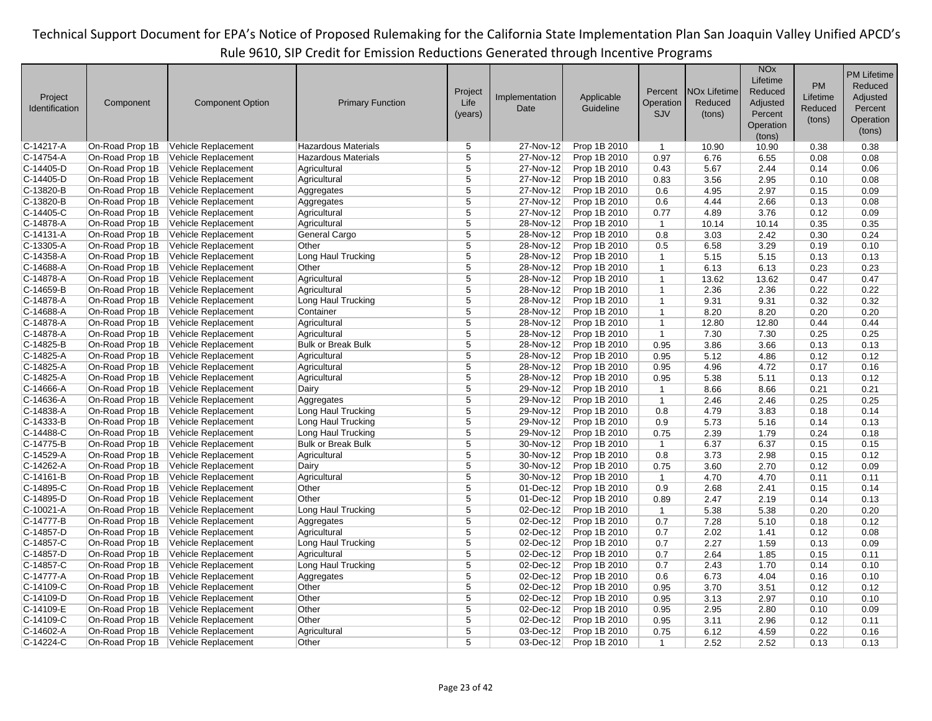|                           |                 |                                            |                            |                |                |                         |                |                                | <b>NO<sub>x</sub></b> |           | <b>PM Lifetime</b> |
|---------------------------|-----------------|--------------------------------------------|----------------------------|----------------|----------------|-------------------------|----------------|--------------------------------|-----------------------|-----------|--------------------|
|                           |                 |                                            |                            |                |                |                         |                |                                | Lifetime              | <b>PM</b> | Reduced            |
|                           |                 |                                            |                            | Project        | Implementation |                         | Percent        | <b>NO<sub>x</sub></b> Lifetime | Reduced               | Lifetime  | Adjusted           |
| Project<br>Identification | Component       | <b>Component Option</b>                    | <b>Primary Function</b>    | Life           | Date           | Applicable<br>Guideline | Operation      | Reduced                        | Adjusted              | Reduced   | Percent            |
|                           |                 |                                            |                            | (years)        |                |                         | SJV            | (tons)                         | Percent               |           |                    |
|                           |                 |                                            |                            |                |                |                         |                |                                | Operation             | (tons)    | Operation          |
|                           |                 |                                            |                            |                |                |                         |                |                                | (tons)                |           | (tons)             |
| C-14217-A                 | On-Road Prop 1B | Vehicle Replacement                        | <b>Hazardous Materials</b> | 5              | 27-Nov-12      | Prop 1B 2010            | $\overline{1}$ | 10.90                          | 10.90                 | 0.38      | 0.38               |
| C-14754-A                 | On-Road Prop 1B | Vehicle Replacement                        | Hazardous Materials        | 5              | 27-Nov-12      | Prop 1B 2010            | 0.97           | 6.76                           | 6.55                  | 0.08      | 0.08               |
| C-14405-D                 | On-Road Prop 1B | Vehicle Replacement                        | Agricultural               | 5              | 27-Nov-12      | Prop 1B 2010            | 0.43           | 5.67                           | 2.44                  | 0.14      | 0.06               |
| C-14405-D                 | On-Road Prop 1B | Vehicle Replacement                        | Agricultural               | $\overline{5}$ | 27-Nov-12      | Prop 1B 2010            | 0.83           | 3.56                           | 2.95                  | 0.10      | 0.08               |
| C-13820-B                 | On-Road Prop 1B | Vehicle Replacement                        | Aggregates                 | 5              | 27-Nov-12      | Prop 1B 2010            | 0.6            | 4.95                           | 2.97                  | 0.15      | 0.09               |
| C-13820-B                 | On-Road Prop 1B | Vehicle Replacement                        | Aggregates                 | 5              | 27-Nov-12      | Prop 1B 2010            | 0.6            | 4.44                           | 2.66                  | 0.13      | 0.08               |
| C-14405-C                 | On-Road Prop 1B | Vehicle Replacement                        | Agricultural               | $\overline{5}$ | 27-Nov-12      | Prop 1B 2010            | 0.77           | 4.89                           | 3.76                  | 0.12      | 0.09               |
| C-14878-A                 | On-Road Prop 1B | Vehicle Replacement                        | Agricultural               | 5              | 28-Nov-12      | Prop 1B 2010            | $\overline{1}$ | 10.14                          | 10.14                 | 0.35      | 0.35               |
| C-14131-A                 | On-Road Prop 1B | Vehicle Replacement                        | General Cargo              | 5              | 28-Nov-12      | Prop 1B 2010            | 0.8            | 3.03                           | 2.42                  | 0.30      | 0.24               |
| C-13305-A                 | On-Road Prop 1B | Vehicle Replacement                        | Other                      | $\overline{5}$ | 28-Nov-12      | Prop 1B 2010            | 0.5            | 6.58                           | 3.29                  | 0.19      | 0.10               |
| C-14358-A                 | On-Road Prop 1B | Vehicle Replacement                        | Long Haul Trucking         | $\overline{5}$ | 28-Nov-12      | Prop 1B 2010            | $\mathbf{1}$   | 5.15                           | 5.15                  | 0.13      | 0.13               |
| C-14688-A                 | On-Road Prop 1B | Vehicle Replacement                        | Other                      | $\overline{5}$ | 28-Nov-12      | Prop 1B 2010            | $\mathbf{1}$   | 6.13                           | 6.13                  | 0.23      | 0.23               |
| C-14878-A                 | On-Road Prop 1B | Vehicle Replacement                        | Agricultural               | 5              | 28-Nov-12      | Prop 1B 2010            | $\mathbf{1}$   | 13.62                          | 13.62                 | 0.47      | 0.47               |
| C-14659-B                 | On-Road Prop 1B | Vehicle Replacement                        | Agricultural               | 5              | 28-Nov-12      | Prop 1B 2010            | $\mathbf{1}$   | 2.36                           | 2.36                  | 0.22      | 0.22               |
| C-14878-A                 | On-Road Prop 1B | Vehicle Replacement                        | Long Haul Trucking         | $\overline{5}$ | 28-Nov-12      | Prop 1B 2010            | $\mathbf{1}$   | 9.31                           | 9.31                  | 0.32      | 0.32               |
| C-14688-A                 | On-Road Prop 1B | Vehicle Replacement                        | Container                  | 5              | 28-Nov-12      | Prop 1B 2010            | $\mathbf{1}$   | 8.20                           | 8.20                  | 0.20      | 0.20               |
| C-14878-A                 | On-Road Prop 1B | Vehicle Replacement                        | Agricultural               | 5              | 28-Nov-12      | Prop 1B 2010            | $\overline{1}$ | 12.80                          | 12.80                 | 0.44      | 0.44               |
| C-14878-A                 | On-Road Prop 1B | Vehicle Replacement                        | Agricultural               | 5              | 28-Nov-12      | Prop 1B 2010            | $\mathbf{1}$   | 7.30                           | 7.30                  | 0.25      | 0.25               |
| C-14825-B                 | On-Road Prop 1B | Vehicle Replacement                        | <b>Bulk or Break Bulk</b>  | 5              | 28-Nov-12      | Prop 1B 2010            | 0.95           | 3.86                           | 3.66                  | 0.13      | 0.13               |
| C-14825-A                 | On-Road Prop 1B | Vehicle Replacement                        | Agricultural               | $\overline{5}$ | 28-Nov-12      | Prop 1B 2010            | 0.95           | 5.12                           | 4.86                  | 0.12      | 0.12               |
| C-14825-A                 | On-Road Prop 1B | Vehicle Replacement                        | Agricultural               | $\overline{5}$ | 28-Nov-12      | Prop 1B 2010            | 0.95           | 4.96                           | 4.72                  | 0.17      | 0.16               |
| C-14825-A                 | On-Road Prop 1B | Vehicle Replacement                        | Agricultural               | 5              | 28-Nov-12      | Prop 1B 2010            | 0.95           | 5.38                           | 5.11                  | 0.13      | 0.12               |
| C-14666-A                 | On-Road Prop 1B | Vehicle Replacement                        | Dairy                      | 5              | 29-Nov-12      | Prop 1B 2010            | $\mathbf{1}$   | 8.66                           | 8.66                  | 0.21      | 0.21               |
| C-14636-A                 | On-Road Prop 1B | Vehicle Replacement                        | Aggregates                 | $\overline{5}$ | 29-Nov-12      | Prop 1B 2010            | $\mathbf{1}$   | 2.46                           | 2.46                  | 0.25      | 0.25               |
| C-14838-A                 | On-Road Prop 1B | Vehicle Replacement                        | Long Haul Trucking         | 5              | 29-Nov-12      | Prop 1B 2010            | 0.8            | 4.79                           | 3.83                  | 0.18      | 0.14               |
| C-14333-B                 | On-Road Prop 1B | Vehicle Replacement                        | Long Haul Trucking         | 5              | 29-Nov-12      | Prop 1B 2010            | 0.9            | 5.73                           | 5.16                  | 0.14      | 0.13               |
| C-14488-C                 | On-Road Prop 1B | Vehicle Replacement                        | Long Haul Trucking         | $\overline{5}$ | 29-Nov-12      | Prop 1B 2010            | 0.75           | 2.39                           | 1.79                  | 0.24      | 0.18               |
| C-14775-B                 | On-Road Prop 1B | Vehicle Replacement                        | <b>Bulk or Break Bulk</b>  | $\overline{5}$ | 30-Nov-12      | Prop 1B 2010            | $\mathbf{1}$   | 6.37                           | 6.37                  | 0.15      | 0.15               |
| C-14529-A                 | On-Road Prop 1B | Vehicle Replacement                        | Agricultural               | 5              | 30-Nov-12      | Prop 1B 2010            | 0.8            | 3.73                           | 2.98                  | 0.15      | 0.12               |
| C-14262-A                 | On-Road Prop 1B | Vehicle Replacement                        | Dairy                      | 5              | 30-Nov-12      | Prop 1B 2010            | 0.75           | 3.60                           | 2.70                  | 0.12      | 0.09               |
| C-14161-B                 | On-Road Prop 1B | Vehicle Replacement                        | Agricultural               | 5              | 30-Nov-12      | Prop 1B 2010            | $\mathbf{1}$   | 4.70                           | 4.70                  | 0.11      | 0.11               |
| C-14895-C                 | On-Road Prop 1B | Vehicle Replacement                        | Other                      | $\overline{5}$ | 01-Dec-12      | Prop 1B 2010            | 0.9            | 2.68                           | 2.41                  | 0.15      | 0.14               |
| C-14895-D                 | On-Road Prop 1B | Vehicle Replacement                        | Other                      | $\overline{5}$ | 01-Dec-12      | Prop 1B 2010            | 0.89           | 2.47                           | 2.19                  | 0.14      | 0.13               |
| C-10021-A                 | On-Road Prop 1B | Vehicle Replacement                        | Long Haul Trucking         | 5              | 02-Dec-12      | Prop 1B 2010            | $\overline{1}$ | 5.38                           |                       | 0.20      | 0.20               |
| C-14777-B                 | On-Road Prop 1B | Vehicle Replacement                        | Aggregates                 | 5              | 02-Dec-12      | Prop 1B 2010            | 0.7            | 7.28                           | 5.38<br>5.10          | 0.18      | 0.12               |
| C-14857-D                 | On-Road Prop 1B |                                            | Agricultural               | 5              | 02-Dec-12      | Prop 1B 2010            | 0.7            | 2.02                           | 1.41                  | 0.12      | 0.08               |
| C-14857-C                 | On-Road Prop 1B | Vehicle Replacement<br>Vehicle Replacement | Long Haul Trucking         | 5              | 02-Dec-12      | Prop 1B 2010            | 0.7            |                                |                       | 0.13      | 0.09               |
| C-14857-D                 | On-Road Prop 1B |                                            | Agricultural               | $\overline{5}$ | 02-Dec-12      |                         |                | 2.27                           | 1.59                  |           |                    |
|                           |                 | Vehicle Replacement                        |                            |                |                | Prop 1B 2010            | 0.7            | 2.64                           | 1.85                  | 0.15      | 0.11               |
| C-14857-C                 | On-Road Prop 1B | Vehicle Replacement                        | Long Haul Trucking         | $\overline{5}$ | 02-Dec-12      | Prop 1B 2010            | 0.7            | 2.43                           | 1.70                  | 0.14      | 0.10               |
| C-14777-A                 | On-Road Prop 1B | Vehicle Replacement                        | Aggregates                 | 5              | 02-Dec-12      | Prop 1B 2010            | 0.6            | 6.73                           | 4.04                  | 0.16      | 0.10               |
| C-14109-C                 | On-Road Prop 1B | Vehicle Replacement                        | Other                      | 5              | 02-Dec-12      | Prop 1B 2010            | 0.95           | 3.70                           | 3.51                  | 0.12      | 0.12               |
| C-14109-D                 | On-Road Prop 1B | Vehicle Replacement                        | Other                      | 5              | 02-Dec-12      | Prop 1B 2010            | 0.95           | 3.13                           | 2.97                  | 0.10      | 0.10               |
| C-14109-E                 | On-Road Prop 1B | Vehicle Replacement                        | Other                      | $\overline{5}$ | 02-Dec-12      | Prop 1B 2010            | 0.95           | 2.95                           | 2.80                  | 0.10      | 0.09               |
| C-14109-C                 | On-Road Prop 1B | Vehicle Replacement                        | Other                      | $\overline{5}$ | 02-Dec-12      | Prop 1B 2010            | 0.95           | 3.11                           | 2.96                  | 0.12      | 0.11               |
| C-14602-A                 | On-Road Prop 1B | Vehicle Replacement                        | Agricultural               | 5              | 03-Dec-12      | Prop 1B 2010            | 0.75           | 6.12                           | 4.59                  | 0.22      | 0.16               |
| C-14224-C                 | On-Road Prop 1B | Vehicle Replacement                        | Other                      | 5              | $03$ -Dec-12   | Prop 1B 2010            | $\mathbf{1}$   | 2.52                           | 2.52                  | 0.13      | 0.13               |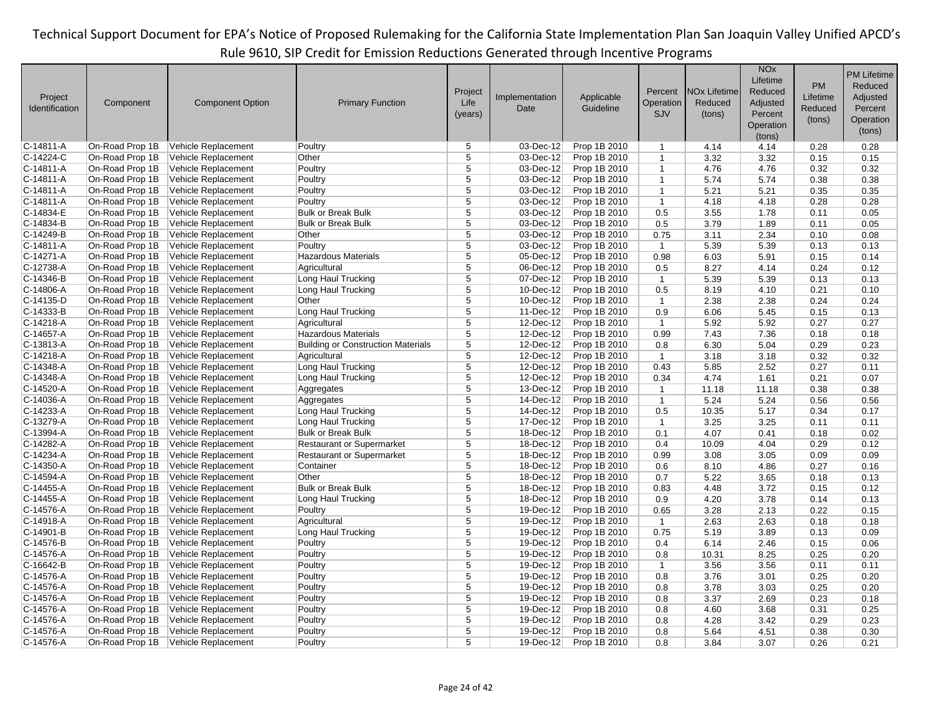| Project<br>Identification | Component       | <b>Component Option</b> | <b>Primary Function</b>                   | Project<br>Life<br>(years) | Implementation<br>Date  | Applicable<br>Guideline | Percent<br>Operation<br>SJV | <b>NO<sub>x</sub></b> Lifetime<br>Reduced<br>(tons) | <b>NO<sub>x</sub></b><br>Lifetime<br>Reduced<br>Adjusted<br>Percent<br>Operation<br>(tons) | <b>PM</b><br>Lifetime<br>Reduced<br>(tons) | <b>PM Lifetime</b><br>Reduced<br>Adjusted<br>Percent<br>Operation<br>(tons) |
|---------------------------|-----------------|-------------------------|-------------------------------------------|----------------------------|-------------------------|-------------------------|-----------------------------|-----------------------------------------------------|--------------------------------------------------------------------------------------------|--------------------------------------------|-----------------------------------------------------------------------------|
| C-14811-A                 | On-Road Prop 1B | Vehicle Replacement     | Poultry                                   | 5                          | 03-Dec-12               | Prop 1B 2010            | $\mathbf{1}$                | 4.14                                                | 4.14                                                                                       | 0.28                                       | 0.28                                                                        |
| C-14224-C                 | On-Road Prop 1B | Vehicle Replacement     | Other                                     | 5                          | 03-Dec-12               | Prop 1B 2010            | $\mathbf{1}$                | 3.32                                                | 3.32                                                                                       | 0.15                                       | 0.15                                                                        |
| C-14811-A                 | On-Road Prop 1B | Vehicle Replacement     | Poultry                                   | $\overline{5}$             | 03-Dec-12               | Prop 1B 2010            | $\mathbf{1}$                | 4.76                                                | 4.76                                                                                       | 0.32                                       | 0.32                                                                        |
| C-14811-A                 | On-Road Prop 1B | Vehicle Replacement     | Poultry                                   | 5                          | 03-Dec-12               | Prop 1B 2010            | $\mathbf{1}$                | 5.74                                                | 5.74                                                                                       | 0.38                                       | 0.38                                                                        |
| C-14811-A                 | On-Road Prop 1B | Vehicle Replacement     | Poultry                                   | 5                          | 03-Dec-12               | Prop 1B 2010            | $\mathbf{1}$                | 5.21                                                | 5.21                                                                                       | 0.35                                       | 0.35                                                                        |
| C-14811-A                 | On-Road Prop 1B | Vehicle Replacement     | Poultry                                   | $\overline{5}$             | $03$ -Dec-12            | Prop 1B 2010            | $\mathbf{1}$                | 4.18                                                | 4.18                                                                                       | 0.28                                       | 0.28                                                                        |
| C-14834-E                 | On-Road Prop 1B | Vehicle Replacement     | <b>Bulk or Break Bulk</b>                 | 5                          | 03-Dec-12               | Prop 1B 2010            | 0.5                         | 3.55                                                | 1.78                                                                                       | 0.11                                       | 0.05                                                                        |
| C-14834-B                 | On-Road Prop 1B | Vehicle Replacement     | <b>Bulk or Break Bulk</b>                 | 5                          | 03-Dec-12               | Prop 1B 2010            | 0.5                         | 3.79                                                | 1.89                                                                                       | 0.11                                       | 0.05                                                                        |
| C-14249-B                 | On-Road Prop 1B | Vehicle Replacement     | Other                                     | $\overline{5}$             | 03-Dec-12               | Prop 1B 2010            | 0.75                        | 3.11                                                | 2.34                                                                                       | 0.10                                       | 0.08                                                                        |
| C-14811-A                 | On-Road Prop 1B | Vehicle Replacement     | Poultry                                   | 5                          | 03-Dec-12               | Prop 1B 2010            | $\overline{1}$              | 5.39                                                | 5.39                                                                                       | 0.13                                       | 0.13                                                                        |
| C-14271-A                 | On-Road Prop 1B | Vehicle Replacement     | <b>Hazardous Materials</b>                | $\overline{5}$             | 05-Dec-12               | Prop 1B 2010            | 0.98                        | 6.03                                                | 5.91                                                                                       | 0.15                                       | 0.14                                                                        |
| C-12738-A                 | On-Road Prop 1B | Vehicle Replacement     | Agricultural                              | 5                          | $\overline{06}$ -Dec-12 | Prop 1B 2010            | 0.5                         | 8.27                                                | 4.14                                                                                       | 0.24                                       | 0.12                                                                        |
| C-14346-B                 | On-Road Prop 1B | Vehicle Replacement     | Long Haul Trucking                        | 5                          | 07-Dec-12               | Prop 1B 2010            | $\mathbf{1}$                | 5.39                                                | 5.39                                                                                       | 0.13                                       | 0.13                                                                        |
| C-14806-A                 | On-Road Prop 1B | Vehicle Replacement     | Long Haul Trucking                        | $\overline{5}$             | 10-Dec-12               | Prop 1B 2010            | 0.5                         | 8.19                                                | 4.10                                                                                       | 0.21                                       | 0.10                                                                        |
| C-14135-D                 | On-Road Prop 1B | Vehicle Replacement     | Other                                     | 5                          | 10-Dec-12               | Prop 1B 2010            | $\mathbf{1}$                | 2.38                                                | 2.38                                                                                       | 0.24                                       | 0.24                                                                        |
| C-14333-B                 | On-Road Prop 1B | Vehicle Replacement     | Long Haul Trucking                        | 5                          | 11-Dec-12               | Prop 1B 2010            | 0.9                         | 6.06                                                | 5.45                                                                                       | 0.15                                       | 0.13                                                                        |
| C-14218-A                 | On-Road Prop 1B | Vehicle Replacement     | Agricultural                              | 5                          | 12-Dec-12               | Prop 1B 2010            | $\mathbf{1}$                | 5.92                                                | 5.92                                                                                       | 0.27                                       | 0.27                                                                        |
| C-14657-A                 | On-Road Prop 1B | Vehicle Replacement     | <b>Hazardous Materials</b>                | 5                          | 12-Dec-12               | Prop 1B 2010            | 0.99                        | 7.43                                                | 7.36                                                                                       | 0.18                                       | 0.18                                                                        |
| C-13813-A                 | On-Road Prop 1B | Vehicle Replacement     | <b>Building or Construction Materials</b> | 5                          | 12-Dec-12               | Prop 1B 2010            | 0.8                         | 6.30                                                | 5.04                                                                                       | 0.29                                       | 0.23                                                                        |
| C-14218-A                 | On-Road Prop 1B | Vehicle Replacement     | Agricultural                              | 5                          | 12-Dec-12               | Prop 1B 2010            | $\mathbf{1}$                | 3.18                                                | 3.18                                                                                       | 0.32                                       | 0.32                                                                        |
| C-14348-A                 | On-Road Prop 1B | Vehicle Replacement     | Long Haul Trucking                        | $\overline{5}$             | 12-Dec-12               | Prop 1B 2010            | 0.43                        | 5.85                                                | 2.52                                                                                       | 0.27                                       | 0.11                                                                        |
| C-14348-A                 | On-Road Prop 1B | Vehicle Replacement     | Long Haul Trucking                        | $\overline{5}$             | 12-Dec-12               | Prop 1B 2010            | 0.34                        | 4.74                                                | 1.61                                                                                       | 0.21                                       | 0.07                                                                        |
| C-14520-A                 | On-Road Prop 1B | Vehicle Replacement     | Aggregates                                | 5                          | 13-Dec-12               | Prop 1B 2010            | $\mathbf{1}$                | 11.18                                               | 11.18                                                                                      | 0.38                                       | 0.38                                                                        |
| C-14036-A                 | On-Road Prop 1B | Vehicle Replacement     | Aggregates                                | 5                          | 14-Dec-12               | Prop 1B 2010            | $\mathbf{1}$                | 5.24                                                | 5.24                                                                                       | 0.56                                       | 0.56                                                                        |
| C-14233-A                 | On-Road Prop 1B | Vehicle Replacement     | Long Haul Trucking                        | 5                          | 14-Dec-12               | Prop 1B 2010            | 0.5                         | 10.35                                               | 5.17                                                                                       | 0.34                                       | 0.17                                                                        |
| C-13279-A                 | On-Road Prop 1B | Vehicle Replacement     | Long Haul Trucking                        | $\overline{5}$             | 17-Dec-12               | Prop 1B 2010            | $\mathbf{1}$                | 3.25                                                | 3.25                                                                                       | 0.11                                       | 0.11                                                                        |
| C-13994-A                 | On-Road Prop 1B | Vehicle Replacement     | <b>Bulk or Break Bulk</b>                 | $\overline{5}$             | 18-Dec-12               | Prop 1B 2010            | 0.1                         | 4.07                                                | 0.41                                                                                       | 0.18                                       | 0.02                                                                        |
| C-14282-A                 | On-Road Prop 1B | Vehicle Replacement     | <b>Restaurant or Supermarket</b>          | 5                          | 18-Dec-12               | Prop 1B 2010            | 0.4                         | 10.09                                               | 4.04                                                                                       | 0.29                                       | 0.12                                                                        |
| C-14234-A                 | On-Road Prop 1B | Vehicle Replacement     | <b>Restaurant or Supermarket</b>          | 5                          | 18-Dec-12               | Prop 1B 2010            | 0.99                        | 3.08                                                | 3.05                                                                                       | 0.09                                       | 0.09                                                                        |
| C-14350-A                 | On-Road Prop 1B | Vehicle Replacement     | Container                                 | 5                          | 18-Dec-12               | Prop 1B 2010            | 0.6                         | 8.10                                                | 4.86                                                                                       | 0.27                                       | 0.16                                                                        |
| C-14594-A                 | On-Road Prop 1B | Vehicle Replacement     | Other                                     | $\overline{5}$             | 18-Dec-12               | Prop 1B 2010            | 0.7                         | 5.22                                                | 3.65                                                                                       | 0.18                                       | 0.13                                                                        |
| C-14455-A                 | On-Road Prop 1B | Vehicle Replacement     | <b>Bulk or Break Bulk</b>                 | $\overline{5}$             | 18-Dec-12               | Prop 1B 2010            | 0.83                        | 4.48                                                | 3.72                                                                                       | 0.15                                       | 0.12                                                                        |
| C-14455-A                 | On-Road Prop 1B | Vehicle Replacement     | Long Haul Trucking                        | 5                          | $18 - Dec-12$           | Prop 1B 2010            | 0.9                         | 4.20                                                | 3.78                                                                                       | 0.14                                       | 0.13                                                                        |
| C-14576-A                 | On-Road Prop 1B | Vehicle Replacement     | Poultry                                   | $\overline{5}$             | 19-Dec-12               | Prop 1B 2010            | 0.65                        | 3.28                                                | 2.13                                                                                       | 0.22                                       | 0.15                                                                        |
| C-14918-A                 | On-Road Prop 1B | Vehicle Replacement     | Agricultural                              | 5                          | 19-Dec-12               | Prop 1B 2010            | $\mathbf{1}$                | 2.63                                                | 2.63                                                                                       | 0.18                                       | 0.18                                                                        |
| C-14901-B                 | On-Road Prop 1B | Vehicle Replacement     | Long Haul Trucking                        | $\overline{5}$             | 19-Dec-12               | Prop 1B 2010            | 0.75                        | 5.19                                                | 3.89                                                                                       | 0.13                                       | 0.09                                                                        |
| C-14576-B                 | On-Road Prop 1B | Vehicle Replacement     | Poultry                                   | $\overline{5}$             | 19-Dec-12               | Prop 1B 2010            | 0.4                         | 6.14                                                | 2.46                                                                                       | 0.15                                       | 0.06                                                                        |
| C-14576-A                 | On-Road Prop 1B | Vehicle Replacement     | Poultry                                   | 5                          | 19-Dec-12               | Prop 1B 2010            | 0.8                         | 10.31                                               | 8.25                                                                                       | 0.25                                       | 0.20                                                                        |
| C-16642-B                 | On-Road Prop 1B | Vehicle Replacement     | Poultry                                   | $\overline{5}$             | 19-Dec-12               | Prop 1B 2010            | $\mathbf{1}$                | 3.56                                                | 3.56                                                                                       | 0.11                                       | 0.11                                                                        |
| C-14576-A                 | On-Road Prop 1B | Vehicle Replacement     | Poultry                                   | 5                          | 19-Dec-12               | Prop 1B 2010            | 0.8                         | 3.76                                                | 3.01                                                                                       | 0.25                                       | 0.20                                                                        |
| C-14576-A                 | On-Road Prop 1B | Vehicle Replacement     | Poultry                                   | 5                          | 19-Dec-12               | Prop 1B 2010            | 0.8                         | 3.78                                                | 3.03                                                                                       | 0.25                                       | 0.20                                                                        |
| C-14576-A                 | On-Road Prop 1B | Vehicle Replacement     | Poultry                                   | $\overline{5}$             | 19-Dec-12               | Prop 1B 2010            | 0.8                         | 3.37                                                | 2.69                                                                                       | 0.23                                       | 0.18                                                                        |
| C-14576-A                 | On-Road Prop 1B | Vehicle Replacement     | Poultry                                   | 5                          | 19-Dec-12               | Prop 1B 2010            | 0.8                         | 4.60                                                | 3.68                                                                                       | 0.31                                       | 0.25                                                                        |
| C-14576-A                 | On-Road Prop 1B | Vehicle Replacement     | Poultry                                   | 5                          | 19-Dec-12               | Prop 1B 2010            | 0.8                         | 4.28                                                | 3.42                                                                                       | 0.29                                       | 0.23                                                                        |
| C-14576-A                 | On-Road Prop 1B | Vehicle Replacement     | Poultry                                   | $\overline{5}$             | 19-Dec-12               | Prop 1B 2010            | 0.8                         | 5.64                                                | 4.51                                                                                       | 0.38                                       | 0.30                                                                        |
| C-14576-A                 | On-Road Prop 1B | Vehicle Replacement     | Poultry                                   | 5                          | 19-Dec-12               | Prop 1B 2010            | 0.8                         | 3.84                                                | 3.07                                                                                       | 0.26                                       | 0.21                                                                        |
|                           |                 |                         |                                           |                            |                         |                         |                             |                                                     |                                                                                            |                                            |                                                                             |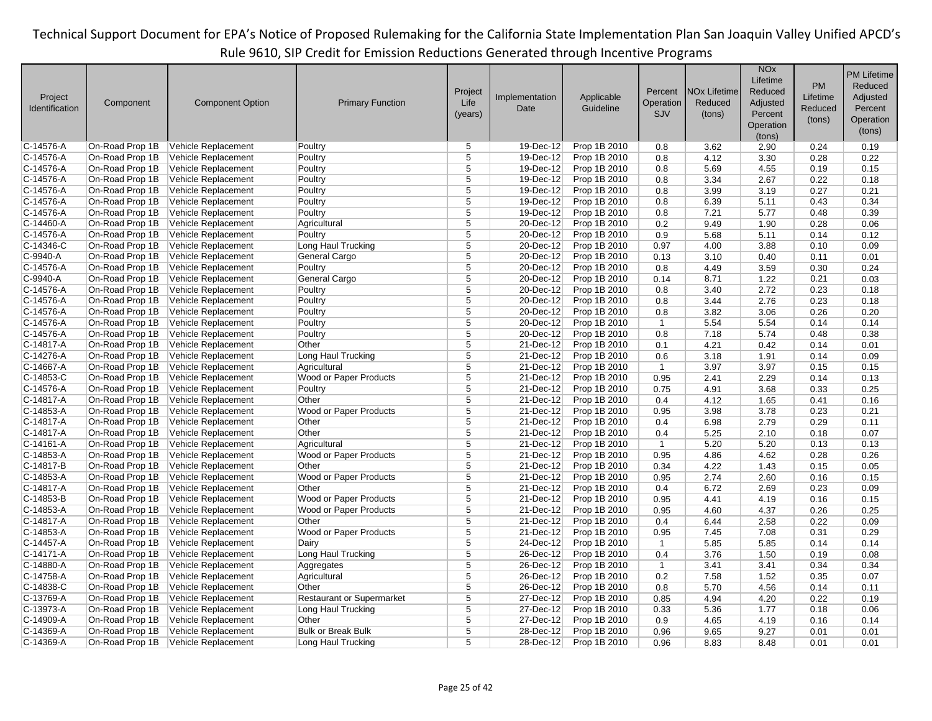|                |                 |                            |                                  |                |                |              |                |                                | <b>NO<sub>x</sub></b><br>Lifetime |          | <b>PM Lifetime</b> |
|----------------|-----------------|----------------------------|----------------------------------|----------------|----------------|--------------|----------------|--------------------------------|-----------------------------------|----------|--------------------|
|                |                 |                            |                                  | Project        |                |              | Percent        | <b>NO<sub>x</sub></b> Lifetime | Reduced                           | PM       | Reduced            |
| Project        | Component       | <b>Component Option</b>    | <b>Primary Function</b>          | Life           | Implementation | Applicable   | Operation      | Reduced                        | Adjusted                          | Lifetime | Adjusted           |
| Identification |                 |                            |                                  | (years)        | Date           | Guideline    | <b>SJV</b>     | (tons)                         | Percent                           | Reduced  | Percent            |
|                |                 |                            |                                  |                |                |              |                |                                | Operation                         | (tons)   | Operation          |
|                |                 |                            |                                  |                |                |              |                |                                | (tons)                            |          | (tons)             |
| C-14576-A      | On-Road Prop 1B | Vehicle Replacement        | Poultry                          | 5              | 19-Dec-12      | Prop 1B 2010 | 0.8            | 3.62                           | 2.90                              | 0.24     | 0.19               |
| C-14576-A      | On-Road Prop 1B | Vehicle Replacement        | Poultry                          | 5              | $19$ -Dec-12   | Prop 1B 2010 | 0.8            | 4.12                           | 3.30                              | 0.28     | 0.22               |
| C-14576-A      | On-Road Prop 1B | Vehicle Replacement        | Poultry                          | 5              | 19-Dec-12      | Prop 1B 2010 | 0.8            | 5.69                           | 4.55                              | 0.19     | 0.15               |
| C-14576-A      | On-Road Prop 1B | Vehicle Replacement        | Poultry                          | $\overline{5}$ | 19-Dec-12      | Prop 1B 2010 | 0.8            | 3.34                           | 2.67                              | 0.22     | 0.18               |
| C-14576-A      | On-Road Prop 1B | Vehicle Replacement        | Poultry                          | $\overline{5}$ | 19-Dec-12      | Prop 1B 2010 | 0.8            | 3.99                           | 3.19                              | 0.27     | 0.21               |
| C-14576-A      | On-Road Prop 1B | Vehicle Replacement        | Poultry                          | 5              | 19-Dec-12      | Prop 1B 2010 | 0.8            | 6.39                           | 5.11                              | 0.43     | 0.34               |
| C-14576-A      | On-Road Prop 1B | Vehicle Replacement        | Poultry                          | $\overline{5}$ | 19-Dec-12      | Prop 1B 2010 | 0.8            | 7.21                           | 5.77                              | 0.48     | 0.39               |
| C-14460-A      | On-Road Prop 1B | Vehicle Replacement        | Agricultural                     | 5              | 20-Dec-12      | Prop 1B 2010 | 0.2            | 9.49                           | 1.90                              | 0.28     | 0.06               |
| C-14576-A      | On-Road Prop 1B | Vehicle Replacement        | Poultry                          | $\overline{5}$ | 20-Dec-12      | Prop 1B 2010 | 0.9            | 5.68                           | 5.11                              | 0.14     | 0.12               |
| C-14346-C      | On-Road Prop 1B | Vehicle Replacement        | Long Haul Trucking               | $\overline{5}$ | 20-Dec-12      | Prop 1B 2010 | 0.97           | 4.00                           | 3.88                              | 0.10     | 0.09               |
| C-9940-A       | On-Road Prop 1B | Vehicle Replacement        | General Cargo                    | 5              | 20-Dec-12      | Prop 1B 2010 | 0.13           | 3.10                           | 0.40                              | 0.11     | 0.01               |
| C-14576-A      | On-Road Prop 1B | Vehicle Replacement        | Poultry                          | $\overline{5}$ | 20-Dec-12      | Prop 1B 2010 | 0.8            | 4.49                           | 3.59                              | 0.30     | 0.24               |
| C-9940-A       | On-Road Prop 1B | Vehicle Replacement        | General Cargo                    | 5              | 20-Dec-12      | Prop 1B 2010 | 0.14           | 8.71                           | 1.22                              | 0.21     | 0.03               |
| C-14576-A      | On-Road Prop 1B | Vehicle Replacement        | Poultry                          | $\overline{5}$ | 20-Dec-12      | Prop 1B 2010 | 0.8            | 3.40                           | 2.72                              | 0.23     | 0.18               |
| C-14576-A      | On-Road Prop 1B | Vehicle Replacement        | Poultry                          | $\overline{5}$ | 20-Dec-12      | Prop 1B 2010 | 0.8            | 3.44                           | 2.76                              | 0.23     | 0.18               |
| C-14576-A      | On-Road Prop 1B | Vehicle Replacement        | Poultry                          | 5              | 20-Dec-12      | Prop 1B 2010 | 0.8            | 3.82                           | 3.06                              | 0.26     | 0.20               |
| C-14576-A      | On-Road Prop 1B | Vehicle Replacement        | Poultry                          | $\overline{5}$ | 20-Dec-12      | Prop 1B 2010 | $\mathbf{1}$   | 5.54                           | 5.54                              | 0.14     | 0.14               |
| C-14576-A      | On-Road Prop 1B | Vehicle Replacement        | Poultry                          | 5              | 20-Dec-12      | Prop 1B 2010 | 0.8            | 7.18                           | 5.74                              | 0.48     | 0.38               |
| C-14817-A      | On-Road Prop 1B | Vehicle Replacement        | Other                            | 5              | 21-Dec-12      | Prop 1B 2010 | 0.1            | 4.21                           | 0.42                              | 0.14     | 0.01               |
| C-14276-A      | On-Road Prop 1B | Vehicle Replacement        | Long Haul Trucking               | $\overline{5}$ | 21-Dec-12      | Prop 1B 2010 | 0.6            | 3.18                           | 1.91                              | 0.14     | 0.09               |
| C-14667-A      | On-Road Prop 1B | Vehicle Replacement        | Agricultural                     | 5              | 21-Dec-12      | Prop 1B 2010 | $\mathbf{1}$   | 3.97                           | 3.97                              | 0.15     | 0.15               |
| C-14853-C      | On-Road Prop 1B | Vehicle Replacement        | Wood or Paper Products           | 5              | 21-Dec-12      | Prop 1B 2010 | 0.95           | 2.41                           | 2.29                              | 0.14     | 0.13               |
| C-14576-A      | On-Road Prop 1B | Vehicle Replacement        | Poultry                          | $\overline{5}$ | 21-Dec-12      | Prop 1B 2010 | 0.75           | 4.91                           | 3.68                              | 0.33     | 0.25               |
| C-14817-A      | On-Road Prop 1B | Vehicle Replacement        | Other                            | 5              | 21-Dec-12      | Prop 1B 2010 | 0.4            | 4.12                           | 1.65                              | 0.41     | 0.16               |
| C-14853-A      | On-Road Prop 1B | Vehicle Replacement        | Wood or Paper Products           | 5              | 21-Dec-12      | Prop 1B 2010 | 0.95           | 3.98                           | 3.78                              | 0.23     | 0.21               |
| C-14817-A      | On-Road Prop 1B | Vehicle Replacement        | Other                            | 5              | 21-Dec-12      | Prop 1B 2010 | 0.4            | 6.98                           | 2.79                              | 0.29     | 0.11               |
| C-14817-A      | On-Road Prop 1B | Vehicle Replacement        | Other                            | 5              | 21-Dec-12      | Prop 1B 2010 | 0.4            | 5.25                           | 2.10                              | 0.18     | 0.07               |
| C-14161-A      | On-Road Prop 1B | <b>Vehicle Replacement</b> | Agricultural                     | 5              | 21-Dec-12      | Prop 1B 2010 | $\mathbf{1}$   | 5.20                           | 5.20                              | 0.13     | 0.13               |
| C-14853-A      | On-Road Prop 1B | Vehicle Replacement        | Wood or Paper Products           | 5              | 21-Dec-12      | Prop 1B 2010 | 0.95           | 4.86                           | 4.62                              | 0.28     | 0.26               |
| C-14817-B      | On-Road Prop 1B | Vehicle Replacement        | Other                            | 5              | 21-Dec-12      | Prop 1B 2010 | 0.34           | 4.22                           | 1.43                              | 0.15     | 0.05               |
| C-14853-A      | On-Road Prop 1B | Vehicle Replacement        | Wood or Paper Products           | 5              | 21-Dec-12      | Prop 1B 2010 | 0.95           | 2.74                           | 2.60                              | 0.16     | 0.15               |
| C-14817-A      | On-Road Prop 1B | Vehicle Replacement        | Other                            | $\overline{5}$ | 21-Dec-12      | Prop 1B 2010 | 0.4            | 6.72                           | 2.69                              | 0.23     | 0.09               |
| C-14853-B      | On-Road Prop 1B | Vehicle Replacement        | Wood or Paper Products           | 5              | 21-Dec-12      | Prop 1B 2010 | 0.95           | 4.41                           | 4.19                              | 0.16     | 0.15               |
| C-14853-A      | On-Road Prop 1B | Vehicle Replacement        | Wood or Paper Products           | $\overline{5}$ | 21-Dec-12      | Prop 1B 2010 | 0.95           | 4.60                           | 4.37                              | 0.26     | 0.25               |
| C-14817-A      | On-Road Prop 1B | Vehicle Replacement        | Other                            | 5              | 21-Dec-12      | Prop 1B 2010 | 0.4            | 6.44                           | 2.58                              | 0.22     | 0.09               |
| C-14853-A      | On-Road Prop 1B | Vehicle Replacement        | <b>Wood or Paper Products</b>    | $\overline{5}$ | 21-Dec-12      | Prop 1B 2010 | 0.95           | 7.45                           | 7.08                              | 0.31     | 0.29               |
| C-14457-A      | On-Road Prop 1B | Vehicle Replacement        | Dairy                            | $\overline{5}$ | 24-Dec-12      | Prop 1B 2010 | $\overline{1}$ | 5.85                           | 5.85                              | 0.14     | 0.14               |
| C-14171-A      | On-Road Prop 1B | Vehicle Replacement        | Long Haul Trucking               | 5              | 26-Dec-12      | Prop 1B 2010 | 0.4            | 3.76                           | 1.50                              | 0.19     | 0.08               |
| C-14880-A      | On-Road Prop 1B | Vehicle Replacement        | Aggregates                       | 5              | 26-Dec-12      | Prop 1B 2010 | $\mathbf{1}$   | 3.41                           | 3.41                              | 0.34     | 0.34               |
| C-14758-A      | On-Road Prop 1B | Vehicle Replacement        | Agricultural                     | 5              | 26-Dec-12      | Prop 1B 2010 | 0.2            | 7.58                           | 1.52                              | 0.35     | 0.07               |
| C-14838-C      | On-Road Prop 1B | Vehicle Replacement        | Other                            | 5              | 26-Dec-12      | Prop 1B 2010 | 0.8            | 5.70                           | 4.56                              | 0.14     | 0.11               |
| C-13769-A      | On-Road Prop 1B | Vehicle Replacement        | <b>Restaurant or Supermarket</b> | $\overline{5}$ | 27-Dec-12      | Prop 1B 2010 | 0.85           | 4.94                           | 4.20                              | 0.22     | 0.19               |
| C-13973-A      | On-Road Prop 1B | Vehicle Replacement        | Long Haul Trucking               | 5              | 27-Dec-12      | Prop 1B 2010 | 0.33           | 5.36                           | 1.77                              | 0.18     | 0.06               |
| C-14909-A      | On-Road Prop 1B | Vehicle Replacement        | Other                            | 5              | 27-Dec-12      | Prop 1B 2010 | 0.9            | 4.65                           | 4.19                              | 0.16     | 0.14               |
| C-14369-A      | On-Road Prop 1B | Vehicle Replacement        | <b>Bulk or Break Bulk</b>        | $\overline{5}$ | 28-Dec-12      | Prop 1B 2010 | 0.96           | 9.65                           | 9.27                              | 0.01     | 0.01               |
| C-14369-A      | On-Road Prop 1B | Vehicle Replacement        | Long Haul Trucking               | 5              | 28-Dec-12      | Prop 1B 2010 | 0.96           | 8.83                           | 8.48                              | 0.01     | 0.01               |
|                |                 |                            |                                  |                |                |              |                |                                |                                   |          |                    |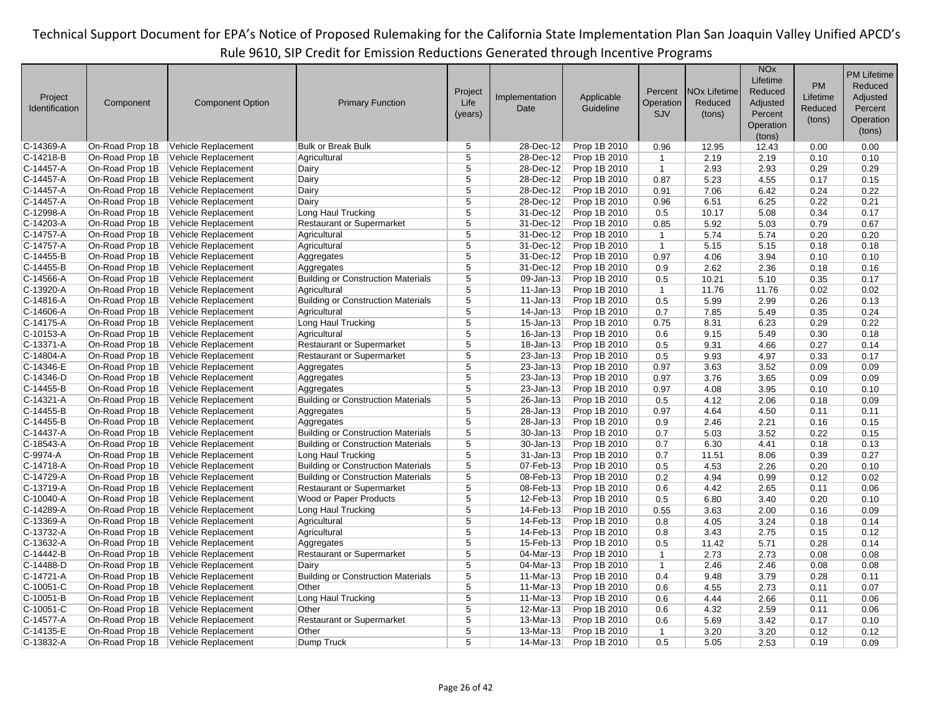|                |                 |                         |                                           |                         |                         |              |                |                                | <b>NO<sub>x</sub></b> |           | <b>PM Lifetime</b> |
|----------------|-----------------|-------------------------|-------------------------------------------|-------------------------|-------------------------|--------------|----------------|--------------------------------|-----------------------|-----------|--------------------|
|                |                 |                         |                                           |                         |                         |              |                |                                | Lifetime              | <b>PM</b> | Reduced            |
| Project        |                 |                         |                                           | Project                 | Implementation          | Applicable   | Percent        | <b>NO<sub>x</sub></b> Lifetime | Reduced               | Lifetime  | Adjusted           |
| Identification | Component       | <b>Component Option</b> | <b>Primary Function</b>                   | Life                    | Date                    | Guideline    | Operation      | Reduced                        | Adjusted              | Reduced   | Percent            |
|                |                 |                         |                                           | (years)                 |                         |              | SJV            | (tons)                         | Percent               |           |                    |
|                |                 |                         |                                           |                         |                         |              |                |                                | Operation             | (tons)    | Operation          |
|                |                 |                         |                                           |                         |                         |              |                |                                | (tons)                |           | (tons)             |
| $C-14369-A$    | On-Road Prop 1B | Vehicle Replacement     | <b>Bulk or Break Bulk</b>                 | 5                       | 28-Dec-12               | Prop 1B 2010 | 0.96           | 12.95                          | 12.43                 | 0.00      | 0.00               |
| $C-14218-B$    | On-Road Prop 1B | Vehicle Replacement     | Agricultural                              | 5                       | 28-Dec-12               | Prop 1B 2010 | $\mathbf{1}$   | 2.19                           | 2.19                  | 0.10      | 0.10               |
| $C-14457 - A$  | On-Road Prop 1B | Vehicle Replacement     | Dairy                                     | 5                       | 28-Dec-12               | Prop 1B 2010 | $\mathbf{1}$   | 2.93                           | 2.93                  | 0.29      | 0.29               |
| $C-14457 - A$  | On-Road Prop 1B | Vehicle Replacement     | Dairy                                     | $\overline{5}$          | 28-Dec-12               | Prop 1B 2010 | 0.87           | 5.23                           | 4.55                  | 0.17      | 0.15               |
| $C-14457-A$    | On-Road Prop 1B | Vehicle Replacement     | Dairy                                     | 5                       | $28$ -Dec-12            | Prop 1B 2010 | 0.91           | 7.06                           | 6.42                  | 0.24      | 0.22               |
| $C-14457-A$    | On-Road Prop 1B | Vehicle Replacement     | Dairy                                     | 5                       | 28-Dec-12               | Prop 1B 2010 | 0.96           | 6.51                           | 6.25                  | 0.22      | 0.21               |
| C-12998-A      | On-Road Prop 1B | Vehicle Replacement     | Long Haul Trucking                        | $\overline{5}$          | 31-Dec-12               | Prop 1B 2010 | 0.5            | 10.17                          | 5.08                  | 0.34      | 0.17               |
| C-14203-A      | On-Road Prop 1B | Vehicle Replacement     | <b>Restaurant or Supermarket</b>          | 5                       | 31-Dec-12               | Prop 1B 2010 | 0.85           | 5.92                           | 5.03                  | 0.79      | 0.67               |
| C-14757-A      | On-Road Prop 1B | Vehicle Replacement     | Agricultural                              | $\overline{5}$          | 31-Dec-12               | Prop 1B 2010 | $\overline{1}$ | 5.74                           | 5.74                  | 0.20      | 0.20               |
| $C-14757 - A$  | On-Road Prop 1B | Vehicle Replacement     | Agricultural                              | $\overline{5}$          | 31-Dec-12               | Prop 1B 2010 | $\mathbf{1}$   | 5.15                           | 5.15                  | 0.18      | 0.18               |
| C-14455-B      | On-Road Prop 1B | Vehicle Replacement     | Aggregates                                | $\overline{5}$          | 31-Dec-12               | Prop 1B 2010 | 0.97           | 4.06                           | 3.94                  | 0.10      | 0.10               |
| C-14455-B      | On-Road Prop 1B | Vehicle Replacement     | Aggregates                                | $\overline{5}$          | 31-Dec-12               | Prop 1B 2010 | 0.9            | 2.62                           | 2.36                  | 0.18      | 0.16               |
| C-14566-A      | On-Road Prop 1B | Vehicle Replacement     | <b>Building or Construction Materials</b> | 5                       | $\overline{09}$ -Jan-13 | Prop 1B 2010 | 0.5            | 10.21                          | 5.10                  | 0.35      | 0.17               |
| $C-13920-A$    | On-Road Prop 1B | Vehicle Replacement     | Agricultural                              | $\overline{5}$          | $11 - Jan-13$           | Prop 1B 2010 | $\mathbf{1}$   | 11.76                          | 11.76                 | 0.02      | 0.02               |
| $C-14816-A$    | On-Road Prop 1B | Vehicle Replacement     | <b>Building or Construction Materials</b> | $\overline{5}$          | $11$ -Jan-13            | Prop 1B 2010 | 0.5            | 5.99                           | 2.99                  | 0.26      | 0.13               |
| C-14606-A      | On-Road Prop 1B | Vehicle Replacement     | Agricultural                              | $\overline{\mathbf{5}}$ | 14-Jan-13               | Prop 1B 2010 | 0.7            | 7.85                           | 5.49                  | 0.35      | 0.24               |
| $C-14175-A$    | On-Road Prop 1B | Vehicle Replacement     | Long Haul Trucking                        | $\overline{5}$          | 15-Jan-13               | Prop 1B 2010 | 0.75           | 8.31                           | 6.23                  | 0.29      | 0.22               |
| $C-10153-A$    | On-Road Prop 1B | Vehicle Replacement     | Agricultural                              | $\overline{5}$          | 16-Jan-13               | Prop 1B 2010 | 0.6            | 9.15                           | 5.49                  | 0.30      | 0.18               |
| $C-13371-A$    | On-Road Prop 1B | Vehicle Replacement     | <b>Restaurant or Supermarket</b>          | 5                       | 18-Jan-13               | Prop 1B 2010 | 0.5            | 9.31                           | 4.66                  | 0.27      | 0.14               |
| $C-14804-A$    | On-Road Prop 1B | Vehicle Replacement     | <b>Restaurant or Supermarket</b>          | $\overline{5}$          | 23-Jan-13               | Prop 1B 2010 | 0.5            | 9.93                           | 4.97                  | 0.33      | 0.17               |
| $C-14346-E$    | On-Road Prop 1B | Vehicle Replacement     | Aggregates                                | $\overline{5}$          | 23-Jan-13               | Prop 1B 2010 | 0.97           | 3.63                           | 3.52                  | 0.09      | 0.09               |
| $C-14346-D$    | On-Road Prop 1B | Vehicle Replacement     | Aggregates                                | $\overline{5}$          | 23-Jan-13               | Prop 1B 2010 | 0.97           | 3.76                           | 3.65                  | 0.09      | 0.09               |
| $C-14455-B$    | On-Road Prop 1B | Vehicle Replacement     | Aggregates                                | 5                       | $23 - Jan-13$           | Prop 1B 2010 | 0.97           | 4.08                           | 3.95                  | 0.10      | 0.10               |
| $C-14321 - A$  | On-Road Prop 1B | Vehicle Replacement     | <b>Building or Construction Materials</b> | 5                       | 26-Jan-13               | Prop 1B 2010 | 0.5            | 4.12                           | 2.06                  | 0.18      | 0.09               |
| $C-14455-B$    | On-Road Prop 1B | Vehicle Replacement     | Aggregates                                | 5                       | 28-Jan-13               | Prop 1B 2010 | 0.97           | 4.64                           | 4.50                  | 0.11      | 0.11               |
| $C-14455-B$    | On-Road Prop 1B | Vehicle Replacement     | Aggregates                                | $\overline{5}$          | 28-Jan-13               | Prop 1B 2010 | 0.9            | 2.46                           | 2.21                  | 0.16      | 0.15               |
| C-14437-A      | On-Road Prop 1B | Vehicle Replacement     | <b>Building or Construction Materials</b> | $\overline{5}$          | 30-Jan-13               | Prop 1B 2010 | 0.7            | 5.03                           | 3.52                  | 0.22      | 0.15               |
| $C-18543-A$    | On-Road Prop 1B | Vehicle Replacement     | <b>Building or Construction Materials</b> | $\overline{\mathbf{5}}$ | 30-Jan-13               | Prop 1B 2010 | 0.7            | 6.30                           | 4.41                  | 0.18      | 0.13               |
| C-9974-A       | On-Road Prop 1B | Vehicle Replacement     | Long Haul Trucking                        | 5                       | 31-Jan-13               | Prop 1B 2010 | 0.7            | 11.51                          | 8.06                  | 0.39      | 0.27               |
| C-14718-A      | On-Road Prop 1B | Vehicle Replacement     | <b>Building or Construction Materials</b> | $\overline{5}$          | 07-Feb-13               | Prop 1B 2010 | 0.5            | 4.53                           | 2.26                  | 0.20      | 0.10               |
| C-14729-A      | On-Road Prop 1B | Vehicle Replacement     | <b>Building or Construction Materials</b> | 5                       | 08-Feb-13               | Prop 1B 2010 | 0.2            | 4.94                           | 0.99                  | 0.12      | 0.02               |
| $C-13719-A$    | On-Road Prop 1B | Vehicle Replacement     | <b>Restaurant or Supermarket</b>          | $\overline{5}$          | 08-Feb-13               | Prop 1B 2010 | 0.6            | 4.42                           | 2.65                  | 0.11      | 0.06               |
| C-10040-A      | On-Road Prop 1B | Vehicle Replacement     | Wood or Paper Products                    | $\overline{5}$          | 12-Feb-13               | Prop 1B 2010 | 0.5            | 6.80                           | 3.40                  | 0.20      | 0.10               |
| $C-14289-A$    | On-Road Prop 1B | Vehicle Replacement     | Long Haul Trucking                        | 5                       | 14-Feb-13               | Prop 1B 2010 | 0.55           | 3.63                           | 2.00                  | 0.16      | 0.09               |
| $C-13369-A$    | On-Road Prop 1B | Vehicle Replacement     | Agricultural                              | $\overline{5}$          | 14-Feb-13               | Prop 1B 2010 | 0.8            | 4.05                           | 3.24                  | 0.18      | 0.14               |
| C-13732-A      | On-Road Prop 1B | Vehicle Replacement     | Agricultural                              | 5                       | 14-Feb-13               | Prop 1B 2010 | 0.8            | 3.43                           | 2.75                  | 0.15      | 0.12               |
| $C-13632-A$    | On-Road Prop 1B | Vehicle Replacement     | Aggregates                                | 5                       | 15-Feb-13               | Prop 1B 2010 | 0.5            | 11.42                          | 5.71                  | 0.28      | 0.14               |
| C-14442-B      | On-Road Prop 1B | Vehicle Replacement     | <b>Restaurant or Supermarket</b>          | $\overline{5}$          | 04-Mar-13               | Prop 1B 2010 | $\mathbf{1}$   | 2.73                           | 2.73                  | 0.08      | 0.08               |
| $C-14488-D$    | On-Road Prop 1B | Vehicle Replacement     | Dairy                                     | $\overline{5}$          | 04-Mar-13               | Prop 1B 2010 | $\mathbf{1}$   | 2.46                           | 2.46                  | 0.08      | 0.08               |
| $C-14721-A$    | On-Road Prop 1B | Vehicle Replacement     | <b>Building or Construction Materials</b> | 5                       | 11-Mar-13               | Prop 1B 2010 | 0.4            | 9.48                           | 3.79                  | 0.28      | 0.11               |
| $C-10051-C$    | On-Road Prop 1B | Vehicle Replacement     | Other                                     | $\overline{5}$          | 11-Mar-13               | Prop 1B 2010 | 0.6            | 4.55                           | 2.73                  | 0.11      | 0.07               |
| $C-10051-B$    | On-Road Prop 1B | Vehicle Replacement     | Long Haul Trucking                        | 5                       | 11-Mar-13               | Prop 1B 2010 | 0.6            | 4.44                           | 2.66                  | 0.11      | 0.06               |
| $C-10051-C$    | On-Road Prop 1B | Vehicle Replacement     | Other                                     | $\overline{5}$          | 12-Mar-13               | Prop 1B 2010 | 0.6            | 4.32                           | 2.59                  | 0.11      | 0.06               |
| C-14577-A      | On-Road Prop 1B | Vehicle Replacement     | <b>Restaurant or Supermarket</b>          | $\overline{5}$          | 13-Mar-13               | Prop 1B 2010 | 0.6            | 5.69                           | 3.42                  | 0.17      | 0.10               |
| C-14135-E      | On-Road Prop 1B | Vehicle Replacement     | Other                                     | 5                       | 13-Mar-13               | Prop 1B 2010 | $\mathbf{1}$   | 3.20                           | 3.20                  | 0.12      | 0.12               |
| $C-13832-A$    | On-Road Prop 1B | Vehicle Replacement     | Dump Truck                                | 5                       | $14$ -Mar-13            | Prop 1B 2010 | 0.5            | 5.05                           | 2.53                  | 0.19      | 0.09               |
|                |                 |                         |                                           |                         |                         |              |                |                                |                       |           |                    |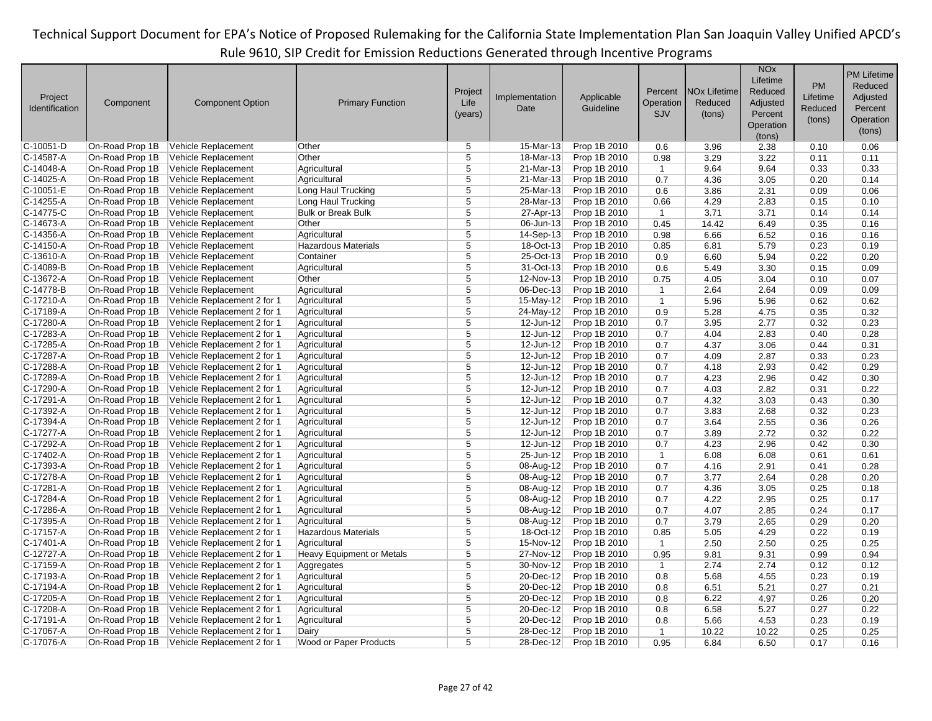| Project<br>Identification | Component       | <b>Component Option</b>     | <b>Primary Function</b>    | Project<br>Life<br>(years) | Implementation<br>Date | Applicable<br>Guideline | Percent<br>Operation<br>SJV | <b>NO<sub>x</sub></b> Lifetime<br>Reduced<br>(tons) | <b>NO<sub>x</sub></b><br>Lifetime<br>Reduced<br>Adjusted<br>Percent<br>Operation<br>(tons) | <b>PM</b><br>Lifetime<br>Reduced<br>(tons) | <b>PM Lifetime</b><br>Reduced<br>Adjusted<br>Percent<br>Operation<br>(tons) |
|---------------------------|-----------------|-----------------------------|----------------------------|----------------------------|------------------------|-------------------------|-----------------------------|-----------------------------------------------------|--------------------------------------------------------------------------------------------|--------------------------------------------|-----------------------------------------------------------------------------|
| $C-10051-D$               | On-Road Prop 1B | Vehicle Replacement         | Other                      | 5                          | 15-Mar-13              | Prop 1B 2010            | 0.6                         | 3.96                                                | 2.38                                                                                       | 0.10                                       | 0.06                                                                        |
| C-14587-A                 | On-Road Prop 1B | Vehicle Replacement         | Other                      | 5                          | 18-Mar-13              | Prop 1B 2010            | 0.98                        | 3.29                                                | 3.22                                                                                       | 0.11                                       | 0.11                                                                        |
| $C-14048-A$               | On-Road Prop 1B | Vehicle Replacement         | Agricultural               | $\overline{5}$             | 21-Mar-13              | Prop 1B 2010            | $\overline{1}$              | 9.64                                                | 9.64                                                                                       | 0.33                                       | 0.33                                                                        |
| $C-14025-A$               | On-Road Prop 1B | Vehicle Replacement         | Agricultural               | $\overline{5}$             | 21-Mar-13              | Prop 1B 2010            | 0.7                         | 4.36                                                | 3.05                                                                                       | 0.20                                       | 0.14                                                                        |
| $C-10051-E$               | On-Road Prop 1B | Vehicle Replacement         | Long Haul Trucking         | 5                          | 25-Mar-13              | Prop 1B 2010            | 0.6                         | 3.86                                                | 2.31                                                                                       | 0.09                                       | 0.06                                                                        |
| $C-14255 - A$             | On-Road Prop 1B | Vehicle Replacement         | Long Haul Trucking         | 5                          | 28-Mar-13              | Prop 1B 2010            | 0.66                        | 4.29                                                | 2.83                                                                                       | 0.15                                       | 0.10                                                                        |
| C-14775-C                 | On-Road Prop 1B | Vehicle Replacement         | <b>Bulk or Break Bulk</b>  | 5                          | 27-Apr-13              | Prop 1B 2010            | $\mathbf{1}$                | 3.71                                                | 3.71                                                                                       | 0.14                                       | 0.14                                                                        |
| $C-14673-A$               | On-Road Prop 1B | Vehicle Replacement         | Other                      | 5                          | 06-Jun-13              | Prop 1B 2010            | 0.45                        | 14.42                                               | 6.49                                                                                       | 0.35                                       | 0.16                                                                        |
| $C-14356-A$               | On-Road Prop 1B | Vehicle Replacement         | Agricultural               | $\overline{5}$             | 14-Sep-13              | Prop 1B 2010            | 0.98                        | 6.66                                                | 6.52                                                                                       | 0.16                                       | 0.16                                                                        |
| $C-14150-A$               | On-Road Prop 1B | Vehicle Replacement         | <b>Hazardous Materials</b> | $\overline{5}$             | 18-Oct-13              | Prop 1B 2010            | 0.85                        | 6.81                                                | 5.79                                                                                       | 0.23                                       | 0.19                                                                        |
| $C-13610-A$               | On-Road Prop 1B | Vehicle Replacement         | Container                  | 5                          | 25-Oct-13              | Prop 1B 2010            | 0.9                         | 6.60                                                | 5.94                                                                                       | 0.22                                       | 0.20                                                                        |
| $C-14089-B$               | On-Road Prop 1B | Vehicle Replacement         | Agricultural               | $\overline{5}$             | 31-Oct-13              | Prop 1B 2010            | 0.6                         | 5.49                                                | 3.30                                                                                       | 0.15                                       | 0.09                                                                        |
| C-13672-A                 | On-Road Prop 1B | Vehicle Replacement         | Other                      | 5                          | 12-Nov-13              | Prop 1B 2010            | 0.75                        | 4.05                                                | 3.04                                                                                       | 0.10                                       | 0.07                                                                        |
| $C-14778-B$               | On-Road Prop 1B | Vehicle Replacement         | Agricultural               | 5                          | 06-Dec-13              | Prop 1B 2010            | $\mathbf{1}$                | 2.64                                                | 2.64                                                                                       | 0.09                                       | 0.09                                                                        |
| $C-17210-A$               | On-Road Prop 1B | Vehicle Replacement 2 for 1 | Agricultural               | $\overline{5}$             | 15-May-12              | Prop 1B 2010            | $\mathbf{1}$                | 5.96                                                | 5.96                                                                                       | 0.62                                       | 0.62                                                                        |
| $C-17189-A$               | On-Road Prop 1B | Vehicle Replacement 2 for 1 | Agricultural               | $\overline{5}$             | 24-May-12              | Prop 1B 2010            | 0.9                         | 5.28                                                | 4.75                                                                                       | 0.35                                       | 0.32                                                                        |
| C-17280-A                 | On-Road Prop 1B | Vehicle Replacement 2 for 1 | Agricultural               | 5                          | 12-Jun-12              | Prop 1B 2010            | 0.7                         | 3.95                                                | 2.77                                                                                       | 0.32                                       | 0.23                                                                        |
| C-17283-A                 | On-Road Prop 1B | Vehicle Replacement 2 for 1 | Agricultural               | $\overline{5}$             | 12-Jun-12              | Prop 1B 2010            | 0.7                         | 4.04                                                | 2.83                                                                                       | 0.40                                       | 0.28                                                                        |
| C-17285-A                 | On-Road Prop 1B | Vehicle Replacement 2 for 1 | Agricultural               | $\overline{5}$             | 12-Jun-12              | Prop 1B 2010            | 0.7                         | 4.37                                                | 3.06                                                                                       | 0.44                                       | 0.31                                                                        |
| C-17287-A                 | On-Road Prop 1B | Vehicle Replacement 2 for 1 | Agricultural               | 5                          | 12-Jun-12              | Prop 1B 2010            | 0.7                         | 4.09                                                | 2.87                                                                                       | 0.33                                       | 0.23                                                                        |
| C-17288-A                 | On-Road Prop 1B | Vehicle Replacement 2 for 1 | Agricultural               | $\overline{5}$             | $12$ -Jun-12           | Prop 1B 2010            | 0.7                         | 4.18                                                | 2.93                                                                                       | 0.42                                       | 0.29                                                                        |
| C-17289-A                 | On-Road Prop 1B | Vehicle Replacement 2 for 1 | Agricultural               | 5                          | 12-Jun-12              | Prop 1B 2010            | 0.7                         | 4.23                                                | 2.96                                                                                       | 0.42                                       | 0.30                                                                        |
| C-17290-A                 | On-Road Prop 1B | Vehicle Replacement 2 for 1 | Agricultural               | 5                          | 12-Jun-12              | Prop 1B 2010            | 0.7                         | 4.03                                                | 2.82                                                                                       | 0.31                                       | 0.22                                                                        |
| $C-17291-A$               | On-Road Prop 1B | Vehicle Replacement 2 for 1 | Agricultural               | 5                          | 12-Jun-12              | Prop 1B 2010            | 0.7                         | 4.32                                                | 3.03                                                                                       | 0.43                                       | 0.30                                                                        |
| C-17392-A                 | On-Road Prop 1B | Vehicle Replacement 2 for 1 | Agricultural               | 5                          | 12-Jun-12              | Prop 1B 2010            | 0.7                         | 3.83                                                | 2.68                                                                                       | 0.32                                       | 0.23                                                                        |
| $C-17394-A$               | On-Road Prop 1B | Vehicle Replacement 2 for 1 | Agricultural               | $\overline{5}$             | 12-Jun-12              | Prop 1B 2010            | 0.7                         | 3.64                                                | 2.55                                                                                       | 0.36                                       | 0.26                                                                        |
| C-17277-A                 | On-Road Prop 1B | Vehicle Replacement 2 for 1 | Agricultural               | $\overline{5}$             | 12-Jun-12              | Prop 1B 2010            | 0.7                         | 3.89                                                | 2.72                                                                                       | 0.32                                       | 0.22                                                                        |
| C-17292-A                 | On-Road Prop 1B | Vehicle Replacement 2 for 1 | Agricultural               | 5                          | 12-Jun-12              | Prop 1B 2010            | 0.7                         | 4.23                                                | 2.96                                                                                       | 0.42                                       | 0.30                                                                        |
| $C-17402-A$               | On-Road Prop 1B | Vehicle Replacement 2 for 1 | Agricultural               | 5                          | 25-Jun-12              | Prop 1B 2010            | $\mathbf{1}$                | 6.08                                                | 6.08                                                                                       | 0.61                                       | 0.61                                                                        |
| $C-17393-A$               | On-Road Prop 1B | Vehicle Replacement 2 for 1 | Agricultural               | $\overline{5}$             | 08-Aug-12              | Prop 1B 2010            | 0.7                         | 4.16                                                | 2.91                                                                                       | 0.41                                       | 0.28                                                                        |
| C-17278-A                 | On-Road Prop 1B | Vehicle Replacement 2 for 1 | Agricultural               | 5                          | 08-Aug-12              | Prop 1B 2010            | 0.7                         | 3.77                                                | 2.64                                                                                       | 0.28                                       | 0.20                                                                        |
| $C-17281-A$               | On-Road Prop 1B | Vehicle Replacement 2 for 1 | Agricultural               | $\overline{5}$             | 08-Aug-12              | Prop 1B 2010            | 0.7                         | 4.36                                                | 3.05                                                                                       | 0.25                                       | 0.18                                                                        |
| C-17284-A                 | On-Road Prop 1B | Vehicle Replacement 2 for 1 | Agricultural               | $\overline{5}$             | 08-Aug-12              | Prop 1B 2010            | 0.7                         | 4.22                                                | 2.95                                                                                       | 0.25                                       | 0.17                                                                        |
| C-17286-A                 | On-Road Prop 1B | Vehicle Replacement 2 for 1 | Agricultural               | 5                          | 08-Aug-12              | Prop 1B 2010            | 0.7                         | 4.07                                                | 2.85                                                                                       | 0.24                                       | 0.17                                                                        |
| C-17395-A                 | On-Road Prop 1B | Vehicle Replacement 2 for 1 | Agricultural               | $\overline{5}$             | 08-Aug-12              | Prop 1B 2010            | 0.7                         | 3.79                                                | 2.65                                                                                       | 0.29                                       | 0.20                                                                        |
| C-17157-A                 | On-Road Prop 1B | Vehicle Replacement 2 for 1 | <b>Hazardous Materials</b> | 5                          | 18-Oct-12              | Prop 1B 2010            | 0.85                        | 5.05                                                | 4.29                                                                                       | 0.22                                       | 0.19                                                                        |
| $C-17401-A$               | On-Road Prop 1B | Vehicle Replacement 2 for 1 | Agricultural               | $\overline{5}$             | 15-Nov-12              | Prop 1B 2010            | $\overline{1}$              | 2.50                                                | 2.50                                                                                       | 0.25                                       | 0.25                                                                        |
| C-12727-A                 | On-Road Prop 1B | Vehicle Replacement 2 for 1 | Heavy Equipment or Metals  | $\overline{5}$             | 27-Nov-12              | Prop 1B 2010            | 0.95                        | 9.81                                                | 9.31                                                                                       | 0.99                                       | 0.94                                                                        |
| $C-17159-A$               | On-Road Prop 1B | Vehicle Replacement 2 for 1 | Aggregates                 | 5                          | 30-Nov-12              | Prop 1B 2010            | $\mathbf{1}$                | 2.74                                                | 2.74                                                                                       | 0.12                                       | 0.12                                                                        |
| $C-17193-A$               | On-Road Prop 1B | Vehicle Replacement 2 for 1 | Agricultural               | 5                          | 20-Dec-12              | Prop 1B 2010            | 0.8                         | 5.68                                                | 4.55                                                                                       | 0.23                                       | 0.19                                                                        |
| C-17194-A                 | On-Road Prop 1B | Vehicle Replacement 2 for 1 | Agricultural               | 5                          | 20-Dec-12              | Prop 1B 2010            | 0.8                         | 6.51                                                | 5.21                                                                                       | 0.27                                       | 0.21                                                                        |
| C-17205-A                 | On-Road Prop 1B | Vehicle Replacement 2 for 1 | Agricultural               | 5                          | 20-Dec-12              | Prop 1B 2010            | 0.8                         | 6.22                                                | 4.97                                                                                       | 0.26                                       | 0.20                                                                        |
| C-17208-A                 | On-Road Prop 1B | Vehicle Replacement 2 for 1 | Agricultural               | $\overline{5}$             | 20-Dec-12              | Prop 1B 2010            | 0.8                         | 6.58                                                | 5.27                                                                                       | 0.27                                       | 0.22                                                                        |
| C-17191-A                 | On-Road Prop 1B | Vehicle Replacement 2 for 1 | Agricultural               | $\overline{5}$             | 20-Dec-12              | Prop 1B 2010            | 0.8                         | 5.66                                                | 4.53                                                                                       | 0.23                                       | 0.19                                                                        |
| C-17067-A                 | On-Road Prop 1B | Vehicle Replacement 2 for 1 | Dairy                      | 5                          | 28-Dec-12              | Prop 1B 2010            | $\mathbf{1}$                | 10.22                                               | 10.22                                                                                      | 0.25                                       | 0.25                                                                        |
| C-17076-A                 | On-Road Prop 1B | Vehicle Replacement 2 for 1 | Wood or Paper Products     | 5                          | 28-Dec-12              | Prop 1B 2010            | 0.95                        | 6.84                                                | 6.50                                                                                       | 0.17                                       | 0.16                                                                        |
|                           |                 |                             |                            |                            |                        |                         |                             |                                                     |                                                                                            |                                            |                                                                             |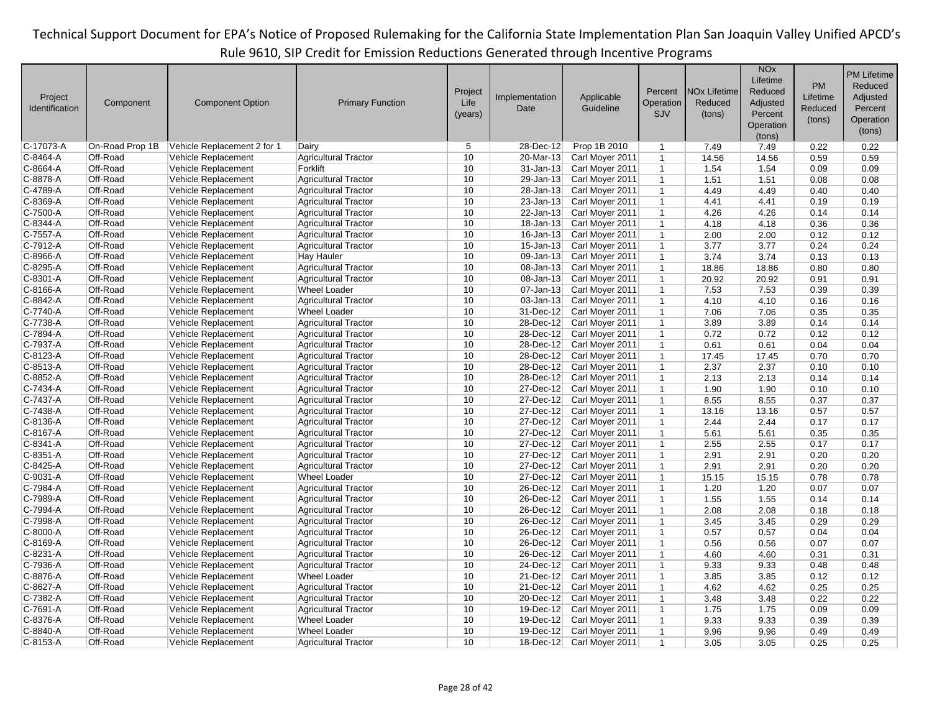|                |                 |                             |                             |         |                |                 |              |                                | <b>NO<sub>x</sub></b> |           | <b>PM Lifetime</b> |
|----------------|-----------------|-----------------------------|-----------------------------|---------|----------------|-----------------|--------------|--------------------------------|-----------------------|-----------|--------------------|
|                |                 |                             |                             |         |                |                 |              |                                | Lifetime              |           |                    |
|                |                 |                             |                             | Project |                |                 | Percent      | <b>NO<sub>x</sub></b> Lifetime | Reduced               | <b>PM</b> | Reduced            |
| Project        | Component       | <b>Component Option</b>     | <b>Primary Function</b>     | Life    | Implementation | Applicable      | Operation    | Reduced                        | Adjusted              | Lifetime  | Adjusted           |
| Identification |                 |                             |                             | (years) | Date           | Guideline       | SJV          | (tons)                         | Percent               | Reduced   | Percent            |
|                |                 |                             |                             |         |                |                 |              |                                | Operation             | (tons)    | Operation          |
|                |                 |                             |                             |         |                |                 |              |                                | (tons)                |           | (tons)             |
| C-17073-A      | On-Road Prop 1B | Vehicle Replacement 2 for 1 | Dairv                       | 5       | 28-Dec-12      | Prop 1B 2010    | $\mathbf{1}$ | 7.49                           | 7.49                  | 0.22      | 0.22               |
| C-8464-A       | Off-Road        | Vehicle Replacement         | <b>Agricultural Tractor</b> | 10      | 20-Mar-13      | Carl Moyer 2011 | $\mathbf{1}$ | 14.56                          | 14.56                 | 0.59      | 0.59               |
| C-8664-A       | Off-Road        | Vehicle Replacement         | Forklift                    | 10      | $31 - Jan-13$  | Carl Moyer 2011 | $\mathbf{1}$ | 1.54                           | 1.54                  | 0.09      | 0.09               |
| C-8878-A       | Off-Road        | Vehicle Replacement         | <b>Agricultural Tractor</b> | 10      | 29-Jan-13      | Carl Moyer 2011 | $\mathbf{1}$ | 1.51                           | 1.51                  | 0.08      | 0.08               |
| C-4789-A       | Off-Road        | Vehicle Replacement         | <b>Agricultural Tractor</b> | 10      | 28-Jan-13      | Carl Moyer 2011 | $\mathbf{1}$ | 4.49                           | 4.49                  | 0.40      | 0.40               |
| C-8369-A       | Off-Road        | Vehicle Replacement         | <b>Agricultural Tractor</b> | 10      | 23-Jan-13      | Carl Moyer 2011 | $\mathbf{1}$ | 4.41                           | 4.41                  | 0.19      | 0.19               |
| $C-7500-A$     | Off-Road        | Vehicle Replacement         | <b>Agricultural Tractor</b> | 10      | $22$ -Jan-13   | Carl Moyer 2011 | $\mathbf{1}$ | 4.26                           | 4.26                  | 0.14      | 0.14               |
| C-8344-A       | Off-Road        | Vehicle Replacement         | <b>Agricultural Tractor</b> | 10      | 18-Jan-13      | Carl Moyer 2011 | $\mathbf{1}$ | 4.18                           | 4.18                  | 0.36      | 0.36               |
| C-7557-A       | Off-Road        | Vehicle Replacement         | <b>Agricultural Tractor</b> | 10      | $16 - Jan-13$  | Carl Moyer 2011 | $\mathbf{1}$ | 2.00                           | 2.00                  | 0.12      | 0.12               |
| C-7912-A       | Off-Road        |                             |                             | 10      | $15 - Jan-13$  |                 | $\mathbf{1}$ |                                | 3.77                  |           | 0.24               |
|                | Off-Road        | Vehicle Replacement         | <b>Agricultural Tractor</b> | 10      |                | Carl Moyer 2011 |              | 3.77                           |                       | 0.24      |                    |
| C-8966-A       |                 | Vehicle Replacement         | Hay Hauler                  |         | 09-Jan-13      | Carl Moyer 2011 | $\mathbf{1}$ | 3.74                           | 3.74                  | 0.13      | 0.13               |
| C-8295-A       | Off-Road        | Vehicle Replacement         | <b>Agricultural Tractor</b> | 10      | 08-Jan-13      | Carl Moyer 2011 | $\mathbf{1}$ | 18.86                          | 18.86                 | 0.80      | 0.80               |
| C-8301-A       | Off-Road        | Vehicle Replacement         | <b>Agricultural Tractor</b> | 10      | 08-Jan-13      | Carl Moyer 2011 | $\mathbf{1}$ | 20.92                          | 20.92                 | 0.91      | 0.91               |
| C-8166-A       | Off-Road        | Vehicle Replacement         | <b>Wheel Loader</b>         | 10      | $07 - Jan-13$  | Carl Moyer 2011 | $\mathbf{1}$ | 7.53                           | 7.53                  | 0.39      | 0.39               |
| C-8842-A       | Off-Road        | Vehicle Replacement         | <b>Agricultural Tractor</b> | 10      | $03$ -Jan-13   | Carl Moyer 2011 | $\mathbf{1}$ | 4.10                           | 4.10                  | 0.16      | 0.16               |
| C-7740-A       | Off-Road        | Vehicle Replacement         | <b>Wheel Loader</b>         | 10      | 31-Dec-12      | Carl Moyer 2011 | $\mathbf{1}$ | 7.06                           | 7.06                  | 0.35      | 0.35               |
| C-7738-A       | Off-Road        | Vehicle Replacement         | <b>Agricultural Tractor</b> | 10      | 28-Dec-12      | Carl Moyer 2011 | $\mathbf{1}$ | 3.89                           | 3.89                  | 0.14      | 0.14               |
| C-7894-A       | Off-Road        | Vehicle Replacement         | <b>Agricultural Tractor</b> | 10      | 28-Dec-12      | Carl Moyer 2011 | $\mathbf{1}$ | 0.72                           | 0.72                  | 0.12      | 0.12               |
| C-7937-A       | Off-Road        | Vehicle Replacement         | <b>Agricultural Tractor</b> | 10      | 28-Dec-12      | Carl Moyer 2011 | $\mathbf{1}$ | 0.61                           | 0.61                  | 0.04      | 0.04               |
| C-8123-A       | Off-Road        | Vehicle Replacement         | <b>Agricultural Tractor</b> | 10      | 28-Dec-12      | Carl Moyer 2011 | $\mathbf{1}$ | 17.45                          | 17.45                 | 0.70      | 0.70               |
| C-8513-A       | Off-Road        | Vehicle Replacement         | <b>Agricultural Tractor</b> | 10      | 28-Dec-12      | Carl Moyer 2011 | $\mathbf{1}$ | 2.37                           | 2.37                  | 0.10      | 0.10               |
| C-8852-A       | Off-Road        | Vehicle Replacement         | <b>Agricultural Tractor</b> | 10      | 28-Dec-12      | Carl Moyer 2011 | $\mathbf{1}$ | 2.13                           | 2.13                  | 0.14      | 0.14               |
| C-7434-A       | Off-Road        | Vehicle Replacement         | <b>Agricultural Tractor</b> | 10      | 27-Dec-12      | Carl Moyer 2011 | $\mathbf{1}$ | 1.90                           | 1.90                  | 0.10      | 0.10               |
| C-7437-A       | Off-Road        | Vehicle Replacement         | <b>Agricultural Tractor</b> | 10      | 27-Dec-12      | Carl Moyer 2011 | $\mathbf{1}$ | 8.55                           | 8.55                  | 0.37      | 0.37               |
| C-7438-A       | Off-Road        | Vehicle Replacement         | <b>Agricultural Tractor</b> | 10      | 27-Dec-12      | Carl Moyer 2011 | $\mathbf{1}$ | 13.16                          | 13.16                 | 0.57      | 0.57               |
| C-8136-A       | Off-Road        | Vehicle Replacement         | <b>Agricultural Tractor</b> | 10      | 27-Dec-12      | Carl Moyer 2011 | $\mathbf{1}$ | 2.44                           | 2.44                  | 0.17      | 0.17               |
| C-8167-A       | Off-Road        | Vehicle Replacement         | <b>Agricultural Tractor</b> | 10      | 27-Dec-12      | Carl Moyer 2011 | $\mathbf{1}$ | 5.61                           | 5.61                  | 0.35      | 0.35               |
| C-8341-A       | Off-Road        | Vehicle Replacement         | <b>Agricultural Tractor</b> | 10      | 27-Dec-12      | Carl Moyer 2011 | $\mathbf{1}$ | 2.55                           | 2.55                  | 0.17      | 0.17               |
| C-8351-A       | Off-Road        | Vehicle Replacement         | <b>Agricultural Tractor</b> | 10      | 27-Dec-12      | Carl Moyer 2011 | $\mathbf{1}$ | 2.91                           | 2.91                  | 0.20      | 0.20               |
| C-8425-A       | Off-Road        | Vehicle Replacement         | <b>Agricultural Tractor</b> | 10      | 27-Dec-12      | Carl Moyer 2011 | $\mathbf{1}$ | 2.91                           | 2.91                  | 0.20      | 0.20               |
| C-9031-A       | Off-Road        | Vehicle Replacement         | <b>Wheel Loader</b>         | 10      | 27-Dec-12      | Carl Moyer 2011 | $\mathbf{1}$ | 15.15                          | 15.15                 | 0.78      | 0.78               |
| C-7984-A       | Off-Road        | Vehicle Replacement         | <b>Agricultural Tractor</b> | 10      | 26-Dec-12      | Carl Moyer 2011 | $\mathbf{1}$ | 1.20                           | 1.20                  | 0.07      | 0.07               |
| C-7989-A       | Off-Road        | Vehicle Replacement         | <b>Agricultural Tractor</b> | 10      | 26-Dec-12      | Carl Moyer 2011 | $\mathbf{1}$ | 1.55                           | 1.55                  | 0.14      | 0.14               |
| C-7994-A       | Off-Road        | Vehicle Replacement         | <b>Agricultural Tractor</b> | 10      | $26$ -Dec-12   | Carl Moyer 2011 | $\mathbf{1}$ | 2.08                           | 2.08                  | 0.18      | 0.18               |
| C-7998-A       | Off-Road        | Vehicle Replacement         | <b>Agricultural Tractor</b> | 10      | 26-Dec-12      | Carl Moyer 2011 | $\mathbf{1}$ | 3.45                           | 3.45                  | 0.29      | 0.29               |
| C-8000-A       | Off-Road        | Vehicle Replacement         | <b>Agricultural Tractor</b> | 10      | $26$ -Dec-12   | Carl Moyer 2011 | $\mathbf{1}$ | 0.57                           | 0.57                  | 0.04      | 0.04               |
| C-8169-A       | Off-Road        | Vehicle Replacement         | <b>Agricultural Tractor</b> | 10      | 26-Dec-12      | Carl Moyer 2011 | $\mathbf{1}$ | 0.56                           | 0.56                  | 0.07      | 0.07               |
| C-8231-A       | Off-Road        | Vehicle Replacement         | <b>Agricultural Tractor</b> | 10      | 26-Dec-12      | Carl Moyer 2011 | $\mathbf{1}$ | 4.60                           | 4.60                  | 0.31      | 0.31               |
| C-7936-A       | Off-Road        | Vehicle Replacement         | <b>Agricultural Tractor</b> | 10      | 24-Dec-12      | Carl Moyer 2011 | $\mathbf{1}$ | 9.33                           | 9.33                  | 0.48      | 0.48               |
| C-8876-A       | Off-Road        | Vehicle Replacement         | <b>Wheel Loader</b>         | 10      | 21-Dec-12      | Carl Moyer 2011 | $\mathbf{1}$ | 3.85                           | 3.85                  | 0.12      | 0.12               |
| C-8627-A       | Off-Road        | Vehicle Replacement         | <b>Agricultural Tractor</b> | 10      | 21-Dec-12      | Carl Moyer 2011 | $\mathbf{1}$ | 4.62                           | 4.62                  | 0.25      | 0.25               |
| C-7382-A       | Off-Road        |                             |                             | 10      | 20-Dec-12      | Carl Moyer 2011 | $\mathbf{1}$ |                                |                       |           | 0.22               |
|                |                 | Vehicle Replacement         | <b>Agricultural Tractor</b> | 10      |                |                 |              | 3.48                           | 3.48                  | 0.22      |                    |
| C-7691-A       | Off-Road        | Vehicle Replacement         | <b>Agricultural Tractor</b> |         | 19-Dec-12      | Carl Moyer 2011 | $\mathbf{1}$ | 1.75                           | 1.75                  | 0.09      | 0.09               |
| C-8376-A       | Off-Road        | Vehicle Replacement         | <b>Wheel Loader</b>         | 10      | 19-Dec-12      | Carl Moyer 2011 | $\mathbf{1}$ | 9.33                           | 9.33                  | 0.39      | 0.39               |
| C-8840-A       | Off-Road        | Vehicle Replacement         | <b>Wheel Loader</b>         | 10      | 19-Dec-12      | Carl Moyer 2011 | $\mathbf{1}$ | 9.96                           | 9.96                  | 0.49      | 0.49               |
| C-8153-A       | Off-Road        | Vehicle Replacement         | <b>Agricultural Tractor</b> | 10      | $18$ -Dec-12   | Carl Moyer 2011 | $\mathbf{1}$ | 3.05                           | 3.05                  | 0.25      | 0.25               |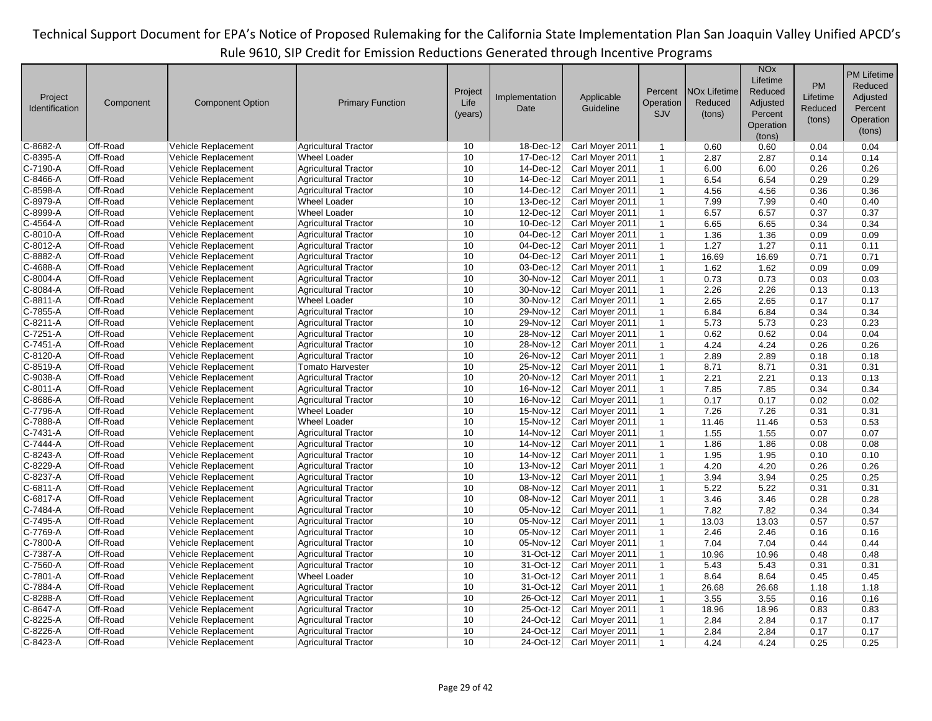|                       |                      |                         |                                                            |         |                         |                                    |              |                                | <b>NO<sub>x</sub></b> |              | <b>PM Lifetime</b> |
|-----------------------|----------------------|-------------------------|------------------------------------------------------------|---------|-------------------------|------------------------------------|--------------|--------------------------------|-----------------------|--------------|--------------------|
|                       |                      |                         |                                                            |         |                         |                                    |              |                                | Lifetime              | <b>PM</b>    | Reduced            |
| Project               |                      |                         |                                                            | Project | Implementation          | Applicable                         | Percent      | <b>NO<sub>x</sub></b> Lifetime | Reduced               | Lifetime     | Adjusted           |
| <b>Identification</b> | Component            | <b>Component Option</b> | <b>Primary Function</b>                                    | Life    | Date                    | Guideline                          | Operation    | Reduced                        | Adjusted              | Reduced      | Percent            |
|                       |                      |                         |                                                            | (years) |                         |                                    | SJV          | (tons)                         | Percent               |              |                    |
|                       |                      |                         |                                                            |         |                         |                                    |              |                                | Operation             | (tons)       | Operation          |
|                       |                      |                         |                                                            |         |                         |                                    |              |                                | (tons)                |              | (tons)             |
| C-8682-A              | Off-Road             | Vehicle Replacement     | <b>Agricultural Tractor</b>                                | 10      | 18-Dec-12               | Carl Moyer 2011                    | $\mathbf{1}$ | 0.60                           | 0.60                  | 0.04         | 0.04               |
| C-8395-A              | Off-Road             | Vehicle Replacement     | <b>Wheel Loader</b>                                        | 10      | 17-Dec-12               | Carl Moyer 2011                    | $\mathbf{1}$ | 2.87                           | 2.87                  | 0.14         | 0.14               |
| C-7190-A              | Off-Road             | Vehicle Replacement     | <b>Agricultural Tractor</b>                                | 10      | 14-Dec-12               | Carl Moyer 2011                    | $\mathbf{1}$ | 6.00                           | 6.00                  | 0.26         | 0.26               |
| C-8466-A              | Off-Road             | Vehicle Replacement     | <b>Agricultural Tractor</b>                                | 10      | 14-Dec-12               | Carl Moyer 2011                    | $\mathbf{1}$ | 6.54                           | 6.54                  | 0.29         | 0.29               |
| C-8598-A              | Off-Road             | Vehicle Replacement     | <b>Agricultural Tractor</b>                                | 10      | 14-Dec-12               | Carl Moyer 2011                    | $\mathbf{1}$ | 4.56                           | 4.56                  | 0.36         | 0.36               |
| $C-8979-A$            | Off-Road             | Vehicle Replacement     | <b>Wheel Loader</b>                                        | 10      | $13$ -Dec-12            | Carl Moyer 2011                    | $\mathbf{1}$ | 7.99                           | 7.99                  | 0.40         | 0.40               |
| C-8999-A              | Off-Road             | Vehicle Replacement     | <b>Wheel Loader</b>                                        | 10      | 12-Dec-12               | Carl Moyer 2011                    | $\mathbf{1}$ | 6.57                           | 6.57                  | 0.37         | 0.37               |
| C-4564-A              | Off-Road             | Vehicle Replacement     | <b>Agricultural Tractor</b>                                | 10      | 10-Dec-12               | Carl Moyer 2011                    | $\mathbf{1}$ | 6.65                           | 6.65                  | 0.34         | 0.34               |
| C-8010-A              | Off-Road             | Vehicle Replacement     | <b>Agricultural Tractor</b>                                | 10      | $04$ -Dec-12            | Carl Moyer 2011                    | $\mathbf{1}$ | 1.36                           | 1.36                  | 0.09         | 0.09               |
| C-8012-A              | Off-Road             | Vehicle Replacement     | <b>Agricultural Tractor</b>                                | 10      | 04-Dec-12               | Carl Moyer 2011                    | $\mathbf{1}$ | 1.27                           | 1.27                  | 0.11         | 0.11               |
| C-8882-A              | Off-Road             | Vehicle Replacement     | <b>Agricultural Tractor</b>                                | 10      | $\overline{04}$ -Dec-12 | Carl Moyer 2011                    | $\mathbf{1}$ | 16.69                          | 16.69                 | 0.71         | 0.71               |
| C-4688-A              | Off-Road             | Vehicle Replacement     | <b>Agricultural Tractor</b>                                | 10      | 03-Dec-12               | Carl Moyer 2011                    | $\mathbf{1}$ | 1.62                           | 1.62                  | 0.09         | 0.09               |
| C-8004-A              | Off-Road             | Vehicle Replacement     | <b>Agricultural Tractor</b>                                | 10      | 30-Nov-12               | Carl Moyer 2011                    | $\mathbf{1}$ | 0.73                           | 0.73                  | 0.03         | 0.03               |
| C-8084-A              | Off-Road             | Vehicle Replacement     | <b>Agricultural Tractor</b>                                | 10      | 30-Nov-12               | Carl Moyer 2011                    | $\mathbf{1}$ | 2.26                           | 2.26                  | 0.13         | 0.13               |
| C-8811-A              | Off-Road             | Vehicle Replacement     | <b>Wheel Loader</b>                                        | 10      | 30-Nov-12               | Carl Moyer 2011                    | $\mathbf{1}$ | 2.65                           | 2.65                  | 0.17         | 0.17               |
| C-7855-A              | Off-Road             | Vehicle Replacement     | <b>Agricultural Tractor</b>                                | 10      | 29-Nov-12               | Carl Moyer 2011                    | $\mathbf{1}$ | 6.84                           | 6.84                  | 0.34         | 0.34               |
| C-8211-A              | Off-Road             | Vehicle Replacement     | <b>Agricultural Tractor</b>                                | 10      | 29-Nov-12               | Carl Moyer 2011                    | $\mathbf{1}$ | 5.73                           | 5.73                  | 0.23         | 0.23               |
| C-7251-A              | Off-Road             | Vehicle Replacement     | <b>Agricultural Tractor</b>                                | 10      | 28-Nov-12               | Carl Moyer 2011                    | $\mathbf{1}$ | 0.62                           | 0.62                  | 0.04         | 0.04               |
| C-7451-A              | Off-Road             | Vehicle Replacement     | <b>Agricultural Tractor</b>                                | 10      | 28-Nov-12               | Carl Moyer 2011                    | $\mathbf{1}$ | 4.24                           | 4.24                  | 0.26         | 0.26               |
| C-8120-A              | Off-Road             | Vehicle Replacement     | <b>Agricultural Tractor</b>                                | 10      | 26-Nov-12               | Carl Moyer 2011                    | $\mathbf{1}$ | 2.89                           | 2.89                  | 0.18         | 0.18               |
| C-8519-A              | Off-Road             | Vehicle Replacement     | <b>Tomato Harvester</b>                                    | 10      | 25-Nov-12               | Carl Moyer 2011                    | $\mathbf{1}$ | 8.71                           | 8.71                  | 0.31         | 0.31               |
| C-9038-A              | Off-Road             | Vehicle Replacement     | <b>Agricultural Tractor</b>                                | 10      | 20-Nov-12               | Carl Moyer 2011                    | $\mathbf{1}$ | 2.21                           | 2.21                  | 0.13         | 0.13               |
| C-8011-A              | Off-Road             | Vehicle Replacement     | <b>Agricultural Tractor</b>                                | 10      | 16-Nov-12               | Carl Moyer 2011                    | $\mathbf{1}$ | 7.85                           | 7.85                  | 0.34         | 0.34               |
| C-8686-A              | Off-Road             | Vehicle Replacement     | <b>Agricultural Tractor</b>                                | 10      | 16-Nov-12               | Carl Moyer 2011                    | $\mathbf{1}$ | 0.17                           | 0.17                  | 0.02         | 0.02               |
| C-7796-A              | Off-Road             | Vehicle Replacement     | <b>Wheel Loader</b>                                        | 10      | 15-Nov-12               | Carl Moyer 2011                    | $\mathbf{1}$ | 7.26                           | 7.26                  | 0.31         | 0.31               |
| C-7888-A              | Off-Road             | Vehicle Replacement     | <b>Wheel Loader</b>                                        | 10      | 15-Nov-12               | Carl Moyer 2011                    | $\mathbf{1}$ | 11.46                          | 11.46                 | 0.53         | 0.53               |
| C-7431-A              | Off-Road             | Vehicle Replacement     |                                                            | 10      | 14-Nov-12               |                                    | $\mathbf{1}$ |                                |                       |              | 0.07               |
| C-7444-A              | Off-Road             | Vehicle Replacement     | <b>Agricultural Tractor</b><br><b>Agricultural Tractor</b> | 10      | 14-Nov-12               | Carl Moyer 2011<br>Carl Moyer 2011 |              | 1.55<br>1.86                   | 1.55<br>1.86          | 0.07<br>0.08 | 0.08               |
|                       |                      |                         |                                                            | 10      |                         |                                    | $\mathbf{1}$ |                                |                       |              |                    |
| C-8243-A              | Off-Road<br>Off-Road | Vehicle Replacement     | <b>Agricultural Tractor</b>                                | 10      | 14-Nov-12               | Carl Moyer 2011                    | $\mathbf{1}$ | 1.95                           | 1.95                  | 0.10         | 0.10               |
| C-8229-A              | Off-Road             | Vehicle Replacement     | <b>Agricultural Tractor</b>                                | 10      | 13-Nov-12               | Carl Moyer 2011                    | $\mathbf{1}$ | 4.20                           | 4.20                  | 0.26         | 0.26               |
| C-8237-A              | Off-Road             | Vehicle Replacement     | <b>Agricultural Tractor</b>                                | 10      | 13-Nov-12               | Carl Moyer 2011                    | $\mathbf{1}$ | 3.94                           | 3.94                  | 0.25         | 0.25               |
| C-6811-A              |                      | Vehicle Replacement     | <b>Agricultural Tractor</b>                                | 10      | 08-Nov-12               | Carl Moyer 2011                    | $\mathbf{1}$ | 5.22                           | 5.22                  | 0.31         | 0.31               |
| C-6817-A              | Off-Road             | Vehicle Replacement     | <b>Agricultural Tractor</b>                                |         | 08-Nov-12               | Carl Moyer 2011                    | $\mathbf{1}$ | 3.46                           | 3.46                  | 0.28         | 0.28               |
| C-7484-A              | Off-Road             | Vehicle Replacement     | <b>Agricultural Tractor</b>                                | 10      | 05-Nov-12               | Carl Moyer 2011                    | $\mathbf{1}$ | 7.82                           | 7.82                  | 0.34         | 0.34               |
| C-7495-A              | Off-Road             | Vehicle Replacement     | <b>Agricultural Tractor</b>                                | 10      | 05-Nov-12               | Carl Moyer 2011                    | $\mathbf{1}$ | 13.03                          | 13.03                 | 0.57         | 0.57               |
| C-7769-A              | Off-Road             | Vehicle Replacement     | <b>Agricultural Tractor</b>                                | 10      | $05$ -Nov-12            | Carl Moyer 2011                    | $\mathbf{1}$ | 2.46                           | 2.46                  | 0.16         | 0.16               |
| C-7800-A              | Off-Road             | Vehicle Replacement     | <b>Agricultural Tractor</b>                                | 10      | 05-Nov-12               | Carl Moyer 2011                    | $\mathbf{1}$ | 7.04                           | 7.04                  | 0.44         | 0.44               |
| C-7387-A              | Off-Road             | Vehicle Replacement     | <b>Agricultural Tractor</b>                                | 10      | $31-Oct-12$             | Carl Moyer 2011                    | $\mathbf{1}$ | 10.96                          | 10.96                 | 0.48         | 0.48               |
| C-7560-A              | Off-Road             | Vehicle Replacement     | <b>Agricultural Tractor</b>                                | 10      | 31-Oct-12               | Carl Moyer 2011                    | $\mathbf{1}$ | 5.43                           | 5.43                  | 0.31         | 0.31               |
| C-7801-A              | Off-Road             | Vehicle Replacement     | <b>Wheel Loader</b>                                        | 10      | 31-Oct-12               | Carl Moyer 2011                    | $\mathbf{1}$ | 8.64                           | 8.64                  | 0.45         | 0.45               |
| C-7884-A              | Off-Road             | Vehicle Replacement     | <b>Agricultural Tractor</b>                                | 10      | 31-Oct-12               | Carl Moyer 2011                    | $\mathbf{1}$ | 26.68                          | 26.68                 | 1.18         | 1.18               |
| C-8288-A              | Off-Road             | Vehicle Replacement     | <b>Agricultural Tractor</b>                                | 10      | 26-Oct-12               | Carl Moyer 2011                    | $\mathbf{1}$ | 3.55                           | 3.55                  | 0.16         | 0.16               |
| C-8647-A              | Off-Road             | Vehicle Replacement     | <b>Agricultural Tractor</b>                                | 10      | 25-Oct-12               | Carl Moyer 2011                    | $\mathbf{1}$ | 18.96                          | 18.96                 | 0.83         | 0.83               |
| C-8225-A              | Off-Road             | Vehicle Replacement     | <b>Agricultural Tractor</b>                                | 10      | 24-Oct-12               | Carl Moyer 2011                    | $\mathbf{1}$ | 2.84                           | 2.84                  | 0.17         | 0.17               |
| C-8226-A              | Off-Road             | Vehicle Replacement     | <b>Agricultural Tractor</b>                                | 10      | 24-Oct-12               | Carl Moyer 2011                    | $\mathbf{1}$ | 2.84                           | 2.84                  | 0.17         | 0.17               |
| C-8423-A              | Off-Road             | Vehicle Replacement     | <b>Agricultural Tractor</b>                                | 10      | 24-Oct-12               | Carl Moyer 2011                    | $\mathbf{1}$ | 4.24                           | 4.24                  | 0.25         | 0.25               |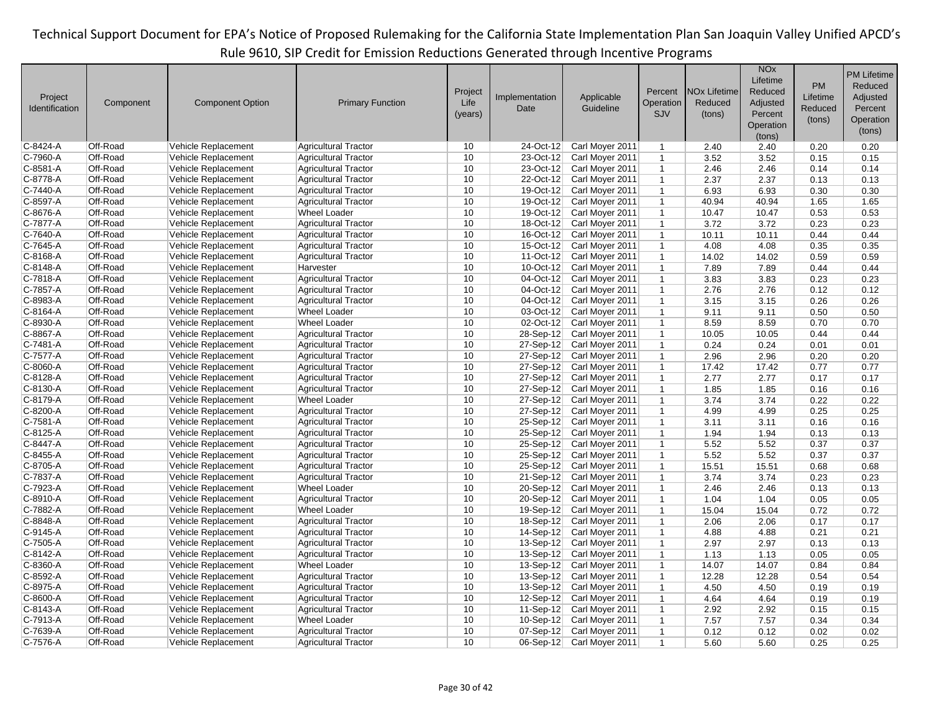| Project<br>Identification | Component            | <b>Component Option</b> | <b>Primary Function</b>     | Project<br>Life<br>(years) | Implementation<br>Date | Applicable<br>Guideline | Percent<br>Operation<br>SJV | <b>NO<sub>x</sub></b> Lifetime<br>Reduced<br>(tons) | <b>NO<sub>x</sub></b><br>Lifetime<br>Reduced<br>Adjusted<br>Percent<br>Operation | PM<br>Lifetime<br>Reduced<br>(tons) | <b>PM Lifetime</b><br>Reduced<br>Adjusted<br>Percent<br>Operation<br>(tons) |
|---------------------------|----------------------|-------------------------|-----------------------------|----------------------------|------------------------|-------------------------|-----------------------------|-----------------------------------------------------|----------------------------------------------------------------------------------|-------------------------------------|-----------------------------------------------------------------------------|
| C-8424-A                  | Off-Road             | Vehicle Replacement     | <b>Agricultural Tractor</b> | 10                         | 24-Oct-12              | Carl Moyer 2011         | $\mathbf{1}$                | 2.40                                                | (tons)<br>2.40                                                                   | 0.20                                | 0.20                                                                        |
| C-7960-A                  | Off-Road             | Vehicle Replacement     | <b>Agricultural Tractor</b> | 10                         | 23-Oct-12              | Carl Moyer 2011         | $\mathbf{1}$                | 3.52                                                | 3.52                                                                             | 0.15                                | 0.15                                                                        |
| C-8581-A                  | Off-Road             | Vehicle Replacement     | <b>Agricultural Tractor</b> | 10                         | 23-Oct-12              | Carl Moyer 2011         | $\mathbf{1}$                | 2.46                                                | 2.46                                                                             | 0.14                                | 0.14                                                                        |
| C-8778-A                  | Off-Road             | Vehicle Replacement     | <b>Agricultural Tractor</b> | 10                         | 22-Oct-12              | Carl Moyer 2011         | $\mathbf{1}$                | 2.37                                                | 2.37                                                                             | 0.13                                | 0.13                                                                        |
| C-7440-A                  | Off-Road             | Vehicle Replacement     | <b>Agricultural Tractor</b> | 10                         | 19-Oct-12              | Carl Moyer 2011         | $\mathbf{1}$                |                                                     | 6.93                                                                             |                                     | 0.30                                                                        |
| C-8597-A                  | Off-Road             |                         |                             | 10                         | 19-Oct-12              |                         |                             | 6.93                                                |                                                                                  | 0.30                                |                                                                             |
|                           |                      | Vehicle Replacement     | <b>Agricultural Tractor</b> |                            |                        | Carl Moyer 2011         | $\mathbf{1}$                | 40.94                                               | 40.94                                                                            | 1.65                                | 1.65                                                                        |
| C-8676-A                  | Off-Road             | Vehicle Replacement     | <b>Wheel Loader</b>         | 10                         | 19-Oct-12              | Carl Moyer 2011         | $\mathbf{1}$                | 10.47                                               | 10.47                                                                            | 0.53                                | 0.53                                                                        |
| C-7877-A                  | Off-Road             | Vehicle Replacement     | <b>Agricultural Tractor</b> | 10                         | 18-Oct-12              | Carl Moyer 2011         | $\mathbf{1}$                | 3.72                                                | 3.72                                                                             | 0.23                                | 0.23                                                                        |
| C-7640-A                  | Off-Road             | Vehicle Replacement     | <b>Agricultural Tractor</b> | 10                         | 16-Oct-12              | Carl Moyer 2011         | $\mathbf{1}$                | 10.11                                               | 10.11                                                                            | 0.44                                | 0.44                                                                        |
| C-7645-A<br>C-8168-A      | Off-Road<br>Off-Road | Vehicle Replacement     | <b>Agricultural Tractor</b> | 10<br>10                   | 15-Oct-12<br>11-Oct-12 | Carl Moyer 2011         | $\mathbf{1}$                | 4.08                                                | 4.08                                                                             | 0.35                                | 0.35                                                                        |
|                           |                      | Vehicle Replacement     | <b>Agricultural Tractor</b> |                            |                        | Carl Moyer 2011         | $\mathbf{1}$                | 14.02                                               | 14.02                                                                            | 0.59                                | 0.59                                                                        |
| C-8148-A                  | Off-Road             | Vehicle Replacement     | Harvester                   | 10                         | 10-Oct-12              | Carl Moyer 2011         | $\mathbf{1}$                | 7.89                                                | 7.89                                                                             | 0.44                                | 0.44                                                                        |
| C-7818-A                  | Off-Road             | Vehicle Replacement     | <b>Agricultural Tractor</b> | 10                         | $04-Oct-12$            | Carl Moyer 2011         | $\mathbf{1}$                | 3.83                                                | 3.83                                                                             | 0.23                                | 0.23                                                                        |
| C-7857-A                  | Off-Road             | Vehicle Replacement     | <b>Agricultural Tractor</b> | 10                         | 04-Oct-12              | Carl Moyer 2011         | $\mathbf{1}$                | 2.76                                                | 2.76                                                                             | 0.12                                | 0.12                                                                        |
| C-8983-A                  | Off-Road             | Vehicle Replacement     | <b>Agricultural Tractor</b> | 10                         | 04-Oct-12              | Carl Moyer 2011         | $\mathbf{1}$                | 3.15                                                | 3.15                                                                             | 0.26                                | 0.26                                                                        |
| C-8164-A                  | Off-Road             | Vehicle Replacement     | <b>Wheel Loader</b>         | 10                         | 03-Oct-12              | Carl Moyer 2011         | $\mathbf{1}$                | 9.11                                                | 9.11                                                                             | 0.50                                | 0.50                                                                        |
| C-8930-A                  | Off-Road             | Vehicle Replacement     | <b>Wheel Loader</b>         | 10                         | 02-Oct-12              | Carl Moyer 2011         | $\mathbf{1}$                | 8.59                                                | 8.59                                                                             | 0.70                                | 0.70                                                                        |
| C-8867-A                  | Off-Road             | Vehicle Replacement     | <b>Agricultural Tractor</b> | 10                         | 28-Sep-12              | Carl Moyer 2011         | $\mathbf{1}$                | 10.05                                               | 10.05                                                                            | 0.44                                | 0.44                                                                        |
| C-7481-A                  | Off-Road             | Vehicle Replacement     | <b>Agricultural Tractor</b> | 10                         | 27-Sep-12              | Carl Moyer 2011         | $\mathbf{1}$                | 0.24                                                | 0.24                                                                             | 0.01                                | 0.01                                                                        |
| C-7577-A                  | Off-Road             | Vehicle Replacement     | <b>Agricultural Tractor</b> | 10                         | 27-Sep-12              | Carl Moyer 2011         | $\mathbf{1}$                | 2.96                                                | 2.96                                                                             | 0.20                                | 0.20                                                                        |
| C-8060-A                  | Off-Road             | Vehicle Replacement     | <b>Agricultural Tractor</b> | 10                         | 27-Sep-12              | Carl Moyer 2011         | $\mathbf{1}$                | 17.42                                               | 17.42                                                                            | 0.77                                | 0.77                                                                        |
| C-8128-A                  | Off-Road             | Vehicle Replacement     | <b>Agricultural Tractor</b> | 10                         | 27-Sep-12              | Carl Moyer 2011         | $\mathbf{1}$                | 2.77                                                | 2.77                                                                             | 0.17                                | 0.17                                                                        |
| C-8130-A                  | Off-Road             | Vehicle Replacement     | <b>Agricultural Tractor</b> | 10                         | 27-Sep-12              | Carl Moyer 2011         | $\mathbf{1}$                | 1.85                                                | 1.85                                                                             | 0.16                                | 0.16                                                                        |
| C-8179-A                  | Off-Road             | Vehicle Replacement     | <b>Wheel Loader</b>         | 10                         | 27-Sep-12              | Carl Moyer 2011         | $\mathbf{1}$                | 3.74                                                | 3.74                                                                             | 0.22                                | 0.22                                                                        |
| C-8200-A                  | Off-Road             | Vehicle Replacement     | <b>Agricultural Tractor</b> | 10                         | 27-Sep-12              | Carl Moyer 2011         | $\mathbf{1}$                | 4.99                                                | 4.99                                                                             | 0.25                                | 0.25                                                                        |
| C-7581-A                  | Off-Road             | Vehicle Replacement     | <b>Agricultural Tractor</b> | 10                         | 25-Sep-12              | Carl Moyer 2011         | $\mathbf{1}$                | 3.11                                                | 3.11                                                                             | 0.16                                | 0.16                                                                        |
| C-8125-A                  | Off-Road             | Vehicle Replacement     | <b>Agricultural Tractor</b> | 10                         | 25-Sep-12              | Carl Moyer 2011         | $\mathbf{1}$                | 1.94                                                | 1.94                                                                             | 0.13                                | 0.13                                                                        |
| C-8447-A                  | Off-Road             | Vehicle Replacement     | <b>Agricultural Tractor</b> | 10                         | 25-Sep-12              | Carl Moyer 2011         | $\mathbf{1}$                | 5.52                                                | 5.52                                                                             | 0.37                                | 0.37                                                                        |
| C-8455-A                  | Off-Road             | Vehicle Replacement     | <b>Agricultural Tractor</b> | 10                         | 25-Sep-12              | Carl Moyer 2011         | $\mathbf{1}$                | 5.52                                                | 5.52                                                                             | 0.37                                | 0.37                                                                        |
| C-8705-A                  | Off-Road             | Vehicle Replacement     | <b>Agricultural Tractor</b> | 10                         | 25-Sep-12              | Carl Moyer 2011         | $\mathbf{1}$                | 15.51                                               | 15.51                                                                            | 0.68                                | 0.68                                                                        |
| C-7837-A                  | Off-Road             | Vehicle Replacement     | <b>Agricultural Tractor</b> | 10                         | $21-Sep-12$            | Carl Moyer 2011         | $\mathbf{1}$                | 3.74                                                | 3.74                                                                             | 0.23                                | 0.23                                                                        |
| C-7923-A                  | Off-Road             | Vehicle Replacement     | <b>Wheel Loader</b>         | 10                         | 20-Sep-12              | Carl Moyer 2011         | $\mathbf{1}$                | 2.46                                                | 2.46                                                                             | 0.13                                | 0.13                                                                        |
| C-8910-A                  | Off-Road             | Vehicle Replacement     | <b>Agricultural Tractor</b> | 10                         | 20-Sep-12              | Carl Moyer 2011         | $\mathbf{1}$                | 1.04                                                | 1.04                                                                             | 0.05                                | 0.05                                                                        |
| C-7882-A                  | Off-Road             | Vehicle Replacement     | <b>Wheel Loader</b>         | 10                         | 19-Sep-12              | Carl Moyer 2011         | $\mathbf{1}$                | 15.04                                               | 15.04                                                                            | 0.72                                | 0.72                                                                        |
| C-8848-A                  | Off-Road             | Vehicle Replacement     | <b>Agricultural Tractor</b> | 10                         | 18-Sep-12              | Carl Moyer 2011         | $\mathbf{1}$                | 2.06                                                | 2.06                                                                             | 0.17                                | 0.17                                                                        |
| C-9145-A                  | Off-Road             | Vehicle Replacement     | <b>Agricultural Tractor</b> | 10                         | 14-Sep-12              | Carl Moyer 2011         | $\mathbf{1}$                | 4.88                                                | 4.88                                                                             | 0.21                                | 0.21                                                                        |
| C-7505-A                  | Off-Road             | Vehicle Replacement     | <b>Agricultural Tractor</b> | 10                         | $13-Sep-12$            | Carl Moyer 2011         | $\mathbf{1}$                | 2.97                                                | 2.97                                                                             | 0.13                                | 0.13                                                                        |
| C-8142-A                  | Off-Road             | Vehicle Replacement     | <b>Agricultural Tractor</b> | 10                         | 13-Sep-12              | Carl Moyer 2011         | $\mathbf{1}$                | 1.13                                                | 1.13                                                                             | 0.05                                | 0.05                                                                        |
| C-8360-A                  | Off-Road             | Vehicle Replacement     | <b>Wheel Loader</b>         | 10                         | 13-Sep-12              | Carl Moyer 2011         | $\mathbf{1}$                | 14.07                                               | 14.07                                                                            | 0.84                                | 0.84                                                                        |
| C-8592-A                  | Off-Road             | Vehicle Replacement     | <b>Agricultural Tractor</b> | 10                         | $13-Sep-12$            | Carl Moyer 2011         | $\mathbf{1}$                | 12.28                                               | 12.28                                                                            | 0.54                                | 0.54                                                                        |
| C-8975-A                  | Off-Road             | Vehicle Replacement     | <b>Agricultural Tractor</b> | 10                         | $13-Sep-12$            | Carl Moyer 2011         | $\mathbf{1}$                | 4.50                                                | 4.50                                                                             | 0.19                                | 0.19                                                                        |
| C-8600-A                  | Off-Road             | Vehicle Replacement     | <b>Agricultural Tractor</b> | 10                         | 12-Sep-12              | Carl Moyer 2011         | $\mathbf{1}$                | 4.64                                                | 4.64                                                                             | 0.19                                | 0.19                                                                        |
| C-8143-A                  | Off-Road             | Vehicle Replacement     | <b>Agricultural Tractor</b> | 10                         | 11-Sep-12              | Carl Moyer 2011         | $\mathbf{1}$                | 2.92                                                | 2.92                                                                             | 0.15                                | 0.15                                                                        |
| C-7913-A                  | Off-Road             | Vehicle Replacement     | <b>Wheel Loader</b>         | 10                         | 10-Sep-12              | Carl Moyer 2011         | $\mathbf{1}$                | 7.57                                                | 7.57                                                                             | 0.34                                | 0.34                                                                        |
| C-7639-A                  | Off-Road             | Vehicle Replacement     | <b>Agricultural Tractor</b> | 10                         | $07-Sep-12$            | Carl Moyer 2011         | $\mathbf{1}$                | 0.12                                                | 0.12                                                                             | 0.02                                | 0.02                                                                        |
| C-7576-A                  | Off-Road             | Vehicle Replacement     | <b>Agricultural Tractor</b> | 10                         | $06-Sep-12$            | Carl Moyer 2011         | $\mathbf{1}$                | 5.60                                                | 5.60                                                                             | 0.25                                | 0.25                                                                        |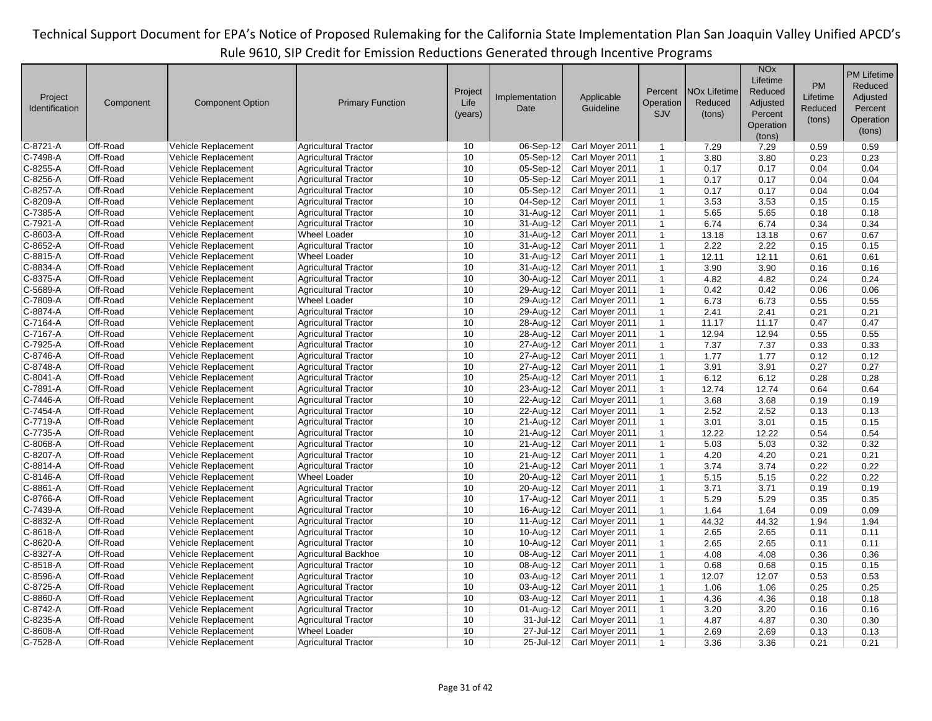| Project<br>Identification | Component | <b>Component Option</b> | <b>Primary Function</b>                            | Project<br>Life<br>(years) | Implementation<br>Date  | Applicable<br>Guideline | Percent<br>Operation<br>SJV  | <b>NO<sub>x</sub></b> Lifetime<br>Reduced<br>(tons) | <b>NO<sub>x</sub></b><br>Lifetime<br>Reduced<br>Adjusted<br>Percent<br>Operation | PM<br>Lifetime<br>Reduced<br>(tons) | <b>PM Lifetime</b><br>Reduced<br>Adjusted<br>Percent<br>Operation<br>(tons) |
|---------------------------|-----------|-------------------------|----------------------------------------------------|----------------------------|-------------------------|-------------------------|------------------------------|-----------------------------------------------------|----------------------------------------------------------------------------------|-------------------------------------|-----------------------------------------------------------------------------|
| C-8721-A                  | Off-Road  | Vehicle Replacement     | <b>Agricultural Tractor</b>                        | 10                         | $06-Sep-12$             | Carl Moyer 2011         | $\mathbf{1}$                 | 7.29                                                | (tons)<br>7.29                                                                   | 0.59                                | 0.59                                                                        |
| C-7498-A                  | Off-Road  | Vehicle Replacement     | <b>Agricultural Tractor</b>                        | 10                         | 05-Sep-12               | Carl Moyer 2011         | $\mathbf{1}$                 | 3.80                                                | 3.80                                                                             | 0.23                                | 0.23                                                                        |
| C-8255-A                  | Off-Road  | Vehicle Replacement     | <b>Agricultural Tractor</b>                        | 10                         | $05-Sep-12$             | Carl Moyer 2011         | $\mathbf{1}$                 | 0.17                                                | 0.17                                                                             | 0.04                                | 0.04                                                                        |
| C-8256-A                  | Off-Road  | Vehicle Replacement     | <b>Agricultural Tractor</b>                        | 10                         | 05-Sep-12               | Carl Moyer 2011         | $\mathbf{1}$                 | 0.17                                                | 0.17                                                                             | 0.04                                | 0.04                                                                        |
| C-8257-A                  | Off-Road  | Vehicle Replacement     | <b>Agricultural Tractor</b>                        | 10                         | 05-Sep-12               | Carl Moyer 2011         | $\mathbf{1}$                 | 0.17                                                | 0.17                                                                             | 0.04                                | 0.04                                                                        |
| C-8209-A                  | Off-Road  | Vehicle Replacement     | <b>Agricultural Tractor</b>                        | 10                         | $04-Sep-12$             | Carl Moyer 2011         | $\mathbf{1}$                 | 3.53                                                | 3.53                                                                             | 0.15                                | 0.15                                                                        |
| C-7385-A                  | Off-Road  | Vehicle Replacement     | <b>Agricultural Tractor</b>                        | 10                         | $31$ -Aug-12            | Carl Moyer 2011         |                              | 5.65                                                | 5.65                                                                             | 0.18                                | 0.18                                                                        |
| C-7921-A                  | Off-Road  | Vehicle Replacement     | <b>Agricultural Tractor</b>                        | 10                         | 31-Aug-12               | Carl Moyer 2011         | $\mathbf{1}$                 |                                                     | 6.74                                                                             | 0.34                                | 0.34                                                                        |
| C-8603-A                  | Off-Road  | Vehicle Replacement     | <b>Wheel Loader</b>                                | 10                         |                         | Carl Moyer 2011         | $\mathbf{1}$<br>$\mathbf{1}$ | 6.74                                                |                                                                                  |                                     |                                                                             |
|                           | Off-Road  |                         |                                                    | 10                         | $31$ -Aug-12            |                         | $\mathbf{1}$                 | 13.18<br>2.22                                       | 13.18<br>2.22                                                                    | 0.67<br>0.15                        | 0.67<br>0.15                                                                |
| C-8652-A                  | Off-Road  | Vehicle Replacement     | <b>Agricultural Tractor</b><br><b>Wheel Loader</b> | 10                         | 31-Aug-12               | Carl Moyer 2011         |                              |                                                     |                                                                                  |                                     | 0.61                                                                        |
| C-8815-A                  | Off-Road  | Vehicle Replacement     |                                                    | 10                         | 31-Aug-12               | Carl Moyer 2011         | $\mathbf{1}$                 | 12.11                                               | 12.11                                                                            | 0.61                                |                                                                             |
| C-8834-A                  | Off-Road  | Vehicle Replacement     | <b>Agricultural Tractor</b>                        | 10                         | 31-Aug-12               | Carl Moyer 2011         | $\mathbf{1}$                 | 3.90                                                | 3.90                                                                             | 0.16                                | 0.16                                                                        |
| C-8375-A                  |           | Vehicle Replacement     | <b>Agricultural Tractor</b>                        |                            | 30-Aug-12               | Carl Moyer 2011         | $\mathbf{1}$                 | 4.82                                                | 4.82                                                                             | 0.24                                | 0.24                                                                        |
| C-5689-A                  | Off-Road  | Vehicle Replacement     | <b>Agricultural Tractor</b>                        | 10                         | 29-Aug-12               | Carl Moyer 2011         | $\mathbf{1}$                 | 0.42                                                | 0.42                                                                             | 0.06                                | 0.06                                                                        |
| C-7809-A                  | Off-Road  | Vehicle Replacement     | <b>Wheel Loader</b>                                | 10                         | 29-Aug-12               | Carl Moyer 2011         | $\mathbf{1}$                 | 6.73                                                | 6.73                                                                             | 0.55                                | 0.55                                                                        |
| C-8874-A                  | Off-Road  | Vehicle Replacement     | <b>Agricultural Tractor</b>                        | 10                         | 29-Aug-12               | Carl Moyer 2011         | $\mathbf{1}$                 | 2.41                                                | 2.41                                                                             | 0.21                                | 0.21                                                                        |
| C-7164-A                  | Off-Road  | Vehicle Replacement     | <b>Agricultural Tractor</b>                        | 10                         | 28-Aug-12               | Carl Moyer 2011         | $\mathbf{1}$                 | 11.17                                               | 11.17                                                                            | 0.47                                | 0.47                                                                        |
| C-7167-A                  | Off-Road  | Vehicle Replacement     | Agricultural Tractor                               | 10                         | 28-Aug-12               | Carl Moyer 2011         | $\mathbf{1}$                 | 12.94                                               | 12.94                                                                            | 0.55                                | 0.55                                                                        |
| C-7925-A                  | Off-Road  | Vehicle Replacement     | <b>Agricultural Tractor</b>                        | 10                         | 27-Aug-12               | Carl Moyer 2011         | $\mathbf{1}$                 | 7.37                                                | 7.37                                                                             | 0.33                                | 0.33                                                                        |
| C-8746-A                  | Off-Road  | Vehicle Replacement     | <b>Agricultural Tractor</b>                        | 10                         | 27-Aug-12               | Carl Moyer 2011         | $\mathbf{1}$                 | 1.77                                                | 1.77                                                                             | 0.12                                | 0.12                                                                        |
| C-8748-A                  | Off-Road  | Vehicle Replacement     | <b>Agricultural Tractor</b>                        | 10                         | 27-Aug-12               | Carl Moyer 2011         | $\mathbf{1}$                 | 3.91                                                | 3.91                                                                             | 0.27                                | 0.27                                                                        |
| C-8041-A                  | Off-Road  | Vehicle Replacement     | <b>Agricultural Tractor</b>                        | 10                         | 25-Aug-12               | Carl Moyer 2011         | $\mathbf{1}$                 | 6.12                                                | 6.12                                                                             | 0.28                                | 0.28                                                                        |
| C-7891-A                  | Off-Road  | Vehicle Replacement     | <b>Agricultural Tractor</b>                        | 10                         | 23-Aug-12               | Carl Moyer 2011         | $\mathbf{1}$                 | 12.74                                               | 12.74                                                                            | 0.64                                | 0.64                                                                        |
| C-7446-A                  | Off-Road  | Vehicle Replacement     | <b>Agricultural Tractor</b>                        | 10                         | 22-Aug-12               | Carl Moyer 2011         | $\mathbf{1}$                 | 3.68                                                | 3.68                                                                             | 0.19                                | 0.19                                                                        |
| C-7454-A                  | Off-Road  | Vehicle Replacement     | <b>Agricultural Tractor</b>                        | 10                         | 22-Aug-12               | Carl Moyer 2011         | $\mathbf{1}$                 | 2.52                                                | 2.52                                                                             | 0.13                                | 0.13                                                                        |
| C-7719-A                  | Off-Road  | Vehicle Replacement     | <b>Agricultural Tractor</b>                        | 10                         | 21-Aug-12               | Carl Moyer 2011         | $\mathbf{1}$                 | 3.01                                                | 3.01                                                                             | 0.15                                | 0.15                                                                        |
| C-7735-A                  | Off-Road  | Vehicle Replacement     | <b>Agricultural Tractor</b>                        | 10                         | $21$ -Aug-12            | Carl Moyer 2011         | $\mathbf{1}$                 | 12.22                                               | 12.22                                                                            | 0.54                                | 0.54                                                                        |
| C-8068-A                  | Off-Road  | Vehicle Replacement     | <b>Agricultural Tractor</b>                        | 10                         | 21-Aug-12               | Carl Moyer 2011         | $\mathbf{1}$                 | 5.03                                                | 5.03                                                                             | 0.32                                | 0.32                                                                        |
| C-8207-A                  | Off-Road  | Vehicle Replacement     | <b>Agricultural Tractor</b>                        | 10                         | $21$ -Aug-12            | Carl Moyer 2011         | $\mathbf{1}$                 | 4.20                                                | 4.20                                                                             | 0.21                                | 0.21                                                                        |
| C-8814-A                  | Off-Road  | Vehicle Replacement     | <b>Agricultural Tractor</b>                        | 10                         | 21-Aug-12               | Carl Moyer 2011         | $\mathbf{1}$                 | 3.74                                                | 3.74                                                                             | 0.22                                | 0.22                                                                        |
| C-8146-A                  | Off-Road  | Vehicle Replacement     | <b>Wheel Loader</b>                                | 10                         | 20-Aug-12               | Carl Moyer 2011         | $\mathbf{1}$                 | 5.15                                                | 5.15                                                                             | 0.22                                | 0.22                                                                        |
| C-8861-A                  | Off-Road  | Vehicle Replacement     | <b>Agricultural Tractor</b>                        | 10                         | 20-Aug-12               | Carl Moyer 2011         | $\mathbf{1}$                 | 3.71                                                | 3.71                                                                             | 0.19                                | 0.19                                                                        |
| C-8766-A                  | Off-Road  | Vehicle Replacement     | <b>Agricultural Tractor</b>                        | 10                         | 17-Aug-12               | Carl Moyer 2011         | $\mathbf{1}$                 | 5.29                                                | 5.29                                                                             | 0.35                                | 0.35                                                                        |
| C-7439-A                  | Off-Road  | Vehicle Replacement     | <b>Agricultural Tractor</b>                        | 10                         | 16-Aug-12               | Carl Moyer 2011         | $\mathbf{1}$                 | 1.64                                                | 1.64                                                                             | 0.09                                | 0.09                                                                        |
| C-8832-A                  | Off-Road  | Vehicle Replacement     | <b>Agricultural Tractor</b>                        | 10                         | $11-Auq-12$             | Carl Moyer 2011         | $\mathbf{1}$                 | 44.32                                               | 44.32                                                                            | 1.94                                | 1.94                                                                        |
| C-8618-A                  | Off-Road  | Vehicle Replacement     | <b>Agricultural Tractor</b>                        | 10                         | $10-Aug-12$             | Carl Moyer 2011         | $\mathbf{1}$                 | 2.65                                                | 2.65                                                                             | 0.11                                | 0.11                                                                        |
| C-8620-A                  | Off-Road  | Vehicle Replacement     | <b>Agricultural Tractor</b>                        | 10                         | $10$ -Aug-12            | Carl Moyer 2011         | $\mathbf{1}$                 | 2.65                                                | 2.65                                                                             | 0.11                                | 0.11                                                                        |
| C-8327-A                  | Off-Road  | Vehicle Replacement     | <b>Agricultural Backhoe</b>                        | 10                         | 08-Aug-12               | Carl Moyer 2011         | $\mathbf{1}$                 | 4.08                                                | 4.08                                                                             | 0.36                                | 0.36                                                                        |
| $C-8518-A$                | Off-Road  | Vehicle Replacement     | <b>Agricultural Tractor</b>                        | 10                         | 08-Aug-12               | Carl Moyer 2011         | $\mathbf{1}$                 | 0.68                                                | 0.68                                                                             | 0.15                                | 0.15                                                                        |
| C-8596-A                  | Off-Road  | Vehicle Replacement     | <b>Agricultural Tractor</b>                        | 10                         | $\overline{03}$ -Aug-12 | Carl Moyer 2011         | $\mathbf{1}$                 | 12.07                                               | 12.07                                                                            | 0.53                                | 0.53                                                                        |
| C-8725-A                  | Off-Road  | Vehicle Replacement     | <b>Agricultural Tractor</b>                        | 10                         | 03-Aug-12               | Carl Moyer 2011         | $\mathbf{1}$                 | 1.06                                                | 1.06                                                                             | 0.25                                | 0.25                                                                        |
| C-8860-A                  | Off-Road  | Vehicle Replacement     | <b>Agricultural Tractor</b>                        | 10                         | 03-Aug-12               | Carl Moyer 2011         | $\mathbf{1}$                 | 4.36                                                | 4.36                                                                             | 0.18                                | 0.18                                                                        |
| C-8742-A                  | Off-Road  | Vehicle Replacement     | <b>Agricultural Tractor</b>                        | 10                         | 01-Aug-12               | Carl Moyer 2011         | $\mathbf{1}$                 | 3.20                                                | 3.20                                                                             | 0.16                                | 0.16                                                                        |
| C-8235-A                  | Off-Road  | Vehicle Replacement     | <b>Agricultural Tractor</b>                        | 10                         | 31-Jul-12               | Carl Moyer 2011         | $\mathbf{1}$                 | 4.87                                                | 4.87                                                                             | 0.30                                | 0.30                                                                        |
| C-8608-A                  | Off-Road  | Vehicle Replacement     | <b>Wheel Loader</b>                                | 10                         | $27 -$ Jul-12           | Carl Moyer 2011         | $\mathbf{1}$                 | 2.69                                                | 2.69                                                                             | 0.13                                | 0.13                                                                        |
| C-7528-A                  | Off-Road  | Vehicle Replacement     | <b>Agricultural Tractor</b>                        | 10                         | $25 -$ Jul-12           | Carl Moyer 2011         | $\mathbf{1}$                 | 3.36                                                | 3.36                                                                             | 0.21                                | 0.21                                                                        |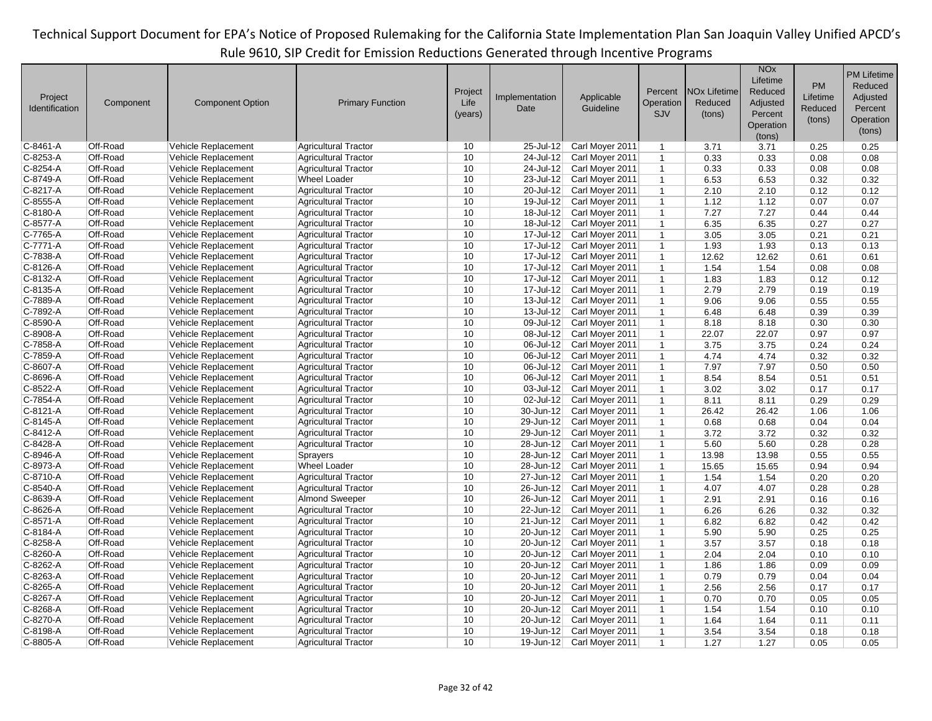|                |           |                         |                             |         |                         |                 |              |                                | <b>NO<sub>x</sub></b><br>Lifetime |           | <b>PM Lifetime</b> |
|----------------|-----------|-------------------------|-----------------------------|---------|-------------------------|-----------------|--------------|--------------------------------|-----------------------------------|-----------|--------------------|
|                |           |                         |                             | Project |                         |                 | Percent      | <b>NO<sub>x</sub></b> Lifetime | Reduced                           | <b>PM</b> | Reduced            |
| Project        | Component | <b>Component Option</b> | <b>Primary Function</b>     | Life    | Implementation          | Applicable      | Operation    | Reduced                        | Adjusted                          | Lifetime  | Adjusted           |
| Identification |           |                         |                             | (years) | Date                    | Guideline       | <b>SJV</b>   | (tons)                         | Percent                           | Reduced   | Percent            |
|                |           |                         |                             |         |                         |                 |              |                                | Operation                         | (tons)    | Operation          |
|                |           |                         |                             |         |                         |                 |              |                                | (tons)                            |           | (tons)             |
| C-8461-A       | Off-Road  | Vehicle Replacement     | <b>Agricultural Tractor</b> | 10      | 25-Jul-12               | Carl Moyer 2011 | $\mathbf{1}$ | 3.71                           | 3.71                              | 0.25      | 0.25               |
| C-8253-A       | Off-Road  | Vehicle Replacement     | <b>Agricultural Tractor</b> | 10      | 24-Jul-12               | Carl Moyer 2011 | $\mathbf{1}$ | 0.33                           | 0.33                              | 0.08      | 0.08               |
| C-8254-A       | Off-Road  | Vehicle Replacement     | <b>Agricultural Tractor</b> | 10      | 24-Jul-12               | Carl Moyer 2011 | $\mathbf{1}$ | 0.33                           | 0.33                              | 0.08      | 0.08               |
| C-8749-A       | Off-Road  | Vehicle Replacement     | <b>Wheel Loader</b>         | 10      | 23-Jul-12               | Carl Moyer 2011 | $\mathbf{1}$ | 6.53                           | 6.53                              | 0.32      | 0.32               |
| C-8217-A       | Off-Road  | Vehicle Replacement     | <b>Agricultural Tractor</b> | 10      | 20-Jul-12               | Carl Moyer 2011 | $\mathbf{1}$ | 2.10                           | 2.10                              | 0.12      | 0.12               |
| C-8555-A       | Off-Road  | Vehicle Replacement     | <b>Agricultural Tractor</b> | 10      | 19-Jul-12               | Carl Moyer 2011 | $\mathbf{1}$ | 1.12                           | 1.12                              | 0.07      | 0.07               |
| C-8180-A       | Off-Road  | Vehicle Replacement     | <b>Agricultural Tractor</b> | 10      | 18-Jul-12               | Carl Moyer 2011 | $\mathbf{1}$ | 7.27                           | 7.27                              | 0.44      | 0.44               |
| $C-8577-A$     | Off-Road  | Vehicle Replacement     | <b>Agricultural Tractor</b> | 10      | 18-Jul-12               | Carl Moyer 2011 | $\mathbf{1}$ | 6.35                           | 6.35                              | 0.27      | 0.27               |
| C-7765-A       | Off-Road  | Vehicle Replacement     | <b>Agricultural Tractor</b> | 10      | 17-Jul-12               | Carl Moyer 2011 | $\mathbf{1}$ | 3.05                           | 3.05                              | 0.21      | 0.21               |
| C-7771-A       | Off-Road  | Vehicle Replacement     | <b>Agricultural Tractor</b> | 10      | 17-Jul-12               | Carl Moyer 2011 | $\mathbf{1}$ | 1.93                           | 1.93                              | 0.13      | 0.13               |
| C-7838-A       | Off-Road  | Vehicle Replacement     | <b>Agricultural Tractor</b> | 10      | $17 -$ Jul-12           | Carl Moyer 2011 | $\mathbf{1}$ | 12.62                          | 12.62                             | 0.61      | 0.61               |
| C-8126-A       | Off-Road  | Vehicle Replacement     | <b>Agricultural Tractor</b> | 10      | 17-Jul-12               | Carl Moyer 2011 | $\mathbf{1}$ | 1.54                           | 1.54                              | 0.08      | 0.08               |
| C-8132-A       | Off-Road  | Vehicle Replacement     | <b>Agricultural Tractor</b> | 10      | $17 -$ Jul-12           | Carl Moyer 2011 | $\mathbf{1}$ | 1.83                           | 1.83                              | 0.12      | 0.12               |
| C-8135-A       | Off-Road  | Vehicle Replacement     | <b>Agricultural Tractor</b> | 10      | 17-Jul-12               | Carl Moyer 2011 | $\mathbf{1}$ | 2.79                           | 2.79                              | 0.19      | 0.19               |
| C-7889-A       | Off-Road  | Vehicle Replacement     | <b>Agricultural Tractor</b> | 10      | 13-Jul-12               | Carl Moyer 2011 | $\mathbf{1}$ | 9.06                           | 9.06                              | 0.55      | 0.55               |
| C-7892-A       | Off-Road  | Vehicle Replacement     | <b>Agricultural Tractor</b> | 10      | $13 -$ Jul-12           | Carl Moyer 2011 | $\mathbf{1}$ | 6.48                           | 6.48                              | 0.39      | 0.39               |
| C-8590-A       | Off-Road  | Vehicle Replacement     | <b>Agricultural Tractor</b> | 10      | 09-Jul-12               | Carl Moyer 2011 | $\mathbf{1}$ | 8.18                           | 8.18                              | 0.30      | 0.30               |
| C-8908-A       | Off-Road  | Vehicle Replacement     | <b>Agricultural Tractor</b> | 10      | $\overline{08}$ -Jul-12 | Carl Moyer 2011 | $\mathbf{1}$ | 22.07                          | 22.07                             | 0.97      | 0.97               |
| C-7858-A       | Off-Road  | Vehicle Replacement     | <b>Agricultural Tractor</b> | 10      | 06-Jul-12               | Carl Moyer 2011 | $\mathbf{1}$ | 3.75                           | 3.75                              | 0.24      | 0.24               |
| C-7859-A       | Off-Road  | Vehicle Replacement     | <b>Agricultural Tractor</b> | 10      | 06-Jul-12               | Carl Moyer 2011 | $\mathbf{1}$ | 4.74                           | 4.74                              | 0.32      | 0.32               |
| C-8607-A       | Off-Road  | Vehicle Replacement     | <b>Agricultural Tractor</b> | 10      | 06-Jul-12               | Carl Moyer 2011 | $\mathbf{1}$ | 7.97                           | 7.97                              | 0.50      | 0.50               |
| C-8696-A       | Off-Road  | Vehicle Replacement     | <b>Agricultural Tractor</b> | 10      | 06-Jul-12               | Carl Moyer 2011 | $\mathbf{1}$ | 8.54                           | 8.54                              | 0.51      | 0.51               |
| C-8522-A       | Off-Road  | Vehicle Replacement     | <b>Agricultural Tractor</b> | 10      | $\overline{03}$ -Jul-12 | Carl Moyer 2011 | $\mathbf{1}$ | 3.02                           | 3.02                              | 0.17      | 0.17               |
| C-7854-A       | Off-Road  | Vehicle Replacement     | <b>Agricultural Tractor</b> | 10      | 02-Jul-12               | Carl Moyer 2011 | $\mathbf{1}$ | 8.11                           | 8.11                              | 0.29      | 0.29               |
| C-8121-A       | Off-Road  | Vehicle Replacement     | <b>Agricultural Tractor</b> | 10      | 30-Jun-12               | Carl Moyer 2011 | $\mathbf{1}$ | 26.42                          | 26.42                             | 1.06      | 1.06               |
| C-8145-A       | Off-Road  | Vehicle Replacement     | <b>Agricultural Tractor</b> | 10      | 29-Jun-12               | Carl Moyer 2011 | $\mathbf{1}$ | 0.68                           | 0.68                              | 0.04      | 0.04               |
| C-8412-A       | Off-Road  | Vehicle Replacement     | <b>Agricultural Tractor</b> | 10      | 29-Jun-12               | Carl Moyer 2011 | $\mathbf{1}$ | 3.72                           | 3.72                              | 0.32      | 0.32               |
| C-8428-A       | Off-Road  | Vehicle Replacement     | <b>Agricultural Tractor</b> | 10      | 28-Jun-12               | Carl Moyer 2011 | $\mathbf{1}$ | 5.60                           | 5.60                              | 0.28      | 0.28               |
| C-8946-A       | Off-Road  | Vehicle Replacement     | <b>Sprayers</b>             | 10      | 28-Jun-12               | Carl Moyer 2011 | $\mathbf{1}$ | 13.98                          | 13.98                             | 0.55      | 0.55               |
| C-8973-A       | Off-Road  | Vehicle Replacement     | <b>Wheel Loader</b>         | 10      | 28-Jun-12               | Carl Moyer 2011 | $\mathbf{1}$ | 15.65                          | 15.65                             | 0.94      | 0.94               |
| C-8710-A       | Off-Road  | Vehicle Replacement     | <b>Agricultural Tractor</b> | 10      | 27-Jun-12               | Carl Moyer 2011 | $\mathbf{1}$ | 1.54                           | 1.54                              | 0.20      | 0.20               |
| C-8540-A       | Off-Road  | Vehicle Replacement     | <b>Agricultural Tractor</b> | 10      | 26-Jun-12               | Carl Moyer 2011 | $\mathbf{1}$ | 4.07                           | 4.07                              | 0.28      | 0.28               |
| C-8639-A       | Off-Road  | Vehicle Replacement     | <b>Almond Sweeper</b>       | 10      | 26-Jun-12               | Carl Moyer 2011 | $\mathbf{1}$ | 2.91                           | 2.91                              | 0.16      | 0.16               |
| C-8626-A       | Off-Road  | Vehicle Replacement     | <b>Agricultural Tractor</b> | 10      | 22-Jun-12               | Carl Moyer 2011 | $\mathbf{1}$ | 6.26                           | 6.26                              | 0.32      | 0.32               |
| C-8571-A       | Off-Road  | Vehicle Replacement     | <b>Agricultural Tractor</b> | 10      | $21 - Jun-12$           | Carl Moyer 2011 | $\mathbf{1}$ | 6.82                           | 6.82                              | 0.42      | 0.42               |
| C-8184-A       | Off-Road  | Vehicle Replacement     | <b>Agricultural Tractor</b> | 10      | $20$ -Jun-12            | Carl Moyer 2011 | $\mathbf{1}$ | 5.90                           | 5.90                              | 0.25      | 0.25               |
| C-8258-A       | Off-Road  | Vehicle Replacement     | <b>Agricultural Tractor</b> | 10      | 20-Jun-12               | Carl Moyer 2011 | $\mathbf{1}$ | 3.57                           | 3.57                              | 0.18      | 0.18               |
| C-8260-A       | Off-Road  | Vehicle Replacement     | <b>Agricultural Tractor</b> | 10      | 20-Jun-12               | Carl Moyer 2011 | $\mathbf{1}$ | 2.04                           | 2.04                              | 0.10      | 0.10               |
| C-8262-A       | Off-Road  | Vehicle Replacement     | <b>Agricultural Tractor</b> | 10      | 20-Jun-12               | Carl Moyer 2011 | $\mathbf{1}$ | 1.86                           | 1.86                              | 0.09      | 0.09               |
| C-8263-A       | Off-Road  | Vehicle Replacement     | <b>Agricultural Tractor</b> | 10      | 20-Jun-12               | Carl Moyer 2011 | $\mathbf{1}$ | 0.79                           | 0.79                              | 0.04      | 0.04               |
| C-8265-A       | Off-Road  | Vehicle Replacement     | <b>Agricultural Tractor</b> | 10      | 20-Jun-12               | Carl Moyer 2011 | $\mathbf{1}$ | 2.56                           | 2.56                              | 0.17      | 0.17               |
| C-8267-A       | Off-Road  | Vehicle Replacement     | <b>Agricultural Tractor</b> | 10      | 20-Jun-12               | Carl Moyer 2011 | $\mathbf{1}$ | 0.70                           | 0.70                              | 0.05      | 0.05               |
| C-8268-A       | Off-Road  | Vehicle Replacement     | <b>Agricultural Tractor</b> | 10      | 20-Jun-12               | Carl Moyer 2011 | $\mathbf{1}$ | 1.54                           | 1.54                              | 0.10      | 0.10               |
| C-8270-A       | Off-Road  | Vehicle Replacement     | <b>Agricultural Tractor</b> | 10      | 20-Jun-12               | Carl Moyer 2011 | $\mathbf{1}$ | 1.64                           | 1.64                              | 0.11      | 0.11               |
| C-8198-A       | Off-Road  | Vehicle Replacement     | <b>Agricultural Tractor</b> | 10      | 19-Jun-12               | Carl Moyer 2011 | $\mathbf{1}$ | 3.54                           | 3.54                              | 0.18      | 0.18               |
| C-8805-A       | Off-Road  | Vehicle Replacement     | <b>Agricultural Tractor</b> | 10      | 19-Jun-12               | Carl Moyer 2011 | $\mathbf{1}$ | 1.27                           | 1.27                              | 0.05      | 0.05               |
|                |           |                         |                             |         |                         |                 |              |                                |                                   |           |                    |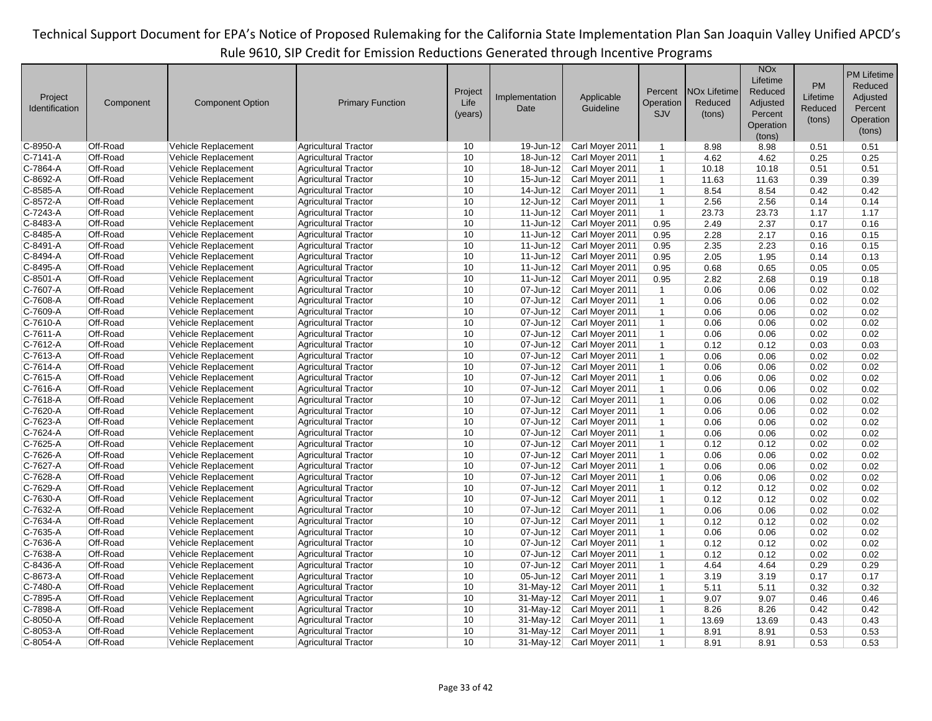|                |           |                         |                             |         |                         |                 |                |                                | <b>NO<sub>x</sub></b><br>Lifetime | <b>PM</b> | <b>PM Lifetime</b><br>Reduced |
|----------------|-----------|-------------------------|-----------------------------|---------|-------------------------|-----------------|----------------|--------------------------------|-----------------------------------|-----------|-------------------------------|
| Project        |           |                         |                             | Project | Implementation          | Applicable      | Percent        | <b>NO<sub>x</sub></b> Lifetime | Reduced                           | Lifetime  | Adjusted                      |
| Identification | Component | <b>Component Option</b> | <b>Primary Function</b>     | Life    | Date                    | Guideline       | Operation      | Reduced                        | Adjusted                          | Reduced   | Percent                       |
|                |           |                         |                             | (years) |                         |                 | <b>SJV</b>     | (tons)                         | Percent                           | (tons)    | Operation                     |
|                |           |                         |                             |         |                         |                 |                |                                | Operation                         |           | (tons)                        |
|                |           |                         |                             |         |                         |                 |                |                                | (tons)                            |           |                               |
| C-8950-A       | Off-Road  | Vehicle Replacement     | <b>Agricultural Tractor</b> | 10      | 19-Jun-12               | Carl Moyer 2011 | $\mathbf{1}$   | 8.98                           | 8.98                              | 0.51      | 0.51                          |
| C-7141-A       | Off-Road  | Vehicle Replacement     | <b>Agricultural Tractor</b> | 10      | 18-Jun-12               | Carl Moyer 2011 | $\mathbf{1}$   | 4.62                           | 4.62                              | 0.25      | 0.25                          |
| C-7864-A       | Off-Road  | Vehicle Replacement     | <b>Agricultural Tractor</b> | 10      | $18 - Jun-12$           | Carl Moyer 2011 | $\mathbf{1}$   | 10.18                          | 10.18                             | 0.51      | 0.51                          |
| C-8692-A       | Off-Road  | Vehicle Replacement     | <b>Agricultural Tractor</b> | 10      | 15-Jun-12               | Carl Moyer 2011 | $\mathbf{1}$   | 11.63                          | 11.63                             | 0.39      | 0.39                          |
| C-8585-A       | Off-Road  | Vehicle Replacement     | <b>Agricultural Tractor</b> | 10      | 14-Jun-12               | Carl Moyer 2011 | $\mathbf{1}$   | 8.54                           | 8.54                              | 0.42      | 0.42                          |
| C-8572-A       | Off-Road  | Vehicle Replacement     | <b>Agricultural Tractor</b> | 10      | 12-Jun-12               | Carl Moyer 2011 | $\mathbf{1}$   | 2.56                           | 2.56                              | 0.14      | 0.14                          |
| C-7243-A       | Off-Road  | Vehicle Replacement     | <b>Agricultural Tractor</b> | 10      | $11$ -Jun-12            | Carl Moyer 2011 | $\overline{1}$ | 23.73                          | 23.73                             | 1.17      | 1.17                          |
| C-8483-A       | Off-Road  | Vehicle Replacement     | <b>Agricultural Tractor</b> | 10      | $11$ -Jun-12            | Carl Moyer 2011 | 0.95           | 2.49                           | 2.37                              | 0.17      | 0.16                          |
| C-8485-A       | Off-Road  | Vehicle Replacement     | <b>Agricultural Tractor</b> | 10      | $11$ -Jun-12            | Carl Moyer 2011 | 0.95           | 2.28                           | 2.17                              | 0.16      | 0.15                          |
| C-8491-A       | Off-Road  | Vehicle Replacement     | <b>Agricultural Tractor</b> | 10      | $11$ -Jun-12            | Carl Moyer 2011 | 0.95           | 2.35                           | 2.23                              | 0.16      | 0.15                          |
| C-8494-A       | Off-Road  | Vehicle Replacement     | <b>Agricultural Tractor</b> | 10      | $11$ -Jun-12            | Carl Moyer 2011 | 0.95           | 2.05                           | 1.95                              | 0.14      | 0.13                          |
| C-8495-A       | Off-Road  | Vehicle Replacement     | <b>Agricultural Tractor</b> | 10      | $11$ -Jun-12            | Carl Moyer 2011 | 0.95           | 0.68                           | 0.65                              | 0.05      | 0.05                          |
| C-8501-A       | Off-Road  | Vehicle Replacement     | <b>Agricultural Tractor</b> | 10      | $11$ -Jun-12            | Carl Moyer 2011 | 0.95           | 2.82                           | 2.68                              | 0.19      | 0.18                          |
| C-7607-A       | Off-Road  | Vehicle Replacement     | <b>Agricultural Tractor</b> | 10      | 07-Jun-12               | Carl Moyer 2011 | $\mathbf{1}$   | 0.06                           | 0.06                              | 0.02      | 0.02                          |
| C-7608-A       | Off-Road  | Vehicle Replacement     | <b>Agricultural Tractor</b> | 10      | 07-Jun-12               | Carl Moyer 2011 | $\mathbf{1}$   | 0.06                           | 0.06                              | 0.02      | 0.02                          |
| C-7609-A       | Off-Road  | Vehicle Replacement     | <b>Agricultural Tractor</b> | 10      | 07-Jun-12               | Carl Moyer 2011 | $\mathbf{1}$   | 0.06                           | 0.06                              | 0.02      | 0.02                          |
| C-7610-A       | Off-Road  | Vehicle Replacement     | <b>Agricultural Tractor</b> | 10      | 07-Jun-12               | Carl Moyer 2011 | $\mathbf{1}$   | 0.06                           | 0.06                              | 0.02      | 0.02                          |
| C-7611-A       | Off-Road  | Vehicle Replacement     | <b>Agricultural Tractor</b> | 10      | 07-Jun-12               | Carl Moyer 2011 | $\mathbf{1}$   | 0.06                           | 0.06                              | 0.02      | 0.02                          |
| C-7612-A       | Off-Road  | Vehicle Replacement     | <b>Agricultural Tractor</b> | 10      | 07-Jun-12               | Carl Moyer 2011 | $\mathbf{1}$   | 0.12                           | 0.12                              | 0.03      | 0.03                          |
| C-7613-A       | Off-Road  | Vehicle Replacement     | <b>Agricultural Tractor</b> | 10      | 07-Jun-12               | Carl Moyer 2011 | $\mathbf{1}$   | 0.06                           | 0.06                              | 0.02      | 0.02                          |
| C-7614-A       | Off-Road  | Vehicle Replacement     | <b>Agricultural Tractor</b> | 10      | 07-Jun-12               | Carl Moyer 2011 | $\mathbf{1}$   | 0.06                           | 0.06                              | 0.02      | 0.02                          |
| C-7615-A       | Off-Road  | Vehicle Replacement     | <b>Agricultural Tractor</b> | 10      | 07-Jun-12               | Carl Moyer 2011 | $\mathbf{1}$   | 0.06                           | 0.06                              | 0.02      | 0.02                          |
| C-7616-A       | Off-Road  | Vehicle Replacement     | <b>Agricultural Tractor</b> | 10      | $\overline{07}$ -Jun-12 | Carl Moyer 2011 | $\mathbf{1}$   | 0.06                           | 0.06                              | 0.02      | 0.02                          |
| C-7618-A       | Off-Road  | Vehicle Replacement     | <b>Agricultural Tractor</b> | 10      | 07-Jun-12               | Carl Moyer 2011 | $\mathbf{1}$   | 0.06                           | 0.06                              | 0.02      | 0.02                          |
| C-7620-A       | Off-Road  | Vehicle Replacement     | <b>Agricultural Tractor</b> | 10      | 07-Jun-12               | Carl Moyer 2011 | $\mathbf{1}$   | 0.06                           | 0.06                              | 0.02      | 0.02                          |
| C-7623-A       | Off-Road  | Vehicle Replacement     | <b>Agricultural Tractor</b> | 10      | 07-Jun-12               | Carl Moyer 2011 | $\mathbf{1}$   | 0.06                           | 0.06                              | 0.02      | 0.02                          |
| C-7624-A       | Off-Road  | Vehicle Replacement     | <b>Agricultural Tractor</b> | 10      | 07-Jun-12               | Carl Moyer 2011 | $\mathbf{1}$   | 0.06                           | 0.06                              | 0.02      | 0.02                          |
| C-7625-A       | Off-Road  | Vehicle Replacement     | Agricultural Tractor        | 10      | 07-Jun-12               | Carl Moyer 2011 | $\mathbf{1}$   | 0.12                           | 0.12                              | 0.02      | 0.02                          |
| C-7626-A       | Off-Road  | Vehicle Replacement     | <b>Agricultural Tractor</b> | 10      | 07-Jun-12               | Carl Moyer 2011 | $\mathbf{1}$   | 0.06                           | 0.06                              | 0.02      | 0.02                          |
| C-7627-A       | Off-Road  | Vehicle Replacement     | <b>Agricultural Tractor</b> | 10      | 07-Jun-12               | Carl Moyer 2011 | $\mathbf{1}$   | 0.06                           | 0.06                              | 0.02      | 0.02                          |
| C-7628-A       | Off-Road  | Vehicle Replacement     | <b>Agricultural Tractor</b> | 10      | 07-Jun-12               | Carl Moyer 2011 | $\mathbf 1$    | 0.06                           | 0.06                              | 0.02      | 0.02                          |
| C-7629-A       | Off-Road  | Vehicle Replacement     | <b>Agricultural Tractor</b> | 10      | 07-Jun-12               | Carl Moyer 2011 | $\mathbf{1}$   | 0.12                           | 0.12                              | 0.02      | 0.02                          |
| C-7630-A       | Off-Road  | Vehicle Replacement     | <b>Agricultural Tractor</b> | 10      | 07-Jun-12               | Carl Moyer 2011 | $\mathbf{1}$   | 0.12                           | 0.12                              | 0.02      | 0.02                          |
| C-7632-A       | Off-Road  | Vehicle Replacement     | <b>Agricultural Tractor</b> | 10      | 07-Jun-12               | Carl Moyer 2011 | $\mathbf{1}$   | 0.06                           | 0.06                              | 0.02      | 0.02                          |
| C-7634-A       | Off-Road  | Vehicle Replacement     | <b>Agricultural Tractor</b> | 10      | 07-Jun-12               | Carl Moyer 2011 | $\mathbf{1}$   | 0.12                           | 0.12                              | 0.02      | 0.02                          |
| C-7635-A       | Off-Road  | Vehicle Replacement     | <b>Agricultural Tractor</b> | 10      | 07-Jun-12               | Carl Moyer 2011 | $\mathbf{1}$   | 0.06                           | 0.06                              | 0.02      | 0.02                          |
| C-7636-A       | Off-Road  | Vehicle Replacement     | <b>Agricultural Tractor</b> | 10      | 07-Jun-12               | Carl Moyer 2011 | $\mathbf{1}$   | 0.12                           | 0.12                              | 0.02      | 0.02                          |
| C-7638-A       | Off-Road  | Vehicle Replacement     | <b>Agricultural Tractor</b> | 10      | 07-Jun-12               | Carl Moyer 2011 | $\mathbf{1}$   | 0.12                           | 0.12                              | 0.02      | 0.02                          |
| C-8436-A       | Off-Road  | Vehicle Replacement     | <b>Agricultural Tractor</b> | 10      | 07-Jun-12               | Carl Moyer 2011 | $\mathbf{1}$   | 4.64                           | 4.64                              | 0.29      | 0.29                          |
| C-8673-A       | Off-Road  | Vehicle Replacement     | <b>Agricultural Tractor</b> | 10      | 05-Jun-12               | Carl Moyer 2011 | $\mathbf{1}$   | 3.19                           | 3.19                              | 0.17      | 0.17                          |
| C-7480-A       | Off-Road  | Vehicle Replacement     | <b>Agricultural Tractor</b> | 10      | 31-May-12               | Carl Moyer 2011 | $\mathbf{1}$   | 5.11                           | 5.11                              | 0.32      | 0.32                          |
| C-7895-A       | Off-Road  | Vehicle Replacement     | <b>Agricultural Tractor</b> | 10      | $31$ -May-12            | Carl Moyer 2011 | $\mathbf{1}$   | 9.07                           | 9.07                              | 0.46      | 0.46                          |
| C-7898-A       | Off-Road  | Vehicle Replacement     | <b>Agricultural Tractor</b> | 10      | 31-May-12               | Carl Moyer 2011 | $\mathbf{1}$   | 8.26                           | 8.26                              | 0.42      | 0.42                          |
| C-8050-A       | Off-Road  | Vehicle Replacement     | <b>Agricultural Tractor</b> | 10      | 31-May-12               | Carl Moyer 2011 | $\mathbf{1}$   | 13.69                          | 13.69                             | 0.43      | 0.43                          |
| C-8053-A       | Off-Road  | Vehicle Replacement     | <b>Agricultural Tractor</b> | 10      | 31-May-12               | Carl Moyer 2011 | $\mathbf{1}$   | 8.91                           | 8.91                              | 0.53      | 0.53                          |
| C-8054-A       | Off-Road  | Vehicle Replacement     | <b>Agricultural Tractor</b> | 10      | $31$ -May-12            | Carl Moyer 2011 | $\mathbf{1}$   | 8.91                           | 8.91                              | 0.53      | 0.53                          |
|                |           |                         |                             |         |                         |                 |                |                                |                                   |           |                               |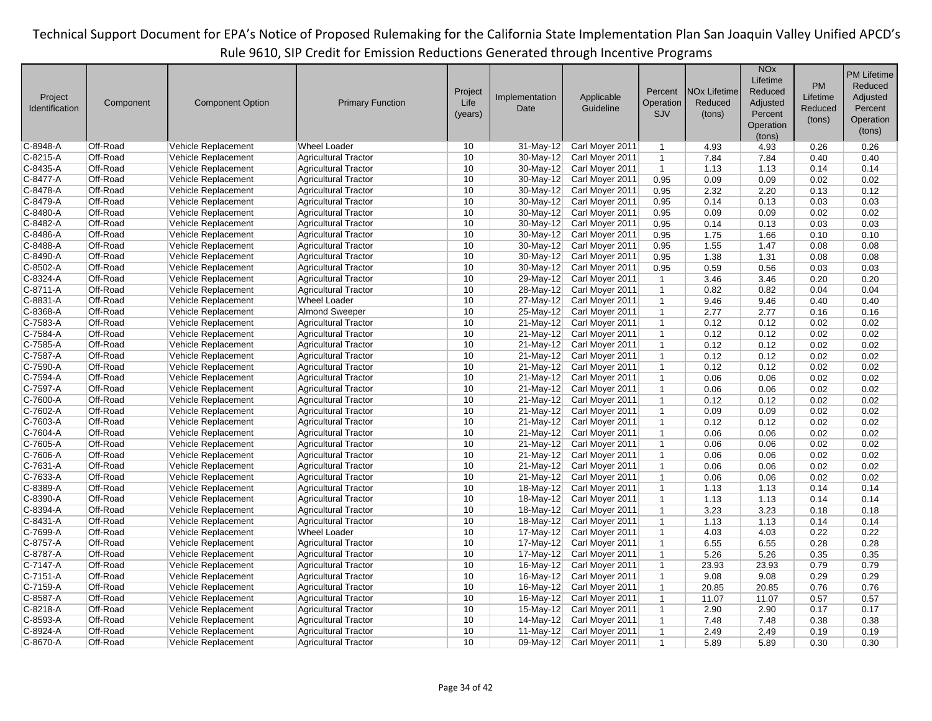|                |           |                         |                             |         |                |                 |              |                                | <b>NO<sub>x</sub></b> |           | <b>PM Lifetime</b> |
|----------------|-----------|-------------------------|-----------------------------|---------|----------------|-----------------|--------------|--------------------------------|-----------------------|-----------|--------------------|
|                |           |                         |                             |         |                |                 |              |                                | Lifetime              | <b>PM</b> | Reduced            |
|                |           |                         |                             | Project |                |                 | Percent      | <b>NO<sub>x</sub></b> Lifetime | Reduced               |           |                    |
| Project        | Component | <b>Component Option</b> | <b>Primary Function</b>     | Life    | Implementation | Applicable      | Operation    | Reduced                        | Adjusted              | Lifetime  | Adjusted           |
| Identification |           |                         |                             | (years) | Date           | Guideline       | SJV          | (tons)                         | Percent               | Reduced   | Percent            |
|                |           |                         |                             |         |                |                 |              |                                | Operation             | (tons)    | Operation          |
|                |           |                         |                             |         |                |                 |              |                                | (tons)                |           | (tons)             |
| C-8948-A       | Off-Road  | Vehicle Replacement     | <b>Wheel Loader</b>         | 10      | 31-May-12      | Carl Moyer 2011 | $\mathbf{1}$ | 4.93                           | 4.93                  | 0.26      | 0.26               |
| C-8215-A       | Off-Road  | Vehicle Replacement     | <b>Agricultural Tractor</b> | 10      | 30-May-12      | Carl Moyer 2011 | $\mathbf{1}$ | 7.84                           | 7.84                  | 0.40      | 0.40               |
| C-8435-A       | Off-Road  | Vehicle Replacement     | <b>Agricultural Tractor</b> | 10      | 30-May-12      | Carl Moyer 2011 | $\mathbf{1}$ | 1.13                           | 1.13                  | 0.14      | 0.14               |
| C-8477-A       | Off-Road  | Vehicle Replacement     | <b>Agricultural Tractor</b> | 10      | 30-May-12      | Carl Moyer 2011 | 0.95         | 0.09                           | 0.09                  | 0.02      | 0.02               |
| C-8478-A       | Off-Road  | Vehicle Replacement     | <b>Agricultural Tractor</b> | 10      | 30-May-12      | Carl Moyer 2011 | 0.95         | 2.32                           | 2.20                  | 0.13      | 0.12               |
| C-8479-A       | Off-Road  | Vehicle Replacement     | <b>Agricultural Tractor</b> | 10      | $30$ -May-12   | Carl Moyer 2011 | 0.95         | 0.14                           | 0.13                  | 0.03      | 0.03               |
| C-8480-A       | Off-Road  | Vehicle Replacement     | <b>Agricultural Tractor</b> | 10      | $30$ -May-12   | Carl Moyer 2011 | 0.95         | 0.09                           | 0.09                  | 0.02      | 0.02               |
| C-8482-A       | Off-Road  | Vehicle Replacement     | <b>Agricultural Tractor</b> | 10      | 30-May-12      | Carl Moyer 2011 | 0.95         | 0.14                           | 0.13                  | 0.03      | 0.03               |
| C-8486-A       | Off-Road  | Vehicle Replacement     | <b>Agricultural Tractor</b> | 10      | 30-May-12      | Carl Moyer 2011 | 0.95         | 1.75                           | 1.66                  | 0.10      | 0.10               |
| C-8488-A       | Off-Road  | Vehicle Replacement     | <b>Agricultural Tractor</b> | 10      | 30-May-12      | Carl Moyer 2011 | 0.95         | 1.55                           | 1.47                  | 0.08      | 0.08               |
| C-8490-A       | Off-Road  | Vehicle Replacement     | <b>Agricultural Tractor</b> | 10      | 30-May-12      | Carl Moyer 2011 | 0.95         | 1.38                           | 1.31                  | 0.08      | 0.08               |
| C-8502-A       | Off-Road  | Vehicle Replacement     | <b>Agricultural Tractor</b> | 10      | 30-May-12      | Carl Moyer 2011 | 0.95         | 0.59                           | 0.56                  | 0.03      | 0.03               |
| C-8324-A       | Off-Road  | Vehicle Replacement     | <b>Agricultural Tractor</b> | 10      | 29-May-12      | Carl Moyer 2011 | $\mathbf{1}$ | 3.46                           | 3.46                  | 0.20      | 0.20               |
| C-8711-A       | Off-Road  | Vehicle Replacement     | <b>Agricultural Tractor</b> | 10      | 28-May-12      | Carl Moyer 2011 | $\mathbf{1}$ | 0.82                           | 0.82                  | 0.04      | 0.04               |
| C-8831-A       | Off-Road  | Vehicle Replacement     | <b>Wheel Loader</b>         | 10      | 27-May-12      | Carl Moyer 2011 | $\mathbf{1}$ | 9.46                           | 9.46                  | 0.40      | 0.40               |
| C-8368-A       | Off-Road  | Vehicle Replacement     | <b>Almond Sweeper</b>       | 10      | 25-May-12      | Carl Moyer 2011 | $\mathbf{1}$ | 2.77                           | 2.77                  | 0.16      | 0.16               |
| C-7583-A       | Off-Road  | Vehicle Replacement     | <b>Agricultural Tractor</b> | 10      | 21-May-12      | Carl Moyer 2011 | $\mathbf{1}$ | 0.12                           | 0.12                  | 0.02      | 0.02               |
| C-7584-A       | Off-Road  | Vehicle Replacement     | <b>Agricultural Tractor</b> | 10      | 21-May-12      | Carl Moyer 2011 | $\mathbf{1}$ | 0.12                           | 0.12                  | 0.02      | 0.02               |
| C-7585-A       | Off-Road  | Vehicle Replacement     | <b>Agricultural Tractor</b> | 10      | 21-May-12      | Carl Moyer 2011 | $\mathbf{1}$ | 0.12                           | 0.12                  | 0.02      | 0.02               |
| C-7587-A       | Off-Road  | Vehicle Replacement     | <b>Agricultural Tractor</b> | 10      | 21-May-12      | Carl Moyer 2011 | $\mathbf{1}$ | 0.12                           | 0.12                  | 0.02      | 0.02               |
| C-7590-A       | Off-Road  | Vehicle Replacement     | <b>Agricultural Tractor</b> | 10      | 21-May-12      | Carl Moyer 2011 | $\mathbf{1}$ | 0.12                           | 0.12                  | 0.02      | 0.02               |
| C-7594-A       | Off-Road  | Vehicle Replacement     | <b>Agricultural Tractor</b> | 10      | 21-May-12      | Carl Moyer 2011 | $\mathbf{1}$ | 0.06                           | 0.06                  | 0.02      | 0.02               |
| C-7597-A       | Off-Road  | Vehicle Replacement     | <b>Agricultural Tractor</b> | 10      | 21-May-12      | Carl Moyer 2011 | $\mathbf{1}$ | 0.06                           | 0.06                  | 0.02      | 0.02               |
| C-7600-A       | Off-Road  | Vehicle Replacement     | <b>Agricultural Tractor</b> | 10      | 21-May-12      | Carl Moyer 2011 | $\mathbf{1}$ | 0.12                           | 0.12                  | 0.02      | 0.02               |
| C-7602-A       | Off-Road  | Vehicle Replacement     | <b>Agricultural Tractor</b> | 10      | 21-May-12      | Carl Moyer 2011 | $\mathbf{1}$ | 0.09                           | 0.09                  | 0.02      | 0.02               |
| C-7603-A       | Off-Road  | Vehicle Replacement     | <b>Agricultural Tractor</b> | 10      | 21-May-12      | Carl Moyer 2011 | $\mathbf{1}$ | 0.12                           | 0.12                  | 0.02      | 0.02               |
| C-7604-A       | Off-Road  | Vehicle Replacement     | <b>Agricultural Tractor</b> | 10      | 21-May-12      | Carl Moyer 2011 | $\mathbf{1}$ | 0.06                           | 0.06                  | 0.02      | 0.02               |
| C-7605-A       | Off-Road  | Vehicle Replacement     | <b>Agricultural Tractor</b> | 10      | $21$ -May-12   | Carl Moyer 2011 | $\mathbf{1}$ | 0.06                           | 0.06                  | 0.02      | 0.02               |
| C-7606-A       | Off-Road  | Vehicle Replacement     | <b>Agricultural Tractor</b> | 10      | 21-May-12      | Carl Moyer 2011 | $\mathbf{1}$ | 0.06                           | 0.06                  | 0.02      | 0.02               |
| C-7631-A       | Off-Road  | Vehicle Replacement     | <b>Agricultural Tractor</b> | 10      | 21-May-12      | Carl Moyer 2011 | $\mathbf{1}$ | 0.06                           | 0.06                  | 0.02      | 0.02               |
| C-7633-A       | Off-Road  | Vehicle Replacement     | <b>Agricultural Tractor</b> | 10      | 21-May-12      | Carl Moyer 2011 | $\mathbf{1}$ | 0.06                           | 0.06                  | 0.02      | 0.02               |
| C-8389-A       | Off-Road  | Vehicle Replacement     | <b>Agricultural Tractor</b> | 10      | 18-May-12      | Carl Moyer 2011 | $\mathbf{1}$ | 1.13                           | 1.13                  | 0.14      | 0.14               |
| C-8390-A       | Off-Road  | Vehicle Replacement     | <b>Agricultural Tractor</b> | 10      | 18-May-12      | Carl Moyer 2011 | $\mathbf{1}$ | 1.13                           | 1.13                  | 0.14      | 0.14               |
| C-8394-A       | Off-Road  | Vehicle Replacement     | <b>Agricultural Tractor</b> | 10      | 18-May-12      | Carl Moyer 2011 | $\mathbf{1}$ | 3.23                           | 3.23                  | 0.18      | 0.18               |
| C-8431-A       | Off-Road  | Vehicle Replacement     | <b>Agricultural Tractor</b> | 10      | 18-May-12      | Carl Moyer 2011 | $\mathbf{1}$ | 1.13                           | 1.13                  | 0.14      | 0.14               |
| C-7699-A       | Off-Road  | Vehicle Replacement     | <b>Wheel Loader</b>         | 10      | 17-May-12      | Carl Moyer 2011 | $\mathbf{1}$ | 4.03                           | 4.03                  | 0.22      | 0.22               |
| C-8757-A       | Off-Road  | Vehicle Replacement     | <b>Agricultural Tractor</b> | 10      | 17-May-12      | Carl Moyer 2011 | $\mathbf{1}$ | 6.55                           | 6.55                  | 0.28      | 0.28               |
| C-8787-A       | Off-Road  | Vehicle Replacement     | <b>Agricultural Tractor</b> | 10      | 17-May-12      | Carl Moyer 2011 | $\mathbf{1}$ | 5.26                           | 5.26                  | 0.35      | 0.35               |
| C-7147-A       | Off-Road  | Vehicle Replacement     | <b>Agricultural Tractor</b> | 10      | 16-May-12      | Carl Moyer 2011 | $\mathbf{1}$ | 23.93                          | 23.93                 | 0.79      | 0.79               |
| C-7151-A       | Off-Road  | Vehicle Replacement     | <b>Agricultural Tractor</b> | 10      | 16-May-12      | Carl Moyer 2011 | $\mathbf{1}$ | 9.08                           | 9.08                  | 0.29      | 0.29               |
| C-7159-A       | Off-Road  | Vehicle Replacement     | <b>Agricultural Tractor</b> | 10      | 16-May-12      | Carl Moyer 2011 | $\mathbf{1}$ | 20.85                          | 20.85                 | 0.76      | 0.76               |
| C-8587-A       | Off-Road  | Vehicle Replacement     | <b>Agricultural Tractor</b> | 10      | 16-May-12      | Carl Moyer 2011 | $\mathbf{1}$ | 11.07                          | 11.07                 | 0.57      | 0.57               |
| C-8218-A       | Off-Road  | Vehicle Replacement     | <b>Agricultural Tractor</b> | 10      | 15-May-12      | Carl Moyer 2011 | $\mathbf{1}$ | 2.90                           | 2.90                  | 0.17      | 0.17               |
| C-8593-A       | Off-Road  | Vehicle Replacement     | <b>Agricultural Tractor</b> | 10      | 14-May-12      | Carl Moyer 2011 | $\mathbf{1}$ | 7.48                           | 7.48                  | 0.38      | 0.38               |
| C-8924-A       | Off-Road  | Vehicle Replacement     | <b>Agricultural Tractor</b> | 10      | 11-May-12      | Carl Moyer 2011 | $\mathbf{1}$ | 2.49                           | 2.49                  | 0.19      | 0.19               |
| C-8670-A       | Off-Road  | Vehicle Replacement     | <b>Agricultural Tractor</b> | 10      | 09-May-12      | Carl Moyer 2011 | $\mathbf{1}$ | 5.89                           | 5.89                  | 0.30      | 0.30               |
|                |           |                         |                             |         |                |                 |              |                                |                       |           |                    |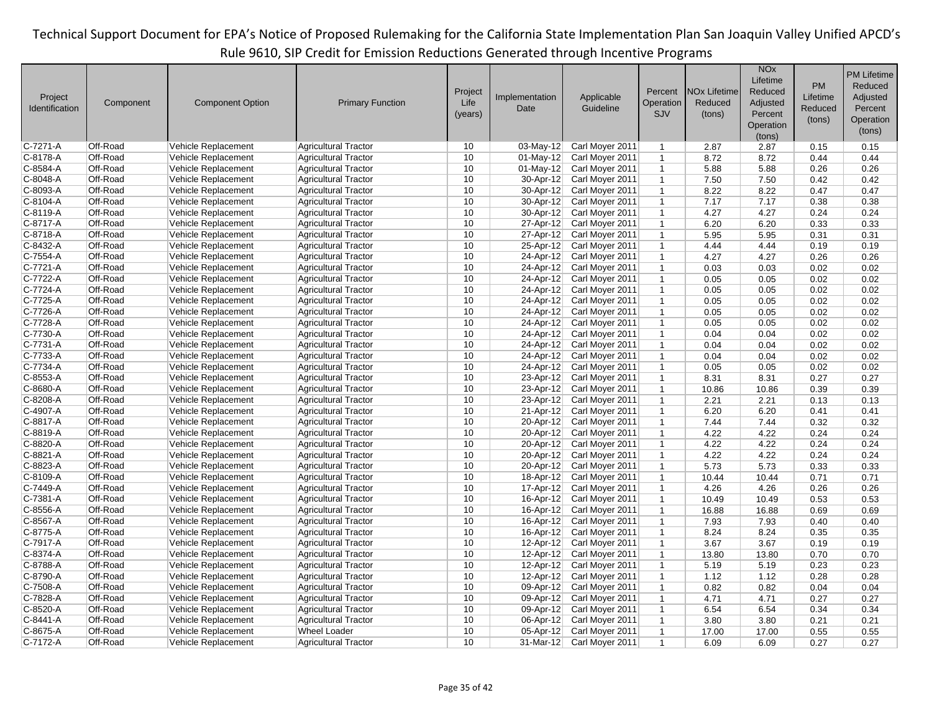|                      |                      |                                            |                             |          |                        |                                    |                              |                                | <b>NO<sub>x</sub></b> |              | <b>PM Lifetime</b> |
|----------------------|----------------------|--------------------------------------------|-----------------------------|----------|------------------------|------------------------------------|------------------------------|--------------------------------|-----------------------|--------------|--------------------|
|                      |                      |                                            |                             |          |                        |                                    |                              |                                | Lifetime              | <b>PM</b>    | Reduced            |
| Project              |                      |                                            |                             | Project  | Implementation         | Applicable                         | Percent                      | <b>NO<sub>x</sub></b> Lifetime | Reduced               | Lifetime     | Adjusted           |
| Identification       | Component            | <b>Component Option</b>                    | <b>Primary Function</b>     | Life     | Date                   | Guideline                          | Operation                    | Reduced                        | Adjusted              | Reduced      | Percent            |
|                      |                      |                                            |                             | (years)  |                        |                                    | SJV                          | (tons)                         | Percent               | (tons)       | Operation          |
|                      |                      |                                            |                             |          |                        |                                    |                              |                                | Operation             |              | (tons)             |
| C-7271-A             | Off-Road             | Vehicle Replacement                        | Agricultural Tractor        | 10       | $03$ -May-12           | Carl Moyer 2011                    | $\mathbf{1}$                 | 2.87                           | (tons)<br>2.87        | 0.15         | 0.15               |
| C-8178-A             | Off-Road             | Vehicle Replacement                        | <b>Agricultural Tractor</b> | 10       | $01$ -May-12           | Carl Moyer 2011                    | $\mathbf{1}$                 | 8.72                           | 8.72                  | 0.44         | 0.44               |
| C-8584-A             | Off-Road             | Vehicle Replacement                        | Agricultural Tractor        | 10       | 01-May-12              | Carl Moyer 2011                    | $\mathbf{1}$                 | 5.88                           | 5.88                  | 0.26         | 0.26               |
| C-8048-A             | Off-Road             | Vehicle Replacement                        | Agricultural Tractor        | 10       | 30-Apr-12              | Carl Moyer 2011                    | $\mathbf{1}$                 | 7.50                           | 7.50                  | 0.42         | 0.42               |
| C-8093-A             | Off-Road             | Vehicle Replacement                        | <b>Agricultural Tractor</b> | 10       | 30-Apr-12              | Carl Moyer 2011                    | $\mathbf{1}$                 | 8.22                           | 8.22                  | 0.47         | 0.47               |
| C-8104-A             | Off-Road             | Vehicle Replacement                        | <b>Agricultural Tractor</b> | 10       | 30-Apr-12              | Carl Moyer 2011                    | $\mathbf{1}$                 | 7.17                           | 7.17                  | 0.38         | 0.38               |
| C-8119-A             | Off-Road             | Vehicle Replacement                        | Agricultural Tractor        | 10       | 30-Apr-12              | Carl Moyer 2011                    | $\mathbf{1}$                 | 4.27                           | 4.27                  | 0.24         | 0.24               |
| C-8717-A             | Off-Road             | Vehicle Replacement                        | <b>Agricultural Tractor</b> | 10       | 27-Apr-12              | Carl Moyer 2011                    | $\mathbf{1}$                 | 6.20                           | 6.20                  | 0.33         | 0.33               |
| C-8718-A             | Off-Road             | Vehicle Replacement                        | Agricultural Tractor        | 10       | 27-Apr-12              | Carl Moyer 2011                    | $\mathbf{1}$                 | 5.95                           | 5.95                  | 0.31         | 0.31               |
| C-8432-A             | Off-Road             | Vehicle Replacement                        | Agricultural Tractor        | 10       | 25-Apr-12              | Carl Moyer 2011                    | $\mathbf{1}$                 | 4.44                           | 4.44                  | 0.19         | 0.19               |
| $C-7554-A$           | Off-Road             | Vehicle Replacement                        | <b>Agricultural Tractor</b> | 10       | $24 - Apr - 12$        | Carl Moyer 2011                    | $\mathbf{1}$                 | 4.27                           | 4.27                  | 0.26         | 0.26               |
| C-7721-A             | Off-Road             | Vehicle Replacement                        | <b>Agricultural Tractor</b> | 10       | 24-Apr-12              | Carl Moyer 2011                    | $\mathbf{1}$                 | 0.03                           | 0.03                  | 0.02         | 0.02               |
| C-7722-A             | Off-Road             | Vehicle Replacement                        | Agricultural Tractor        | 10       | 24-Apr-12              | Carl Moyer 2011                    | $\mathbf{1}$                 | 0.05                           | 0.05                  | 0.02         | 0.02               |
| C-7724-A             | Off-Road             | Vehicle Replacement                        | <b>Agricultural Tractor</b> | 10       | 24-Apr-12              | Carl Moyer 2011                    | $\mathbf{1}$                 | 0.05                           | 0.05                  | 0.02         | 0.02               |
| C-7725-A             | Off-Road             | Vehicle Replacement                        | Agricultural Tractor        | 10       | 24-Apr-12              | Carl Moyer 2011                    | $\mathbf{1}$                 | 0.05                           | 0.05                  | 0.02         | 0.02               |
| C-7726-A             | Off-Road             | Vehicle Replacement                        | <b>Agricultural Tractor</b> | 10       | 24-Apr-12              | Carl Moyer 2011                    | $\mathbf{1}$                 | 0.05                           | 0.05                  | 0.02         | 0.02               |
| C-7728-A             | Off-Road             | Vehicle Replacement                        | <b>Agricultural Tractor</b> | 10       | 24-Apr-12              | Carl Moyer 2011                    | $\mathbf{1}$                 | 0.05                           | 0.05                  | 0.02         | 0.02               |
| C-7730-A             | Off-Road             |                                            |                             | 10       |                        |                                    |                              |                                |                       |              |                    |
| C-7731-A             | Off-Road             | Vehicle Replacement                        | Agricultural Tractor        | 10       | 24-Apr-12              | Carl Moyer 2011                    | $\mathbf{1}$                 | 0.04                           | 0.04                  | 0.02         | 0.02               |
|                      | Off-Road             | Vehicle Replacement                        | <b>Agricultural Tractor</b> | 10       | 24-Apr-12              | Carl Moyer 2011                    | $\mathbf{1}$<br>$\mathbf{1}$ | 0.04                           | 0.04                  | 0.02         | 0.02               |
| C-7733-A<br>C-7734-A | Off-Road             | Vehicle Replacement                        | Agricultural Tractor        | 10       | 24-Apr-12<br>24-Apr-12 | Carl Moyer 2011                    |                              | 0.04                           | 0.04                  | 0.02         | 0.02               |
|                      | Off-Road             | Vehicle Replacement                        | Agricultural Tractor        |          |                        | Carl Moyer 2011                    | $\mathbf{1}$                 | 0.05                           | 0.05                  | 0.02         | 0.02               |
| C-8553-A<br>C-8680-A | Off-Road             | Vehicle Replacement                        | <b>Agricultural Tractor</b> | 10<br>10 | 23-Apr-12              | Carl Moyer 2011                    | $\mathbf{1}$                 | 8.31                           | 8.31<br>10.86         | 0.27         | 0.27<br>0.39       |
|                      | Off-Road             | Vehicle Replacement                        | Agricultural Tractor        | 10       | 23-Apr-12<br>23-Apr-12 | Carl Moyer 2011                    | $\mathbf{1}$                 | 10.86                          |                       | 0.39         |                    |
| C-8208-A             | Off-Road             | Vehicle Replacement                        | Agricultural Tractor        | 10       |                        | Carl Moyer 2011                    | $\mathbf{1}$                 | 2.21                           | 2.21                  | 0.13         | 0.13               |
| C-4907-A<br>C-8817-A | Off-Road             | Vehicle Replacement<br>Vehicle Replacement | Agricultural Tractor        | 10       | 21-Apr-12<br>20-Apr-12 | Carl Moyer 2011<br>Carl Moyer 2011 | $\mathbf{1}$<br>$\mathbf{1}$ | 6.20<br>7.44                   | 6.20<br>7.44          | 0.41<br>0.32 | 0.41               |
|                      |                      |                                            | Agricultural Tractor        | 10       |                        |                                    |                              |                                |                       |              | 0.32               |
| C-8819-A<br>C-8820-A | Off-Road<br>Off-Road | Vehicle Replacement                        | <b>Agricultural Tractor</b> | 10       | 20-Apr-12              | Carl Moyer 2011                    | $\mathbf{1}$                 | 4.22                           | 4.22                  | 0.24         | 0.24               |
|                      |                      | Vehicle Replacement                        | <b>Agricultural Tractor</b> |          | $20 - Apr - 12$        | Carl Moyer 2011                    | $\mathbf{1}$                 | 4.22                           | 4.22                  | 0.24         | 0.24               |
| C-8821-A             | Off-Road             | Vehicle Replacement                        | <b>Agricultural Tractor</b> | 10       | 20-Apr-12              | Carl Moyer 2011                    | $\mathbf{1}$                 | 4.22                           | 4.22                  | 0.24         | 0.24               |
| C-8823-A             | Off-Road             | Vehicle Replacement                        | <b>Agricultural Tractor</b> | 10       | 20-Apr-12              | Carl Moyer 2011                    | $\mathbf{1}$                 | 5.73                           | 5.73                  | 0.33         | 0.33               |
| C-8109-A             | Off-Road             | Vehicle Replacement                        | <b>Agricultural Tractor</b> | 10       | 18-Apr-12              | Carl Moyer 2011                    | $\mathbf{1}$                 | 10.44                          | 10.44                 | 0.71         | 0.71               |
| C-7449-A             | Off-Road             | <b>Vehicle Replacement</b>                 | Agricultural Tractor        | 10       | 17-Apr-12              | Carl Moyer 2011                    | $\mathbf{1}$                 | 4.26                           | 4.26                  | 0.26         | 0.26               |
| C-7381-A             | Off-Road             | Vehicle Replacement                        | <b>Agricultural Tractor</b> | 10       | 16-Apr-12              | Carl Moyer 2011                    | $\mathbf{1}$                 | 10.49                          | 10.49                 | 0.53         | 0.53               |
| $C-8556-A$           | Off-Road             | Vehicle Replacement                        | <b>Agricultural Tractor</b> | 10       | 16-Apr-12              | Carl Moyer 2011                    | $\mathbf{1}$                 | 16.88                          | 16.88                 | 0.69         | 0.69               |
| C-8567-A             | Off-Road             | Vehicle Replacement                        | Agricultural Tractor        | 10       | 16-Apr-12              | Carl Moyer 2011                    | $\mathbf{1}$                 | 7.93                           | 7.93                  | 0.40         | 0.40               |
| C-8775-A             | Off-Road             | Vehicle Replacement                        | <b>Agricultural Tractor</b> | 10       | $16$ -Apr-12           | Carl Moyer 2011                    | $\mathbf{1}$                 | 8.24                           | 8.24                  | 0.35         | 0.35               |
| C-7917-A             | Off-Road             | Vehicle Replacement                        | Agricultural Tractor        | 10       | 12-Apr-12              | Carl Moyer 2011                    | $\mathbf{1}$                 | 3.67                           | 3.67                  | 0.19         | 0.19               |
| C-8374-A             | Off-Road             | Vehicle Replacement                        | <b>Agricultural Tractor</b> | 10       | 12-Apr-12              | Carl Moyer 2011                    | $\mathbf{1}$                 | 13.80                          | 13.80                 | 0.70         | 0.70               |
| C-8788-A             | Off-Road             | Vehicle Replacement                        | <b>Agricultural Tractor</b> | 10       | 12-Apr-12              | Carl Moyer 2011                    | $\mathbf{1}$                 | 5.19                           | 5.19                  | 0.23         | 0.23               |
| C-8790-A             | Off-Road             | Vehicle Replacement                        | Agricultural Tractor        | 10       | $12$ -Apr-12           | Carl Moyer 2011                    | $\mathbf{1}$                 | 1.12                           | 1.12                  | 0.28         | 0.28               |
| C-7508-A             | Off-Road             | Vehicle Replacement                        | <b>Agricultural Tractor</b> | 10       | 09-Apr-12              | Carl Moyer 2011                    | $\mathbf{1}$                 | 0.82                           | 0.82                  | 0.04         | 0.04               |
| C-7828-A             | Off-Road             | Vehicle Replacement                        | Agricultural Tractor        | 10       | 09-Apr-12              | Carl Moyer 2011                    | $\mathbf{1}$                 | 4.71                           | 4.71                  | 0.27         | 0.27               |
| C-8520-A             | Off-Road             | Vehicle Replacement                        | Agricultural Tractor        | 10       | 09-Apr-12              | Carl Moyer 2011                    | $\mathbf{1}$                 | 6.54                           | 6.54                  | 0.34         | 0.34               |
| C-8441-A             | Off-Road             | Vehicle Replacement                        | <b>Agricultural Tractor</b> | 10       | 06-Apr-12              | Carl Moyer 2011                    | $\mathbf{1}$                 | 3.80                           | 3.80                  | 0.21         | 0.21               |
| C-8675-A             | Off-Road             | Vehicle Replacement                        | <b>Wheel Loader</b>         | 10       | $05$ -Apr-12           | Carl Moyer 2011                    | $\mathbf{1}$                 | 17.00                          | 17.00                 | 0.55         | 0.55               |
| C-7172-A             | Off-Road             | Vehicle Replacement                        | <b>Agricultural Tractor</b> | 10       | $31-Mar-12$            | Carl Moyer 2011                    | $\mathbf{1}$                 | 6.09                           | 6.09                  | 0.27         | 0.27               |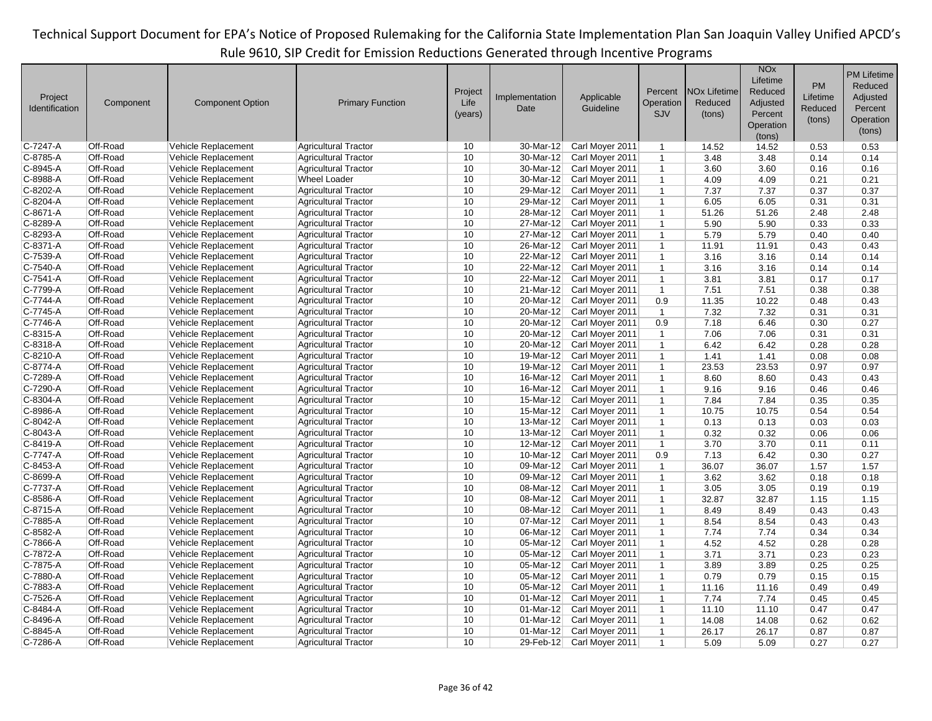|                |           |                         |                             |         |                         |                 |                |                                | <b>NO<sub>x</sub></b><br>Lifetime |           | <b>PM Lifetime</b> |
|----------------|-----------|-------------------------|-----------------------------|---------|-------------------------|-----------------|----------------|--------------------------------|-----------------------------------|-----------|--------------------|
|                |           |                         |                             | Project |                         |                 | Percent        | <b>NO<sub>x</sub></b> Lifetime | Reduced                           | <b>PM</b> | Reduced            |
| Project        | Component | <b>Component Option</b> | <b>Primary Function</b>     | Life    | Implementation          | Applicable      | Operation      | Reduced                        | Adjusted                          | Lifetime  | Adjusted           |
| Identification |           |                         |                             | (years) | Date                    | Guideline       | <b>SJV</b>     | (tons)                         | Percent                           | Reduced   | Percent            |
|                |           |                         |                             |         |                         |                 |                |                                | Operation                         | (tons)    | Operation          |
|                |           |                         |                             |         |                         |                 |                |                                | (tons)                            |           | (tons)             |
| C-7247-A       | Off-Road  | Vehicle Replacement     | <b>Agricultural Tractor</b> | 10      | 30-Mar-12               | Carl Moyer 2011 | $\mathbf{1}$   | 14.52                          | 14.52                             | 0.53      | 0.53               |
| C-8785-A       | Off-Road  | Vehicle Replacement     | <b>Agricultural Tractor</b> | 10      | 30-Mar-12               | Carl Moyer 2011 | $\mathbf{1}$   | 3.48                           | 3.48                              | 0.14      | 0.14               |
| C-8945-A       | Off-Road  | Vehicle Replacement     | <b>Agricultural Tractor</b> | 10      | 30-Mar-12               | Carl Moyer 2011 | $\mathbf{1}$   | 3.60                           | 3.60                              | 0.16      | 0.16               |
| C-8988-A       | Off-Road  | Vehicle Replacement     | <b>Wheel Loader</b>         | 10      | 30-Mar-12               | Carl Moyer 2011 | $\mathbf{1}$   | 4.09                           | 4.09                              | 0.21      | 0.21               |
| C-8202-A       | Off-Road  | Vehicle Replacement     | <b>Agricultural Tractor</b> | 10      | 29-Mar-12               | Carl Moyer 2011 | $\mathbf{1}$   | 7.37                           | 7.37                              | 0.37      | 0.37               |
| C-8204-A       | Off-Road  | Vehicle Replacement     | <b>Agricultural Tractor</b> | 10      | 29-Mar-12               | Carl Moyer 2011 | $\mathbf{1}$   | 6.05                           | 6.05                              | 0.31      | 0.31               |
| C-8671-A       | Off-Road  | Vehicle Replacement     | <b>Agricultural Tractor</b> | 10      | 28-Mar-12               | Carl Moyer 2011 | $\mathbf{1}$   | 51.26                          | 51.26                             | 2.48      | 2.48               |
| C-8289-A       | Off-Road  | Vehicle Replacement     | <b>Agricultural Tractor</b> | 10      | 27-Mar-12               | Carl Moyer 2011 | $\mathbf{1}$   | 5.90                           | 5.90                              | 0.33      | 0.33               |
| C-8293-A       | Off-Road  | Vehicle Replacement     | <b>Agricultural Tractor</b> | 10      | 27-Mar-12               | Carl Moyer 2011 | $\mathbf{1}$   | 5.79                           | 5.79                              | 0.40      | 0.40               |
| C-8371-A       | Off-Road  | Vehicle Replacement     | <b>Agricultural Tractor</b> | 10      | 26-Mar-12               | Carl Moyer 2011 | $\mathbf{1}$   | 11.91                          | 11.91                             | 0.43      | 0.43               |
| C-7539-A       | Off-Road  | Vehicle Replacement     | <b>Agricultural Tractor</b> | 10      | $22-Mar-12$             | Carl Moyer 2011 | $\mathbf{1}$   | 3.16                           | 3.16                              | 0.14      | 0.14               |
| C-7540-A       | Off-Road  | Vehicle Replacement     | <b>Agricultural Tractor</b> | 10      | 22-Mar-12               | Carl Moyer 2011 | $\mathbf{1}$   | 3.16                           | 3.16                              | 0.14      | 0.14               |
| C-7541-A       | Off-Road  | Vehicle Replacement     | <b>Agricultural Tractor</b> | 10      | 22-Mar-12               | Carl Moyer 2011 | $\mathbf{1}$   | 3.81                           | 3.81                              | 0.17      | 0.17               |
| C-7799-A       | Off-Road  | Vehicle Replacement     | <b>Agricultural Tractor</b> | 10      | 21-Mar-12               | Carl Moyer 2011 | $\mathbf{1}$   | 7.51                           | 7.51                              | 0.38      | 0.38               |
| C-7744-A       | Off-Road  | Vehicle Replacement     | <b>Agricultural Tractor</b> | 10      | 20-Mar-12               | Carl Moyer 2011 | 0.9            | 11.35                          | 10.22                             | 0.48      | 0.43               |
| C-7745-A       | Off-Road  | Vehicle Replacement     | <b>Agricultural Tractor</b> | 10      | 20-Mar-12               | Carl Moyer 2011 | $\overline{1}$ | 7.32                           | 7.32                              | 0.31      | 0.31               |
| C-7746-A       | Off-Road  | Vehicle Replacement     | <b>Agricultural Tractor</b> | 10      | 20-Mar-12               | Carl Moyer 2011 | 0.9            | 7.18                           | 6.46                              | 0.30      | 0.27               |
| C-8315-A       | Off-Road  | Vehicle Replacement     | <b>Agricultural Tractor</b> | 10      | 20-Mar-12               | Carl Moyer 2011 | $\mathbf{1}$   | 7.06                           | 7.06                              | 0.31      | 0.31               |
| C-8318-A       | Off-Road  | Vehicle Replacement     | <b>Agricultural Tractor</b> | 10      | 20-Mar-12               | Carl Moyer 2011 | $\mathbf{1}$   | 6.42                           | 6.42                              | 0.28      | 0.28               |
| C-8210-A       | Off-Road  | Vehicle Replacement     | <b>Agricultural Tractor</b> | 10      | 19-Mar-12               | Carl Moyer 2011 | $\mathbf{1}$   | 1.41                           | 1.41                              | 0.08      | 0.08               |
| C-8774-A       | Off-Road  | Vehicle Replacement     | <b>Agricultural Tractor</b> | 10      | 19-Mar-12               | Carl Moyer 2011 | $\mathbf{1}$   | 23.53                          | 23.53                             | 0.97      | 0.97               |
| C-7289-A       | Off-Road  | Vehicle Replacement     | <b>Agricultural Tractor</b> | 10      | 16-Mar-12               | Carl Moyer 2011 | $\mathbf{1}$   | 8.60                           | 8.60                              | 0.43      | 0.43               |
| C-7290-A       | Off-Road  | Vehicle Replacement     | <b>Agricultural Tractor</b> | 10      | $16$ -Mar-12            | Carl Moyer 2011 | $\mathbf{1}$   | 9.16                           | 9.16                              | 0.46      | 0.46               |
| C-8304-A       | Off-Road  | Vehicle Replacement     | <b>Agricultural Tractor</b> | 10      | 15-Mar-12               | Carl Moyer 2011 | $\mathbf{1}$   | 7.84                           | 7.84                              | 0.35      | 0.35               |
| C-8986-A       | Off-Road  | Vehicle Replacement     | <b>Agricultural Tractor</b> | 10      | 15-Mar-12               | Carl Moyer 2011 | $\mathbf{1}$   | 10.75                          | 10.75                             | 0.54      | 0.54               |
| C-8042-A       | Off-Road  | Vehicle Replacement     | <b>Agricultural Tractor</b> | 10      | 13-Mar-12               | Carl Moyer 2011 | $\mathbf{1}$   | 0.13                           | 0.13                              | 0.03      | 0.03               |
| C-8043-A       | Off-Road  | Vehicle Replacement     | <b>Agricultural Tractor</b> | 10      | 13-Mar-12               | Carl Moyer 2011 | $\mathbf{1}$   | 0.32                           | 0.32                              | 0.06      | 0.06               |
| C-8419-A       | Off-Road  | Vehicle Replacement     | Agricultural Tractor        | 10      | $12$ -Mar-12            | Carl Moyer 2011 | $\overline{1}$ | 3.70                           | 3.70                              | 0.11      | 0.11               |
| C-7747-A       | Off-Road  | Vehicle Replacement     | <b>Agricultural Tractor</b> | 10      | $10-Mar-12$             | Carl Moyer 2011 | 0.9            | 7.13                           | 6.42                              | 0.30      | 0.27               |
| C-8453-A       | Off-Road  | Vehicle Replacement     | <b>Agricultural Tractor</b> | 10      | 09-Mar-12               | Carl Moyer 2011 | $\mathbf{1}$   | 36.07                          | 36.07                             | 1.57      | 1.57               |
| C-8699-A       | Off-Road  | Vehicle Replacement     | <b>Agricultural Tractor</b> | 10      | 09-Mar-12               | Carl Moyer 2011 | $\mathbf 1$    | 3.62                           | 3.62                              | 0.18      | 0.18               |
| C-7737-A       | Off-Road  | Vehicle Replacement     | <b>Agricultural Tractor</b> | 10      | 08-Mar-12               | Carl Moyer 2011 | $\mathbf{1}$   | 3.05                           | 3.05                              | 0.19      | 0.19               |
| C-8586-A       | Off-Road  | Vehicle Replacement     | <b>Agricultural Tractor</b> | 10      | 08-Mar-12               | Carl Moyer 2011 | $\mathbf{1}$   | 32.87                          | 32.87                             | 1.15      | 1.15               |
| $C-8715-A$     | Off-Road  | Vehicle Replacement     | <b>Agricultural Tractor</b> | 10      | 08-Mar-12               | Carl Moyer 2011 | $\mathbf{1}$   | 8.49                           | 8.49                              | 0.43      | 0.43               |
| C-7885-A       | Off-Road  | Vehicle Replacement     | <b>Agricultural Tractor</b> | 10      | 07-Mar-12               | Carl Moyer 2011 | $\mathbf{1}$   | 8.54                           | 8.54                              | 0.43      | 0.43               |
| C-8582-A       | Off-Road  | Vehicle Replacement     | <b>Agricultural Tractor</b> | 10      | $\overline{06}$ -Mar-12 | Carl Moyer 2011 | $\mathbf{1}$   | 7.74                           | 7.74                              | 0.34      | 0.34               |
| C-7866-A       | Off-Road  | Vehicle Replacement     | <b>Agricultural Tractor</b> | 10      | 05-Mar-12               | Carl Moyer 2011 | $\mathbf{1}$   | 4.52                           | 4.52                              | 0.28      | 0.28               |
| C-7872-A       | Off-Road  | Vehicle Replacement     | <b>Agricultural Tractor</b> | 10      | 05-Mar-12               | Carl Moyer 2011 | $\mathbf{1}$   | 3.71                           | 3.71                              | 0.23      | 0.23               |
| C-7875-A       | Off-Road  | Vehicle Replacement     | <b>Agricultural Tractor</b> | 10      | 05-Mar-12               | Carl Moyer 2011 | $\mathbf{1}$   | 3.89                           | 3.89                              | 0.25      | 0.25               |
| C-7880-A       | Off-Road  | Vehicle Replacement     | <b>Agricultural Tractor</b> | 10      | 05-Mar-12               | Carl Moyer 2011 | $\mathbf{1}$   | 0.79                           | 0.79                              | 0.15      | 0.15               |
| C-7883-A       | Off-Road  | Vehicle Replacement     | <b>Agricultural Tractor</b> | 10      | 05-Mar-12               | Carl Moyer 2011 | $\mathbf{1}$   | 11.16                          | 11.16                             | 0.49      | 0.49               |
| C-7526-A       | Off-Road  | Vehicle Replacement     | <b>Agricultural Tractor</b> | 10      | $01$ -Mar-12            | Carl Moyer 2011 | $\mathbf{1}$   | 7.74                           | 7.74                              | 0.45      | 0.45               |
| C-8484-A       | Off-Road  | Vehicle Replacement     | <b>Agricultural Tractor</b> | 10      | $01-Mar-12$             | Carl Moyer 2011 | $\mathbf{1}$   | 11.10                          | 11.10                             | 0.47      | 0.47               |
| C-8496-A       | Off-Road  | Vehicle Replacement     | <b>Agricultural Tractor</b> | 10      | $01-Mar-12$             | Carl Moyer 2011 | $\mathbf{1}$   | 14.08                          | 14.08                             | 0.62      | 0.62               |
| C-8845-A       | Off-Road  | Vehicle Replacement     | <b>Agricultural Tractor</b> | 10      | $01-Mar-12$             | Carl Moyer 2011 | $\mathbf{1}$   | 26.17                          | 26.17                             | 0.87      | 0.87               |
| C-7286-A       | Off-Road  | Vehicle Replacement     | <b>Agricultural Tractor</b> | 10      | 29-Feb-12               | Carl Moyer 2011 | $\mathbf{1}$   | 5.09                           | 5.09                              | 0.27      | 0.27               |
|                |           |                         |                             |         |                         |                 |                |                                |                                   |           |                    |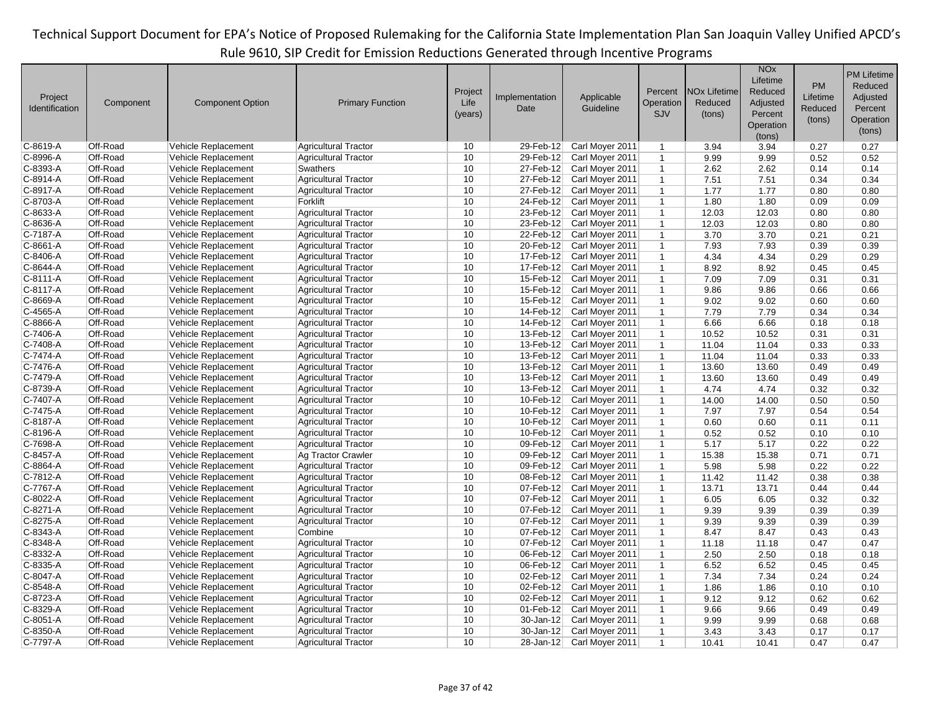| Project<br>Identification | Component | <b>Component Option</b> | <b>Primary Function</b>     | Project<br>Life<br>(years) | Implementation<br>Date | Applicable<br>Guideline | Percent<br>Operation<br>SJV | <b>NO<sub>x</sub></b> Lifetime<br>Reduced<br>(tons) | <b>NO<sub>x</sub></b><br>Lifetime<br>Reduced<br>Adjusted<br>Percent<br>Operation<br>(tons) | <b>PM</b><br>Lifetime<br>Reduced<br>(tons) | <b>PM Lifetime</b><br>Reduced<br>Adjusted<br>Percent<br>Operation<br>(tons) |
|---------------------------|-----------|-------------------------|-----------------------------|----------------------------|------------------------|-------------------------|-----------------------------|-----------------------------------------------------|--------------------------------------------------------------------------------------------|--------------------------------------------|-----------------------------------------------------------------------------|
| C-8619-A                  | Off-Road  | Vehicle Replacement     | <b>Agricultural Tractor</b> | 10                         | 29-Feb-12              | Carl Moyer 2011         | $\mathbf{1}$                | 3.94                                                | 3.94                                                                                       | 0.27                                       | 0.27                                                                        |
| C-8996-A                  | Off-Road  | Vehicle Replacement     | <b>Agricultural Tractor</b> | 10                         | 29-Feb-12              | Carl Moyer 2011         | $\mathbf{1}$                | 9.99                                                | 9.99                                                                                       | 0.52                                       | 0.52                                                                        |
| C-8393-A                  | Off-Road  | Vehicle Replacement     | Swathers                    | 10                         | 27-Feb-12              | Carl Moyer 2011         | $\mathbf{1}$                | 2.62                                                | 2.62                                                                                       | 0.14                                       | 0.14                                                                        |
| C-8914-A                  | Off-Road  | Vehicle Replacement     | <b>Agricultural Tractor</b> | 10                         | 27-Feb-12              | Carl Moyer 2011         | $\mathbf{1}$                | 7.51                                                | 7.51                                                                                       | 0.34                                       | 0.34                                                                        |
| C-8917-A                  | Off-Road  | Vehicle Replacement     | <b>Agricultural Tractor</b> | 10                         | 27-Feb-12              | Carl Moyer 2011         | $\mathbf{1}$                | 1.77                                                | 1.77                                                                                       | 0.80                                       | 0.80                                                                        |
| C-8703-A                  | Off-Road  | Vehicle Replacement     | Forklift                    | 10                         | 24-Feb-12              | Carl Moyer 2011         | $\mathbf{1}$                | 1.80                                                | 1.80                                                                                       | 0.09                                       | 0.09                                                                        |
| C-8633-A                  | Off-Road  | Vehicle Replacement     | <b>Agricultural Tractor</b> | 10                         | 23-Feb-12              | Carl Moyer 2011         | $\mathbf{1}$                | 12.03                                               | 12.03                                                                                      | 0.80                                       | 0.80                                                                        |
| C-8636-A                  | Off-Road  | Vehicle Replacement     | <b>Agricultural Tractor</b> | 10                         | 23-Feb-12              | Carl Moyer 2011         | $\mathbf{1}$                | 12.03                                               | 12.03                                                                                      | 0.80                                       | 0.80                                                                        |
| C-7187-A                  | Off-Road  | Vehicle Replacement     | <b>Agricultural Tractor</b> | 10                         | 22-Feb-12              | Carl Moyer 2011         | $\mathbf{1}$                | 3.70                                                | 3.70                                                                                       | 0.21                                       | 0.21                                                                        |
| C-8661-A                  | Off-Road  | Vehicle Replacement     | <b>Agricultural Tractor</b> | 10                         | 20-Feb-12              | Carl Moyer 2011         | $\mathbf{1}$                | 7.93                                                | 7.93                                                                                       | 0.39                                       | 0.39                                                                        |
| C-8406-A                  | Off-Road  | Vehicle Replacement     | <b>Agricultural Tractor</b> | 10                         | 17-Feb-12              | Carl Moyer 2011         | $\mathbf{1}$                | 4.34                                                | 4.34                                                                                       | 0.29                                       | 0.29                                                                        |
| C-8644-A                  | Off-Road  | Vehicle Replacement     | <b>Agricultural Tractor</b> | 10                         | 17-Feb-12              | Carl Moyer 2011         | $\mathbf{1}$                | 8.92                                                | 8.92                                                                                       | 0.45                                       | 0.45                                                                        |
| C-8111-A                  | Off-Road  | Vehicle Replacement     | <b>Agricultural Tractor</b> | 10                         | $15$ -Feb-12           | Carl Moyer 2011         | $\mathbf{1}$                | 7.09                                                | 7.09                                                                                       | 0.31                                       | 0.31                                                                        |
| C-8117-A                  | Off-Road  | Vehicle Replacement     | <b>Agricultural Tractor</b> | 10                         | 15-Feb-12              | Carl Moyer 2011         | $\mathbf{1}$                | 9.86                                                | 9.86                                                                                       | 0.66                                       | 0.66                                                                        |
| C-8669-A                  | Off-Road  | Vehicle Replacement     | <b>Agricultural Tractor</b> | 10                         | 15-Feb-12              | Carl Moyer 2011         | $\mathbf{1}$                | 9.02                                                | 9.02                                                                                       | 0.60                                       | 0.60                                                                        |
| C-4565-A                  | Off-Road  | Vehicle Replacement     | <b>Agricultural Tractor</b> | 10                         | 14-Feb-12              | Carl Moyer 2011         | $\mathbf{1}$                | 7.79                                                | 7.79                                                                                       | 0.34                                       | 0.34                                                                        |
| C-8866-A                  | Off-Road  | Vehicle Replacement     | <b>Agricultural Tractor</b> | 10                         | 14-Feb-12              | Carl Moyer 2011         | $\mathbf{1}$                | 6.66                                                | 6.66                                                                                       | 0.18                                       | 0.18                                                                        |
| C-7406-A                  | Off-Road  | Vehicle Replacement     | <b>Agricultural Tractor</b> | 10                         | 13-Feb-12              | Carl Moyer 2011         | $\mathbf{1}$                | 10.52                                               | 10.52                                                                                      | 0.31                                       | 0.31                                                                        |
| C-7408-A                  | Off-Road  | Vehicle Replacement     | <b>Agricultural Tractor</b> | 10                         | 13-Feb-12              | Carl Moyer 2011         | $\mathbf{1}$                | 11.04                                               | 11.04                                                                                      | 0.33                                       | 0.33                                                                        |
| C-7474-A                  | Off-Road  | Vehicle Replacement     | <b>Agricultural Tractor</b> | 10                         | $13$ -Feb-12           | Carl Moyer 2011         | $\mathbf{1}$                | 11.04                                               | 11.04                                                                                      | 0.33                                       | 0.33                                                                        |
| C-7476-A                  | Off-Road  | Vehicle Replacement     | <b>Agricultural Tractor</b> | 10                         | 13-Feb-12              | Carl Moyer 2011         | $\mathbf{1}$                | 13.60                                               | 13.60                                                                                      | 0.49                                       | 0.49                                                                        |
| C-7479-A                  | Off-Road  | Vehicle Replacement     | <b>Agricultural Tractor</b> | 10                         | 13-Feb-12              | Carl Moyer 2011         | $\mathbf{1}$                | 13.60                                               | 13.60                                                                                      | 0.49                                       | 0.49                                                                        |
| C-8739-A                  | Off-Road  | Vehicle Replacement     | <b>Agricultural Tractor</b> | 10                         | $13$ -Feb-12           | Carl Moyer 2011         | $\mathbf{1}$                | 4.74                                                | 4.74                                                                                       | 0.32                                       | 0.32                                                                        |
| C-7407-A                  | Off-Road  | Vehicle Replacement     | <b>Agricultural Tractor</b> | 10                         | $10$ -Feb-12           | Carl Moyer 2011         | $\mathbf{1}$                | 14.00                                               | 14.00                                                                                      | 0.50                                       | 0.50                                                                        |
| C-7475-A                  | Off-Road  | Vehicle Replacement     | <b>Agricultural Tractor</b> | 10                         | 10-Feb-12              | Carl Moyer 2011         | $\mathbf{1}$                | 7.97                                                | 7.97                                                                                       | 0.54                                       | 0.54                                                                        |
| C-8187-A                  | Off-Road  | Vehicle Replacement     | <b>Agricultural Tractor</b> | 10                         | 10-Feb-12              | Carl Moyer 2011         | $\mathbf{1}$                | 0.60                                                | 0.60                                                                                       | 0.11                                       | 0.11                                                                        |
| C-8196-A                  | Off-Road  | Vehicle Replacement     | <b>Agricultural Tractor</b> | 10                         | 10-Feb-12              | Carl Moyer 2011         | $\mathbf{1}$                | 0.52                                                | 0.52                                                                                       | 0.10                                       | 0.10                                                                        |
| C-7698-A                  | Off-Road  | Vehicle Replacement     | <b>Agricultural Tractor</b> | 10                         | 09-Feb-12              | Carl Moyer 2011         | $\mathbf{1}$                | 5.17                                                | 5.17                                                                                       | 0.22                                       | 0.22                                                                        |
| C-8457-A                  | Off-Road  | Vehicle Replacement     | Ag Tractor Crawler          | 10                         | 09-Feb-12              | Carl Moyer 2011         | $\mathbf{1}$                | 15.38                                               | 15.38                                                                                      | 0.71                                       | 0.71                                                                        |
| C-8864-A                  | Off-Road  | Vehicle Replacement     | <b>Agricultural Tractor</b> | 10                         | 09-Feb-12              | Carl Moyer 2011         | $\mathbf{1}$                | 5.98                                                | 5.98                                                                                       | 0.22                                       | 0.22                                                                        |
| C-7812-A                  | Off-Road  | Vehicle Replacement     | <b>Agricultural Tractor</b> | 10                         | 08-Feb-12              | Carl Moyer 2011         | $\mathbf{1}$                | 11.42                                               | 11.42                                                                                      | 0.38                                       | 0.38                                                                        |
| C-7767-A                  | Off-Road  | Vehicle Replacement     | <b>Agricultural Tractor</b> | 10                         | 07-Feb-12              | Carl Moyer 2011         | $\mathbf{1}$                | 13.71                                               | 13.71                                                                                      | 0.44                                       | 0.44                                                                        |
| C-8022-A                  | Off-Road  | Vehicle Replacement     | <b>Agricultural Tractor</b> | 10                         | $07$ -Feb-12           | Carl Moyer 2011         | $\mathbf{1}$                | 6.05                                                | 6.05                                                                                       | 0.32                                       | 0.32                                                                        |
| C-8271-A                  | Off-Road  | Vehicle Replacement     | <b>Agricultural Tractor</b> | 10                         | $07$ -Feb-12           | Carl Moyer 2011         | $\mathbf{1}$                | 9.39                                                | 9.39                                                                                       | 0.39                                       | 0.39                                                                        |
| C-8275-A                  | Off-Road  | Vehicle Replacement     | <b>Agricultural Tractor</b> | 10                         | 07-Feb-12              | Carl Moyer 2011         | $\mathbf{1}$                | 9.39                                                | 9.39                                                                                       | 0.39                                       | 0.39                                                                        |
| C-8343-A                  | Off-Road  | Vehicle Replacement     | Combine                     | 10                         | $07$ -Feb-12           | Carl Moyer 2011         | $\mathbf{1}$                | 8.47                                                | 8.47                                                                                       | 0.43                                       | 0.43                                                                        |
| C-8348-A                  | Off-Road  | Vehicle Replacement     | <b>Agricultural Tractor</b> | 10                         | 07-Feb-12              | Carl Moyer 2011         | $\mathbf{1}$                | 11.18                                               | 11.18                                                                                      | 0.47                                       | 0.47                                                                        |
| C-8332-A                  | Off-Road  | Vehicle Replacement     | <b>Agricultural Tractor</b> | 10                         | 06-Feb-12              | Carl Moyer 2011         | $\mathbf{1}$                | 2.50                                                | 2.50                                                                                       | 0.18                                       | 0.18                                                                        |
| C-8335-A                  | Off-Road  | Vehicle Replacement     | <b>Agricultural Tractor</b> | 10                         | 06-Feb-12              | Carl Moyer 2011         | $\mathbf{1}$                | 6.52                                                | 6.52                                                                                       | 0.45                                       | 0.45                                                                        |
| C-8047-A                  | Off-Road  | Vehicle Replacement     | <b>Agricultural Tractor</b> | 10                         | 02-Feb-12              | Carl Moyer 2011         | $\mathbf{1}$                | 7.34                                                | 7.34                                                                                       | 0.24                                       | 0.24                                                                        |
| C-8548-A                  | Off-Road  | Vehicle Replacement     | <b>Agricultural Tractor</b> | 10                         | $02$ -Feb-12           | Carl Moyer 2011         | $\mathbf{1}$                | 1.86                                                | 1.86                                                                                       | 0.10                                       | 0.10                                                                        |
| C-8723-A                  | Off-Road  | Vehicle Replacement     | <b>Agricultural Tractor</b> | 10                         | 02-Feb-12              | Carl Moyer 2011         | $\mathbf{1}$                | 9.12                                                | 9.12                                                                                       | 0.62                                       | 0.62                                                                        |
| C-8329-A                  | Off-Road  | Vehicle Replacement     | <b>Agricultural Tractor</b> | 10                         | $01$ -Feb-12           | Carl Moyer 2011         | $\mathbf{1}$                | 9.66                                                | 9.66                                                                                       | 0.49                                       | 0.49                                                                        |
| C-8051-A                  | Off-Road  | Vehicle Replacement     | <b>Agricultural Tractor</b> | 10                         | 30-Jan-12              | Carl Moyer 2011         | $\mathbf{1}$                | 9.99                                                | 9.99                                                                                       | 0.68                                       | 0.68                                                                        |
| C-8350-A                  | Off-Road  | Vehicle Replacement     | <b>Agricultural Tractor</b> | 10                         | 30-Jan-12              | Carl Moyer 2011         | $\mathbf{1}$                | 3.43                                                | 3.43                                                                                       | 0.17                                       | 0.17                                                                        |
| C-7797-A                  | Off-Road  | Vehicle Replacement     | <b>Agricultural Tractor</b> | 10                         | $28 - Jan-12$          | Carl Moyer 2011         | $\mathbf{1}$                | 10.41                                               | 10.41                                                                                      | 0.47                                       | 0.47                                                                        |
|                           |           |                         |                             |                            |                        |                         |                             |                                                     |                                                                                            |                                            |                                                                             |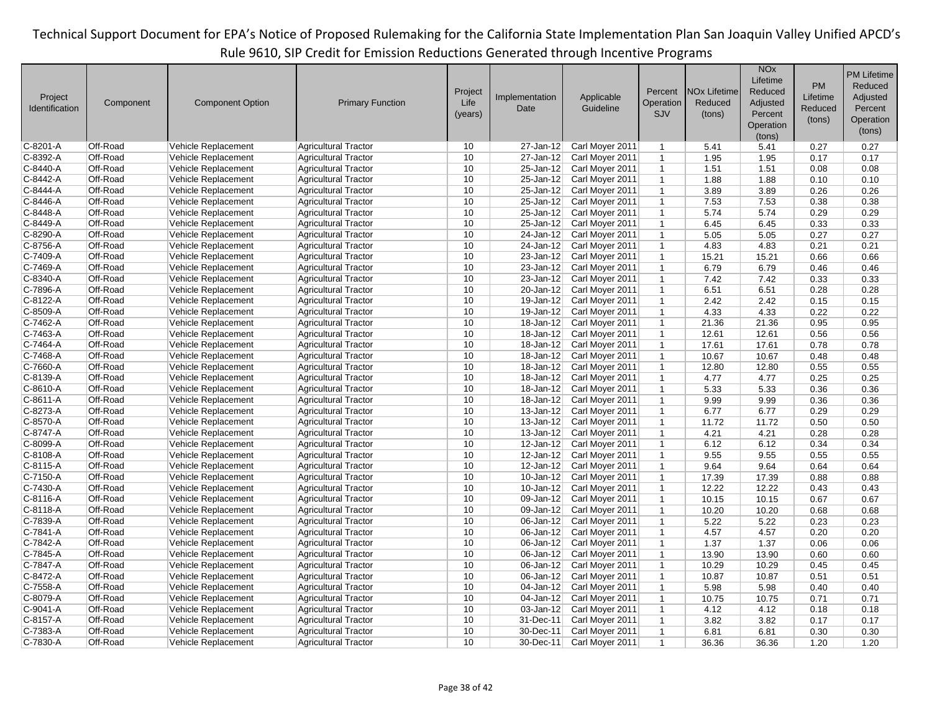|                       |                      |                         |                             |         |                         |                 |                             |                                | <b>NO<sub>x</sub></b> |           | <b>PM Lifetime</b> |
|-----------------------|----------------------|-------------------------|-----------------------------|---------|-------------------------|-----------------|-----------------------------|--------------------------------|-----------------------|-----------|--------------------|
|                       |                      |                         |                             |         |                         |                 |                             |                                | Lifetime              |           |                    |
|                       |                      |                         |                             | Project |                         |                 | Percent                     | <b>NO<sub>x</sub></b> Lifetime | Reduced               | <b>PM</b> | Reduced            |
| Project               | Component            | <b>Component Option</b> | <b>Primary Function</b>     | Life    | Implementation          | Applicable      | Operation                   | Reduced                        | Adjusted              | Lifetime  | Adjusted           |
| <b>Identification</b> |                      |                         |                             | (years) | Date                    | Guideline       | SJV                         | (tons)                         | Percent               | Reduced   | Percent            |
|                       |                      |                         |                             |         |                         |                 |                             |                                | Operation             | (tons)    | Operation          |
|                       |                      |                         |                             |         |                         |                 |                             |                                | (tons)                |           | (tons)             |
| C-8201-A              | Off-Road             | Vehicle Replacement     | <b>Agricultural Tractor</b> | 10      | 27-Jan-12               | Carl Moyer 2011 | $\mathbf{1}$                | 5.41                           | 5.41                  | 0.27      | 0.27               |
| C-8392-A              | Off-Road             | Vehicle Replacement     | <b>Agricultural Tractor</b> | 10      | 27-Jan-12               | Carl Moyer 2011 | $\mathbf 1$                 | 1.95                           | 1.95                  | 0.17      | 0.17               |
| C-8440-A              | Off-Road             | Vehicle Replacement     | <b>Agricultural Tractor</b> | 10      | 25-Jan-12               | Carl Moyer 2011 | $\mathbf{1}$                | 1.51                           | 1.51                  | 0.08      | 0.08               |
| C-8442-A              | Off-Road             | Vehicle Replacement     | <b>Agricultural Tractor</b> | 10      | 25-Jan-12               | Carl Moyer 2011 | $\mathbf{1}$                | 1.88                           | 1.88                  | 0.10      | 0.10               |
| C-8444-A              | Off-Road             | Vehicle Replacement     | <b>Agricultural Tractor</b> | 10      | 25-Jan-12               | Carl Moyer 2011 | $\mathbf{1}$                | 3.89                           | 3.89                  | 0.26      | 0.26               |
| C-8446-A              | Off-Road             | Vehicle Replacement     | <b>Agricultural Tractor</b> | 10      | 25-Jan-12               | Carl Moyer 2011 | $\mathbf{1}$                | 7.53                           | 7.53                  | 0.38      | 0.38               |
| C-8448-A              | Off-Road             | Vehicle Replacement     | <b>Agricultural Tractor</b> | 10      | 25-Jan-12               | Carl Moyer 2011 | $\mathbf{1}$                | 5.74                           | 5.74                  | 0.29      | 0.29               |
| C-8449-A              | Off-Road             | Vehicle Replacement     | <b>Agricultural Tractor</b> | 10      | 25-Jan-12               | Carl Moyer 2011 | $\mathbf{1}$                | 6.45                           | 6.45                  | 0.33      | 0.33               |
| C-8290-A              | Off-Road             | Vehicle Replacement     | <b>Agricultural Tractor</b> | 10      | 24-Jan-12               | Carl Moyer 2011 |                             | 5.05                           | 5.05                  | 0.27      | 0.27               |
|                       |                      |                         |                             | 10      |                         |                 | $\mathbf 1$<br>$\mathbf{1}$ |                                |                       |           |                    |
| C-8756-A              | Off-Road<br>Off-Road | Vehicle Replacement     | <b>Agricultural Tractor</b> | 10      | 24-Jan-12               | Carl Moyer 2011 |                             | 4.83                           | 4.83                  | 0.21      | 0.21               |
| C-7409-A              |                      | Vehicle Replacement     | <b>Agricultural Tractor</b> |         | $23$ -Jan-12            | Carl Moyer 2011 | $\mathbf{1}$                | 15.21                          | 15.21                 | 0.66      | 0.66               |
| C-7469-A              | Off-Road             | Vehicle Replacement     | <b>Agricultural Tractor</b> | 10      | 23-Jan-12               | Carl Moyer 2011 | $\mathbf{1}$                | 6.79                           | 6.79                  | 0.46      | 0.46               |
| C-8340-A              | Off-Road             | Vehicle Replacement     | <b>Agricultural Tractor</b> | 10      | 23-Jan-12               | Carl Moyer 2011 | $\mathbf{1}$                | 7.42                           | 7.42                  | 0.33      | 0.33               |
| C-7896-A              | Off-Road             | Vehicle Replacement     | <b>Agricultural Tractor</b> | 10      | 20-Jan-12               | Carl Moyer 2011 | $\mathbf 1$                 | 6.51                           | 6.51                  | 0.28      | 0.28               |
| C-8122-A              | Off-Road             | Vehicle Replacement     | <b>Agricultural Tractor</b> | 10      | 19-Jan-12               | Carl Moyer 2011 | $\mathbf{1}$                | 2.42                           | 2.42                  | 0.15      | 0.15               |
| C-8509-A              | Off-Road             | Vehicle Replacement     | <b>Agricultural Tractor</b> | 10      | 19-Jan-12               | Carl Moyer 2011 | $\mathbf{1}$                | 4.33                           | 4.33                  | 0.22      | 0.22               |
| C-7462-A              | Off-Road             | Vehicle Replacement     | <b>Agricultural Tractor</b> | 10      | 18-Jan-12               | Carl Moyer 2011 | $\mathbf{1}$                | 21.36                          | 21.36                 | 0.95      | 0.95               |
| C-7463-A              | Off-Road             | Vehicle Replacement     | <b>Agricultural Tractor</b> | 10      | 18-Jan-12               | Carl Moyer 2011 | $\mathbf{1}$                | 12.61                          | 12.61                 | 0.56      | 0.56               |
| C-7464-A              | Off-Road             | Vehicle Replacement     | <b>Agricultural Tractor</b> | 10      | 18-Jan-12               | Carl Moyer 2011 | $\mathbf{1}$                | 17.61                          | 17.61                 | 0.78      | 0.78               |
| C-7468-A              | Off-Road             | Vehicle Replacement     | <b>Agricultural Tractor</b> | 10      | 18-Jan-12               | Carl Moyer 2011 | $\mathbf{1}$                | 10.67                          | 10.67                 | 0.48      | 0.48               |
| C-7660-A              | Off-Road             | Vehicle Replacement     | <b>Agricultural Tractor</b> | 10      | 18-Jan-12               | Carl Moyer 2011 | $\mathbf{1}$                | 12.80                          | 12.80                 | 0.55      | 0.55               |
| C-8139-A              | Off-Road             | Vehicle Replacement     | <b>Agricultural Tractor</b> | 10      | 18-Jan-12               | Carl Moyer 2011 | $\mathbf{1}$                | 4.77                           | 4.77                  | 0.25      | 0.25               |
| C-8610-A              | Off-Road             | Vehicle Replacement     | <b>Agricultural Tractor</b> | 10      | 18-Jan-12               | Carl Moyer 2011 | $\mathbf{1}$                | 5.33                           | 5.33                  | 0.36      | 0.36               |
| C-8611-A              | Off-Road             | Vehicle Replacement     | <b>Agricultural Tractor</b> | 10      | $18 - Jan - 12$         | Carl Moyer 2011 | $\mathbf{1}$                | 9.99                           | 9.99                  | 0.36      | 0.36               |
| C-8273-A              | Off-Road             | Vehicle Replacement     | <b>Agricultural Tractor</b> | 10      | $13 - Jan-12$           | Carl Moyer 2011 | $\mathbf{1}$                | 6.77                           | 6.77                  | 0.29      | 0.29               |
| C-8570-A              | Off-Road             | Vehicle Replacement     | <b>Agricultural Tractor</b> | 10      | $13 - Jan-12$           | Carl Moyer 2011 | $\mathbf{1}$                | 11.72                          | 11.72                 | 0.50      | 0.50               |
| C-8747-A              | Off-Road             | Vehicle Replacement     | <b>Agricultural Tractor</b> | 10      | $13 - Jan-12$           | Carl Moyer 2011 | $\mathbf{1}$                | 4.21                           | 4.21                  | 0.28      | 0.28               |
| C-8099-A              | Off-Road             | Vehicle Replacement     | <b>Agricultural Tractor</b> | 10      | $12$ -Jan-12            | Carl Moyer 2011 | $\mathbf{1}$                | 6.12                           | 6.12                  | 0.34      | 0.34               |
| C-8108-A              | Off-Road             | Vehicle Replacement     | <b>Agricultural Tractor</b> | 10      | $12$ -Jan-12            | Carl Moyer 2011 | $\mathbf{1}$                | 9.55                           | 9.55                  | 0.55      | 0.55               |
| C-8115-A              | Off-Road             | Vehicle Replacement     | <b>Agricultural Tractor</b> | 10      | $12$ -Jan-12            | Carl Moyer 2011 | $\mathbf{1}$                | 9.64                           | 9.64                  | 0.64      | 0.64               |
| C-7150-A              | Off-Road             | Vehicle Replacement     | <b>Agricultural Tractor</b> | 10      | $10 - Jan-12$           | Carl Moyer 2011 | $\mathbf{1}$                | 17.39                          | 17.39                 | 0.88      | 0.88               |
| C-7430-A              | Off-Road             | Vehicle Replacement     | <b>Agricultural Tractor</b> | 10      | $10 - Jan-12$           | Carl Moyer 2011 | $\mathbf{1}$                | 12.22                          | 12.22                 | 0.43      | 0.43               |
| C-8116-A              | Off-Road             | Vehicle Replacement     | <b>Agricultural Tractor</b> | 10      | 09-Jan-12               | Carl Moyer 2011 | $\mathbf{1}$                | 10.15                          | 10.15                 | 0.67      | 0.67               |
| C-8118-A              | Off-Road             | Vehicle Replacement     | <b>Agricultural Tractor</b> | 10      | 09-Jan-12               | Carl Moyer 2011 | $\mathbf{1}$                | 10.20                          | 10.20                 | 0.68      | 0.68               |
| C-7839-A              | Off-Road             | Vehicle Replacement     | <b>Agricultural Tractor</b> | 10      | 06-Jan-12               | Carl Moyer 2011 | $\mathbf{1}$                | 5.22                           | 5.22                  | 0.23      | 0.23               |
| $C-7841-A$            | Off-Road             | Vehicle Replacement     | <b>Agricultural Tractor</b> | 10      | $\overline{06}$ -Jan-12 | Carl Moyer 2011 | $\mathbf{1}$                | 4.57                           | 4.57                  | 0.20      | 0.20               |
| C-7842-A              | Off-Road             | Vehicle Replacement     | <b>Agricultural Tractor</b> | 10      | 06-Jan-12               | Carl Moyer 2011 | $\mathbf{1}$                | 1.37                           | 1.37                  | 0.06      | 0.06               |
| C-7845-A              | Off-Road             |                         |                             | 10      |                         |                 |                             |                                |                       |           |                    |
|                       |                      | Vehicle Replacement     | <b>Agricultural Tractor</b> |         | 06-Jan-12               | Carl Moyer 2011 | $\mathbf{1}$                | 13.90                          | 13.90                 | 0.60      | 0.60               |
| C-7847-A              | Off-Road             | Vehicle Replacement     | <b>Agricultural Tractor</b> | 10      | 06-Jan-12               | Carl Moyer 2011 | $\mathbf{1}$                | 10.29                          | 10.29                 | 0.45      | 0.45               |
| C-8472-A              | Off-Road             | Vehicle Replacement     | <b>Agricultural Tractor</b> | 10      | 06-Jan-12               | Carl Moyer 2011 | $\mathbf{1}$                | 10.87                          | 10.87                 | 0.51      | 0.51               |
| C-7558-A              | Off-Road             | Vehicle Replacement     | <b>Agricultural Tractor</b> | 10      | 04-Jan-12               | Carl Moyer 2011 | $\mathbf{1}$                | 5.98                           | 5.98                  | 0.40      | 0.40               |
| C-8079-A              | Off-Road             | Vehicle Replacement     | <b>Agricultural Tractor</b> | 10      | $04$ -Jan-12            | Carl Moyer 2011 | $\mathbf{1}$                | 10.75                          | 10.75                 | 0.71      | 0.71               |
| C-9041-A              | Off-Road             | Vehicle Replacement     | <b>Agricultural Tractor</b> | 10      | $03$ -Jan-12            | Carl Moyer 2011 | $\mathbf{1}$                | 4.12                           | 4.12                  | 0.18      | 0.18               |
| C-8157-A              | Off-Road             | Vehicle Replacement     | <b>Agricultural Tractor</b> | 10      | 31-Dec-11               | Carl Moyer 2011 | $\mathbf{1}$                | 3.82                           | 3.82                  | 0.17      | 0.17               |
| C-7383-A              | Off-Road             | Vehicle Replacement     | <b>Agricultural Tractor</b> | 10      | 30-Dec-11               | Carl Moyer 2011 | $\mathbf{1}$                | 6.81                           | 6.81                  | 0.30      | 0.30               |
| C-7830-A              | Off-Road             | Vehicle Replacement     | <b>Agricultural Tractor</b> | 10      | $30$ -Dec-11            | Carl Moyer 2011 | $\mathbf{1}$                | 36.36                          | 36.36                 | 1.20      | 1.20               |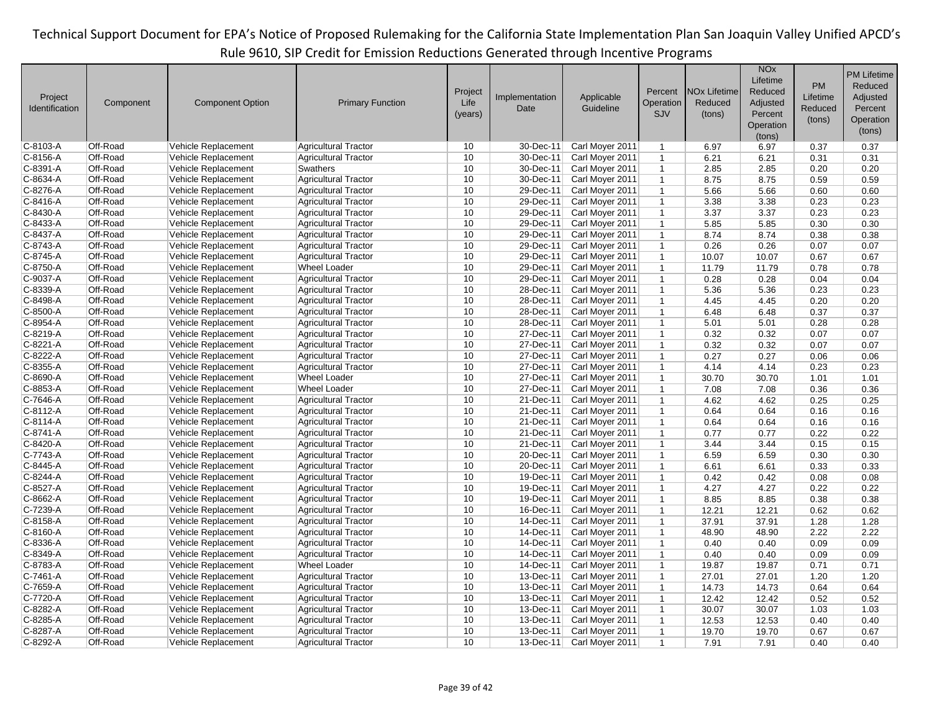|                |           |                         |                             | Project |                |                 | Percent        | <b>NO<sub>x</sub></b> Lifetime | <b>NO<sub>x</sub></b><br>Lifetime<br>Reduced | <b>PM</b> | <b>PM Lifetime</b><br>Reduced |
|----------------|-----------|-------------------------|-----------------------------|---------|----------------|-----------------|----------------|--------------------------------|----------------------------------------------|-----------|-------------------------------|
| Project        | Component | <b>Component Option</b> | <b>Primary Function</b>     | Life    | Implementation | Applicable      | Operation      | Reduced                        | Adjusted                                     | Lifetime  | Adjusted                      |
| Identification |           |                         |                             | (years) | Date           | Guideline       | SJV            | (tons)                         | Percent                                      | Reduced   | Percent                       |
|                |           |                         |                             |         |                |                 |                |                                | Operation                                    | (tons)    | Operation                     |
|                |           |                         |                             |         |                |                 |                |                                | (tons)                                       |           | (tons)                        |
| C-8103-A       | Off-Road  | Vehicle Replacement     | <b>Agricultural Tractor</b> | 10      | 30-Dec-11      | Carl Moyer 2011 | $\mathbf{1}$   | 6.97                           | 6.97                                         | 0.37      | 0.37                          |
| C-8156-A       | Off-Road  | Vehicle Replacement     | <b>Agricultural Tractor</b> | 10      | 30-Dec-11      | Carl Moyer 2011 | $\mathbf{1}$   | 6.21                           | 6.21                                         | 0.31      | 0.31                          |
| C-8391-A       | Off-Road  | Vehicle Replacement     | Swathers                    | 10      | 30-Dec-11      | Carl Moyer 2011 | $\mathbf{1}$   | 2.85                           | 2.85                                         | 0.20      | 0.20                          |
| C-8634-A       | Off-Road  | Vehicle Replacement     | <b>Agricultural Tractor</b> | 10      | 30-Dec-11      | Carl Moyer 2011 | $\mathbf{1}$   | 8.75                           | 8.75                                         | 0.59      | 0.59                          |
| C-8276-A       | Off-Road  | Vehicle Replacement     | <b>Agricultural Tractor</b> | 10      | 29-Dec-11      | Carl Moyer 2011 | $\mathbf{1}$   | 5.66                           | 5.66                                         | 0.60      | 0.60                          |
| C-8416-A       | Off-Road  | Vehicle Replacement     | <b>Agricultural Tractor</b> | 10      | 29-Dec-11      | Carl Moyer 2011 | $\mathbf{1}$   | 3.38                           | 3.38                                         | 0.23      | 0.23                          |
| C-8430-A       | Off-Road  | Vehicle Replacement     | <b>Agricultural Tractor</b> | 10      | 29-Dec-11      | Carl Moyer 2011 | $\mathbf{1}$   | 3.37                           | 3.37                                         | 0.23      | 0.23                          |
| C-8433-A       | Off-Road  | Vehicle Replacement     | <b>Agricultural Tractor</b> | 10      | 29-Dec-11      | Carl Moyer 2011 | $\mathbf{1}$   | 5.85                           | 5.85                                         | 0.30      | 0.30                          |
| C-8437-A       | Off-Road  | Vehicle Replacement     | <b>Agricultural Tractor</b> | 10      | 29-Dec-11      | Carl Moyer 2011 | $\mathbf{1}$   | 8.74                           | 8.74                                         | 0.38      | 0.38                          |
| C-8743-A       | Off-Road  | Vehicle Replacement     | <b>Agricultural Tractor</b> | 10      | 29-Dec-11      | Carl Moyer 2011 | $\mathbf{1}$   | 0.26                           | 0.26                                         | 0.07      | 0.07                          |
| C-8745-A       | Off-Road  | Vehicle Replacement     | <b>Agricultural Tractor</b> | 10      | 29-Dec-11      | Carl Moyer 2011 | $\mathbf{1}$   | 10.07                          | 10.07                                        | 0.67      | 0.67                          |
| C-8750-A       | Off-Road  | Vehicle Replacement     | <b>Wheel Loader</b>         | 10      | 29-Dec-11      | Carl Moyer 2011 | $\mathbf{1}$   | 11.79                          | 11.79                                        | 0.78      | 0.78                          |
| C-9037-A       | Off-Road  | Vehicle Replacement     | <b>Agricultural Tractor</b> | 10      | 29-Dec-11      | Carl Moyer 2011 | $\mathbf{1}$   | 0.28                           | 0.28                                         | 0.04      | 0.04                          |
| C-8339-A       | Off-Road  | Vehicle Replacement     | <b>Agricultural Tractor</b> | 10      | 28-Dec-11      | Carl Moyer 2011 | $\mathbf{1}$   | 5.36                           | 5.36                                         | 0.23      | 0.23                          |
| C-8498-A       | Off-Road  | Vehicle Replacement     | <b>Agricultural Tractor</b> | 10      | 28-Dec-11      | Carl Moyer 2011 | $\mathbf{1}$   | 4.45                           | 4.45                                         | 0.20      | 0.20                          |
| C-8500-A       | Off-Road  | Vehicle Replacement     | <b>Agricultural Tractor</b> | 10      | 28-Dec-11      | Carl Moyer 2011 | $\mathbf{1}$   | 6.48                           | 6.48                                         | 0.37      | 0.37                          |
| C-8954-A       | Off-Road  | Vehicle Replacement     | <b>Agricultural Tractor</b> | 10      | 28-Dec-11      | Carl Moyer 2011 | $\mathbf{1}$   | 5.01                           | 5.01                                         | 0.28      | 0.28                          |
| C-8219-A       | Off-Road  | Vehicle Replacement     | <b>Agricultural Tractor</b> | 10      | 27-Dec-11      | Carl Moyer 2011 | $\mathbf{1}$   | 0.32                           | 0.32                                         | 0.07      | 0.07                          |
| C-8221-A       | Off-Road  | Vehicle Replacement     | <b>Agricultural Tractor</b> | 10      | 27-Dec-11      | Carl Moyer 2011 | $\mathbf{1}$   | 0.32                           | 0.32                                         | 0.07      | 0.07                          |
| C-8222-A       | Off-Road  | Vehicle Replacement     | <b>Agricultural Tractor</b> | 10      | 27-Dec-11      | Carl Moyer 2011 | $\mathbf{1}$   | 0.27                           | 0.27                                         | 0.06      | 0.06                          |
| C-8355-A       | Off-Road  | Vehicle Replacement     | <b>Agricultural Tractor</b> | 10      | 27-Dec-11      | Carl Moyer 2011 | $\mathbf{1}$   | 4.14                           | 4.14                                         | 0.23      | 0.23                          |
| C-8690-A       | Off-Road  | Vehicle Replacement     | <b>Wheel Loader</b>         | 10      | 27-Dec-11      | Carl Moyer 2011 | $\mathbf{1}$   | 30.70                          | 30.70                                        | 1.01      | 1.01                          |
| C-8853-A       | Off-Road  | Vehicle Replacement     | <b>Wheel Loader</b>         | 10      | 27-Dec-11      | Carl Moyer 2011 | $\mathbf{1}$   | 7.08                           | 7.08                                         | 0.36      | 0.36                          |
| C-7646-A       | Off-Road  | Vehicle Replacement     | <b>Agricultural Tractor</b> | 10      | 21-Dec-11      | Carl Moyer 2011 | $\mathbf{1}$   | 4.62                           | 4.62                                         | 0.25      | 0.25                          |
| C-8112-A       | Off-Road  | Vehicle Replacement     | <b>Agricultural Tractor</b> | 10      | 21-Dec-11      | Carl Moyer 2011 | $\overline{1}$ | 0.64                           | 0.64                                         | 0.16      | 0.16                          |
| C-8114-A       | Off-Road  | Vehicle Replacement     | <b>Agricultural Tractor</b> | 10      | 21-Dec-11      | Carl Moyer 2011 | $\mathbf{1}$   | 0.64                           | 0.64                                         | 0.16      | 0.16                          |
| C-8741-A       | Off-Road  | Vehicle Replacement     | <b>Agricultural Tractor</b> | 10      | 21-Dec-11      | Carl Moyer 2011 | $\mathbf{1}$   | 0.77                           | 0.77                                         | 0.22      | 0.22                          |
| C-8420-A       | Off-Road  | Vehicle Replacement     | Agricultural Tractor        | 10      | 21-Dec-11      | Carl Moyer 2011 | $\mathbf{1}$   | 3.44                           | 3.44                                         | 0.15      | 0.15                          |
| C-7743-A       | Off-Road  | Vehicle Replacement     | <b>Agricultural Tractor</b> | 10      | 20-Dec-11      | Carl Moyer 2011 | $\mathbf{1}$   | 6.59                           | 6.59                                         | 0.30      | 0.30                          |
| C-8445-A       | Off-Road  | Vehicle Replacement     | <b>Agricultural Tractor</b> | 10      | 20-Dec-11      | Carl Moyer 2011 | $\mathbf{1}$   | 6.61                           | 6.61                                         | 0.33      | 0.33                          |
| C-8244-A       | Off-Road  | Vehicle Replacement     | <b>Agricultural Tractor</b> | 10      | 19-Dec-11      | Carl Moyer 2011 | $\mathbf{1}$   | 0.42                           | 0.42                                         | 0.08      | 0.08                          |
| C-8527-A       | Off-Road  | Vehicle Replacement     | <b>Agricultural Tractor</b> | 10      | 19-Dec-11      | Carl Moyer 2011 | $\mathbf{1}$   | 4.27                           | 4.27                                         | 0.22      | 0.22                          |
| C-8662-A       | Off-Road  | Vehicle Replacement     | <b>Agricultural Tractor</b> | 10      | 19-Dec-11      | Carl Moyer 2011 | $\mathbf{1}$   | 8.85                           | 8.85                                         | 0.38      | 0.38                          |
| C-7239-A       | Off-Road  | Vehicle Replacement     | <b>Agricultural Tractor</b> | 10      | 16-Dec-11      | Carl Moyer 2011 | $\mathbf{1}$   | 12.21                          | 12.21                                        | 0.62      | 0.62                          |
| C-8158-A       | Off-Road  | Vehicle Replacement     | <b>Agricultural Tractor</b> | 10      | 14-Dec-11      | Carl Moyer 2011 | $\mathbf{1}$   | 37.91                          | 37.91                                        | 1.28      | 1.28                          |
| C-8160-A       | Off-Road  | Vehicle Replacement     | <b>Agricultural Tractor</b> | 10      | 14-Dec-11      | Carl Moyer 2011 | $\mathbf{1}$   | 48.90                          | 48.90                                        | 2.22      | 2.22                          |
| C-8336-A       | Off-Road  | Vehicle Replacement     | <b>Agricultural Tractor</b> | 10      | 14-Dec-11      | Carl Moyer 2011 | $\mathbf{1}$   | 0.40                           | 0.40                                         | 0.09      | 0.09                          |
| C-8349-A       | Off-Road  | Vehicle Replacement     | <b>Agricultural Tractor</b> | 10      | 14-Dec-11      | Carl Moyer 2011 | $\mathbf{1}$   | 0.40                           | 0.40                                         | 0.09      | 0.09                          |
| C-8783-A       | Off-Road  | Vehicle Replacement     | <b>Wheel Loader</b>         | 10      | 14-Dec-11      | Carl Moyer 2011 | $\mathbf{1}$   | 19.87                          | 19.87                                        | 0.71      | 0.71                          |
| C-7461-A       | Off-Road  | Vehicle Replacement     | <b>Agricultural Tractor</b> | 10      | 13-Dec-11      | Carl Moyer 2011 | $\mathbf{1}$   | 27.01                          | 27.01                                        | 1.20      | 1.20                          |
| C-7659-A       | Off-Road  | Vehicle Replacement     | <b>Agricultural Tractor</b> | 10      | 13-Dec-11      | Carl Moyer 2011 | $\mathbf{1}$   | 14.73                          | 14.73                                        | 0.64      | 0.64                          |
| C-7720-A       | Off-Road  | Vehicle Replacement     | <b>Agricultural Tractor</b> | 10      | 13-Dec-11      | Carl Moyer 2011 | $\mathbf{1}$   | 12.42                          | 12.42                                        | 0.52      | 0.52                          |
| C-8282-A       | Off-Road  | Vehicle Replacement     | <b>Agricultural Tractor</b> | 10      | 13-Dec-11      | Carl Moyer 2011 | $\mathbf{1}$   | 30.07                          | 30.07                                        | 1.03      | 1.03                          |
| C-8285-A       | Off-Road  | Vehicle Replacement     | <b>Agricultural Tractor</b> | 10      | 13-Dec-11      | Carl Moyer 2011 | $\mathbf{1}$   | 12.53                          | 12.53                                        | 0.40      | 0.40                          |
| C-8287-A       | Off-Road  | Vehicle Replacement     | <b>Agricultural Tractor</b> | 10      | 13-Dec-11      | Carl Moyer 2011 | $\mathbf{1}$   | 19.70                          | 19.70                                        | 0.67      | 0.67                          |
| C-8292-A       | Off-Road  | Vehicle Replacement     | <b>Agricultural Tractor</b> | 10      | 13-Dec-11      | Carl Moyer 2011 | $\mathbf{1}$   | 7.91                           | 7.91                                         | 0.40      | 0.40                          |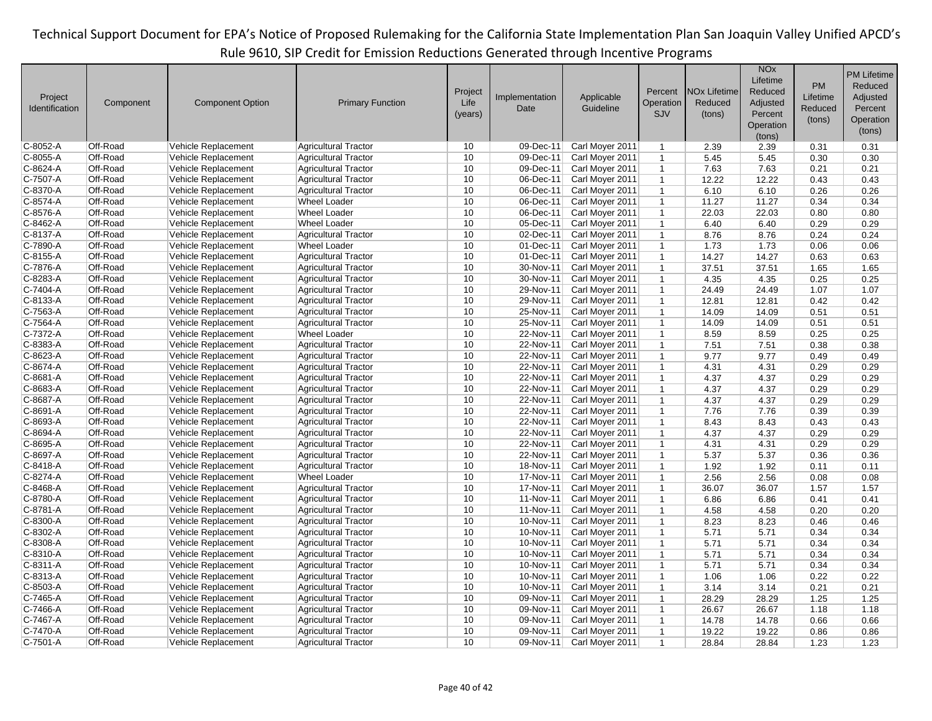|                      |           |                            |                                                    |         |                |                 |                              |                                | <b>NO<sub>x</sub></b> |              | <b>PM Lifetime</b> |
|----------------------|-----------|----------------------------|----------------------------------------------------|---------|----------------|-----------------|------------------------------|--------------------------------|-----------------------|--------------|--------------------|
|                      |           |                            |                                                    |         |                |                 |                              |                                | Lifetime              | <b>PM</b>    | Reduced            |
| Project              |           |                            |                                                    | Project | Implementation | Applicable      | Percent                      | <b>NO<sub>x</sub></b> Lifetime | Reduced               | Lifetime     | Adjusted           |
| Identification       | Component | <b>Component Option</b>    | <b>Primary Function</b>                            | Life    | Date           | Guideline       | Operation                    | Reduced                        | Adjusted              | Reduced      | Percent            |
|                      |           |                            |                                                    | (years) |                |                 | <b>SJV</b>                   | (tons)                         | Percent               | (tons)       | Operation          |
|                      |           |                            |                                                    |         |                |                 |                              |                                | Operation             |              | (tons)             |
| C-8052-A             | Off-Road  | Vehicle Replacement        | Agricultural Tractor                               | 10      | 09-Dec-11      | Carl Moyer 2011 | $\mathbf{1}$                 | 2.39                           | (tons)<br>2.39        | 0.31         | 0.31               |
| C-8055-A             | Off-Road  | Vehicle Replacement        | <b>Agricultural Tractor</b>                        | 10      | 09-Dec-11      | Carl Moyer 2011 | $\mathbf{1}$                 | 5.45                           | 5.45                  | 0.30         | 0.30               |
| C-8624-A             | Off-Road  | Vehicle Replacement        | Agricultural Tractor                               | 10      | 09-Dec-11      | Carl Moyer 2011 | $\mathbf{1}$                 | 7.63                           | 7.63                  | 0.21         | 0.21               |
| C-7507-A             | Off-Road  | Vehicle Replacement        | Agricultural Tractor                               | 10      | 06-Dec-11      | Carl Moyer 2011 | $\mathbf{1}$                 | 12.22                          | 12.22                 | 0.43         | 0.43               |
| C-8370-A             | Off-Road  | Vehicle Replacement        | <b>Agricultural Tractor</b>                        | 10      | 06-Dec-11      | Carl Moyer 2011 | $\mathbf{1}$                 | 6.10                           | 6.10                  | 0.26         | 0.26               |
| C-8574-A             | Off-Road  | Vehicle Replacement        | <b>Wheel Loader</b>                                | 10      | 06-Dec-11      | Carl Moyer 2011 | $\mathbf{1}$                 | 11.27                          | 11.27                 | 0.34         | 0.34               |
| C-8576-A             | Off-Road  | Vehicle Replacement        | <b>Wheel Loader</b>                                | 10      | 06-Dec-11      | Carl Moyer 2011 | $\mathbf{1}$                 | 22.03                          | 22.03                 | 0.80         | 0.80               |
| C-8462-A             | Off-Road  | Vehicle Replacement        | <b>Wheel Loader</b>                                | 10      | 05-Dec-11      | Carl Moyer 2011 |                              | 6.40                           | 6.40                  | 0.29         | 0.29               |
| C-8137-A             | Off-Road  | Vehicle Replacement        |                                                    | 10      | 02-Dec-11      | Carl Moyer 2011 | $\mathbf{1}$<br>$\mathbf{1}$ |                                |                       |              |                    |
|                      | Off-Road  |                            | <b>Agricultural Tractor</b><br><b>Wheel Loader</b> | 10      | $01$ -Dec-11   |                 | $\mathbf{1}$                 | 8.76                           | 8.76<br>1.73          | 0.24<br>0.06 | 0.24<br>0.06       |
| C-7890-A<br>C-8155-A | Off-Road  | Vehicle Replacement        |                                                    | 10      | 01-Dec-11      | Carl Moyer 2011 | $\mathbf{1}$                 | 1.73                           | 14.27                 |              | 0.63               |
|                      | Off-Road  | Vehicle Replacement        | <b>Agricultural Tractor</b>                        | 10      |                | Carl Moyer 2011 |                              | 14.27                          |                       | 0.63         |                    |
| C-7876-A             |           | Vehicle Replacement        | <b>Agricultural Tractor</b>                        |         | 30-Nov-11      | Carl Moyer 2011 | $\mathbf{1}$                 | 37.51                          | 37.51                 | 1.65         | 1.65               |
| C-8283-A             | Off-Road  | Vehicle Replacement        | Agricultural Tractor                               | 10      | 30-Nov-11      | Carl Moyer 2011 | $\mathbf{1}$                 | 4.35                           | 4.35                  | 0.25         | 0.25               |
| C-7404-A             | Off-Road  | Vehicle Replacement        | <b>Agricultural Tractor</b>                        | 10      | 29-Nov-11      | Carl Moyer 2011 | 1                            | 24.49                          | 24.49                 | 1.07         | 1.07               |
| C-8133-A             | Off-Road  | Vehicle Replacement        | Agricultural Tractor                               | 10      | 29-Nov-11      | Carl Moyer 2011 | $\mathbf{1}$                 | 12.81                          | 12.81                 | 0.42         | 0.42               |
| C-7563-A             | Off-Road  | Vehicle Replacement        | <b>Agricultural Tractor</b>                        | 10      | 25-Nov-11      | Carl Moyer 2011 | $\mathbf{1}$                 | 14.09                          | 14.09                 | 0.51         | 0.51               |
| C-7564-A             | Off-Road  | Vehicle Replacement        | <b>Agricultural Tractor</b>                        | 10      | 25-Nov-11      | Carl Moyer 2011 | $\mathbf{1}$                 | 14.09                          | 14.09                 | 0.51         | 0.51               |
| C-7372-A             | Off-Road  | Vehicle Replacement        | <b>Wheel Loader</b>                                | 10      | 22-Nov-11      | Carl Moyer 2011 | $\mathbf{1}$                 | 8.59                           | 8.59                  | 0.25         | 0.25               |
| C-8383-A             | Off-Road  | Vehicle Replacement        | <b>Agricultural Tractor</b>                        | 10      | 22-Nov-11      | Carl Moyer 2011 | $\mathbf{1}$                 | 7.51                           | 7.51                  | 0.38         | 0.38               |
| C-8623-A             | Off-Road  | Vehicle Replacement        | Agricultural Tractor                               | 10      | 22-Nov-11      | Carl Moyer 2011 | $\mathbf{1}$                 | 9.77                           | 9.77                  | 0.49         | 0.49               |
| C-8674-A             | Off-Road  | Vehicle Replacement        | Agricultural Tractor                               | 10      | 22-Nov-11      | Carl Moyer 2011 | $\mathbf{1}$                 | 4.31                           | 4.31                  | 0.29         | 0.29               |
| C-8681-A             | Off-Road  | Vehicle Replacement        | <b>Agricultural Tractor</b>                        | 10      | 22-Nov-11      | Carl Moyer 2011 | $\mathbf{1}$                 | 4.37                           | 4.37                  | 0.29         | 0.29               |
| C-8683-A             | Off-Road  | Vehicle Replacement        | Agricultural Tractor                               | 10      | 22-Nov-11      | Carl Moyer 2011 | $\mathbf{1}$                 | 4.37                           | 4.37                  | 0.29         | 0.29               |
| C-8687-A             | Off-Road  | Vehicle Replacement        | Agricultural Tractor                               | 10      | 22-Nov-11      | Carl Moyer 2011 | $\mathbf{1}$                 | 4.37                           | 4.37                  | 0.29         | 0.29               |
| C-8691-A             | Off-Road  | Vehicle Replacement        | Agricultural Tractor                               | 10      | 22-Nov-11      | Carl Moyer 2011 | $\mathbf{1}$                 | 7.76                           | 7.76                  | 0.39         | 0.39               |
| C-8693-A             | Off-Road  | Vehicle Replacement        | Agricultural Tractor                               | 10      | 22-Nov-11      | Carl Moyer 2011 | $\mathbf{1}$                 | 8.43                           | 8.43                  | 0.43         | 0.43               |
| C-8694-A             | Off-Road  | Vehicle Replacement        | <b>Agricultural Tractor</b>                        | 10      | 22-Nov-11      | Carl Moyer 2011 | $\mathbf{1}$                 | 4.37                           | 4.37                  | 0.29         | 0.29               |
| C-8695-A             | Off-Road  | Vehicle Replacement        | <b>Agricultural Tractor</b>                        | 10      | 22-Nov-11      | Carl Moyer 2011 | $\mathbf{1}$                 | 4.31                           | 4.31                  | 0.29         | 0.29               |
| C-8697-A             | Off-Road  | Vehicle Replacement        | <b>Agricultural Tractor</b>                        | 10      | 22-Nov-11      | Carl Moyer 2011 | $\mathbf{1}$                 | 5.37                           | 5.37                  | 0.36         | 0.36               |
| C-8418-A             | Off-Road  | Vehicle Replacement        | <b>Agricultural Tractor</b>                        | 10      | 18-Nov-11      | Carl Moyer 2011 | $\mathbf{1}$                 | 1.92                           | 1.92                  | 0.11         | 0.11               |
| C-8274-A             | Off-Road  | Vehicle Replacement        | <b>Wheel Loader</b>                                | 10      | 17-Nov-11      | Carl Moyer 2011 | $\mathbf{1}$                 | 2.56                           | 2.56                  | 0.08         | 0.08               |
| C-8468-A             | Off-Road  | <b>Vehicle Replacement</b> | Agricultural Tractor                               | 10      | 17-Nov-11      | Carl Moyer 2011 | $\mathbf{1}$                 | 36.07                          | 36.07                 | 1.57         | 1.57               |
| C-8780-A             | Off-Road  | Vehicle Replacement        | <b>Agricultural Tractor</b>                        | 10      | 11-Nov-11      | Carl Moyer 2011 | $\mathbf{1}$                 | 6.86                           | 6.86                  | 0.41         | 0.41               |
| C-8781-A             | Off-Road  | Vehicle Replacement        | <b>Agricultural Tractor</b>                        | 10      | 11-Nov-11      | Carl Moyer 2011 | $\mathbf{1}$                 | 4.58                           | 4.58                  | 0.20         | 0.20               |
| C-8300-A             | Off-Road  | Vehicle Replacement        | Agricultural Tractor                               | 10      | 10-Nov-11      | Carl Moyer 2011 | $\mathbf{1}$                 | 8.23                           | 8.23                  | 0.46         | 0.46               |
| C-8302-A             | Off-Road  | Vehicle Replacement        | <b>Agricultural Tractor</b>                        | 10      | 10-Nov-11      | Carl Moyer 2011 | $\mathbf{1}$                 | 5.71                           | 5.71                  | 0.34         | 0.34               |
| C-8308-A             | Off-Road  | Vehicle Replacement        | Agricultural Tractor                               | 10      | 10-Nov-11      | Carl Moyer 2011 | $\mathbf{1}$                 | 5.71                           | 5.71                  | 0.34         | 0.34               |
| C-8310-A             | Off-Road  | Vehicle Replacement        | <b>Agricultural Tractor</b>                        | 10      | 10-Nov-11      | Carl Moyer 2011 | $\mathbf{1}$                 | 5.71                           | 5.71                  | 0.34         | 0.34               |
| C-8311-A             | Off-Road  | Vehicle Replacement        | <b>Agricultural Tractor</b>                        | 10      | 10-Nov-11      | Carl Moyer 2011 | $\mathbf{1}$                 | 5.71                           | 5.71                  | 0.34         | 0.34               |
| C-8313-A             | Off-Road  | Vehicle Replacement        | Agricultural Tractor                               | 10      | 10-Nov-11      | Carl Moyer 2011 | $\mathbf{1}$                 | 1.06                           | 1.06                  | 0.22         | 0.22               |
| C-8503-A             | Off-Road  | Vehicle Replacement        | <b>Agricultural Tractor</b>                        | 10      | 10-Nov-11      | Carl Moyer 2011 | $\mathbf{1}$                 | 3.14                           | 3.14                  | 0.21         | 0.21               |
| C-7465-A             | Off-Road  | Vehicle Replacement        | Agricultural Tractor                               | 10      | 09-Nov-11      | Carl Moyer 2011 | $\mathbf{1}$                 | 28.29                          | 28.29                 | 1.25         | 1.25               |
| C-7466-A             | Off-Road  | Vehicle Replacement        | Agricultural Tractor                               | 10      | 09-Nov-11      | Carl Moyer 2011 | $\mathbf{1}$                 | 26.67                          | 26.67                 | 1.18         | 1.18               |
| C-7467-A             | Off-Road  | Vehicle Replacement        | <b>Agricultural Tractor</b>                        | 10      | 09-Nov-11      | Carl Moyer 2011 | $\mathbf{1}$                 | 14.78                          | 14.78                 | 0.66         | 0.66               |
| C-7470-A             | Off-Road  | Vehicle Replacement        | <b>Agricultural Tractor</b>                        | 10      | 09-Nov-11      | Carl Moyer 2011 | $\mathbf{1}$                 | 19.22                          | 19.22                 | 0.86         | 0.86               |
| C-7501-A             | Off-Road  | Vehicle Replacement        | <b>Agricultural Tractor</b>                        | 10      | 09-Nov-11      | Carl Moyer 2011 | $\mathbf{1}$                 | 28.84                          | 28.84                 | 1.23         | 1.23               |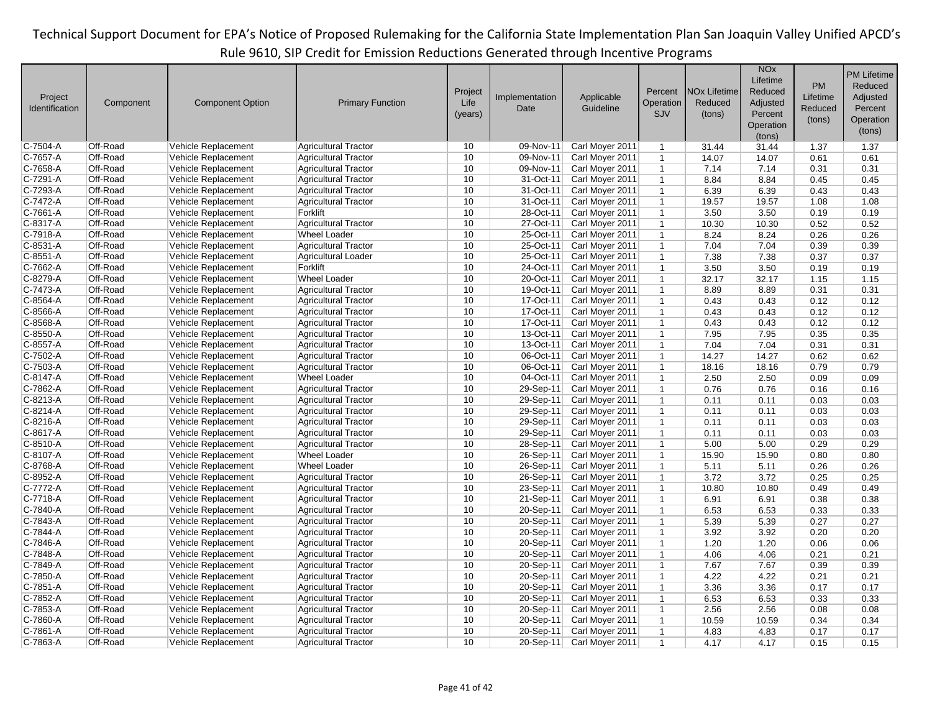|                |           |                         |                             |         |                |                 |              |                                | <b>NO<sub>x</sub></b> |           | <b>PM Lifetime</b> |
|----------------|-----------|-------------------------|-----------------------------|---------|----------------|-----------------|--------------|--------------------------------|-----------------------|-----------|--------------------|
|                |           |                         |                             |         |                |                 |              |                                | Lifetime              | <b>PM</b> | Reduced            |
| Project        |           |                         |                             | Project | Implementation | Applicable      | Percent      | <b>NO<sub>x</sub></b> Lifetime | Reduced               | Lifetime  | Adjusted           |
| Identification | Component | <b>Component Option</b> | <b>Primary Function</b>     | Life    | Date           | Guideline       | Operation    | Reduced                        | Adjusted              | Reduced   | Percent            |
|                |           |                         |                             | (years) |                |                 | <b>SJV</b>   | (tons)                         | Percent               |           |                    |
|                |           |                         |                             |         |                |                 |              |                                | Operation             | (tons)    | Operation          |
|                |           |                         |                             |         |                |                 |              |                                | (tons)                |           | (tons)             |
| C-7504-A       | Off-Road  | Vehicle Replacement     | <b>Agricultural Tractor</b> | 10      | 09-Nov-11      | Carl Moyer 2011 | $\mathbf{1}$ | 31.44                          | 31.44                 | 1.37      | 1.37               |
| C-7657-A       | Off-Road  | Vehicle Replacement     | <b>Agricultural Tractor</b> | 10      | 09-Nov-11      | Carl Moyer 2011 | $\mathbf 1$  | 14.07                          | 14.07                 | 0.61      | 0.61               |
| C-7658-A       | Off-Road  | Vehicle Replacement     | <b>Agricultural Tractor</b> | 10      | 09-Nov-11      | Carl Moyer 2011 | $\mathbf{1}$ | 7.14                           | 7.14                  | 0.31      | 0.31               |
| C-7291-A       | Off-Road  | Vehicle Replacement     | <b>Agricultural Tractor</b> | 10      | 31-Oct-11      | Carl Moyer 2011 | $\mathbf{1}$ | 8.84                           | 8.84                  | 0.45      | 0.45               |
| C-7293-A       | Off-Road  | Vehicle Replacement     | <b>Agricultural Tractor</b> | 10      | 31-Oct-11      | Carl Moyer 2011 | $\mathbf{1}$ | 6.39                           | 6.39                  | 0.43      | 0.43               |
| C-7472-A       | Off-Road  | Vehicle Replacement     | <b>Agricultural Tractor</b> | 10      | 31-Oct-11      | Carl Moyer 2011 | $\mathbf{1}$ | 19.57                          | 19.57                 | 1.08      | 1.08               |
| C-7661-A       | Off-Road  | Vehicle Replacement     | Forklift                    | 10      | 28-Oct-11      | Carl Moyer 2011 | $\mathbf{1}$ | 3.50                           | 3.50                  | 0.19      | 0.19               |
| C-8317-A       | Off-Road  | Vehicle Replacement     | <b>Agricultural Tractor</b> | 10      | 27-Oct-11      | Carl Moyer 2011 | $\mathbf{1}$ | 10.30                          | 10.30                 | 0.52      | 0.52               |
| C-7918-A       | Off-Road  | Vehicle Replacement     | <b>Wheel Loader</b>         | 10      | 25-Oct-11      | Carl Moyer 2011 | $\mathbf{1}$ | 8.24                           | 8.24                  | 0.26      | 0.26               |
| C-8531-A       | Off-Road  | Vehicle Replacement     | <b>Agricultural Tractor</b> | 10      | 25-Oct-11      | Carl Moyer 2011 | $\mathbf{1}$ | 7.04                           | 7.04                  | 0.39      | 0.39               |
| C-8551-A       | Off-Road  | Vehicle Replacement     | <b>Agricultural Loader</b>  | 10      | 25-Oct-11      | Carl Moyer 2011 | $\mathbf{1}$ | 7.38                           | 7.38                  | 0.37      | 0.37               |
| C-7662-A       | Off-Road  | Vehicle Replacement     | Forklift                    | 10      | 24-Oct-11      | Carl Moyer 2011 | $\mathbf{1}$ | 3.50                           | 3.50                  | 0.19      | 0.19               |
| C-8279-A       | Off-Road  | Vehicle Replacement     | <b>Wheel Loader</b>         | 10      | 20-Oct-11      | Carl Moyer 2011 | $\mathbf{1}$ | 32.17                          | 32.17                 | 1.15      | 1.15               |
| $C-7473-A$     | Off-Road  | Vehicle Replacement     | <b>Agricultural Tractor</b> | 10      | 19-Oct-11      | Carl Moyer 2011 | $\mathbf{1}$ | 8.89                           | 8.89                  | 0.31      | 0.31               |
| C-8564-A       | Off-Road  | Vehicle Replacement     | <b>Agricultural Tractor</b> | 10      | 17-Oct-11      | Carl Moyer 2011 | $\mathbf{1}$ | 0.43                           | 0.43                  | 0.12      | 0.12               |
| C-8566-A       | Off-Road  | Vehicle Replacement     | <b>Agricultural Tractor</b> | 10      | 17-Oct-11      | Carl Moyer 2011 | $\mathbf{1}$ | 0.43                           | 0.43                  | 0.12      | 0.12               |
| C-8568-A       | Off-Road  | Vehicle Replacement     | <b>Agricultural Tractor</b> | 10      | $17-Oct-11$    | Carl Moyer 2011 | $\mathbf{1}$ | 0.43                           | 0.43                  | 0.12      | 0.12               |
| C-8550-A       | Off-Road  | Vehicle Replacement     | <b>Agricultural Tractor</b> | 10      | 13-Oct-11      | Carl Moyer 2011 | $\mathbf{1}$ | 7.95                           | 7.95                  | 0.35      | 0.35               |
| C-8557-A       | Off-Road  | Vehicle Replacement     | <b>Agricultural Tractor</b> | 10      | 13-Oct-11      | Carl Moyer 2011 | $\mathbf{1}$ | 7.04                           | 7.04                  | 0.31      | 0.31               |
| C-7502-A       | Off-Road  | Vehicle Replacement     | <b>Agricultural Tractor</b> | 10      | 06-Oct-11      | Carl Moyer 2011 | $\mathbf{1}$ | 14.27                          | 14.27                 | 0.62      | 0.62               |
| C-7503-A       | Off-Road  | Vehicle Replacement     | <b>Agricultural Tractor</b> | 10      | 06-Oct-11      | Carl Moyer 2011 | $\mathbf{1}$ | 18.16                          | 18.16                 | 0.79      | 0.79               |
| C-8147-A       | Off-Road  | Vehicle Replacement     | <b>Wheel Loader</b>         | 10      | 04-Oct-11      | Carl Moyer 2011 | $\mathbf{1}$ | 2.50                           | 2.50                  | 0.09      | 0.09               |
| C-7862-A       | Off-Road  | Vehicle Replacement     | <b>Agricultural Tractor</b> | 10      | 29-Sep-11      | Carl Moyer 2011 | $\mathbf{1}$ | 0.76                           | 0.76                  | 0.16      | 0.16               |
| C-8213-A       | Off-Road  | Vehicle Replacement     | <b>Agricultural Tractor</b> | 10      | 29-Sep-11      | Carl Moyer 2011 | $\mathbf{1}$ | 0.11                           | 0.11                  | 0.03      | 0.03               |
| C-8214-A       | Off-Road  | Vehicle Replacement     | <b>Agricultural Tractor</b> | 10      | 29-Sep-11      | Carl Moyer 2011 | $\mathbf{1}$ | 0.11                           | 0.11                  | 0.03      | 0.03               |
| C-8216-A       | Off-Road  | Vehicle Replacement     | <b>Agricultural Tractor</b> | 10      | 29-Sep-11      | Carl Moyer 2011 | $\mathbf{1}$ | 0.11                           | 0.11                  | 0.03      | 0.03               |
| C-8617-A       | Off-Road  | Vehicle Replacement     | <b>Agricultural Tractor</b> | 10      | 29-Sep-11      | Carl Moyer 2011 | $\mathbf{1}$ | 0.11                           | 0.11                  | 0.03      | 0.03               |
| C-8510-A       | Off-Road  | Vehicle Replacement     | <b>Agricultural Tractor</b> | 10      | 28-Sep-11      | Carl Moyer 2011 | $\mathbf{1}$ | 5.00                           | 5.00                  | 0.29      | 0.29               |
| C-8107-A       | Off-Road  | Vehicle Replacement     | <b>Wheel Loader</b>         | 10      | 26-Sep-11      | Carl Moyer 2011 | $\mathbf{1}$ | 15.90                          | 15.90                 | 0.80      | 0.80               |
| C-8768-A       | Off-Road  | Vehicle Replacement     | <b>Wheel Loader</b>         | 10      | 26-Sep-11      | Carl Moyer 2011 | $\mathbf{1}$ | 5.11                           | 5.11                  | 0.26      | 0.26               |
| C-8952-A       | Off-Road  | Vehicle Replacement     | <b>Agricultural Tractor</b> | 10      | 26-Sep-11      | Carl Moyer 2011 | $\mathbf{1}$ | 3.72                           | 3.72                  | 0.25      | 0.25               |
| C-7772-A       | Off-Road  | Vehicle Replacement     | <b>Agricultural Tractor</b> | 10      | 23-Sep-11      | Carl Moyer 2011 | $\mathbf{1}$ | 10.80                          | 10.80                 | 0.49      | 0.49               |
| C-7718-A       | Off-Road  | Vehicle Replacement     | Agricultural Tractor        | 10      | 21-Sep-11      | Carl Moyer 2011 | $\mathbf{1}$ | 6.91                           | 6.91                  | 0.38      | 0.38               |
| $C-7840-A$     | Off-Road  | Vehicle Replacement     | <b>Agricultural Tractor</b> | 10      | 20-Sep-11      | Carl Moyer 2011 | $\mathbf{1}$ | 6.53                           | 6.53                  | 0.33      | 0.33               |
| C-7843-A       | Off-Road  | Vehicle Replacement     | <b>Agricultural Tractor</b> | 10      | 20-Sep-11      | Carl Moyer 2011 | $\mathbf{1}$ | 5.39                           | 5.39                  | 0.27      | 0.27               |
| C-7844-A       | Off-Road  | Vehicle Replacement     | <b>Agricultural Tractor</b> | 10      | 20-Sep-11      | Carl Moyer 2011 | $\mathbf{1}$ | 3.92                           | 3.92                  | 0.20      | 0.20               |
| C-7846-A       | Off-Road  | Vehicle Replacement     | <b>Agricultural Tractor</b> | 10      | 20-Sep-11      | Carl Moyer 2011 | $\mathbf{1}$ | 1.20                           | 1.20                  | 0.06      | 0.06               |
| C-7848-A       | Off-Road  | Vehicle Replacement     | <b>Agricultural Tractor</b> | 10      | 20-Sep-11      | Carl Moyer 2011 | $\mathbf{1}$ | 4.06                           | 4.06                  | 0.21      | 0.21               |
| C-7849-A       | Off-Road  | Vehicle Replacement     | <b>Agricultural Tractor</b> | 10      | 20-Sep-11      | Carl Moyer 2011 | $\mathbf{1}$ | 7.67                           | 7.67                  | 0.39      | 0.39               |
| C-7850-A       | Off-Road  | Vehicle Replacement     | <b>Agricultural Tractor</b> | 10      | 20-Sep-11      | Carl Moyer 2011 | $\mathbf{1}$ | 4.22                           | 4.22                  | 0.21      | 0.21               |
| C-7851-A       | Off-Road  | Vehicle Replacement     | <b>Agricultural Tractor</b> | 10      | 20-Sep-11      | Carl Moyer 2011 | $\mathbf{1}$ | 3.36                           | 3.36                  | 0.17      | 0.17               |
| C-7852-A       | Off-Road  | Vehicle Replacement     | <b>Agricultural Tractor</b> | 10      | 20-Sep-11      | Carl Moyer 2011 | $\mathbf{1}$ | 6.53                           | 6.53                  | 0.33      | 0.33               |
| C-7853-A       | Off-Road  | Vehicle Replacement     | <b>Agricultural Tractor</b> | 10      | 20-Sep-11      | Carl Moyer 2011 | $\mathbf{1}$ | 2.56                           | 2.56                  | 0.08      | 0.08               |
| C-7860-A       | Off-Road  | Vehicle Replacement     | <b>Agricultural Tractor</b> | 10      | 20-Sep-11      | Carl Moyer 2011 | $\mathbf{1}$ | 10.59                          | 10.59                 | 0.34      | 0.34               |
| C-7861-A       | Off-Road  | Vehicle Replacement     | <b>Agricultural Tractor</b> | 10      | 20-Sep-11      | Carl Moyer 2011 | $\mathbf{1}$ | 4.83                           | 4.83                  | 0.17      | 0.17               |
| C-7863-A       | Off-Road  | Vehicle Replacement     | <b>Agricultural Tractor</b> | 10      | 20-Sep-11      | Carl Moyer 2011 | $\mathbf{1}$ | 4.17                           | 4.17                  | 0.15      | 0.15               |
|                |           |                         |                             |         |                |                 |              |                                |                       |           |                    |